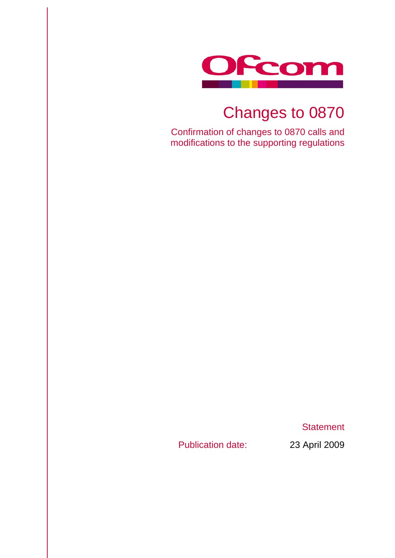

# Changes to 0870

Confirmation of changes to 0870 calls and modifications to the supporting regulations

**Statement** 

Publication date: 23 April 2009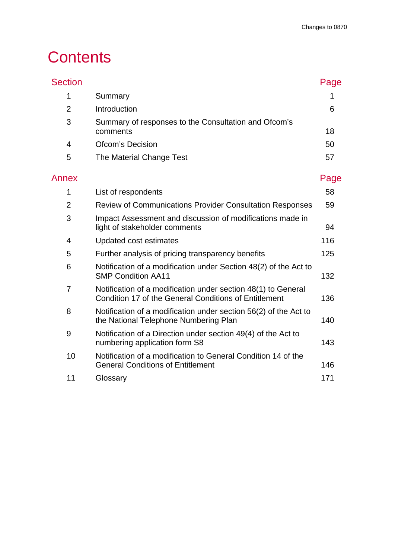## **Contents**

| <b>Section</b> |                                                                                                                        | Page |
|----------------|------------------------------------------------------------------------------------------------------------------------|------|
| 1              | Summary                                                                                                                | 1    |
| $\overline{2}$ | Introduction                                                                                                           | 6    |
| 3              | Summary of responses to the Consultation and Ofcom's<br>comments                                                       | 18   |
| $\overline{4}$ | <b>Ofcom's Decision</b>                                                                                                | 50   |
| 5              | The Material Change Test                                                                                               | 57   |
| Annex          |                                                                                                                        | Page |
| 1              | List of respondents                                                                                                    | 58   |
| $\overline{2}$ | <b>Review of Communications Provider Consultation Responses</b>                                                        | 59   |
| 3              | Impact Assessment and discussion of modifications made in<br>light of stakeholder comments                             | 94   |
| 4              | Updated cost estimates                                                                                                 | 116  |
| 5              | Further analysis of pricing transparency benefits                                                                      | 125  |
| 6              | Notification of a modification under Section 48(2) of the Act to<br><b>SMP Condition AA11</b>                          | 132  |
| 7              | Notification of a modification under section 48(1) to General<br>Condition 17 of the General Conditions of Entitlement | 136  |
| 8              | Notification of a modification under section 56(2) of the Act to<br>the National Telephone Numbering Plan              | 140  |
| 9              | Notification of a Direction under section 49(4) of the Act to<br>numbering application form S8                         | 143  |
| 10             | Notification of a modification to General Condition 14 of the<br><b>General Conditions of Entitlement</b>              | 146  |
| 11             | Glossary                                                                                                               | 171  |
|                |                                                                                                                        |      |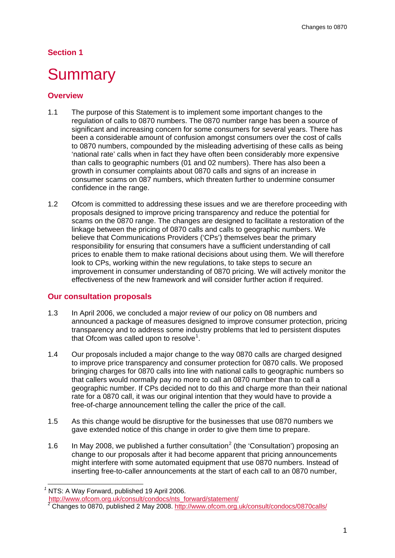## **Section 1**

## <span id="page-3-0"></span>**Summary**

#### **Overview**

- 1.1 The purpose of this Statement is to implement some important changes to the regulation of calls to 0870 numbers. The 0870 number range has been a source of significant and increasing concern for some consumers for several years. There has been a considerable amount of confusion amongst consumers over the cost of calls to 0870 numbers, compounded by the misleading advertising of these calls as being 'national rate' calls when in fact they have often been considerably more expensive than calls to geographic numbers (01 and 02 numbers). There has also been a growth in consumer complaints about 0870 calls and signs of an increase in consumer scams on 087 numbers, which threaten further to undermine consumer confidence in the range.
- 1.2 Ofcom is committed to addressing these issues and we are therefore proceeding with proposals designed to improve pricing transparency and reduce the potential for scams on the 0870 range. The changes are designed to facilitate a restoration of the linkage between the pricing of 0870 calls and calls to geographic numbers. We believe that Communications Providers ('CPs') themselves bear the primary responsibility for ensuring that consumers have a sufficient understanding of call prices to enable them to make rational decisions about using them. We will therefore look to CPs, working within the new regulations, to take steps to secure an improvement in consumer understanding of 0870 pricing. We will actively monitor the effectiveness of the new framework and will consider further action if required.

#### **Our consultation proposals**

- 1.3 In April 2006, we concluded a major review of our policy on 08 numbers and announced a package of measures designed to improve consumer protection, pricing transparency and to address some industry problems that led to persistent disputes that Ofcom was called upon to resolve<sup>[1](#page-3-1)</sup>.
- 1.4 Our proposals included a major change to the way 0870 calls are charged designed to improve price transparency and consumer protection for 0870 calls. We proposed bringing charges for 0870 calls into line with national calls to geographic numbers so that callers would normally pay no more to call an 0870 number than to call a geographic number. If CPs decided not to do this and charge more than their national rate for a 0870 call, it was our original intention that they would have to provide a free-of-charge announcement telling the caller the price of the call.
- 1.5 As this change would be disruptive for the businesses that use 0870 numbers we gave extended notice of this change in order to give them time to prepare.
- <span id="page-3-1"></span>1.6 In May [2](#page-3-2)008, we published a further consultation<sup>2</sup> (the 'Consultation') proposing an change to our proposals after it had become apparent that pricing announcements might interfere with some automated equipment that use 0870 numbers. Instead of inserting free-to-caller announcements at the start of each call to an 0870 number,

[http://www.ofcom.org.uk/consult/condocs/nts\\_forward/statement/](http://www.ofcom.org.uk/consult/condocs/nts_forward/statement/)

<span id="page-3-2"></span>*<sup>1</sup>* NTS: A Way Forward, published 19 April 2006.

<sup>2</sup> Changes to 0870, published 2 May 2008.<http://www.ofcom.org.uk/consult/condocs/0870calls/>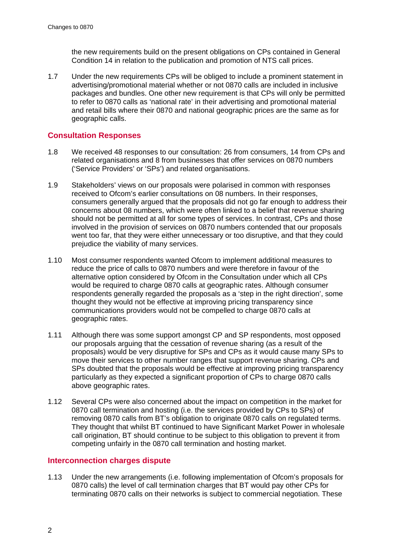the new requirements build on the present obligations on CPs contained in General Condition 14 in relation to the publication and promotion of NTS call prices.

1.7 Under the new requirements CPs will be obliged to include a prominent statement in advertising/promotional material whether or not 0870 calls are included in inclusive packages and bundles. One other new requirement is that CPs will only be permitted to refer to 0870 calls as 'national rate' in their advertising and promotional material and retail bills where their 0870 and national geographic prices are the same as for geographic calls.

## **Consultation Responses**

- 1.8 We received 48 responses to our consultation: 26 from consumers, 14 from CPs and related organisations and 8 from businesses that offer services on 0870 numbers ('Service Providers' or 'SPs') and related organisations.
- 1.9 Stakeholders' views on our proposals were polarised in common with responses received to Ofcom's earlier consultations on 08 numbers. In their responses, consumers generally argued that the proposals did not go far enough to address their concerns about 08 numbers, which were often linked to a belief that revenue sharing should not be permitted at all for some types of services. In contrast, CPs and those involved in the provision of services on 0870 numbers contended that our proposals went too far, that they were either unnecessary or too disruptive, and that they could prejudice the viability of many services.
- 1.10 Most consumer respondents wanted Ofcom to implement additional measures to reduce the price of calls to 0870 numbers and were therefore in favour of the alternative option considered by Ofcom in the Consultation under which all CPs would be required to charge 0870 calls at geographic rates. Although consumer respondents generally regarded the proposals as a 'step in the right direction', some thought they would not be effective at improving pricing transparency since communications providers would not be compelled to charge 0870 calls at geographic rates.
- 1.11 Although there was some support amongst CP and SP respondents, most opposed our proposals arguing that the cessation of revenue sharing (as a result of the proposals) would be very disruptive for SPs and CPs as it would cause many SPs to move their services to other number ranges that support revenue sharing. CPs and SPs doubted that the proposals would be effective at improving pricing transparency particularly as they expected a significant proportion of CPs to charge 0870 calls above geographic rates.
- 1.12 Several CPs were also concerned about the impact on competition in the market for 0870 call termination and hosting (i.e. the services provided by CPs to SPs) of removing 0870 calls from BT's obligation to originate 0870 calls on regulated terms. They thought that whilst BT continued to have Significant Market Power in wholesale call origination, BT should continue to be subject to this obligation to prevent it from competing unfairly in the 0870 call termination and hosting market.

## **Interconnection charges dispute**

1.13 Under the new arrangements (i.e. following implementation of Ofcom's proposals for 0870 calls) the level of call termination charges that BT would pay other CPs for terminating 0870 calls on their networks is subject to commercial negotiation. These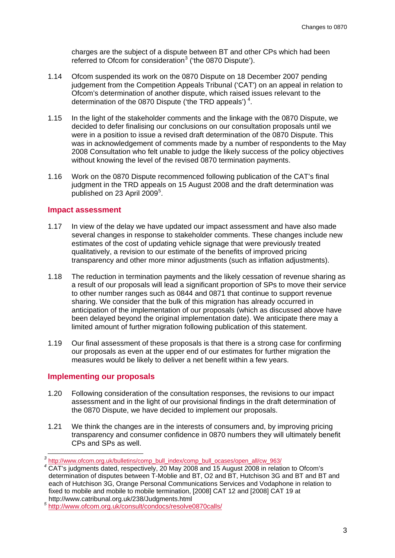charges are the subject of a dispute between BT and other CPs which had been referred to Ofcom for consideration<sup>[3](#page-5-0)</sup> ('the 0870 Dispute').

- 1.14 Ofcom suspended its work on the 0870 Dispute on 18 December 2007 pending judgement from the Competition Appeals Tribunal ('CAT') on an appeal in relation to Ofcom's determination of another dispute, which raised issues relevant to the determination of the 0870 Dispute ('the TRD appeals')<sup>[4](#page-5-1)</sup>.
- 1.15 In the light of the stakeholder comments and the linkage with the 0870 Dispute, we decided to defer finalising our conclusions on our consultation proposals until we were in a position to issue a revised draft determination of the 0870 Dispute. This was in acknowledgement of comments made by a number of respondents to the May 2008 Consultation who felt unable to judge the likely success of the policy objectives without knowing the level of the revised 0870 termination payments.
- 1.16 Work on the 0870 Dispute recommenced following publication of the CAT's final judgment in the TRD appeals on 15 August 2008 and the draft determination was published on 23 April 2009<sup>[5](#page-5-2)</sup>.

#### **Impact assessment**

- 1.17 In view of the delay we have updated our impact assessment and have also made several changes in response to stakeholder comments. These changes include new estimates of the cost of updating vehicle signage that were previously treated qualitatively, a revision to our estimate of the benefits of improved pricing transparency and other more minor adjustments (such as inflation adjustments).
- 1.18 The reduction in termination payments and the likely cessation of revenue sharing as a result of our proposals will lead a significant proportion of SPs to move their service to other number ranges such as 0844 and 0871 that continue to support revenue sharing. We consider that the bulk of this migration has already occurred in anticipation of the implementation of our proposals (which as discussed above have been delayed beyond the original implementation date). We anticipate there may a limited amount of further migration following publication of this statement.
- 1.19 Our final assessment of these proposals is that there is a strong case for confirming our proposals as even at the upper end of our estimates for further migration the measures would be likely to deliver a net benefit within a few years.

## **Implementing our proposals**

- 1.20 Following consideration of the consultation responses, the revisions to our impact assessment and in the light of our provisional findings in the draft determination of the 0870 Dispute, we have decided to implement our proposals.
- 1.21 We think the changes are in the interests of consumers and, by improving pricing transparency and consumer confidence in 0870 numbers they will ultimately benefit CPs and SPs as well.

<span id="page-5-0"></span><sup>&</sup>lt;sup>3</sup> [http://www.ofcom.org.uk/bulletins/comp\\_bull\\_index/comp\\_bull\\_ocases/open\\_all/cw\\_963/](http://www.ofcom.org.uk/bulletins/comp_bull_index/comp_bull_ocases/open_all/cw_963/)

<span id="page-5-1"></span>*<sup>4</sup>* CAT's judgments dated, respectively, 20 May 2008 and 15 August 2008 in relation to Ofcom's determination of disputes between T-Moblie and BT, O2 and BT, Hutchison 3G and BT and BT and each of Hutchison 3G, Orange Personal Communications Services and Vodaphone in relation to fixed to mobile and mobile to mobile termination, [2008] CAT 12 and [2008] CAT 19 at http://www.catribunal.org.uk/238/Judgments.html

<span id="page-5-2"></span>http://www.catribunal.org.uk/238/Judgments.html *<sup>5</sup>* <http://www.ofcom.org.uk/consult/condocs/resolve0870calls/>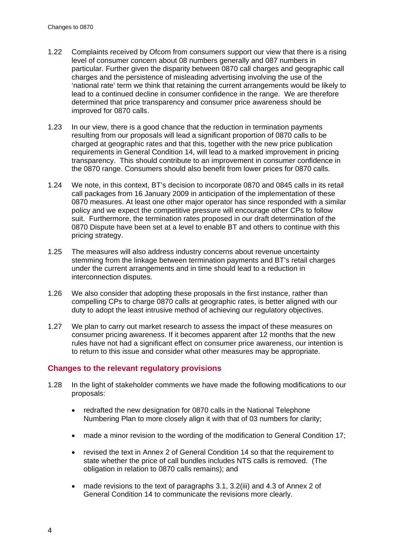- 1.22 Complaints received by Ofcom from consumers support our view that there is a rising level of consumer concern about 08 numbers generally and 087 numbers in particular. Further given the disparity between 0870 call charges and geographic call charges and the persistence of misleading advertising involving the use of the 'national rate' term we think that retaining the current arrangements would be likely to lead to a continued decline in consumer confidence in the range. We are therefore determined that price transparency and consumer price awareness should be improved for 0870 calls.
- 1.23 In our view, there is a good chance that the reduction in termination payments resulting from our proposals will lead a significant proportion of 0870 calls to be charged at geographic rates and that this, together with the new price publication requirements in General Condition 14, will lead to a marked improvement in pricing transparency. This should contribute to an improvement in consumer confidence in the 0870 range. Consumers should also benefit from lower prices for 0870 calls.
- 1.24 We note, in this context, BT's decision to incorporate 0870 and 0845 calls in its retail call packages from 16 January 2009 in anticipation of the implementation of these 0870 measures. At least one other major operator has since responded with a similar policy and we expect the competitive pressure will encourage other CPs to follow suit. Furthermore, the termination rates proposed in our draft determination of the 0870 Dispute have been set at a level to enable BT and others to continue with this pricing strategy.
- 1.25 The measures will also address industry concerns about revenue uncertainty stemming from the linkage between termination payments and BT's retail charges under the current arrangements and in time should lead to a reduction in interconnection disputes.
- 1.26 We also consider that adopting these proposals in the first instance, rather than compelling CPs to charge 0870 calls at geographic rates, is better aligned with our duty to adopt the least intrusive method of achieving our regulatory objectives.
- 1.27 We plan to carry out market research to assess the impact of these measures on consumer pricing awareness. If it becomes apparent after 12 months that the new rules have not had a significant effect on consumer price awareness, our intention is to return to this issue and consider what other measures may be appropriate.

## **Changes to the relevant regulatory provisions**

- 1.28 In the light of stakeholder comments we have made the following modifications to our proposals:
	- redrafted the new designation for 0870 calls in the National Telephone Numbering Plan to more closely align it with that of 03 numbers for clarity;
	- made a minor revision to the wording of the modification to General Condition 17;
	- revised the text in Annex 2 of General Condition 14 so that the requirement to state whether the price of call bundles includes NTS calls is removed. (The obligation in relation to 0870 calls remains); and
	- made revisions to the text of paragraphs 3.1, 3.2(iii) and 4.3 of Annex 2 of General Condition 14 to communicate the revisions more clearly.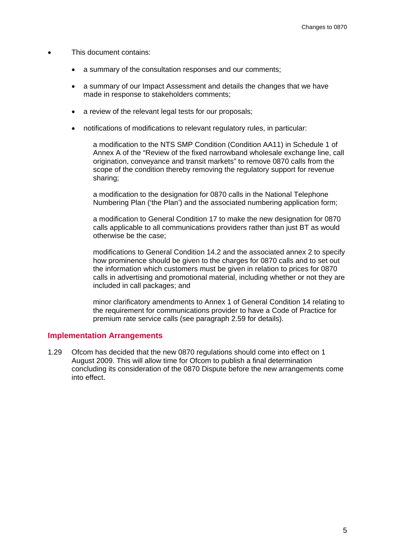- This document contains:
	- a summary of the consultation responses and our comments;
	- a summary of our Impact Assessment and details the changes that we have made in response to stakeholders comments;
	- a review of the relevant legal tests for our proposals;
	- notifications of modifications to relevant regulatory rules, in particular:

a modification to the NTS SMP Condition (Condition AA11) in Schedule 1 of Annex A of the "Review of the fixed narrowband wholesale exchange line, call origination, conveyance and transit markets" to remove 0870 calls from the scope of the condition thereby removing the regulatory support for revenue sharing;

a modification to the designation for 0870 calls in the National Telephone Numbering Plan ('the Plan') and the associated numbering application form;

a modification to General Condition 17 to make the new designation for 0870 calls applicable to all communications providers rather than just BT as would otherwise be the case;

modifications to General Condition 14.2 and the associated annex 2 to specify how prominence should be given to the charges for 0870 calls and to set out the information which customers must be given in relation to prices for 0870 calls in advertising and promotional material, including whether or not they are included in call packages; and

minor clarificatory amendments to Annex 1 of General Condition 14 relating to the requirement for communications provider to have a Code of Practice for premium rate service calls (see paragraph [2.59](#page-18-0) for details).

#### **Implementation Arrangements**

1.29 Ofcom has decided that the new 0870 regulations should come into effect on 1 August 2009. This will allow time for Ofcom to publish a final determination concluding its consideration of the 0870 Dispute before the new arrangements come into effect.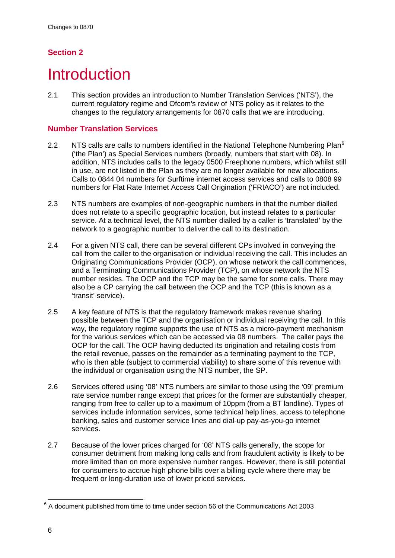## **Section 2**

## <span id="page-8-0"></span>**Introduction**

2.1 This section provides an introduction to Number Translation Services ('NTS'), the current regulatory regime and Ofcom's review of NTS policy as it relates to the changes to the regulatory arrangements for 0870 calls that we are introducing.

## **Number Translation Services**

- 2.2 NTS calls are calls to numbers identified in the National Telephone Numbering Plan $^6$  $^6$ ('the Plan') as Special Services numbers (broadly, numbers that start with 08). In addition, NTS includes calls to the legacy 0500 Freephone numbers, which whilst still in use, are not listed in the Plan as they are no longer available for new allocations. Calls to 0844 04 numbers for Surftime internet access services and calls to 0808 99 numbers for Flat Rate Internet Access Call Origination ('FRIACO') are not included.
- 2.3 NTS numbers are examples of non-geographic numbers in that the number dialled does not relate to a specific geographic location, but instead relates to a particular service. At a technical level, the NTS number dialled by a caller is 'translated' by the network to a geographic number to deliver the call to its destination.
- 2.4 For a given NTS call, there can be several different CPs involved in conveying the call from the caller to the organisation or individual receiving the call. This includes an Originating Communications Provider (OCP), on whose network the call commences, and a Terminating Communications Provider (TCP), on whose network the NTS number resides. The OCP and the TCP may be the same for some calls. There may also be a CP carrying the call between the OCP and the TCP (this is known as a 'transit' service).
- 2.5 A key feature of NTS is that the regulatory framework makes revenue sharing possible between the TCP and the organisation or individual receiving the call. In this way, the regulatory regime supports the use of NTS as a micro-payment mechanism for the various services which can be accessed via 08 numbers. The caller pays the OCP for the call. The OCP having deducted its origination and retailing costs from the retail revenue, passes on the remainder as a terminating payment to the TCP, who is then able (subject to commercial viability) to share some of this revenue with the individual or organisation using the NTS number, the SP.
- 2.6 Services offered using '08' NTS numbers are similar to those using the '09' premium rate service number range except that prices for the former are substantially cheaper, ranging from free to caller up to a maximum of 10ppm (from a BT landline). Types of services include information services, some technical help lines, access to telephone banking, sales and customer service lines and dial-up pay-as-you-go internet services.
- 2.7 Because of the lower prices charged for '08' NTS calls generally, the scope for consumer detriment from making long calls and from fraudulent activity is likely to be more limited than on more expensive number ranges. However, there is still potential for consumers to accrue high phone bills over a billing cycle where there may be frequent or long-duration use of lower priced services.

<span id="page-8-1"></span> $6$  A document published from time to time under section 56 of the Communications Act 2003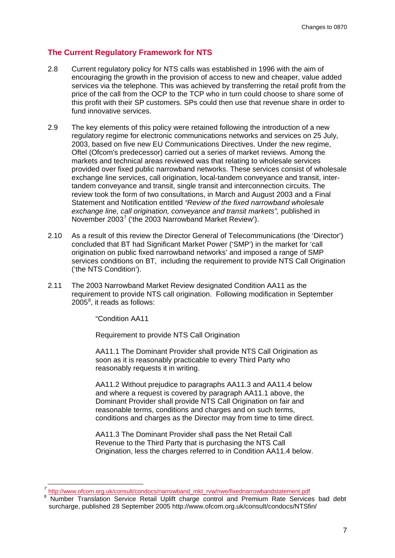## **The Current Regulatory Framework for NTS**

- 2.8 Current regulatory policy for NTS calls was established in 1996 with the aim of encouraging the growth in the provision of access to new and cheaper, value added services via the telephone. This was achieved by transferring the retail profit from the price of the call from the OCP to the TCP who in turn could choose to share some of this profit with their SP customers. SPs could then use that revenue share in order to fund innovative services.
- 2.9 The key elements of this policy were retained following the introduction of a new regulatory regime for electronic communications networks and services on 25 July, 2003, based on five new EU Communications Directives. Under the new regime, Oftel (Ofcom's predecessor) carried out a series of market reviews. Among the markets and technical areas reviewed was that relating to wholesale services provided over fixed public narrowband networks. These services consist of wholesale exchange line services, call origination, local-tandem conveyance and transit, intertandem conveyance and transit, single transit and interconnection circuits. The review took the form of two consultations, in March and August 2003 and a Final Statement and Notification entitled *"Review of the fixed narrowband wholesale exchange line, call origination, conveyance and transit markets",* published in November 2003<sup>[7](#page-9-0)</sup> ('the 2003 Narrowband Market Review').
- 2.10 As a result of this review the Director General of Telecommunications (the 'Director') concluded that BT had Significant Market Power ('SMP') in the market for 'call origination on public fixed narrowband networks' and imposed a range of SMP services conditions on BT, including the requirement to provide NTS Call Origination ('the NTS Condition').
- 2.11 The 2003 Narrowband Market Review designated Condition AA11 as the requirement to provide NTS call origination. Following modification in September  $2005^8$  $2005^8$ , it reads as follows:

"Condition AA11

Requirement to provide NTS Call Origination

AA11.1 The Dominant Provider shall provide NTS Call Origination as soon as it is reasonably practicable to every Third Party who reasonably requests it in writing.

AA11.2 Without prejudice to paragraphs AA11.3 and AA11.4 below and where a request is covered by paragraph AA11.1 above, the Dominant Provider shall provide NTS Call Origination on fair and reasonable terms, conditions and charges and on such terms, conditions and charges as the Director may from time to time direct.

AA11.3 The Dominant Provider shall pass the Net Retail Call Revenue to the Third Party that is purchasing the NTS Call Origination, less the charges referred to in Condition AA11.4 below.

<span id="page-9-0"></span>*<sup>7</sup>* [http://www.ofcom.org.uk/consult/condocs/narrowband\\_mkt\\_rvw/nwe/fixednarrowbandstatement.pdf](http://www.ofcom.org.uk/consult/condocs/narrowband_mkt_rvw/nwe/fixednarrowbandstatement.pdf)

<span id="page-9-1"></span><sup>8</sup> Number Translation Service Retail Uplift charge control and Premium Rate Services bad debt surcharge, published 28 September 2005 http://www.ofcom.org.uk/consult/condocs/NTSfin/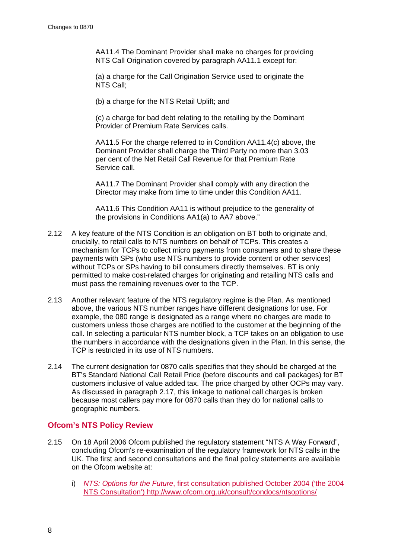AA11.4 The Dominant Provider shall make no charges for providing NTS Call Origination covered by paragraph AA11.1 except for:

(a) a charge for the Call Origination Service used to originate the NTS Call;

(b) a charge for the NTS Retail Uplift; and

(c) a charge for bad debt relating to the retailing by the Dominant Provider of Premium Rate Services calls.

AA11.5 For the charge referred to in Condition AA11.4(c) above, the Dominant Provider shall charge the Third Party no more than 3.03 per cent of the Net Retail Call Revenue for that Premium Rate Service call.

AA11.7 The Dominant Provider shall comply with any direction the Director may make from time to time under this Condition AA11.

AA11.6 This Condition AA11 is without prejudice to the generality of the provisions in Conditions AA1(a) to AA7 above."

- 2.12 A key feature of the NTS Condition is an obligation on BT both to originate and, crucially, to retail calls to NTS numbers on behalf of TCPs. This creates a mechanism for TCPs to collect micro payments from consumers and to share these payments with SPs (who use NTS numbers to provide content or other services) without TCPs or SPs having to bill consumers directly themselves. BT is only permitted to make cost-related charges for originating and retailing NTS calls and must pass the remaining revenues over to the TCP.
- 2.13 Another relevant feature of the NTS regulatory regime is the Plan. As mentioned above, the various NTS number ranges have different designations for use. For example, the 080 range is designated as a range where no charges are made to customers unless those charges are notified to the customer at the beginning of the call. In selecting a particular NTS number block, a TCP takes on an obligation to use the numbers in accordance with the designations given in the Plan. In this sense, the TCP is restricted in its use of NTS numbers.
- 2.14 The current designation for 0870 calls specifies that they should be charged at the BT's Standard National Call Retail Price (before discounts and call packages) for BT customers inclusive of value added tax. The price charged by other OCPs may vary. As discussed in paragraph 2.17, this linkage to national call charges is broken because most callers pay more for 0870 calls than they do for national calls to geographic numbers.

## **Ofcom's NTS Policy Review**

- <span id="page-10-0"></span>2.15 On 18 April 2006 Ofcom published the regulatory statement "NTS A Way Forward", concluding Ofcom's re-examination of the regulatory framework for NTS calls in the UK. The first and second consultations and the final policy statements are available on the Ofcom website at:
	- i) *NTS: Options for the Future*, first consultation published October 2004 ('the 2004 NTS Consultation') http://www.ofcom.org.uk/consult/condocs/ntsoptions/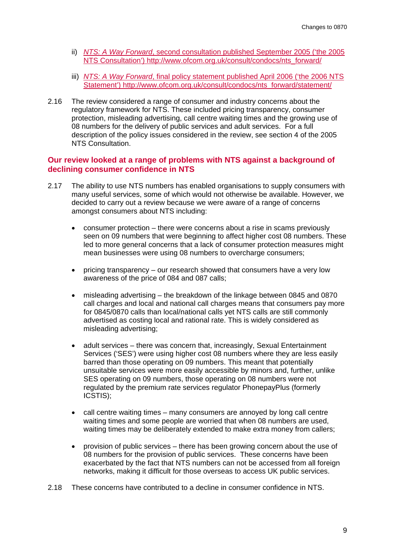- ii) *NTS: A Way Forward*, second consultation published September 2005 ('the 2005 NTS Consultation') http://www.ofcom.org.uk/consult/condocs/nts\_forward/
- iii) *NTS: A Way Forward*, final policy statement published April 2006 ('the 2006 NTS Statement') http://www.ofcom.org.uk/consult/condocs/nts\_forward/statement/
- 2.16 The review considered a range of consumer and industry concerns about the regulatory framework for NTS. These included pricing transparency, consumer protection, misleading advertising, call centre waiting times and the growing use of 08 numbers for the delivery of public services and adult services. For a full description of the policy issues considered in the review, see section 4 of the 2005 NTS Consultation.

## **Our review looked at a range of problems with NTS against a background of declining consumer confidence in NTS**

- 2.17 The ability to use NTS numbers has enabled organisations to supply consumers with many useful services, some of which would not otherwise be available. However, we decided to carry out a review because we were aware of a range of concerns amongst consumers about NTS including:
	- consumer protection there were concerns about a rise in scams previously seen on 09 numbers that were beginning to affect higher cost 08 numbers. These led to more general concerns that a lack of consumer protection measures might mean businesses were using 08 numbers to overcharge consumers;
	- pricing transparency our research showed that consumers have a very low awareness of the price of 084 and 087 calls;
	- misleading advertising the breakdown of the linkage between 0845 and 0870 call charges and local and national call charges means that consumers pay more for 0845/0870 calls than local/national calls yet NTS calls are still commonly advertised as costing local and rational rate. This is widely considered as misleading advertising;
	- adult services there was concern that, increasingly, Sexual Entertainment Services ('SES') were using higher cost 08 numbers where they are less easily barred than those operating on 09 numbers. This meant that potentially unsuitable services were more easily accessible by minors and, further, unlike SES operating on 09 numbers, those operating on 08 numbers were not regulated by the premium rate services regulator PhonepayPlus (formerly ICSTIS);
	- call centre waiting times many consumers are annoyed by long call centre waiting times and some people are worried that when 08 numbers are used, waiting times may be deliberately extended to make extra money from callers;
	- provision of public services there has been growing concern about the use of 08 numbers for the provision of public services. These concerns have been exacerbated by the fact that NTS numbers can not be accessed from all foreign networks, making it difficult for those overseas to access UK public services.
- 2.18 These concerns have contributed to a decline in consumer confidence in NTS.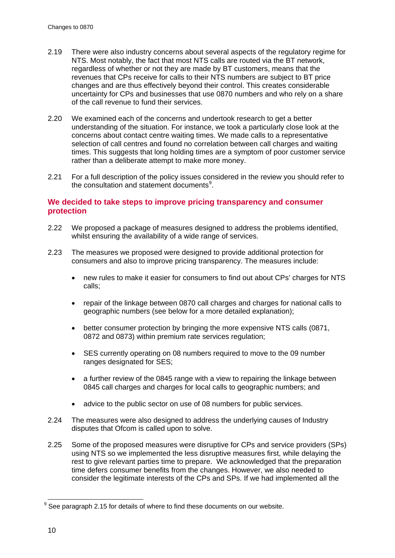- 2.19 There were also industry concerns about several aspects of the regulatory regime for NTS. Most notably, the fact that most NTS calls are routed via the BT network, regardless of whether or not they are made by BT customers, means that the revenues that CPs receive for calls to their NTS numbers are subject to BT price changes and are thus effectively beyond their control. This creates considerable uncertainty for CPs and businesses that use 0870 numbers and who rely on a share of the call revenue to fund their services.
- 2.20 We examined each of the concerns and undertook research to get a better understanding of the situation. For instance, we took a particularly close look at the concerns about contact centre waiting times. We made calls to a representative selection of call centres and found no correlation between call charges and waiting times. This suggests that long holding times are a symptom of poor customer service rather than a deliberate attempt to make more money.
- 2.21 For a full description of the policy issues considered in the review you should refer to the consultation and statement documents<sup>[9](#page-12-0)</sup>.

## **We decided to take steps to improve pricing transparency and consumer protection**

- 2.22 We proposed a package of measures designed to address the problems identified, whilst ensuring the availability of a wide range of services.
- <span id="page-12-1"></span>2.23 The measures we proposed were designed to provide additional protection for consumers and also to improve pricing transparency. The measures include:
	- hew rules to make it easier for consumers to find out about CPs' charges for NTS calls;
	- repair of the linkage between 0870 call charges and charges for national calls to geographic numbers (see below for a more detailed explanation);
	- better consumer protection by bringing the more expensive NTS calls (0871, 0872 and 0873) within premium rate services regulation;
	- SES currently operating on 08 numbers required to move to the 09 number ranges designated for SES;
	- a further review of the 0845 range with a view to repairing the linkage between 0845 call charges and charges for local calls to geographic numbers; and
	- advice to the public sector on use of 08 numbers for public services.
- 2.24 The measures were also designed to address the underlying causes of Industry disputes that Ofcom is called upon to solve.
- 2.25 Some of the proposed measures were disruptive for CPs and service providers (SPs) using NTS so we implemented the less disruptive measures first, while delaying the rest to give relevant parties time to prepare. We acknowledged that the preparation time defers consumer benefits from the changes. However, we also needed to consider the legitimate interests of the CPs and SPs. If we had implemented all the

<span id="page-12-0"></span> $9$  See paragraph [2.15](#page-10-0) for details of where to find these documents on our website.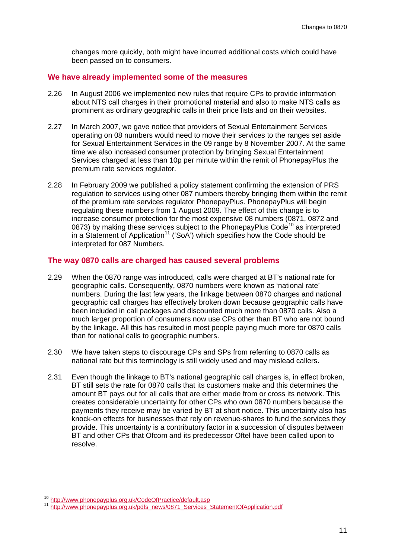changes more quickly, both might have incurred additional costs which could have been passed on to consumers.

## **We have already implemented some of the measures**

- 2.26 In August 2006 we implemented new rules that require CPs to provide information about NTS call charges in their promotional material and also to make NTS calls as prominent as ordinary geographic calls in their price lists and on their websites.
- 2.27 In March 2007, we gave notice that providers of Sexual Entertainment Services operating on 08 numbers would need to move their services to the ranges set aside for Sexual Entertainment Services in the 09 range by 8 November 2007. At the same time we also increased consumer protection by bringing Sexual Entertainment Services charged at less than 10p per minute within the remit of PhonepayPlus the premium rate services regulator.
- <span id="page-13-2"></span>2.28 In February 2009 we published a policy statement confirming the extension of PRS regulation to services using other 087 numbers thereby bringing them within the remit of the premium rate services regulator PhonepayPlus. PhonepayPlus will begin regulating these numbers from 1 August 2009. The effect of this change is to increase consumer protection for the most expensive 08 numbers (0871, 0872 and 0873) by making these services subject to the PhonepayPlus Code<sup>[10](#page-13-0)</sup> as interpreted in a Statement of Application<sup>[11](#page-13-1)</sup> ('SoA') which specifies how the Code should be interpreted for 087 Numbers.

#### **The way 0870 calls are charged has caused several problems**

- 2.29 When the 0870 range was introduced, calls were charged at BT's national rate for geographic calls. Consequently, 0870 numbers were known as 'national rate' numbers. During the last few years, the linkage between 0870 charges and national geographic call charges has effectively broken down because geographic calls have been included in call packages and discounted much more than 0870 calls. Also a much larger proportion of consumers now use CPs other than BT who are not bound by the linkage. All this has resulted in most people paying much more for 0870 calls than for national calls to geographic numbers.
- 2.30 We have taken steps to discourage CPs and SPs from referring to 0870 calls as national rate but this terminology is still widely used and may mislead callers.
- 2.31 Even though the linkage to BT's national geographic call charges is, in effect broken, BT still sets the rate for 0870 calls that its customers make and this determines the amount BT pays out for all calls that are either made from or cross its network. This creates considerable uncertainty for other CPs who own 0870 numbers because the payments they receive may be varied by BT at short notice. This uncertainty also has knock-on effects for businesses that rely on revenue-shares to fund the services they provide. This uncertainty is a contributory factor in a succession of disputes between BT and other CPs that Ofcom and its predecessor Oftel have been called upon to resolve.

<span id="page-13-1"></span><span id="page-13-0"></span><sup>10</sup> <http://www.phonepayplus.org.uk/CodeOfPractice/default.asp><br>11 [http://www.phonepayplus.org.uk/pdfs\\_news/0871\\_Services\\_StatementOfApplication.pdf](http://www.phonepayplus.org.uk/pdfs_news/0871_Services_StatementOfApplication.pdf)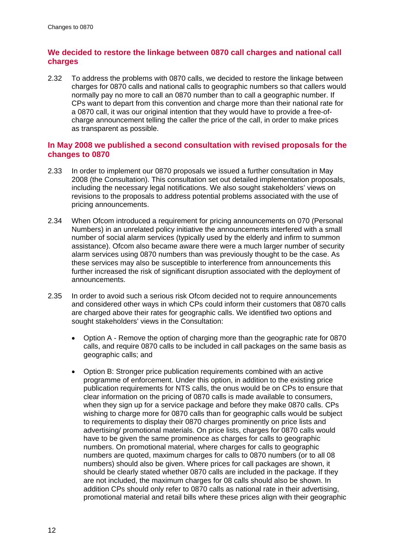## **We decided to restore the linkage between 0870 call charges and national call charges**

2.32 To address the problems with 0870 calls, we decided to restore the linkage between charges for 0870 calls and national calls to geographic numbers so that callers would normally pay no more to call an 0870 number than to call a geographic number. If CPs want to depart from this convention and charge more than their national rate for a 0870 call, it was our original intention that they would have to provide a free-ofcharge announcement telling the caller the price of the call, in order to make prices as transparent as possible.

## **In May 2008 we published a second consultation with revised proposals for the changes to 0870**

- 2.33 In order to implement our 0870 proposals we issued a further consultation in May 2008 (the Consultation). This consultation set out detailed implementation proposals, including the necessary legal notifications. We also sought stakeholders' views on revisions to the proposals to address potential problems associated with the use of pricing announcements.
- <span id="page-14-0"></span>2.34 When Ofcom introduced a requirement for pricing announcements on 070 (Personal Numbers) in an unrelated policy initiative the announcements interfered with a small number of social alarm services (typically used by the elderly and infirm to summon assistance). Ofcom also became aware there were a much larger number of security alarm services using 0870 numbers than was previously thought to be the case. As these services may also be susceptible to interference from announcements this further increased the risk of significant disruption associated with the deployment of announcements.
- <span id="page-14-1"></span>2.35 In order to avoid such a serious risk Ofcom decided not to require announcements and considered other ways in which CPs could inform their customers that 0870 calls are charged above their rates for geographic calls. We identified two options and sought stakeholders' views in the Consultation:
	- Option A Remove the option of charging more than the geographic rate for 0870 calls, and require 0870 calls to be included in call packages on the same basis as geographic calls; and
	- Option B: Stronger price publication requirements combined with an active programme of enforcement. Under this option, in addition to the existing price publication requirements for NTS calls, the onus would be on CPs to ensure that clear information on the pricing of 0870 calls is made available to consumers, when they sign up for a service package and before they make 0870 calls. CPs wishing to charge more for 0870 calls than for geographic calls would be subject to requirements to display their 0870 charges prominently on price lists and advertising/ promotional materials. On price lists, charges for 0870 calls would have to be given the same prominence as charges for calls to geographic numbers. On promotional material, where charges for calls to geographic numbers are quoted, maximum charges for calls to 0870 numbers (or to all 08 numbers) should also be given. Where prices for call packages are shown, it should be clearly stated whether 0870 calls are included in the package. If they are not included, the maximum charges for 08 calls should also be shown. In addition CPs should only refer to 0870 calls as national rate in their advertising, promotional material and retail bills where these prices align with their geographic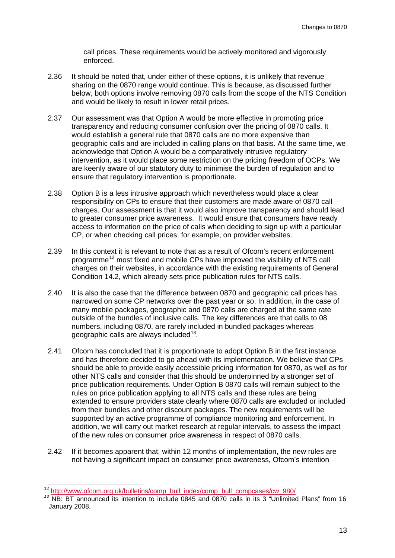call prices. These requirements would be actively monitored and vigorously enforced.

- 2.36 It should be noted that, under either of these options, it is unlikely that revenue sharing on the 0870 range would continue. This is because, as discussed further below, both options involve removing 0870 calls from the scope of the NTS Condition and would be likely to result in lower retail prices.
- <span id="page-15-2"></span>2.37 Our assessment was that Option A would be more effective in promoting price transparency and reducing consumer confusion over the pricing of 0870 calls. It would establish a general rule that 0870 calls are no more expensive than geographic calls and are included in calling plans on that basis. At the same time, we acknowledge that Option A would be a comparatively intrusive regulatory intervention, as it would place some restriction on the pricing freedom of OCPs. We are keenly aware of our statutory duty to minimise the burden of regulation and to ensure that regulatory intervention is proportionate.
- 2.38 Option B is a less intrusive approach which nevertheless would place a clear responsibility on CPs to ensure that their customers are made aware of 0870 call charges. Our assessment is that it would also improve transparency and should lead to greater consumer price awareness. It would ensure that consumers have ready access to information on the price of calls when deciding to sign up with a particular CP, or when checking call prices, for example, on provider websites.
- 2.39 In this context it is relevant to note that as a result of Ofcom's recent enforcement programme<sup>[12](#page-15-0)</sup> most fixed and mobile CPs have improved the visibility of NTS call charges on their websites, in accordance with the existing requirements of General Condition 14.2, which already sets price publication rules for NTS calls.
- 2.40 It is also the case that the difference between 0870 and geographic call prices has narrowed on some CP networks over the past year or so. In addition, in the case of many mobile packages, geographic and 0870 calls are charged at the same rate outside of the bundles of inclusive calls. The key differences are that calls to 08 numbers, including 0870, are rarely included in bundled packages whereas geographic calls are always included<sup>[13](#page-15-1)</sup>.
- <span id="page-15-3"></span>2.41 Ofcom has concluded that it is proportionate to adopt Option B in the first instance and has therefore decided to go ahead with its implementation. We believe that CPs should be able to provide easily accessible pricing information for 0870, as well as for other NTS calls and consider that this should be underpinned by a stronger set of price publication requirements. Under Option B 0870 calls will remain subject to the rules on price publication applying to all NTS calls and these rules are being extended to ensure providers state clearly where 0870 calls are excluded or included from their bundles and other discount packages. The new requirements will be supported by an active programme of compliance monitoring and enforcement. In addition, we will carry out market research at regular intervals, to assess the impact of the new rules on consumer price awareness in respect of 0870 calls.
- 2.42 If it becomes apparent that, within 12 months of implementation, the new rules are not having a significant impact on consumer price awareness, Ofcom's intention

<span id="page-15-1"></span><span id="page-15-0"></span><sup>&</sup>lt;sup>12</sup> [http://www.ofcom.org.uk/bulletins/comp\\_bull\\_index/comp\\_bull\\_compcases/cw\\_980/](http://www.ofcom.org.uk/bulletins/comp_bull_index/comp_bull_compcases/cw_980/)<br><sup>13</sup> NB: BT announced its intention to include 0845 and 0870 calls in its 3 "Unlimited Plans" from 16 January 2008.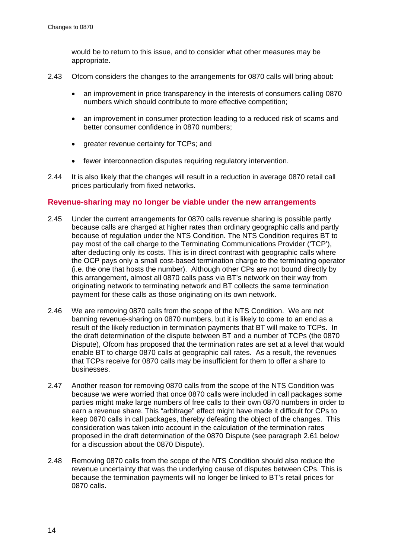would be to return to this issue, and to consider what other measures may be appropriate.

- 2.43 Ofcom considers the changes to the arrangements for 0870 calls will bring about:
	- an improvement in price transparency in the interests of consumers calling 0870 numbers which should contribute to more effective competition;
	- an improvement in consumer protection leading to a reduced risk of scams and better consumer confidence in 0870 numbers;
	- greater revenue certainty for TCPs; and
	- fewer interconnection disputes requiring regulatory intervention.
- 2.44 It is also likely that the changes will result in a reduction in average 0870 retail call prices particularly from fixed networks.

## **Revenue-sharing may no longer be viable under the new arrangements**

- 2.45 Under the current arrangements for 0870 calls revenue sharing is possible partly because calls are charged at higher rates than ordinary geographic calls and partly because of regulation under the NTS Condition. The NTS Condition requires BT to pay most of the call charge to the Terminating Communications Provider ('TCP'), after deducting only its costs. This is in direct contrast with geographic calls where the OCP pays only a small cost-based termination charge to the terminating operator (i.e. the one that hosts the number). Although other CPs are not bound directly by this arrangement, almost all 0870 calls pass via BT's network on their way from originating network to terminating network and BT collects the same termination payment for these calls as those originating on its own network.
- 2.46 We are removing 0870 calls from the scope of the NTS Condition. We are not banning revenue-sharing on 0870 numbers, but it is likely to come to an end as a result of the likely reduction in termination payments that BT will make to TCPs. In the draft determination of the dispute between BT and a number of TCPs (the 0870 Dispute), Ofcom has proposed that the termination rates are set at a level that would enable BT to charge 0870 calls at geographic call rates. As a result, the revenues that TCPs receive for 0870 calls may be insufficient for them to offer a share to businesses.
- 2.47 Another reason for removing 0870 calls from the scope of the NTS Condition was because we were worried that once 0870 calls were included in call packages some parties might make large numbers of free calls to their own 0870 numbers in order to earn a revenue share. This "arbitrage" effect might have made it difficult for CPs to keep 0870 calls in call packages, thereby defeating the object of the changes. This consideration was taken into account in the calculation of the termination rates proposed in the draft determination of the 0870 Dispute (see paragraph [2.61](#page-18-1) below for a discussion about the 0870 Dispute).
- 2.48 Removing 0870 calls from the scope of the NTS Condition should also reduce the revenue uncertainty that was the underlying cause of disputes between CPs. This is because the termination payments will no longer be linked to BT's retail prices for 0870 calls.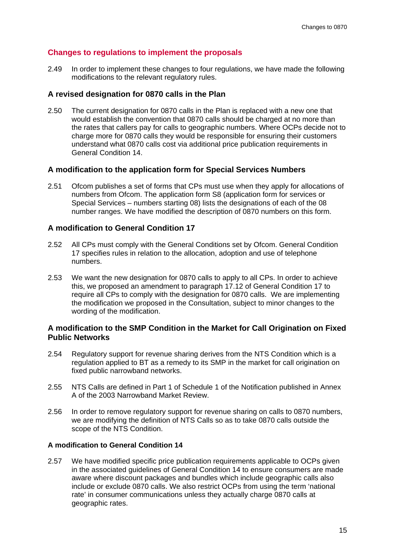## **Changes to regulations to implement the proposals**

2.49 In order to implement these changes to four regulations, we have made the following modifications to the relevant regulatory rules.

## **A revised designation for 0870 calls in the Plan**

2.50 The current designation for 0870 calls in the Plan is replaced with a new one that would establish the convention that 0870 calls should be charged at no more than the rates that callers pay for calls to geographic numbers. Where OCPs decide not to charge more for 0870 calls they would be responsible for ensuring their customers understand what 0870 calls cost via additional price publication requirements in General Condition 14.

## **A modification to the application form for Special Services Numbers**

2.51 Ofcom publishes a set of forms that CPs must use when they apply for allocations of numbers from Ofcom. The application form S8 (application form for services or Special Services – numbers starting 08) lists the designations of each of the 08 number ranges. We have modified the description of 0870 numbers on this form.

## **A modification to General Condition 17**

- 2.52 All CPs must comply with the General Conditions set by Ofcom. General Condition 17 specifies rules in relation to the allocation, adoption and use of telephone numbers.
- 2.53 We want the new designation for 0870 calls to apply to all CPs. In order to achieve this, we proposed an amendment to paragraph 17.12 of General Condition 17 to require all CPs to comply with the designation for 0870 calls. We are implementing the modification we proposed in the Consultation, subject to minor changes to the wording of the modification.

## **A modification to the SMP Condition in the Market for Call Origination on Fixed Public Networks**

- 2.54 Regulatory support for revenue sharing derives from the NTS Condition which is a regulation applied to BT as a remedy to its SMP in the market for call origination on fixed public narrowband networks.
- 2.55 NTS Calls are defined in Part 1 of Schedule 1 of the Notification published in Annex A of the 2003 Narrowband Market Review.
- 2.56 In order to remove regulatory support for revenue sharing on calls to 0870 numbers, we are modifying the definition of NTS Calls so as to take 0870 calls outside the scope of the NTS Condition.

#### **A modification to General Condition 14**

2.57 We have modified specific price publication requirements applicable to OCPs given in the associated guidelines of General Condition 14 to ensure consumers are made aware where discount packages and bundles which include geographic calls also include or exclude 0870 calls. We also restrict OCPs from using the term 'national rate' in consumer communications unless they actually charge 0870 calls at geographic rates.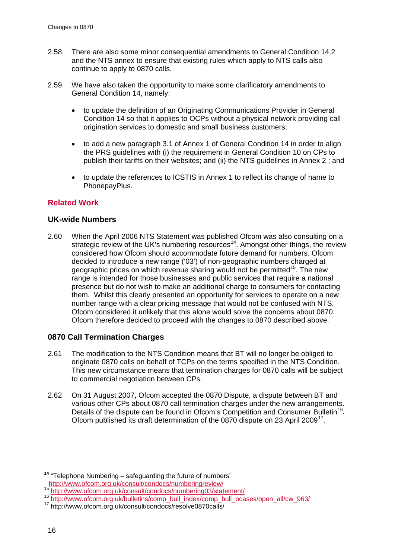- 2.58 There are also some minor consequential amendments to General Condition 14.2 and the NTS annex to ensure that existing rules which apply to NTS calls also continue to apply to 0870 calls.
- <span id="page-18-0"></span>2.59 We have also taken the opportunity to make some clarificatory amendments to General Condition 14, namely:
	- to update the definition of an Originating Communications Provider in General Condition 14 so that it applies to OCPs without a physical network providing call origination services to domestic and small business customers;
	- to add a new paragraph 3.1 of Annex 1 of General Condition 14 in order to align the PRS guidelines with (i) the requirement in General Condition 10 on CPs to publish their tariffs on their websites; and (ii) the NTS guidelines in Annex 2 ; and
	- to update the references to ICSTIS in Annex 1 to reflect its change of name to PhonepayPlus.

## **Related Work**

## **UK-wide Numbers**

2.60 When the April 2006 NTS Statement was published Ofcom was also consulting on a strategic review of the UK's numbering resources<sup>14</sup>. Amongst other things, the review considered how Ofcom should accommodate future demand for numbers. Ofcom decided to introduce a new range ('03') of non-geographic numbers charged at geographic prices on which revenue sharing would not be permitted<sup>[15](#page-18-3)</sup>. The new range is intended for those businesses and public services that require a national presence but do not wish to make an additional charge to consumers for contacting them. Whilst this clearly presented an opportunity for services to operate on a new number range with a clear pricing message that would not be confused with NTS, Ofcom considered it unlikely that this alone would solve the concerns about 0870. Ofcom therefore decided to proceed with the changes to 0870 described above.

## **0870 Call Termination Charges**

- <span id="page-18-1"></span>2.61 The modification to the NTS Condition means that BT will no longer be obliged to originate 0870 calls on behalf of TCPs on the terms specified in the NTS Condition. This new circumstance means that termination charges for 0870 calls will be subject to commercial negotiation between CPs.
- 2.62 On 31 August 2007, Ofcom accepted the 0870 Dispute, a dispute between BT and various other CPs about 0870 call termination charges under the new arrangements. Details of the dispute can be found in Ofcom's Competition and Consumer Bulletin<sup>16</sup>. Ofcom published its draft determination of the 0870 dispute on 23 April 2009<sup>[17](#page-18-5)</sup>.

<span id="page-18-2"></span><sup>&</sup>lt;sup>14</sup> "Telephone Numbering – safeguarding the future of numbers"<br>http://www.ofcom.org.uk/consult/condocs/numberingreview/

<span id="page-18-4"></span><span id="page-18-3"></span><sup>15&</sup>lt;br><http://www.ofcom.org.uk/consult/condocs/numbering03/statement/><br>16 [http://www.ofcom.org.uk/bulletins/comp\\_bull\\_index/comp\\_bull\\_ocases/open\\_all/cw\\_963/](http://www.ofcom.org.uk/bulletins/comp_bull_index/comp_bull_ocases/open_all/cw_963/)<br>17 http://www.ofcom.org.uk/consult/condocs/resolve0870calls/

<span id="page-18-5"></span>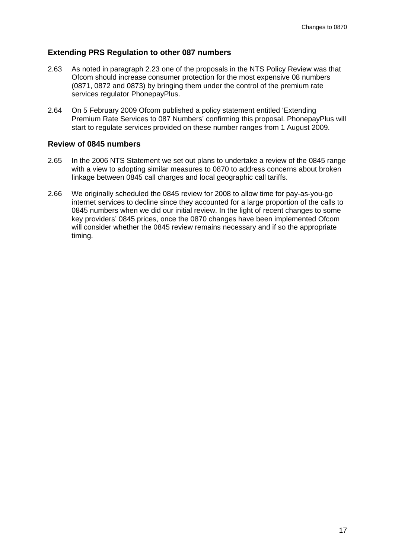## **Extending PRS Regulation to other 087 numbers**

- <span id="page-19-1"></span>2.63 As noted in paragraph [2.23](#page-12-1) one of the proposals in the NTS Policy Review was that Ofcom should increase consumer protection for the most expensive 08 numbers (0871, 0872 and 0873) by bringing them under the control of the premium rate services regulator PhonepayPlus.
- 2.64 On 5 February 2009 Ofcom published a policy statement entitled 'Extending Premium Rate Services to 087 Numbers' confirming this proposal. PhonepayPlus will start to regulate services provided on these number ranges from 1 August 2009.

## **Review of 0845 numbers**

- <span id="page-19-0"></span>2.65 In the 2006 NTS Statement we set out plans to undertake a review of the 0845 range with a view to adopting similar measures to 0870 to address concerns about broken linkage between 0845 call charges and local geographic call tariffs.
- 2.66 We originally scheduled the 0845 review for 2008 to allow time for pay-as-you-go internet services to decline since they accounted for a large proportion of the calls to 0845 numbers when we did our initial review. In the light of recent changes to some key providers' 0845 prices, once the 0870 changes have been implemented Ofcom will consider whether the 0845 review remains necessary and if so the appropriate timing.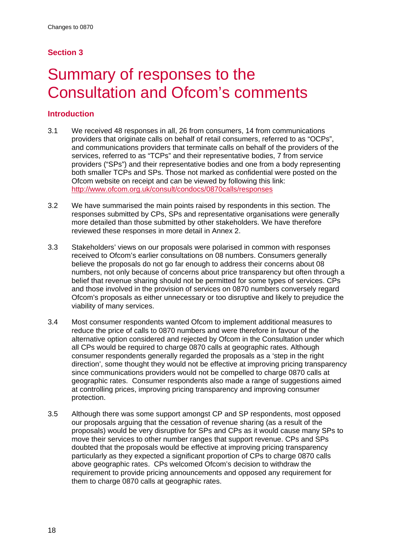## **Section 3**

## <span id="page-20-0"></span>Summary of responses to the Consultation and Ofcom's comments

## **Introduction**

- 3.1 We received 48 responses in all, 26 from consumers, 14 from communications providers that originate calls on behalf of retail consumers, referred to as "OCPs", and communications providers that terminate calls on behalf of the providers of the services, referred to as "TCPs" and their representative bodies, 7 from service providers ("SPs") and their representative bodies and one from a body representing both smaller TCPs and SPs. Those not marked as confidential were posted on the Ofcom website on receipt and can be viewed by following this link: <http://www.ofcom.org.uk/consult/condocs/0870calls/responses>
- 3.2 We have summarised the main points raised by respondents in this section. The responses submitted by CPs, SPs and representative organisations were generally more detailed than those submitted by other stakeholders. We have therefore reviewed these responses in more detail in Annex 2.
- 3.3 Stakeholders' views on our proposals were polarised in common with responses received to Ofcom's earlier consultations on 08 numbers. Consumers generally believe the proposals do not go far enough to address their concerns about 08 numbers, not only because of concerns about price transparency but often through a belief that revenue sharing should not be permitted for some types of services. CPs and those involved in the provision of services on 0870 numbers conversely regard Ofcom's proposals as either unnecessary or too disruptive and likely to prejudice the viability of many services.
- 3.4 Most consumer respondents wanted Ofcom to implement additional measures to reduce the price of calls to 0870 numbers and were therefore in favour of the alternative option considered and rejected by Ofcom in the Consultation under which all CPs would be required to charge 0870 calls at geographic rates. Although consumer respondents generally regarded the proposals as a 'step in the right direction', some thought they would not be effective at improving pricing transparency since communications providers would not be compelled to charge 0870 calls at geographic rates. Consumer respondents also made a range of suggestions aimed at controlling prices, improving pricing transparency and improving consumer protection.
- 3.5 Although there was some support amongst CP and SP respondents, most opposed our proposals arguing that the cessation of revenue sharing (as a result of the proposals) would be very disruptive for SPs and CPs as it would cause many SPs to move their services to other number ranges that support revenue. CPs and SPs doubted that the proposals would be effective at improving pricing transparency particularly as they expected a significant proportion of CPs to charge 0870 calls above geographic rates. CPs welcomed Ofcom's decision to withdraw the requirement to provide pricing announcements and opposed any requirement for them to charge 0870 calls at geographic rates.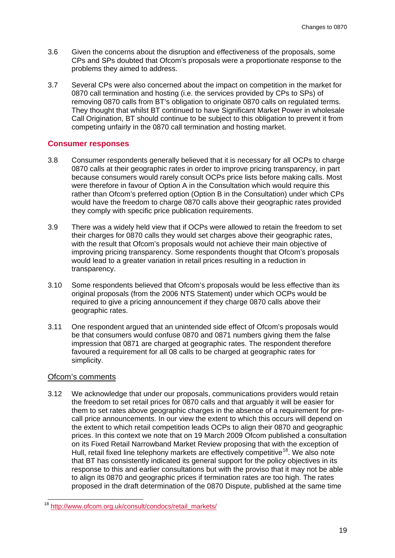- 3.6 Given the concerns about the disruption and effectiveness of the proposals, some CPs and SPs doubted that Ofcom's proposals were a proportionate response to the problems they aimed to address.
- 3.7 Several CPs were also concerned about the impact on competition in the market for 0870 call termination and hosting (i.e. the services provided by CPs to SPs) of removing 0870 calls from BT's obligation to originate 0870 calls on regulated terms. They thought that whilst BT continued to have Significant Market Power in wholesale Call Origination, BT should continue to be subject to this obligation to prevent it from competing unfairly in the 0870 call termination and hosting market.

## **Consumer responses**

- 3.8 Consumer respondents generally believed that it is necessary for all OCPs to charge 0870 calls at their geographic rates in order to improve pricing transparency, in part because consumers would rarely consult OCPs price lists before making calls. Most were therefore in favour of Option A in the Consultation which would require this rather than Ofcom's preferred option (Option B in the Consultation) under which CPs would have the freedom to charge 0870 calls above their geographic rates provided they comply with specific price publication requirements.
- 3.9 There was a widely held view that if OCPs were allowed to retain the freedom to set their charges for 0870 calls they would set charges above their geographic rates, with the result that Ofcom's proposals would not achieve their main objective of improving pricing transparency. Some respondents thought that Ofcom's proposals would lead to a greater variation in retail prices resulting in a reduction in transparency.
- 3.10 Some respondents believed that Ofcom's proposals would be less effective than its original proposals (from the 2006 NTS Statement) under which OCPs would be required to give a pricing announcement if they charge 0870 calls above their geographic rates.
- 3.11 One respondent argued that an unintended side effect of Ofcom's proposals would be that consumers would confuse 0870 and 0871 numbers giving them the false impression that 0871 are charged at geographic rates. The respondent therefore favoured a requirement for all 08 calls to be charged at geographic rates for simplicity.

## Ofcom's comments

3.12 We acknowledge that under our proposals, communications providers would retain the freedom to set retail prices for 0870 calls and that arguably it will be easier for them to set rates above geographic charges in the absence of a requirement for precall price announcements. In our view the extent to which this occurs will depend on the extent to which retail competition leads OCPs to align their 0870 and geographic prices. In this context we note that on 19 March 2009 Ofcom published a consultation on its Fixed Retail Narrowband Market Review proposing that with the exception of Hull, retail fixed line telephony markets are effectively competitive<sup>[18](#page-21-0)</sup>. We also note that BT has consistently indicated its general support for the policy objectives in its response to this and earlier consultations but with the proviso that it may not be able to align its 0870 and geographic prices if termination rates are too high. The rates proposed in the draft determination of the 0870 Dispute, published at the same time

<span id="page-21-0"></span><sup>18&</sup>lt;br>[http://www.ofcom.org.uk/consult/condocs/retail\\_markets/](http://www.ofcom.org.uk/consult/condocs/retail_markets/)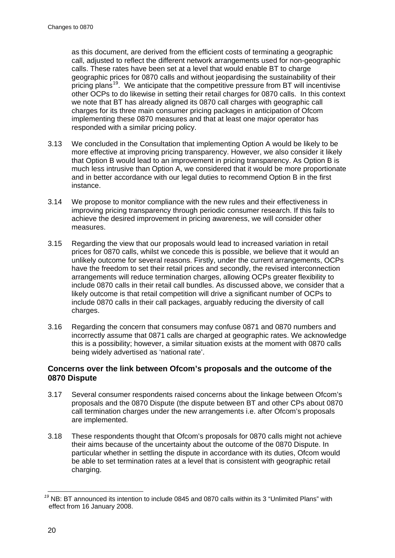as this document, are derived from the efficient costs of terminating a geographic call, adjusted to reflect the different network arrangements used for non-geographic calls. These rates have been set at a level that would enable BT to charge geographic prices for 0870 calls and without jeopardising the sustainability of their pricing plans<sup>[19](#page-22-0)</sup>. We anticipate that the competitive pressure from BT will incentivise other OCPs to do likewise in setting their retail charges for 0870 calls. In this context we note that BT has already aligned its 0870 call charges with geographic call charges for its three main consumer pricing packages in anticipation of Ofcom implementing these 0870 measures and that at least one major operator has responded with a similar pricing policy.

- 3.13 We concluded in the Consultation that implementing Option A would be likely to be more effective at improving pricing transparency. However, we also consider it likely that Option B would lead to an improvement in pricing transparency. As Option B is much less intrusive than Option A, we considered that it would be more proportionate and in better accordance with our legal duties to recommend Option B in the first instance.
- 3.14 We propose to monitor compliance with the new rules and their effectiveness in improving pricing transparency through periodic consumer research. If this fails to achieve the desired improvement in pricing awareness, we will consider other measures.
- 3.15 Regarding the view that our proposals would lead to increased variation in retail prices for 0870 calls, whilst we concede this is possible, we believe that it would an unlikely outcome for several reasons. Firstly, under the current arrangements, OCPs have the freedom to set their retail prices and secondly, the revised interconnection arrangements will reduce termination charges, allowing OCPs greater flexibility to include 0870 calls in their retail call bundles. As discussed above, we consider that a likely outcome is that retail competition will drive a significant number of OCPs to include 0870 calls in their call packages, arguably reducing the diversity of call charges.
- 3.16 Regarding the concern that consumers may confuse 0871 and 0870 numbers and incorrectly assume that 0871 calls are charged at geographic rates. We acknowledge this is a possibility; however, a similar situation exists at the moment with 0870 calls being widely advertised as 'national rate'.

## **Concerns over the link between Ofcom's proposals and the outcome of the 0870 Dispute**

- 3.17 Several consumer respondents raised concerns about the linkage between Ofcom's proposals and the 0870 Dispute (the dispute between BT and other CPs about 0870 call termination charges under the new arrangements i.e. after Ofcom's proposals are implemented.
- 3.18 These respondents thought that Ofcom's proposals for 0870 calls might not achieve their aims because of the uncertainty about the outcome of the 0870 Dispute. In particular whether in settling the dispute in accordance with its duties, Ofcom would be able to set termination rates at a level that is consistent with geographic retail charging.

<span id="page-22-0"></span>*<sup>19</sup>* NB: BT announced its intention to include 0845 and 0870 calls within its 3 "Unlimited Plans" with effect from 16 January 2008.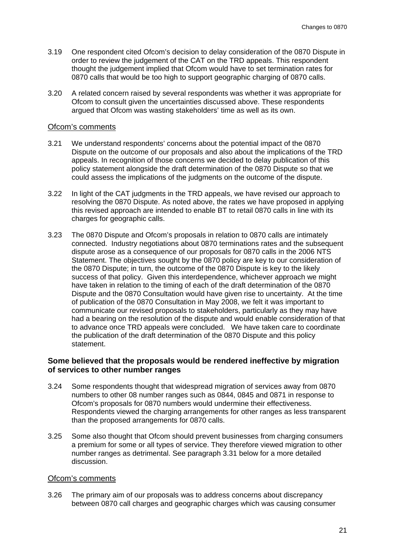- 3.19 One respondent cited Ofcom's decision to delay consideration of the 0870 Dispute in order to review the judgement of the CAT on the TRD appeals. This respondent thought the judgement implied that Ofcom would have to set termination rates for 0870 calls that would be too high to support geographic charging of 0870 calls.
- 3.20 A related concern raised by several respondents was whether it was appropriate for Ofcom to consult given the uncertainties discussed above. These respondents argued that Ofcom was wasting stakeholders' time as well as its own.

#### Ofcom's comments

- 3.21 We understand respondents' concerns about the potential impact of the 0870 Dispute on the outcome of our proposals and also about the implications of the TRD appeals. In recognition of those concerns we decided to delay publication of this policy statement alongside the draft determination of the 0870 Dispute so that we could assess the implications of the judgments on the outcome of the dispute.
- 3.22 In light of the CAT judgments in the TRD appeals, we have revised our approach to resolving the 0870 Dispute. As noted above, the rates we have proposed in applying this revised approach are intended to enable BT to retail 0870 calls in line with its charges for geographic calls.
- 3.23 The 0870 Dispute and Ofcom's proposals in relation to 0870 calls are intimately connected. Industry negotiations about 0870 terminations rates and the subsequent dispute arose as a consequence of our proposals for 0870 calls in the 2006 NTS Statement. The objectives sought by the 0870 policy are key to our consideration of the 0870 Dispute; in turn, the outcome of the 0870 Dispute is key to the likely success of that policy. Given this interdependence, whichever approach we might have taken in relation to the timing of each of the draft determination of the 0870 Dispute and the 0870 Consultation would have given rise to uncertainty. At the time of publication of the 0870 Consultation in May 2008, we felt it was important to communicate our revised proposals to stakeholders, particularly as they may have had a bearing on the resolution of the dispute and would enable consideration of that to advance once TRD appeals were concluded. We have taken care to coordinate the publication of the draft determination of the 0870 Dispute and this policy statement.

## **Some believed that the proposals would be rendered ineffective by migration of services to other number ranges**

- 3.24 Some respondents thought that widespread migration of services away from 0870 numbers to other 08 number ranges such as 0844, 0845 and 0871 in response to Ofcom's proposals for 0870 numbers would undermine their effectiveness. Respondents viewed the charging arrangements for other ranges as less transparent than the proposed arrangements for 0870 calls.
- 3.25 Some also thought that Ofcom should prevent businesses from charging consumers a premium for some or all types of service. They therefore viewed migration to other number ranges as detrimental. See paragraph [3.31](#page-24-0) below for a more detailed discussion.

#### Ofcom's comments

3.26 The primary aim of our proposals was to address concerns about discrepancy between 0870 call charges and geographic charges which was causing consumer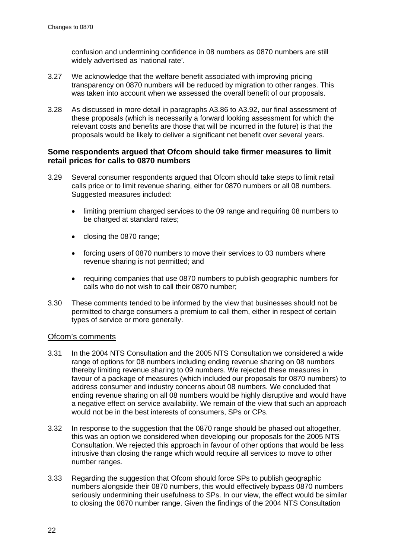confusion and undermining confidence in 08 numbers as 0870 numbers are still widely advertised as 'national rate'.

- 3.27 We acknowledge that the welfare benefit associated with improving pricing transparency on 0870 numbers will be reduced by migration to other ranges. This was taken into account when we assessed the overall benefit of our proposals.
- 3.28 As discussed in more detail in paragraphs A3.86 to A3.92, our final assessment of these proposals (which is necessarily a forward looking assessment for which the relevant costs and benefits are those that will be incurred in the future) is that the proposals would be likely to deliver a significant net benefit over several years.

## **Some respondents argued that Ofcom should take firmer measures to limit retail prices for calls to 0870 numbers**

- 3.29 Several consumer respondents argued that Ofcom should take steps to limit retail calls price or to limit revenue sharing, either for 0870 numbers or all 08 numbers. Suggested measures included:
	- limiting premium charged services to the 09 range and requiring 08 numbers to be charged at standard rates;
	- closing the 0870 range;
	- forcing users of 0870 numbers to move their services to 03 numbers where revenue sharing is not permitted; and
	- requiring companies that use 0870 numbers to publish geographic numbers for calls who do not wish to call their 0870 number;
- 3.30 These comments tended to be informed by the view that businesses should not be permitted to charge consumers a premium to call them, either in respect of certain types of service or more generally.

#### Ofcom's comments

- <span id="page-24-0"></span>3.31 In the 2004 NTS Consultation and the 2005 NTS Consultation we considered a wide range of options for 08 numbers including ending revenue sharing on 08 numbers thereby limiting revenue sharing to 09 numbers. We rejected these measures in favour of a package of measures (which included our proposals for 0870 numbers) to address consumer and industry concerns about 08 numbers. We concluded that ending revenue sharing on all 08 numbers would be highly disruptive and would have a negative effect on service availability. We remain of the view that such an approach would not be in the best interests of consumers, SPs or CPs.
- <span id="page-24-1"></span>3.32 In response to the suggestion that the 0870 range should be phased out altogether, this was an option we considered when developing our proposals for the 2005 NTS Consultation. We rejected this approach in favour of other options that would be less intrusive than closing the range which would require all services to move to other number ranges.
- 3.33 Regarding the suggestion that Ofcom should force SPs to publish geographic numbers alongside their 0870 numbers, this would effectively bypass 0870 numbers seriously undermining their usefulness to SPs. In our view, the effect would be similar to closing the 0870 number range. Given the findings of the 2004 NTS Consultation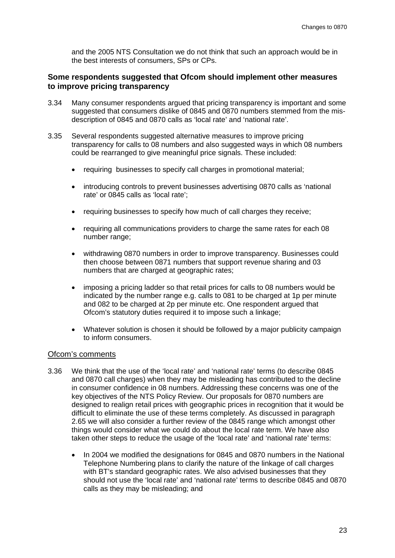and the 2005 NTS Consultation we do not think that such an approach would be in the best interests of consumers, SPs or CPs.

## **Some respondents suggested that Ofcom should implement other measures to improve pricing transparency**

- 3.34 Many consumer respondents argued that pricing transparency is important and some suggested that consumers dislike of 0845 and 0870 numbers stemmed from the misdescription of 0845 and 0870 calls as 'local rate' and 'national rate'.
- 3.35 Several respondents suggested alternative measures to improve pricing transparency for calls to 08 numbers and also suggested ways in which 08 numbers could be rearranged to give meaningful price signals. These included:
	- requiring businesses to specify call charges in promotional material;
	- introducing controls to prevent businesses advertising 0870 calls as 'national rate' or 0845 calls as 'local rate';
	- requiring businesses to specify how much of call charges they receive;
	- requiring all communications providers to charge the same rates for each 08 number range;
	- withdrawing 0870 numbers in order to improve transparency. Businesses could then choose between 0871 numbers that support revenue sharing and 03 numbers that are charged at geographic rates;
	- imposing a pricing ladder so that retail prices for calls to 08 numbers would be indicated by the number range e.g. calls to 081 to be charged at 1p per minute and 082 to be charged at 2p per minute etc. One respondent argued that Ofcom's statutory duties required it to impose such a linkage;
	- Whatever solution is chosen it should be followed by a major publicity campaign to inform consumers.

## Ofcom's comments

- 3.36 We think that the use of the 'local rate' and 'national rate' terms (to describe 0845 and 0870 call charges) when they may be misleading has contributed to the decline in consumer confidence in 08 numbers. Addressing these concerns was one of the key objectives of the NTS Policy Review. Our proposals for 0870 numbers are designed to realign retail prices with geographic prices in recognition that it would be difficult to eliminate the use of these terms completely. As discussed in paragraph [2.65](#page-19-0) we will also consider a further review of the 0845 range which amongst other things would consider what we could do about the local rate term. We have also taken other steps to reduce the usage of the 'local rate' and 'national rate' terms:
	- In 2004 we modified the designations for 0845 and 0870 numbers in the National Telephone Numbering plans to clarify the nature of the linkage of call charges with BT's standard geographic rates. We also advised businesses that they should not use the 'local rate' and 'national rate' terms to describe 0845 and 0870 calls as they may be misleading; and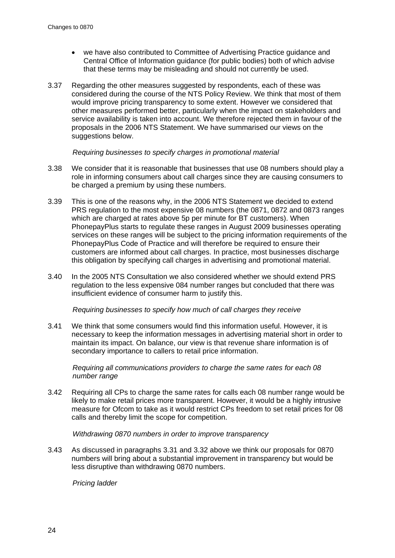- we have also contributed to Committee of Advertising Practice guidance and Central Office of Information guidance (for public bodies) both of which advise that these terms may be misleading and should not currently be used.
- 3.37 Regarding the other measures suggested by respondents, each of these was considered during the course of the NTS Policy Review. We think that most of them would improve pricing transparency to some extent. However we considered that other measures performed better, particularly when the impact on stakeholders and service availability is taken into account. We therefore rejected them in favour of the proposals in the 2006 NTS Statement. We have summarised our views on the suggestions below.

#### *Requiring businesses to specify charges in promotional material*

- 3.38 We consider that it is reasonable that businesses that use 08 numbers should play a role in informing consumers about call charges since they are causing consumers to be charged a premium by using these numbers.
- 3.39 This is one of the reasons why, in the 2006 NTS Statement we decided to extend PRS regulation to the most expensive 08 numbers (the 0871, 0872 and 0873 ranges which are charged at rates above 5p per minute for BT customers). When PhonepayPlus starts to regulate these ranges in August 2009 businesses operating services on these ranges will be subject to the pricing information requirements of the PhonepayPlus Code of Practice and will therefore be required to ensure their customers are informed about call charges. In practice, most businesses discharge this obligation by specifying call charges in advertising and promotional material.
- 3.40 In the 2005 NTS Consultation we also considered whether we should extend PRS regulation to the less expensive 084 number ranges but concluded that there was insufficient evidence of consumer harm to justify this.

#### *Requiring businesses to specify how much of call charges they receive*

3.41 We think that some consumers would find this information useful. However, it is necessary to keep the information messages in advertising material short in order to maintain its impact. On balance, our view is that revenue share information is of secondary importance to callers to retail price information.

*Requiring all communications providers to charge the same rates for each 08 number range*

3.42 Requiring all CPs to charge the same rates for calls each 08 number range would be likely to make retail prices more transparent. However, it would be a highly intrusive measure for Ofcom to take as it would restrict CPs freedom to set retail prices for 08 calls and thereby limit the scope for competition.

#### *Withdrawing 0870 numbers in order to improve transparency*

3.43 As discussed in paragraphs [3.31](#page-24-0) and [3.32](#page-24-1) above we think our proposals for 0870 numbers will bring about a substantial improvement in transparency but would be less disruptive than withdrawing 0870 numbers.

*Pricing ladder*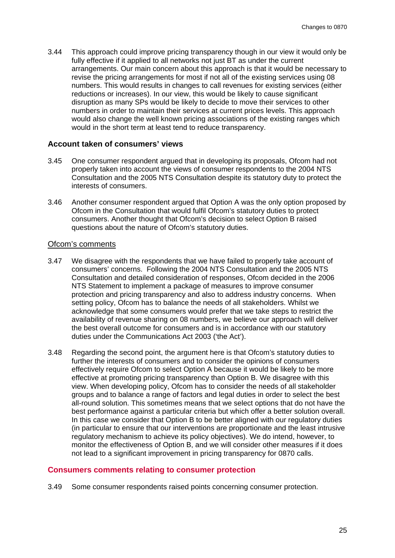<span id="page-27-0"></span>3.44 This approach could improve pricing transparency though in our view it would only be fully effective if it applied to all networks not just BT as under the current arrangements. Our main concern about this approach is that it would be necessary to revise the pricing arrangements for most if not all of the existing services using 08 numbers. This would results in changes to call revenues for existing services (either reductions or increases). In our view, this would be likely to cause significant disruption as many SPs would be likely to decide to move their services to other numbers in order to maintain their services at current prices levels. This approach would also change the well known pricing associations of the existing ranges which would in the short term at least tend to reduce transparency.

#### **Account taken of consumers' views**

- 3.45 One consumer respondent argued that in developing its proposals, Ofcom had not properly taken into account the views of consumer respondents to the 2004 NTS Consultation and the 2005 NTS Consultation despite its statutory duty to protect the interests of consumers.
- 3.46 Another consumer respondent argued that Option A was the only option proposed by Ofcom in the Consultation that would fulfil Ofcom's statutory duties to protect consumers. Another thought that Ofcom's decision to select Option B raised questions about the nature of Ofcom's statutory duties.

#### Ofcom's comments

- 3.47 We disagree with the respondents that we have failed to properly take account of consumers' concerns. Following the 2004 NTS Consultation and the 2005 NTS Consultation and detailed consideration of responses, Ofcom decided in the 2006 NTS Statement to implement a package of measures to improve consumer protection and pricing transparency and also to address industry concerns. When setting policy, Ofcom has to balance the needs of all stakeholders. Whilst we acknowledge that some consumers would prefer that we take steps to restrict the availability of revenue sharing on 08 numbers, we believe our approach will deliver the best overall outcome for consumers and is in accordance with our statutory duties under the Communications Act 2003 ('the Act').
- 3.48 Regarding the second point, the argument here is that Ofcom's statutory duties to further the interests of consumers and to consider the opinions of consumers effectively require Ofcom to select Option A because it would be likely to be more effective at promoting pricing transparency than Option B. We disagree with this view. When developing policy, Ofcom has to consider the needs of all stakeholder groups and to balance a range of factors and legal duties in order to select the best all-round solution. This sometimes means that we select options that do not have the best performance against a particular criteria but which offer a better solution overall. In this case we consider that Option B to be better aligned with our regulatory duties (in particular to ensure that our interventions are proportionate and the least intrusive regulatory mechanism to achieve its policy objectives). We do intend, however, to monitor the effectiveness of Option B, and we will consider other measures if it does not lead to a significant improvement in pricing transparency for 0870 calls.

#### **Consumers comments relating to consumer protection**

3.49 Some consumer respondents raised points concerning consumer protection.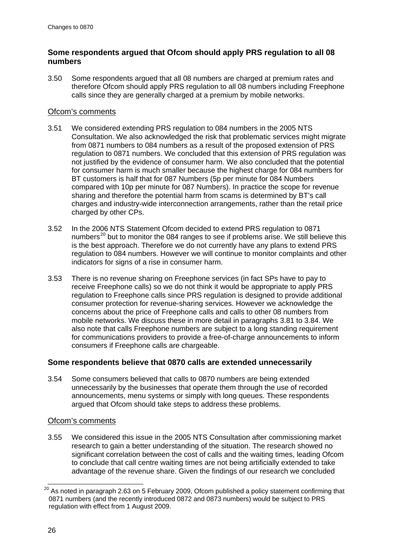## **Some respondents argued that Ofcom should apply PRS regulation to all 08 numbers**

3.50 Some respondents argued that all 08 numbers are charged at premium rates and therefore Ofcom should apply PRS regulation to all 08 numbers including Freephone calls since they are generally charged at a premium by mobile networks.

## Ofcom's comments

- 3.51 We considered extending PRS regulation to 084 numbers in the 2005 NTS Consultation. We also acknowledged the risk that problematic services might migrate from 0871 numbers to 084 numbers as a result of the proposed extension of PRS regulation to 0871 numbers. We concluded that this extension of PRS regulation was not justified by the evidence of consumer harm. We also concluded that the potential for consumer harm is much smaller because the highest charge for 084 numbers for BT customers is half that for 087 Numbers (5p per minute for 084 Numbers compared with 10p per minute for 087 Numbers). In practice the scope for revenue sharing and therefore the potential harm from scams is determined by BT's call charges and industry-wide interconnection arrangements, rather than the retail price charged by other CPs.
- 3.52 In the 2006 NTS Statement Ofcom decided to extend PRS regulation to 0871 numbers<sup>[20](#page-28-0)</sup> but to monitor the 084 ranges to see if problems arise. We still believe this is the best approach. Therefore we do not currently have any plans to extend PRS regulation to 084 numbers. However we will continue to monitor complaints and other indicators for signs of a rise in consumer harm.
- 3.53 There is no revenue sharing on Freephone services (in fact SPs have to pay to receive Freephone calls) so we do not think it would be appropriate to apply PRS regulation to Freephone calls since PRS regulation is designed to provide additional consumer protection for revenue-sharing services. However we acknowledge the concerns about the price of Freephone calls and calls to other 08 numbers from mobile networks. We discuss these in more detail in paragraphs [3.81](#page-33-0) to [3.84.](#page-33-1) We also note that calls Freephone numbers are subject to a long standing requirement for communications providers to provide a free-of-charge announcements to inform consumers if Freephone calls are chargeable.

## **Some respondents believe that 0870 calls are extended unnecessarily**

3.54 Some consumers believed that calls to 0870 numbers are being extended unnecessarily by the businesses that operate them through the use of recorded announcements, menu systems or simply with long queues. These respondents argued that Ofcom should take steps to address these problems.

## Ofcom's comments

<span id="page-28-1"></span>3.55 We considered this issue in the 2005 NTS Consultation after commissioning market research to gain a better understanding of the situation. The research showed no significant correlation between the cost of calls and the waiting times, leading Ofcom to conclude that call centre waiting times are not being artificially extended to take advantage of the revenue share. Given the findings of our research we concluded

<span id="page-28-0"></span> $20$  As noted in paragraph [2.63](#page-19-1) on 5 February 2009, Ofcom published a policy statement confirming that 0871 numbers (and the recently introduced 0872 and 0873 numbers) would be subject to PRS regulation with effect from 1 August 2009.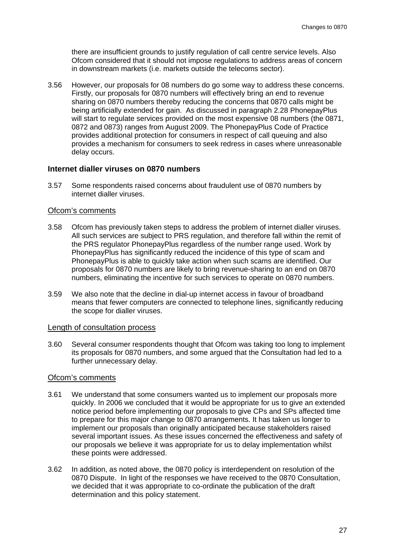there are insufficient grounds to justify regulation of call centre service levels. Also Ofcom considered that it should not impose regulations to address areas of concern in downstream markets (i.e. markets outside the telecoms sector).

3.56 However, our proposals for 08 numbers do go some way to address these concerns. Firstly, our proposals for 0870 numbers will effectively bring an end to revenue sharing on 0870 numbers thereby reducing the concerns that 0870 calls might be being artificially extended for gain. As discussed in paragraph [2.28](#page-13-2) PhonepayPlus will start to regulate services provided on the most expensive 08 numbers (the 0871, 0872 and 0873) ranges from August 2009. The PhonepayPlus Code of Practice provides additional protection for consumers in respect of call queuing and also provides a mechanism for consumers to seek redress in cases where unreasonable delay occurs.

#### **Internet dialler viruses on 0870 numbers**

3.57 Some respondents raised concerns about fraudulent use of 0870 numbers by internet dialler viruses.

#### Ofcom's comments

- 3.58 Ofcom has previously taken steps to address the problem of internet dialler viruses. All such services are subject to PRS regulation, and therefore fall within the remit of the PRS regulator PhonepayPlus regardless of the number range used. Work by PhonepayPlus has significantly reduced the incidence of this type of scam and PhonepayPlus is able to quickly take action when such scams are identified. Our proposals for 0870 numbers are likely to bring revenue-sharing to an end on 0870 numbers, eliminating the incentive for such services to operate on 0870 numbers.
- 3.59 We also note that the decline in dial-up internet access in favour of broadband means that fewer computers are connected to telephone lines, significantly reducing the scope for dialler viruses.

#### Length of consultation process

3.60 Several consumer respondents thought that Ofcom was taking too long to implement its proposals for 0870 numbers, and some argued that the Consultation had led to a further unnecessary delay.

#### Ofcom's comments

- 3.61 We understand that some consumers wanted us to implement our proposals more quickly. In 2006 we concluded that it would be appropriate for us to give an extended notice period before implementing our proposals to give CPs and SPs affected time to prepare for this major change to 0870 arrangements. It has taken us longer to implement our proposals than originally anticipated because stakeholders raised several important issues. As these issues concerned the effectiveness and safety of our proposals we believe it was appropriate for us to delay implementation whilst these points were addressed.
- 3.62 In addition, as noted above, the 0870 policy is interdependent on resolution of the 0870 Dispute. In light of the responses we have received to the 0870 Consultation, we decided that it was appropriate to co-ordinate the publication of the draft determination and this policy statement.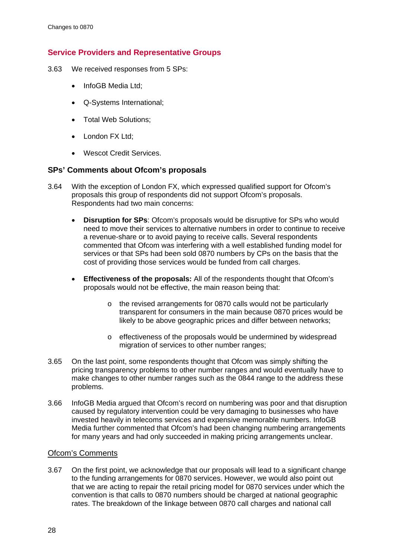## **Service Providers and Representative Groups**

- 3.63 We received responses from 5 SPs:
	- InfoGB Media Ltd;
	- Q-Systems International;
	- Total Web Solutions;
	- London FX Ltd;
	- Wescot Credit Services.

## **SPs' Comments about Ofcom's proposals**

- 3.64 With the exception of London FX, which expressed qualified support for Ofcom's proposals this group of respondents did not support Ofcom's proposals. Respondents had two main concerns:
	- **Disruption for SPs**: Ofcom's proposals would be disruptive for SPs who would need to move their services to alternative numbers in order to continue to receive a revenue-share or to avoid paying to receive calls. Several respondents commented that Ofcom was interfering with a well established funding model for services or that SPs had been sold 0870 numbers by CPs on the basis that the cost of providing those services would be funded from call charges.
	- **Effectiveness of the proposals:** All of the respondents thought that Ofcom's proposals would not be effective, the main reason being that:
		- o the revised arrangements for 0870 calls would not be particularly transparent for consumers in the main because 0870 prices would be likely to be above geographic prices and differ between networks;
		- o effectiveness of the proposals would be undermined by widespread migration of services to other number ranges;
- 3.65 On the last point, some respondents thought that Ofcom was simply shifting the pricing transparency problems to other number ranges and would eventually have to make changes to other number ranges such as the 0844 range to the address these problems.
- 3.66 InfoGB Media argued that Ofcom's record on numbering was poor and that disruption caused by regulatory intervention could be very damaging to businesses who have invested heavily in telecoms services and expensive memorable numbers. InfoGB Media further commented that Ofcom's had been changing numbering arrangements for many years and had only succeeded in making pricing arrangements unclear.

## Ofcom's Comments

3.67 On the first point, we acknowledge that our proposals will lead to a significant change to the funding arrangements for 0870 services. However, we would also point out that we are acting to repair the retail pricing model for 0870 services under which the convention is that calls to 0870 numbers should be charged at national geographic rates. The breakdown of the linkage between 0870 call charges and national call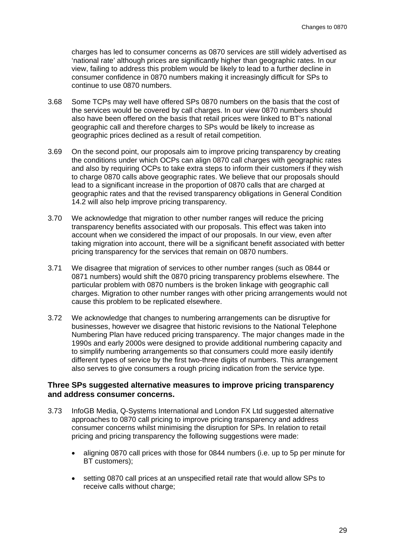charges has led to consumer concerns as 0870 services are still widely advertised as 'national rate' although prices are significantly higher than geographic rates. In our view, failing to address this problem would be likely to lead to a further decline in consumer confidence in 0870 numbers making it increasingly difficult for SPs to continue to use 0870 numbers.

- 3.68 Some TCPs may well have offered SPs 0870 numbers on the basis that the cost of the services would be covered by call charges. In our view 0870 numbers should also have been offered on the basis that retail prices were linked to BT's national geographic call and therefore charges to SPs would be likely to increase as geographic prices declined as a result of retail competition.
- 3.69 On the second point, our proposals aim to improve pricing transparency by creating the conditions under which OCPs can align 0870 call charges with geographic rates and also by requiring OCPs to take extra steps to inform their customers if they wish to charge 0870 calls above geographic rates. We believe that our proposals should lead to a significant increase in the proportion of 0870 calls that are charged at geographic rates and that the revised transparency obligations in General Condition 14.2 will also help improve pricing transparency.
- 3.70 We acknowledge that migration to other number ranges will reduce the pricing transparency benefits associated with our proposals. This effect was taken into account when we considered the impact of our proposals. In our view, even after taking migration into account, there will be a significant benefit associated with better pricing transparency for the services that remain on 0870 numbers.
- 3.71 We disagree that migration of services to other number ranges (such as 0844 or 0871 numbers) would shift the 0870 pricing transparency problems elsewhere. The particular problem with 0870 numbers is the broken linkage with geographic call charges. Migration to other number ranges with other pricing arrangements would not cause this problem to be replicated elsewhere.
- 3.72 We acknowledge that changes to numbering arrangements can be disruptive for businesses, however we disagree that historic revisions to the National Telephone Numbering Plan have reduced pricing transparency. The major changes made in the 1990s and early 2000s were designed to provide additional numbering capacity and to simplify numbering arrangements so that consumers could more easily identify different types of service by the first two-three digits of numbers. This arrangement also serves to give consumers a rough pricing indication from the service type.

#### **Three SPs suggested alternative measures to improve pricing transparency and address consumer concerns.**

- 3.73 InfoGB Media, Q-Systems International and London FX Ltd suggested alternative approaches to 0870 call pricing to improve pricing transparency and address consumer concerns whilst minimising the disruption for SPs. In relation to retail pricing and pricing transparency the following suggestions were made:
	- aligning 0870 call prices with those for 0844 numbers (i.e. up to 5p per minute for BT customers);
	- setting 0870 call prices at an unspecified retail rate that would allow SPs to receive calls without charge;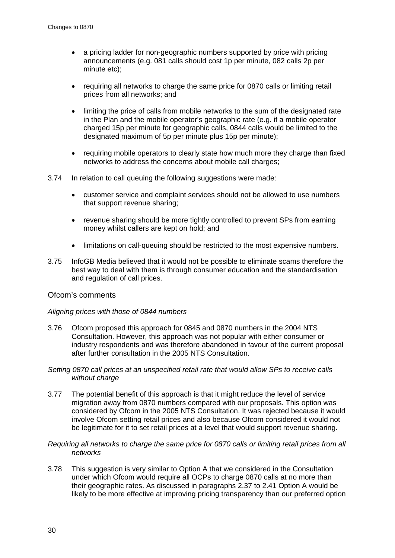- a pricing ladder for non-geographic numbers supported by price with pricing announcements (e.g. 081 calls should cost 1p per minute, 082 calls 2p per minute etc);
- requiring all networks to charge the same price for 0870 calls or limiting retail prices from all networks; and
- limiting the price of calls from mobile networks to the sum of the designated rate in the Plan and the mobile operator's geographic rate (e.g. if a mobile operator charged 15p per minute for geographic calls, 0844 calls would be limited to the designated maximum of 5p per minute plus 15p per minute);
- requiring mobile operators to clearly state how much more they charge than fixed networks to address the concerns about mobile call charges;
- 3.74 In relation to call queuing the following suggestions were made:
	- customer service and complaint services should not be allowed to use numbers that support revenue sharing;
	- revenue sharing should be more tightly controlled to prevent SPs from earning money whilst callers are kept on hold; and
	- limitations on call-queuing should be restricted to the most expensive numbers.
- 3.75 InfoGB Media believed that it would not be possible to eliminate scams therefore the best way to deal with them is through consumer education and the standardisation and regulation of call prices.

## Ofcom's comments

#### *Aligning prices with those of 0844 numbers*

- 3.76 Ofcom proposed this approach for 0845 and 0870 numbers in the 2004 NTS Consultation. However, this approach was not popular with either consumer or industry respondents and was therefore abandoned in favour of the current proposal after further consultation in the 2005 NTS Consultation.
- *Setting 0870 call prices at an unspecified retail rate that would allow SPs to receive calls without charge*
- 3.77 The potential benefit of this approach is that it might reduce the level of service migration away from 0870 numbers compared with our proposals. This option was considered by Ofcom in the 2005 NTS Consultation. It was rejected because it would involve Ofcom setting retail prices and also because Ofcom considered it would not be legitimate for it to set retail prices at a level that would support revenue sharing.

#### *Requiring all networks to charge the same price for 0870 calls or limiting retail prices from all networks*

3.78 This suggestion is very similar to Option A that we considered in the Consultation under which Ofcom would require all OCPs to charge 0870 calls at no more than their geographic rates. As discussed in paragraphs [2.37](#page-15-2) to [2.41](#page-15-3) Option A would be likely to be more effective at improving pricing transparency than our preferred option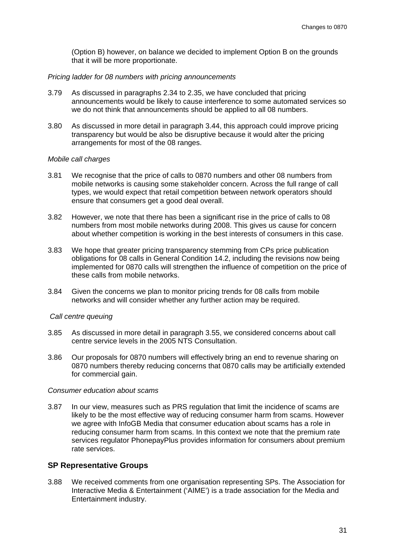(Option B) however, on balance we decided to implement Option B on the grounds that it will be more proportionate.

#### *Pricing ladder for 08 numbers with pricing announcements*

- 3.79 As discussed in paragraphs [2.34](#page-14-0) to [2.35,](#page-14-1) we have concluded that pricing announcements would be likely to cause interference to some automated services so we do not think that announcements should be applied to all 08 numbers.
- 3.80 As discussed in more detail in paragraph [3.44,](#page-27-0) this approach could improve pricing transparency but would be also be disruptive because it would alter the pricing arrangements for most of the 08 ranges.

#### *Mobile call charges*

- <span id="page-33-0"></span>3.81 We recognise that the price of calls to 0870 numbers and other 08 numbers from mobile networks is causing some stakeholder concern. Across the full range of call types, we would expect that retail competition between network operators should ensure that consumers get a good deal overall.
- 3.82 However, we note that there has been a significant rise in the price of calls to 08 numbers from most mobile networks during 2008. This gives us cause for concern about whether competition is working in the best interests of consumers in this case.
- 3.83 We hope that greater pricing transparency stemming from CPs price publication obligations for 08 calls in General Condition 14.2, including the revisions now being implemented for 0870 calls will strengthen the influence of competition on the price of these calls from mobile networks.
- <span id="page-33-1"></span>3.84 Given the concerns we plan to monitor pricing trends for 08 calls from mobile networks and will consider whether any further action may be required.

#### *Call centre queuing*

- 3.85 As discussed in more detail in paragraph [3.55,](#page-28-1) we considered concerns about call centre service levels in the 2005 NTS Consultation.
- 3.86 Our proposals for 0870 numbers will effectively bring an end to revenue sharing on 0870 numbers thereby reducing concerns that 0870 calls may be artificially extended for commercial gain.

#### *Consumer education about scams*

3.87 In our view, measures such as PRS regulation that limit the incidence of scams are likely to be the most effective way of reducing consumer harm from scams. However we agree with InfoGB Media that consumer education about scams has a role in reducing consumer harm from scams. In this context we note that the premium rate services regulator PhonepayPlus provides information for consumers about premium rate services.

#### **SP Representative Groups**

3.88 We received comments from one organisation representing SPs. The Association for Interactive Media & Entertainment ('AIME') is a trade association for the Media and Entertainment industry.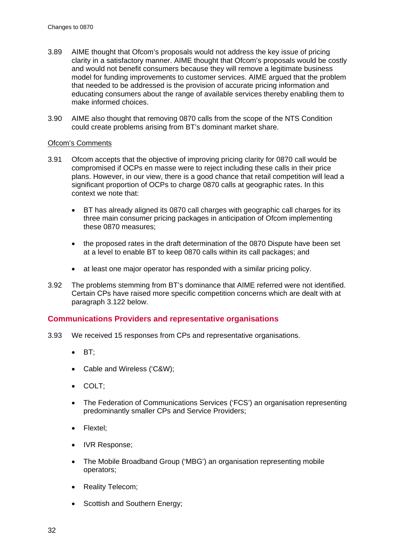- 3.89 AIME thought that Ofcom's proposals would not address the key issue of pricing clarity in a satisfactory manner. AIME thought that Ofcom's proposals would be costly and would not benefit consumers because they will remove a legitimate business model for funding improvements to customer services. AIME argued that the problem that needed to be addressed is the provision of accurate pricing information and educating consumers about the range of available services thereby enabling them to make informed choices.
- 3.90 AIME also thought that removing 0870 calls from the scope of the NTS Condition could create problems arising from BT's dominant market share.

#### Ofcom's Comments

- 3.91 Ofcom accepts that the objective of improving pricing clarity for 0870 call would be compromised if OCPs en masse were to reject including these calls in their price plans. However, in our view, there is a good chance that retail competition will lead a significant proportion of OCPs to charge 0870 calls at geographic rates. In this context we note that:
	- BT has already aligned its 0870 call charges with geographic call charges for its three main consumer pricing packages in anticipation of Ofcom implementing these 0870 measures;
	- the proposed rates in the draft determination of the 0870 Dispute have been set at a level to enable BT to keep 0870 calls within its call packages; and
	- at least one major operator has responded with a similar pricing policy.
- 3.92 The problems stemming from BT's dominance that AIME referred were not identified. Certain CPs have raised more specific competition concerns which are dealt with at paragraph [3.122](#page-39-0) below.

## **Communications Providers and representative organisations**

- 3.93 We received 15 responses from CPs and representative organisations.
	- BT;
	- Cable and Wireless ('C&W);
	- COLT;
	- The Federation of Communications Services ('FCS') an organisation representing predominantly smaller CPs and Service Providers;
	- Flextel;
	- IVR Response;
	- The Mobile Broadband Group ('MBG') an organisation representing mobile operators;
	- Reality Telecom;
	- Scottish and Southern Energy;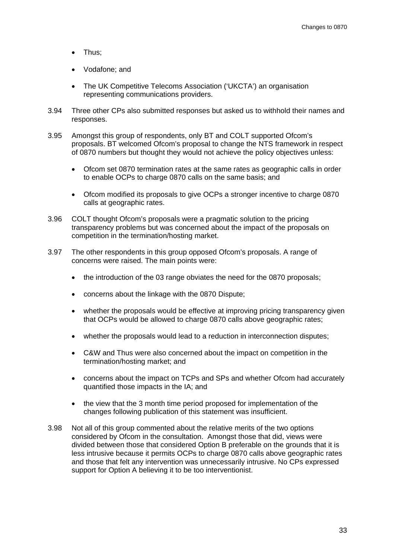- Thus;
- Vodafone; and
- The UK Competitive Telecoms Association ('UKCTA') an organisation representing communications providers.
- 3.94 Three other CPs also submitted responses but asked us to withhold their names and responses.
- 3.95 Amongst this group of respondents, only BT and COLT supported Ofcom's proposals. BT welcomed Ofcom's proposal to change the NTS framework in respect of 0870 numbers but thought they would not achieve the policy objectives unless:
	- Ofcom set 0870 termination rates at the same rates as geographic calls in order to enable OCPs to charge 0870 calls on the same basis; and
	- Ofcom modified its proposals to give OCPs a stronger incentive to charge 0870 calls at geographic rates.
- 3.96 COLT thought Ofcom's proposals were a pragmatic solution to the pricing transparency problems but was concerned about the impact of the proposals on competition in the termination/hosting market.
- 3.97 The other respondents in this group opposed Ofcom's proposals. A range of concerns were raised. The main points were:
	- the introduction of the 03 range obviates the need for the 0870 proposals;
	- concerns about the linkage with the 0870 Dispute;
	- whether the proposals would be effective at improving pricing transparency given that OCPs would be allowed to charge 0870 calls above geographic rates;
	- whether the proposals would lead to a reduction in interconnection disputes;
	- C&W and Thus were also concerned about the impact on competition in the termination/hosting market; and
	- concerns about the impact on TCPs and SPs and whether Ofcom had accurately quantified those impacts in the IA; and
	- the view that the 3 month time period proposed for implementation of the changes following publication of this statement was insufficient.
- 3.98 Not all of this group commented about the relative merits of the two options considered by Ofcom in the consultation. Amongst those that did, views were divided between those that considered Option B preferable on the grounds that it is less intrusive because it permits OCPs to charge 0870 calls above geographic rates and those that felt any intervention was unnecessarily intrusive. No CPs expressed support for Option A believing it to be too interventionist.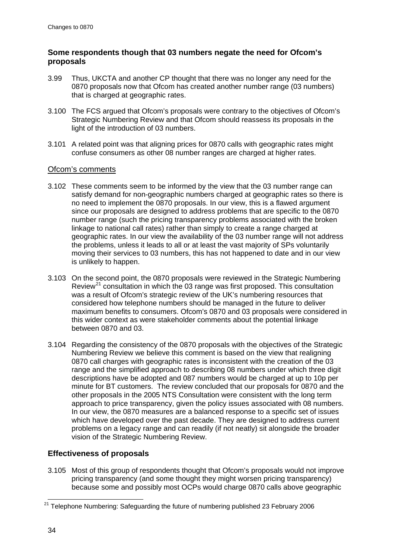## **Some respondents though that 03 numbers negate the need for Ofcom's proposals**

- 3.99 Thus, UKCTA and another CP thought that there was no longer any need for the 0870 proposals now that Ofcom has created another number range (03 numbers) that is charged at geographic rates.
- 3.100 The FCS argued that Ofcom's proposals were contrary to the objectives of Ofcom's Strategic Numbering Review and that Ofcom should reassess its proposals in the light of the introduction of 03 numbers.
- 3.101 A related point was that aligning prices for 0870 calls with geographic rates might confuse consumers as other 08 number ranges are charged at higher rates.

## Ofcom's comments

- <span id="page-36-1"></span>3.102 These comments seem to be informed by the view that the 03 number range can satisfy demand for non-geographic numbers charged at geographic rates so there is no need to implement the 0870 proposals. In our view, this is a flawed argument since our proposals are designed to address problems that are specific to the 0870 number range (such the pricing transparency problems associated with the broken linkage to national call rates) rather than simply to create a range charged at geographic rates. In our view the availability of the 03 number range will not address the problems, unless it leads to all or at least the vast majority of SPs voluntarily moving their services to 03 numbers, this has not happened to date and in our view is unlikely to happen.
- 3.103 On the second point, the 0870 proposals were reviewed in the Strategic Numbering Review<sup>[21](#page-36-0)</sup> consultation in which the 03 range was first proposed. This consultation was a result of Ofcom's strategic review of the UK's numbering resources that considered how telephone numbers should be managed in the future to deliver maximum benefits to consumers. Ofcom's 0870 and 03 proposals were considered in this wider context as were stakeholder comments about the potential linkage between 0870 and 03.
- 3.104 Regarding the consistency of the 0870 proposals with the objectives of the Strategic Numbering Review we believe this comment is based on the view that realigning 0870 call charges with geographic rates is inconsistent with the creation of the 03 range and the simplified approach to describing 08 numbers under which three digit descriptions have be adopted and 087 numbers would be charged at up to 10p per minute for BT customers. The review concluded that our proposals for 0870 and the other proposals in the 2005 NTS Consultation were consistent with the long term approach to price transparency, given the policy issues associated with 08 numbers. In our view, the 0870 measures are a balanced response to a specific set of issues which have developed over the past decade. They are designed to address current problems on a legacy range and can readily (if not neatly) sit alongside the broader vision of the Strategic Numbering Review.

# **Effectiveness of proposals**

3.105 Most of this group of respondents thought that Ofcom's proposals would not improve pricing transparency (and some thought they might worsen pricing transparency) because some and possibly most OCPs would charge 0870 calls above geographic

<span id="page-36-0"></span> $21$  Telephone Numbering: Safeguarding the future of numbering published 23 February 2006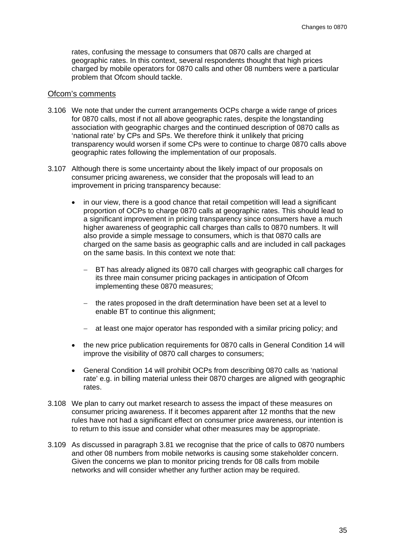rates, confusing the message to consumers that 0870 calls are charged at geographic rates. In this context, several respondents thought that high prices charged by mobile operators for 0870 calls and other 08 numbers were a particular problem that Ofcom should tackle.

#### Ofcom's comments

- 3.106 We note that under the current arrangements OCPs charge a wide range of prices for 0870 calls, most if not all above geographic rates, despite the longstanding association with geographic charges and the continued description of 0870 calls as 'national rate' by CPs and SPs. We therefore think it unlikely that pricing transparency would worsen if some CPs were to continue to charge 0870 calls above geographic rates following the implementation of our proposals.
- <span id="page-37-0"></span>3.107 Although there is some uncertainty about the likely impact of our proposals on consumer pricing awareness, we consider that the proposals will lead to an improvement in pricing transparency because:
	- in our view, there is a good chance that retail competition will lead a significant proportion of OCPs to charge 0870 calls at geographic rates. This should lead to a significant improvement in pricing transparency since consumers have a much higher awareness of geographic call charges than calls to 0870 numbers. It will also provide a simple message to consumers, which is that 0870 calls are charged on the same basis as geographic calls and are included in call packages on the same basis. In this context we note that:
		- BT has already aligned its 0870 call charges with geographic call charges for its three main consumer pricing packages in anticipation of Ofcom implementing these 0870 measures;
		- − the rates proposed in the draft determination have been set at a level to enable BT to continue this alignment;
		- − at least one major operator has responded with a similar pricing policy; and
	- the new price publication requirements for 0870 calls in General Condition 14 will improve the visibility of 0870 call charges to consumers;
	- General Condition 14 will prohibit OCPs from describing 0870 calls as 'national rate' e.g. in billing material unless their 0870 charges are aligned with geographic rates.
- 3.108 We plan to carry out market research to assess the impact of these measures on consumer pricing awareness. If it becomes apparent after 12 months that the new rules have not had a significant effect on consumer price awareness, our intention is to return to this issue and consider what other measures may be appropriate.
- 3.109 As discussed in paragraph [3.81](#page-33-0) we recognise that the price of calls to 0870 numbers and other 08 numbers from mobile networks is causing some stakeholder concern. Given the concerns we plan to monitor pricing trends for 08 calls from mobile networks and will consider whether any further action may be required.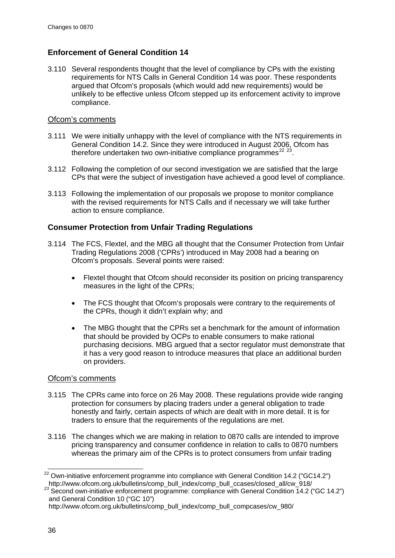# **Enforcement of General Condition 14**

3.110 Several respondents thought that the level of compliance by CPs with the existing requirements for NTS Calls in General Condition 14 was poor. These respondents argued that Ofcom's proposals (which would add new requirements) would be unlikely to be effective unless Ofcom stepped up its enforcement activity to improve compliance.

## Ofcom's comments

- 3.111 We were initially unhappy with the level of compliance with the NTS requirements in General Condition 14.2. Since they were introduced in August 2006, Ofcom has therefore undertaken two own-initiative compliance programmes<sup>[22](#page-38-0) [23](#page-38-1)</sup>.
- 3.112 Following the completion of our second investigation we are satisfied that the large CPs that were the subject of investigation have achieved a good level of compliance.
- 3.113 Following the implementation of our proposals we propose to monitor compliance with the revised requirements for NTS Calls and if necessary we will take further action to ensure compliance.

## **Consumer Protection from Unfair Trading Regulations**

- 3.114 The FCS, Flextel, and the MBG all thought that the Consumer Protection from Unfair Trading Regulations 2008 ('CPRs') introduced in May 2008 had a bearing on Ofcom's proposals. Several points were raised:
	- Flextel thought that Ofcom should reconsider its position on pricing transparency measures in the light of the CPRs;
	- The FCS thought that Ofcom's proposals were contrary to the requirements of the CPRs, though it didn't explain why; and
	- The MBG thought that the CPRs set a benchmark for the amount of information that should be provided by OCPs to enable consumers to make rational purchasing decisions. MBG argued that a sector regulator must demonstrate that it has a very good reason to introduce measures that place an additional burden on providers.

## Ofcom's comments

- 3.115 The CPRs came into force on 26 May 2008. These regulations provide wide ranging protection for consumers by placing traders under a general obligation to trade honestly and fairly, certain aspects of which are dealt with in more detail. It is for traders to ensure that the requirements of the regulations are met.
- 3.116 The changes which we are making in relation to 0870 calls are intended to improve pricing transparency and consumer confidence in relation to calls to 0870 numbers whereas the primary aim of the CPRs is to protect consumers from unfair trading

<span id="page-38-0"></span> $22$  Own-initiative enforcement programme into compliance with General Condition 14.2 ("GC14.2") http://www.ofcom.org.uk/bulletins/comp\_bull\_index/comp\_bull\_ccases/closed\_all/cw\_918/

<span id="page-38-1"></span><sup>&</sup>lt;sup>23</sup> Second own-initiative enforcement programme: compliance with General Condition 14.2 ("GC 14.2") and General Condition 10 ("GC 10")

http://www.ofcom.org.uk/bulletins/comp\_bull\_index/comp\_bull\_compcases/cw\_980/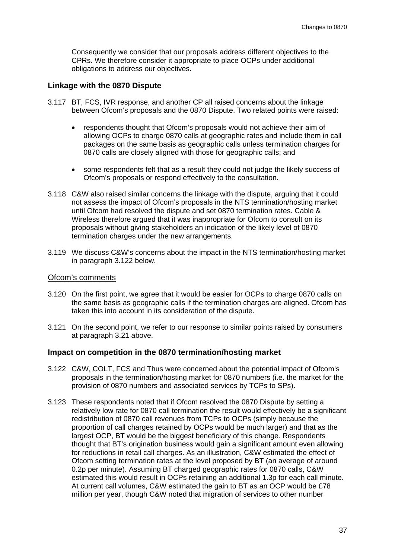Consequently we consider that our proposals address different objectives to the CPRs. We therefore consider it appropriate to place OCPs under additional obligations to address our objectives.

#### **Linkage with the 0870 Dispute**

- 3.117 BT, FCS, IVR response, and another CP all raised concerns about the linkage between Ofcom's proposals and the 0870 Dispute. Two related points were raised:
	- respondents thought that Ofcom's proposals would not achieve their aim of allowing OCPs to charge 0870 calls at geographic rates and include them in call packages on the same basis as geographic calls unless termination charges for 0870 calls are closely aligned with those for geographic calls; and
	- some respondents felt that as a result they could not judge the likely success of Ofcom's proposals or respond effectively to the consultation.
- 3.118 C&W also raised similar concerns the linkage with the dispute, arguing that it could not assess the impact of Ofcom's proposals in the NTS termination/hosting market until Ofcom had resolved the dispute and set 0870 termination rates. Cable & Wireless therefore argued that it was inappropriate for Ofcom to consult on its proposals without giving stakeholders an indication of the likely level of 0870 termination charges under the new arrangements.
- 3.119 We discuss C&W's concerns about the impact in the NTS termination/hosting market in paragraph [3.122](#page-39-0) below.

#### Ofcom's comments

- 3.120 On the first point, we agree that it would be easier for OCPs to charge 0870 calls on the same basis as geographic calls if the termination charges are aligned. Ofcom has taken this into account in its consideration of the dispute.
- 3.121 On the second point, we refer to our response to similar points raised by consumers at paragraph [3.21](#page-23-0) above.

#### **Impact on competition in the 0870 termination/hosting market**

- <span id="page-39-0"></span>3.122 C&W, COLT, FCS and Thus were concerned about the potential impact of Ofcom's proposals in the termination/hosting market for 0870 numbers (i.e. the market for the provision of 0870 numbers and associated services by TCPs to SPs).
- 3.123 These respondents noted that if Ofcom resolved the 0870 Dispute by setting a relatively low rate for 0870 call termination the result would effectively be a significant redistribution of 0870 call revenues from TCPs to OCPs (simply because the proportion of call charges retained by OCPs would be much larger) and that as the largest OCP, BT would be the biggest beneficiary of this change. Respondents thought that BT's origination business would gain a significant amount even allowing for reductions in retail call charges. As an illustration, C&W estimated the effect of Ofcom setting termination rates at the level proposed by BT (an average of around 0.2p per minute). Assuming BT charged geographic rates for 0870 calls, C&W estimated this would result in OCPs retaining an additional 1.3p for each call minute. At current call volumes, C&W estimated the gain to BT as an OCP would be £78 million per year, though C&W noted that migration of services to other number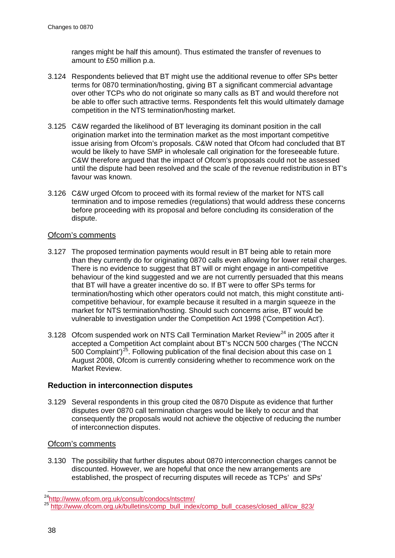ranges might be half this amount). Thus estimated the transfer of revenues to amount to £50 million p.a.

- 3.124 Respondents believed that BT might use the additional revenue to offer SPs better terms for 0870 termination/hosting, giving BT a significant commercial advantage over other TCPs who do not originate so many calls as BT and would therefore not be able to offer such attractive terms. Respondents felt this would ultimately damage competition in the NTS termination/hosting market.
- 3.125 C&W regarded the likelihood of BT leveraging its dominant position in the call origination market into the termination market as the most important competitive issue arising from Ofcom's proposals. C&W noted that Ofcom had concluded that BT would be likely to have SMP in wholesale call origination for the foreseeable future. C&W therefore argued that the impact of Ofcom's proposals could not be assessed until the dispute had been resolved and the scale of the revenue redistribution in BT's favour was known.
- 3.126 C&W urged Ofcom to proceed with its formal review of the market for NTS call termination and to impose remedies (regulations) that would address these concerns before proceeding with its proposal and before concluding its consideration of the dispute.

## Ofcom's comments

- 3.127 The proposed termination payments would result in BT being able to retain more than they currently do for originating 0870 calls even allowing for lower retail charges. There is no evidence to suggest that BT will or might engage in anti-competitive behaviour of the kind suggested and we are not currently persuaded that this means that BT will have a greater incentive do so. If BT were to offer SPs terms for termination/hosting which other operators could not match, this might constitute anticompetitive behaviour, for example because it resulted in a margin squeeze in the market for NTS termination/hosting. Should such concerns arise, BT would be vulnerable to investigation under the Competition Act 1998 ('Competition Act').
- 3.128 Ofcom suspended work on NTS Call Termination Market Review<sup>[24](#page-40-0)</sup> in 2005 after it accepted a Competition Act complaint about BT's NCCN 500 charges ('The NCCN 500 Complaint')<sup>[25](#page-40-1)</sup>. Following publication of the final decision about this case on 1 August 2008, Ofcom is currently considering whether to recommence work on the Market Review.

## **Reduction in interconnection disputes**

3.129 Several respondents in this group cited the 0870 Dispute as evidence that further disputes over 0870 call termination charges would be likely to occur and that consequently the proposals would not achieve the objective of reducing the number of interconnection disputes.

## Ofcom's comments

3.130 The possibility that further disputes about 0870 interconnection charges cannot be discounted. However, we are hopeful that once the new arrangements are established, the prospect of recurring disputes will recede as TCPs' and SPs'

<span id="page-40-1"></span><span id="page-40-0"></span><sup>&</sup>lt;sup>24</sup>http://www.ofcom.org.uk/consult/condocs/ntsctmr/<br><sup>25</sup> http://www.<u>ofcom.org.uk/bulletins/comp\_bull\_index/comp\_bull\_ccases/closed\_all/cw\_823/</u>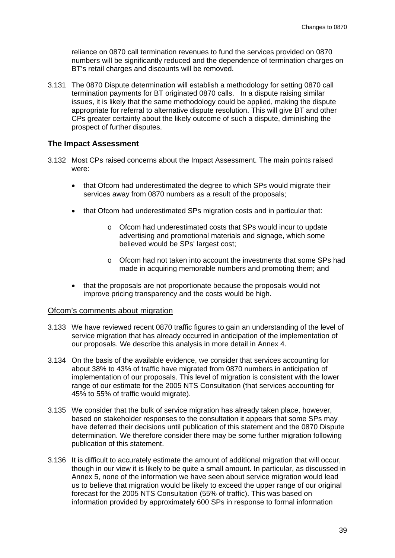reliance on 0870 call termination revenues to fund the services provided on 0870 numbers will be significantly reduced and the dependence of termination charges on BT's retail charges and discounts will be removed.

3.131 The 0870 Dispute determination will establish a methodology for setting 0870 call termination payments for BT originated 0870 calls. In a dispute raising similar issues, it is likely that the same methodology could be applied, making the dispute appropriate for referral to alternative dispute resolution. This will give BT and other CPs greater certainty about the likely outcome of such a dispute, diminishing the prospect of further disputes.

### **The Impact Assessment**

- 3.132 Most CPs raised concerns about the Impact Assessment. The main points raised were:
	- that Ofcom had underestimated the degree to which SPs would migrate their services away from 0870 numbers as a result of the proposals;
	- that Ofcom had underestimated SPs migration costs and in particular that:
		- o Ofcom had underestimated costs that SPs would incur to update advertising and promotional materials and signage, which some believed would be SPs' largest cost:
		- o Ofcom had not taken into account the investments that some SPs had made in acquiring memorable numbers and promoting them; and
	- that the proposals are not proportionate because the proposals would not improve pricing transparency and the costs would be high.

#### Ofcom's comments about migration

- 3.133 We have reviewed recent 0870 traffic figures to gain an understanding of the level of service migration that has already occurred in anticipation of the implementation of our proposals. We describe this analysis in more detail in Annex 4.
- 3.134 On the basis of the available evidence, we consider that services accounting for about 38% to 43% of traffic have migrated from 0870 numbers in anticipation of implementation of our proposals. This level of migration is consistent with the lower range of our estimate for the 2005 NTS Consultation (that services accounting for 45% to 55% of traffic would migrate).
- 3.135 We consider that the bulk of service migration has already taken place, however, based on stakeholder responses to the consultation it appears that some SPs may have deferred their decisions until publication of this statement and the 0870 Dispute determination. We therefore consider there may be some further migration following publication of this statement.
- 3.136 It is difficult to accurately estimate the amount of additional migration that will occur, though in our view it is likely to be quite a small amount. In particular, as discussed in Annex 5, none of the information we have seen about service migration would lead us to believe that migration would be likely to exceed the upper range of our original forecast for the 2005 NTS Consultation (55% of traffic). This was based on information provided by approximately 600 SPs in response to formal information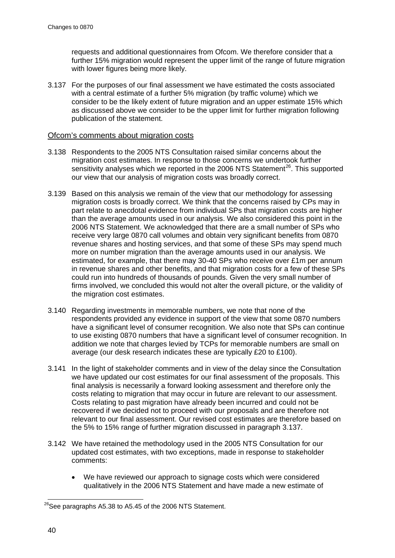requests and additional questionnaires from Ofcom. We therefore consider that a further 15% migration would represent the upper limit of the range of future migration with lower figures being more likely.

<span id="page-42-0"></span>3.137 For the purposes of our final assessment we have estimated the costs associated with a central estimate of a further 5% migration (by traffic volume) which we consider to be the likely extent of future migration and an upper estimate 15% which as discussed above we consider to be the upper limit for further migration following publication of the statement.

### Ofcom's comments about migration costs

- 3.138 Respondents to the 2005 NTS Consultation raised similar concerns about the migration cost estimates. In response to those concerns we undertook further sensitivity analyses which we reported in the 2006 NTS Statement<sup>[26](#page-42-1)</sup>. This supported our view that our analysis of migration costs was broadly correct.
- 3.139 Based on this analysis we remain of the view that our methodology for assessing migration costs is broadly correct. We think that the concerns raised by CPs may in part relate to anecdotal evidence from individual SPs that migration costs are higher than the average amounts used in our analysis. We also considered this point in the 2006 NTS Statement. We acknowledged that there are a small number of SPs who receive very large 0870 call volumes and obtain very significant benefits from 0870 revenue shares and hosting services, and that some of these SPs may spend much more on number migration than the average amounts used in our analysis. We estimated, for example, that there may 30-40 SPs who receive over £1m per annum in revenue shares and other benefits, and that migration costs for a few of these SPs could run into hundreds of thousands of pounds. Given the very small number of firms involved, we concluded this would not alter the overall picture, or the validity of the migration cost estimates.
- 3.140 Regarding investments in memorable numbers, we note that none of the respondents provided any evidence in support of the view that some 0870 numbers have a significant level of consumer recognition. We also note that SPs can continue to use existing 0870 numbers that have a significant level of consumer recognition. In addition we note that charges levied by TCPs for memorable numbers are small on average (our desk research indicates these are typically £20 to £100).
- <span id="page-42-2"></span>3.141 In the light of stakeholder comments and in view of the delay since the Consultation we have updated our cost estimates for our final assessment of the proposals. This final analysis is necessarily a forward looking assessment and therefore only the costs relating to migration that may occur in future are relevant to our assessment. Costs relating to past migration have already been incurred and could not be recovered if we decided not to proceed with our proposals and are therefore not relevant to our final assessment. Our revised cost estimates are therefore based on the 5% to 15% range of further migration discussed in paragraph [3.137.](#page-42-0)
- 3.142 We have retained the methodology used in the 2005 NTS Consultation for our updated cost estimates, with two exceptions, made in response to stakeholder comments:
	- We have reviewed our approach to signage costs which were considered qualitatively in the 2006 NTS Statement and have made a new estimate of

<span id="page-42-1"></span> $^{26}$ See paragraphs A5.38 to A5.45 of the 2006 NTS Statement.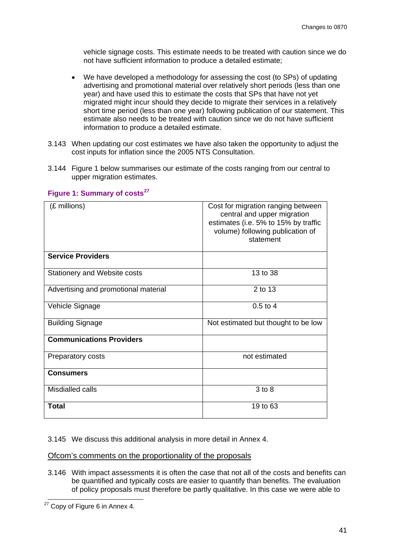vehicle signage costs. This estimate needs to be treated with caution since we do not have sufficient information to produce a detailed estimate;

- We have developed a methodology for assessing the cost (to SPs) of updating advertising and promotional material over relatively short periods (less than one year) and have used this to estimate the costs that SPs that have not yet migrated might incur should they decide to migrate their services in a relatively short time period (less than one year) following publication of our statement. This estimate also needs to be treated with caution since we do not have sufficient information to produce a detailed estimate.
- 3.143 When updating our cost estimates we have also taken the opportunity to adjust the cost inputs for inflation since the 2005 NTS Consultation.
- 3.144 [Figure 1](#page-43-0) below summarises our estimate of the costs ranging from our central to upper migration estimates.

| (£ millions)                         | Cost for migration ranging between<br>central and upper migration<br>estimates (i.e. 5% to 15% by traffic<br>volume) following publication of<br>statement |
|--------------------------------------|------------------------------------------------------------------------------------------------------------------------------------------------------------|
| <b>Service Providers</b>             |                                                                                                                                                            |
| Stationery and Website costs         | 13 to 38                                                                                                                                                   |
| Advertising and promotional material | 2 to 13                                                                                                                                                    |
| Vehicle Signage                      | $0.5 \text{ to } 4$                                                                                                                                        |
| <b>Building Signage</b>              | Not estimated but thought to be low                                                                                                                        |
| <b>Communications Providers</b>      |                                                                                                                                                            |
| Preparatory costs                    | not estimated                                                                                                                                              |
| <b>Consumers</b>                     |                                                                                                                                                            |
| Misdialled calls                     | 3 to 8                                                                                                                                                     |
| Total                                | 19 to 63                                                                                                                                                   |

## <span id="page-43-0"></span>**Figure 1: Summary of costs[27](#page-43-1)**

3.145 We discuss this additional analysis in more detail in Annex 4.

Ofcom's comments on the proportionality of the proposals

<span id="page-43-2"></span>3.146 With impact assessments it is often the case that not all of the costs and benefits can be quantified and typically costs are easier to quantify than benefits. The evaluation of policy proposals must therefore be partly qualitative. In this case we were able to

<span id="page-43-1"></span><sup>&</sup>lt;sup>27</sup> Copy of [Figure 6](#page-113-0) in Annex 4.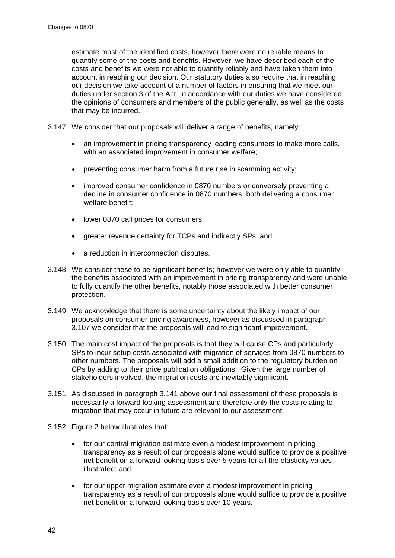estimate most of the identified costs, however there were no reliable means to quantify some of the costs and benefits. However, we have described each of the costs and benefits we were not able to quantify reliably and have taken them into account in reaching our decision. Our statutory duties also require that in reaching our decision we take account of a number of factors in ensuring that we meet our duties under section 3 of the Act. In accordance with our duties we have considered the opinions of consumers and members of the public generally, as well as the costs that may be incurred.

- 3.147 We consider that our proposals will deliver a range of benefits, namely:
	- an improvement in pricing transparency leading consumers to make more calls, with an associated improvement in consumer welfare;
	- preventing consumer harm from a future rise in scamming activity;
	- improved consumer confidence in 0870 numbers or conversely preventing a decline in consumer confidence in 0870 numbers, both delivering a consumer welfare benefit;
	- lower 0870 call prices for consumers;
	- greater revenue certainty for TCPs and indirectly SPs; and
	- a reduction in interconnection disputes.
- 3.148 We consider these to be significant benefits; however we were only able to quantify the benefits associated with an improvement in pricing transparency and were unable to fully quantify the other benefits, notably those associated with better consumer protection.
- 3.149 We acknowledge that there is some uncertainty about the likely impact of our proposals on consumer pricing awareness, however as discussed in paragraph [3.107](#page-37-0) we consider that the proposals will lead to significant improvement.
- 3.150 The main cost impact of the proposals is that they will cause CPs and particularly SPs to incur setup costs associated with migration of services from 0870 numbers to other numbers. The proposals will add a small addition to the regulatory burden on CPs by adding to their price publication obligations. Given the large number of stakeholders involved, the migration costs are inevitably significant.
- 3.151 As discussed in paragraph [3.141](#page-42-2) above our final assessment of these proposals is necessarily a forward looking assessment and therefore only the costs relating to migration that may occur in future are relevant to our assessment.
- <span id="page-44-0"></span>3.152 [Figure 2](#page-45-0) below illustrates that:
	- for our central migration estimate even a modest improvement in pricing transparency as a result of our proposals alone would suffice to provide a positive net benefit on a forward looking basis over 5 years for all the elasticity values illustrated; and
	- for our upper migration estimate even a modest improvement in pricing transparency as a result of our proposals alone would suffice to provide a positive net benefit on a forward looking basis over 10 years.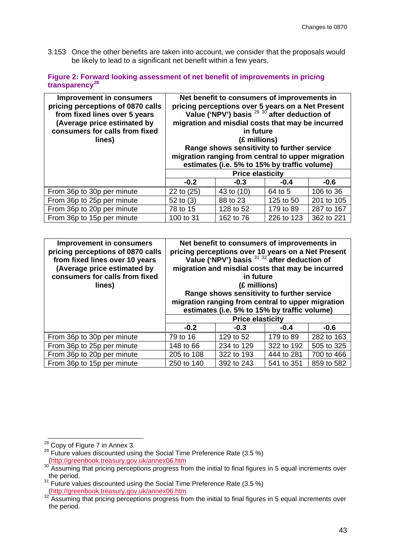3.153 Once the other benefits are taken into account, we consider that the proposals would be likely to lead to a significant net benefit within a few years.

<span id="page-45-0"></span>**Figure 2: Forward looking assessment of net benefit of improvements in pricing transparency[28](#page-45-1)**

| <b>Improvement in consumers</b><br>pricing perceptions of 0870 calls<br>from fixed lines over 5 years<br>(Average price estimated by<br>consumers for calls from fixed<br>lines) | Net benefit to consumers of improvements in<br>pricing perceptions over 5 years on a Net Present<br>Value ('NPV') basis $^{29}$ $^{30}$ after deduction of<br>migration and misdial costs that may be incurred<br>in future<br>(£ millions)<br>Range shows sensitivity to further service<br>migration ranging from central to upper migration<br>estimates (i.e. 5% to 15% by traffic volume) |            |            |            |
|----------------------------------------------------------------------------------------------------------------------------------------------------------------------------------|------------------------------------------------------------------------------------------------------------------------------------------------------------------------------------------------------------------------------------------------------------------------------------------------------------------------------------------------------------------------------------------------|------------|------------|------------|
|                                                                                                                                                                                  | <b>Price elasticity</b>                                                                                                                                                                                                                                                                                                                                                                        |            |            |            |
|                                                                                                                                                                                  | $-0.2$                                                                                                                                                                                                                                                                                                                                                                                         | $-0.3$     | $-0.4$     | $-0.6$     |
| From 36p to 30p per minute                                                                                                                                                       | 22 to (25)                                                                                                                                                                                                                                                                                                                                                                                     | 43 to (10) | 64 to 5    | 106 to 36  |
| From 36p to 25p per minute                                                                                                                                                       | 52 to $(3)$                                                                                                                                                                                                                                                                                                                                                                                    | 88 to 23   | 125 to 50  | 201 to 105 |
| From 36p to 20p per minute                                                                                                                                                       | 78 to 15                                                                                                                                                                                                                                                                                                                                                                                       | 128 to 52  | 179 to 89  | 287 to 167 |
| From 36p to 15p per minute                                                                                                                                                       | 100 to 31                                                                                                                                                                                                                                                                                                                                                                                      | 162 to 76  | 226 to 123 | 362 to 221 |

| <b>Improvement in consumers</b><br>pricing perceptions of 0870 calls<br>from fixed lines over 10 years<br>(Average price estimated by<br>consumers for calls from fixed<br>lines) | Net benefit to consumers of improvements in<br>pricing perceptions over 10 years on a Net Present<br>Value ('NPV') basis 31 32 after deduction of<br>migration and misdial costs that may be incurred<br>in future<br>(£ millions)<br>Range shows sensitivity to further service<br>migration ranging from central to upper migration<br>estimates (i.e. 5% to 15% by traffic volume) |            |            |            |
|-----------------------------------------------------------------------------------------------------------------------------------------------------------------------------------|---------------------------------------------------------------------------------------------------------------------------------------------------------------------------------------------------------------------------------------------------------------------------------------------------------------------------------------------------------------------------------------|------------|------------|------------|
|                                                                                                                                                                                   | <b>Price elasticity</b>                                                                                                                                                                                                                                                                                                                                                               |            |            |            |
|                                                                                                                                                                                   | $-0.2$                                                                                                                                                                                                                                                                                                                                                                                | $-0.3$     | $-0.4$     | $-0.6$     |
| From 36p to 30p per minute                                                                                                                                                        | 79 to 16                                                                                                                                                                                                                                                                                                                                                                              | 129 to 52  | 179 to 89  | 282 to 163 |
| From 36p to 25p per minute                                                                                                                                                        | 148 to 66                                                                                                                                                                                                                                                                                                                                                                             | 234 to 129 | 322 to 192 | 505 to 325 |
| From 36p to 20p per minute                                                                                                                                                        | 205 to 108                                                                                                                                                                                                                                                                                                                                                                            | 322 to 193 | 444 to 281 | 700 to 466 |
| From 36p to 15p per minute                                                                                                                                                        | 250 to 140                                                                                                                                                                                                                                                                                                                                                                            | 392 to 243 | 541 to 351 | 859 to 582 |

<span id="page-45-1"></span><sup>&</sup>lt;sup>28</sup> Copy of [Figure 7](#page-115-0) in Annex 3.

<span id="page-45-2"></span> $29$  Future values discounted using the Social Time Preference Rate (3.5 %)

<span id="page-45-3"></span>[<sup>\(</sup>http://greenbook.treasury.gov.uk/annex06.htm](http://greenbook.treasury.gov.uk/annex06.htm)<br>30 Assuming that pricing perceptions progress from the initial to final figures in 5 equal increments over the period.<br><sup>31</sup> Future values discounted using the Social Time Preference Rate (3.5 %)

<span id="page-45-5"></span><span id="page-45-4"></span>[<sup>\(</sup>http://greenbook.treasury.gov.uk/annex06.htm](http://greenbook.treasury.gov.uk/annex06.htm))<br>32 Assuming that pricing perceptions progress from the initial to final figures in 5 equal increments over the period.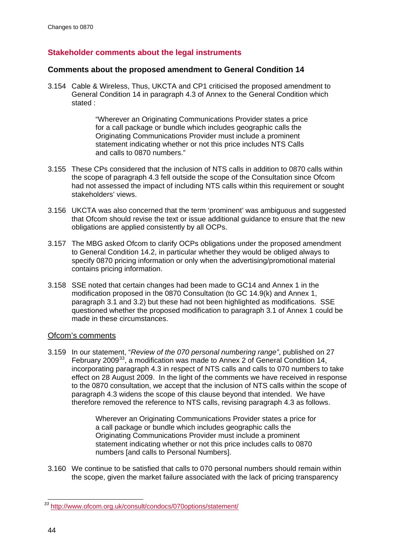## **Stakeholder comments about the legal instruments**

## **Comments about the proposed amendment to General Condition 14**

<span id="page-46-1"></span>3.154 Cable & Wireless, Thus, UKCTA and CP1 criticised the proposed amendment to General Condition 14 in paragraph 4.3 of Annex to the General Condition which stated :

> "Wherever an Originating Communications Provider states a price for a call package or bundle which includes geographic calls the Originating Communications Provider must include a prominent statement indicating whether or not this price includes NTS Calls and calls to 0870 numbers."

- 3.155 These CPs considered that the inclusion of NTS calls in addition to 0870 calls within the scope of paragraph 4.3 fell outside the scope of the Consultation since Ofcom had not assessed the impact of including NTS calls within this requirement or sought stakeholders' views.
- 3.156 UKCTA was also concerned that the term 'prominent' was ambiguous and suggested that Ofcom should revise the text or issue additional guidance to ensure that the new obligations are applied consistently by all OCPs.
- 3.157 The MBG asked Ofcom to clarify OCPs obligations under the proposed amendment to General Condition 14.2, in particular whether they would be obliged always to specify 0870 pricing information or only when the advertising/promotional material contains pricing information.
- 3.158 SSE noted that certain changes had been made to GC14 and Annex 1 in the modification proposed in the 0870 Consultation (to GC 14.9(k) and Annex 1, paragraph 3.1 and 3.2) but these had not been highlighted as modifications. SSE questioned whether the proposed modification to paragraph 3.1 of Annex 1 could be made in these circumstances.

## Ofcom's comments

3.159 In our statement, "*Review of the 070 personal numbering range"*, published on 27 February 2009<sup>[33](#page-46-0)</sup>, a modification was made to Annex 2 of General Condition 14, incorporating paragraph 4.3 in respect of NTS calls and calls to 070 numbers to take effect on 28 August 2009. In the light of the comments we have received in response to the 0870 consultation, we accept that the inclusion of NTS calls within the scope of paragraph 4.3 widens the scope of this clause beyond that intended. We have therefore removed the reference to NTS calls, revising paragraph 4.3 as follows.

> Wherever an Originating Communications Provider states a price for a call package or bundle which includes geographic calls the Originating Communications Provider must include a prominent statement indicating whether or not this price includes calls to 0870 numbers [and calls to Personal Numbers].

3.160 We continue to be satisfied that calls to 070 personal numbers should remain within the scope, given the market failure associated with the lack of pricing transparency

<span id="page-46-0"></span>*<sup>33</sup>* <http://www.ofcom.org.uk/consult/condocs/070options/statement/>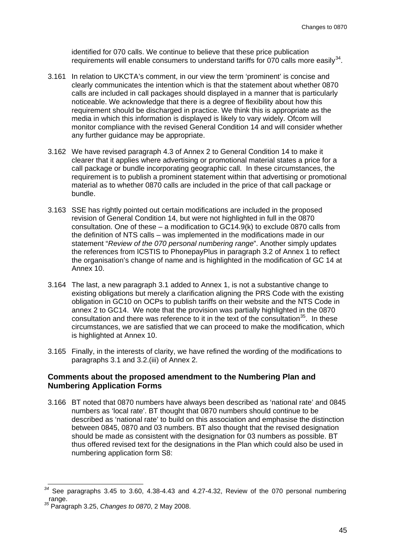identified for 070 calls. We continue to believe that these price publication requirements will enable consumers to understand tariffs for 070 calls more easily $^{34}$  $^{34}$  $^{34}$ .

- 3.161 In relation to UKCTA's comment, in our view the term 'prominent' is concise and clearly communicates the intention which is that the statement about whether 0870 calls are included in call packages should displayed in a manner that is particularly noticeable. We acknowledge that there is a degree of flexibility about how this requirement should be discharged in practice. We think this is appropriate as the media in which this information is displayed is likely to vary widely. Ofcom will monitor compliance with the revised General Condition 14 and will consider whether any further guidance may be appropriate.
- 3.162 We have revised paragraph 4.3 of Annex 2 to General Condition 14 to make it clearer that it applies where advertising or promotional material states a price for a call package or bundle incorporating geographic call. In these circumstances, the requirement is to publish a prominent statement within that advertising or promotional material as to whether 0870 calls are included in the price of that call package or bundle.
- 3.163 SSE has rightly pointed out certain modifications are included in the proposed revision of General Condition 14, but were not highlighted in full in the 0870 consultation. One of these – a modification to GC14.9(k) to exclude 0870 calls from the definition of NTS calls – was implemented in the modifications made in our statement "*Review of the 070 personal numbering range*". Another simply updates the references from ICSTIS to PhonepayPlus in paragraph 3.2 of Annex 1 to reflect the organisation's change of name and is highlighted in the modification of GC 14 at Annex 10.
- 3.164 The last, a new paragraph 3.1 added to Annex 1, is not a substantive change to existing obligations but merely a clarification aligning the PRS Code with the existing obligation in GC10 on OCPs to publish tariffs on their website and the NTS Code in annex 2 to GC14. We note that the provision was partially highlighted in the 0870 consultation and there was reference to it in the text of the consultation<sup>[35](#page-47-1)</sup>. In these circumstances, we are satisfied that we can proceed to make the modification, which is highlighted at Annex 10.
- 3.165 Finally, in the interests of clarity, we have refined the wording of the modifications to paragraphs 3.1 and 3.2.(iii) of Annex 2.

### **Comments about the proposed amendment to the Numbering Plan and Numbering Application Forms**

3.166 BT noted that 0870 numbers have always been described as 'national rate' and 0845 numbers as 'local rate'. BT thought that 0870 numbers should continue to be described as 'national rate' to build on this association and emphasise the distinction between 0845, 0870 and 03 numbers. BT also thought that the revised designation should be made as consistent with the designation for 03 numbers as possible. BT thus offered revised text for the designations in the Plan which could also be used in numbering application form S8:

<span id="page-47-0"></span>*<sup>34</sup>* See paragraphs 3.45 to 3.60, 4.38-4.43 and 4.27-4.32, Review of the 070 personal numbering range. *<sup>35</sup>* Paragraph 3.25, *Changes to 0870*, 2 May 2008.

<span id="page-47-1"></span>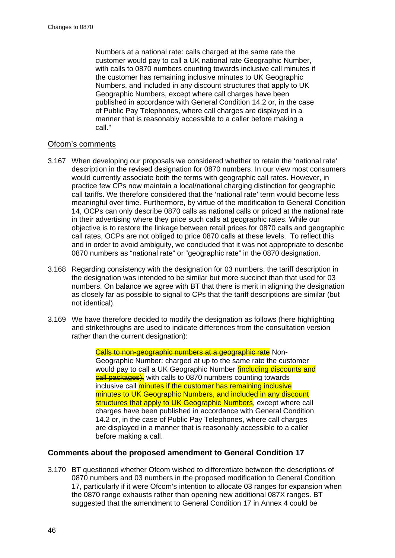Numbers at a national rate: calls charged at the same rate the customer would pay to call a UK national rate Geographic Number, with calls to 0870 numbers counting towards inclusive call minutes if the customer has remaining inclusive minutes to UK Geographic Numbers, and included in any discount structures that apply to UK Geographic Numbers, except where call charges have been published in accordance with General Condition 14.2 or, in the case of Public Pay Telephones, where call charges are displayed in a manner that is reasonably accessible to a caller before making a call."

### Ofcom's comments

- 3.167 When developing our proposals we considered whether to retain the 'national rate' description in the revised designation for 0870 numbers. In our view most consumers would currently associate both the terms with geographic call rates. However, in practice few CPs now maintain a local/national charging distinction for geographic call tariffs. We therefore considered that the 'national rate' term would become less meaningful over time. Furthermore, by virtue of the modification to General Condition 14, OCPs can only describe 0870 calls as national calls or priced at the national rate in their advertising where they price such calls at geographic rates. While our objective is to restore the linkage between retail prices for 0870 calls and geographic call rates, OCPs are not obliged to price 0870 calls at these levels. To reflect this and in order to avoid ambiguity, we concluded that it was not appropriate to describe 0870 numbers as "national rate" or "geographic rate" in the 0870 designation.
- 3.168 Regarding consistency with the designation for 03 numbers, the tariff description in the designation was intended to be similar but more succinct than that used for 03 numbers. On balance we agree with BT that there is merit in aligning the designation as closely far as possible to signal to CPs that the tariff descriptions are similar (but not identical).
- 3.169 We have therefore decided to modify the designation as follows (here highlighting and strikethroughs are used to indicate differences from the consultation version rather than the current designation):

Calls to non-geographic numbers at a geographic rate Non-Geographic Number: charged at up to the same rate the customer would pay to call a UK Geographic Number *(including discounts and* **call packages)**, with calls to 0870 numbers counting towards inclusive call minutes if the customer has remaining inclusive minutes to UK Geographic Numbers, and included in any discount structures that apply to UK Geographic Numbers, except where call charges have been published in accordance with General Condition 14.2 or, in the case of Public Pay Telephones, where call charges are displayed in a manner that is reasonably accessible to a caller before making a call.

## **Comments about the proposed amendment to General Condition 17**

3.170 BT questioned whether Ofcom wished to differentiate between the descriptions of 0870 numbers and 03 numbers in the proposed modification to General Condition 17, particularly if it were Ofcom's intention to allocate 03 ranges for expansion when the 0870 range exhausts rather than opening new additional 087X ranges. BT suggested that the amendment to General Condition 17 in Annex 4 could be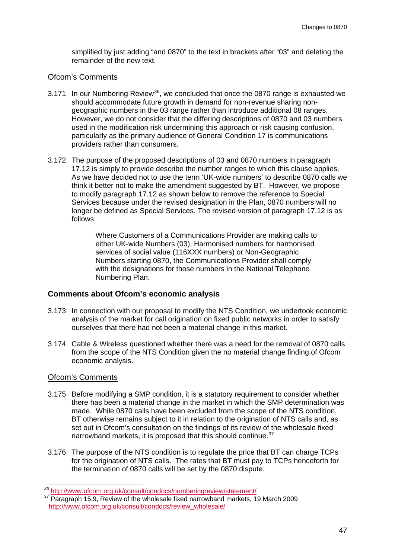simplified by just adding "and 0870" to the text in brackets after "03" and deleting the remainder of the new text.

## Ofcom's Comments

- 3.171 In our Numbering Review<sup>[36](#page-49-0)</sup>, we concluded that once the 0870 range is exhausted we should accommodate future growth in demand for non-revenue sharing nongeographic numbers in the 03 range rather than introduce additional 08 ranges. However, we do not consider that the differing descriptions of 0870 and 03 numbers used in the modification risk undermining this approach or risk causing confusion, particularly as the primary audience of General Condition 17 is communications providers rather than consumers.
- <span id="page-49-2"></span>3.172 The purpose of the proposed descriptions of 03 and 0870 numbers in paragraph 17.12 is simply to provide describe the number ranges to which this clause applies. As we have decided not to use the term 'UK-wide numbers' to describe 0870 calls we think it better not to make the amendment suggested by BT. However, we propose to modify paragraph 17.12 as shown below to remove the reference to Special Services because under the revised designation in the Plan, 0870 numbers will no longer be defined as Special Services. The revised version of paragraph 17.12 is as follows:

Where Customers of a Communications Provider are making calls to either UK-wide Numbers (03), Harmonised numbers for harmonised services of social value (116XXX numbers) or Non-Geographic Numbers starting 0870, the Communications Provider shall comply with the designations for those numbers in the National Telephone Numbering Plan.

## **Comments about Ofcom's economic analysis**

- 3.173 In connection with our proposal to modify the NTS Condition, we undertook economic analysis of the market for call origination on fixed public networks in order to satisfy ourselves that there had not been a material change in this market.
- 3.174 Cable & Wireless questioned whether there was a need for the removal of 0870 calls from the scope of the NTS Condition given the no material change finding of Ofcom economic analysis.

#### Ofcom's Comments

- 3.175 Before modifying a SMP condition, it is a statutory requirement to consider whether there has been a material change in the market in which the SMP determination was made. While 0870 calls have been excluded from the scope of the NTS condition, BT otherwise remains subject to it in relation to the origination of NTS calls and, as set out in Ofcom's consultation on the findings of its review of the wholesale fixed narrowband markets, it is proposed that this should continue.<sup>[37](#page-49-1)</sup>
- 3.176 The purpose of the NTS condition is to regulate the price that BT can charge TCPs for the origination of NTS calls. The rates that BT must pay to TCPs henceforth for the termination of 0870 calls will be set by the 0870 dispute.

<span id="page-49-1"></span><span id="page-49-0"></span><sup>&</sup>lt;sup>36</sup> <http://www.ofcom.org.uk/consult/condocs/numberingreview/statement/><br><sup>37</sup> Paragraph 15.9, Review of the wholesale fixed narrowband markets, 19 March 2009 [http://www.ofcom.org.uk/consult/condocs/review\\_wholesale/](http://www.ofcom.org.uk/consult/condocs/review_wholesale/)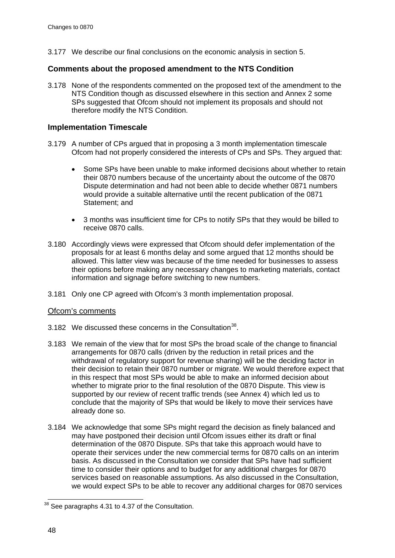3.177 We describe our final conclusions on the economic analysis in section 5.

## **Comments about the proposed amendment to the NTS Condition**

3.178 None of the respondents commented on the proposed text of the amendment to the NTS Condition though as discussed elsewhere in this section and Annex 2 some SPs suggested that Ofcom should not implement its proposals and should not therefore modify the NTS Condition.

## **Implementation Timescale**

- 3.179 A number of CPs argued that in proposing a 3 month implementation timescale Ofcom had not properly considered the interests of CPs and SPs. They argued that:
	- Some SPs have been unable to make informed decisions about whether to retain their 0870 numbers because of the uncertainty about the outcome of the 0870 Dispute determination and had not been able to decide whether 0871 numbers would provide a suitable alternative until the recent publication of the 0871 Statement; and
	- 3 months was insufficient time for CPs to notify SPs that they would be billed to receive 0870 calls.
- 3.180 Accordingly views were expressed that Ofcom should defer implementation of the proposals for at least 6 months delay and some argued that 12 months should be allowed. This latter view was because of the time needed for businesses to assess their options before making any necessary changes to marketing materials, contact information and signage before switching to new numbers.
- 3.181 Only one CP agreed with Ofcom's 3 month implementation proposal.

## Ofcom's comments

- <span id="page-50-1"></span>3.182 We discussed these concerns in the Consultation<sup>[38](#page-50-0)</sup>.
- 3.183 We remain of the view that for most SPs the broad scale of the change to financial arrangements for 0870 calls (driven by the reduction in retail prices and the withdrawal of regulatory support for revenue sharing) will be the deciding factor in their decision to retain their 0870 number or migrate. We would therefore expect that in this respect that most SPs would be able to make an informed decision about whether to migrate prior to the final resolution of the 0870 Dispute. This view is supported by our review of recent traffic trends (see Annex 4) which led us to conclude that the majority of SPs that would be likely to move their services have already done so.
- 3.184 We acknowledge that some SPs might regard the decision as finely balanced and may have postponed their decision until Ofcom issues either its draft or final determination of the 0870 Dispute. SPs that take this approach would have to operate their services under the new commercial terms for 0870 calls on an interim basis. As discussed in the Consultation we consider that SPs have had sufficient time to consider their options and to budget for any additional charges for 0870 services based on reasonable assumptions. As also discussed in the Consultation, we would expect SPs to be able to recover any additional charges for 0870 services

<span id="page-50-0"></span><sup>&</sup>lt;sup>38</sup> See paragraphs 4.31 to 4.37 of the Consultation.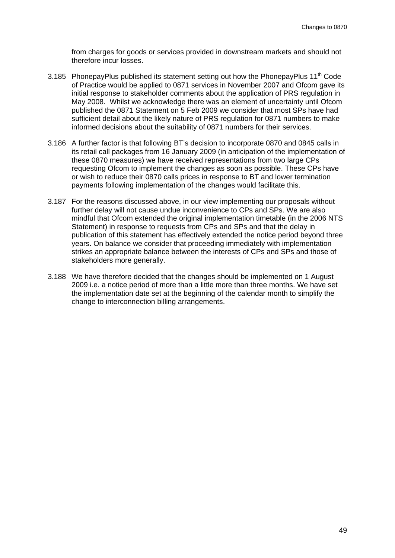from charges for goods or services provided in downstream markets and should not therefore incur losses.

- 3.185 PhonepayPlus published its statement setting out how the PhonepayPlus  $11<sup>th</sup>$  Code of Practice would be applied to 0871 services in November 2007 and Ofcom gave its initial response to stakeholder comments about the application of PRS regulation in May 2008. Whilst we acknowledge there was an element of uncertainty until Ofcom published the 0871 Statement on 5 Feb 2009 we consider that most SPs have had sufficient detail about the likely nature of PRS regulation for 0871 numbers to make informed decisions about the suitability of 0871 numbers for their services.
- 3.186 A further factor is that following BT's decision to incorporate 0870 and 0845 calls in its retail call packages from 16 January 2009 (in anticipation of the implementation of these 0870 measures) we have received representations from two large CPs requesting Ofcom to implement the changes as soon as possible. These CPs have or wish to reduce their 0870 calls prices in response to BT and lower termination payments following implementation of the changes would facilitate this.
- 3.187 For the reasons discussed above, in our view implementing our proposals without further delay will not cause undue inconvenience to CPs and SPs. We are also mindful that Ofcom extended the original implementation timetable (in the 2006 NTS Statement) in response to requests from CPs and SPs and that the delay in publication of this statement has effectively extended the notice period beyond three years. On balance we consider that proceeding immediately with implementation strikes an appropriate balance between the interests of CPs and SPs and those of stakeholders more generally.
- <span id="page-51-0"></span>3.188 We have therefore decided that the changes should be implemented on 1 August 2009 i.e. a notice period of more than a little more than three months. We have set the implementation date set at the beginning of the calendar month to simplify the change to interconnection billing arrangements.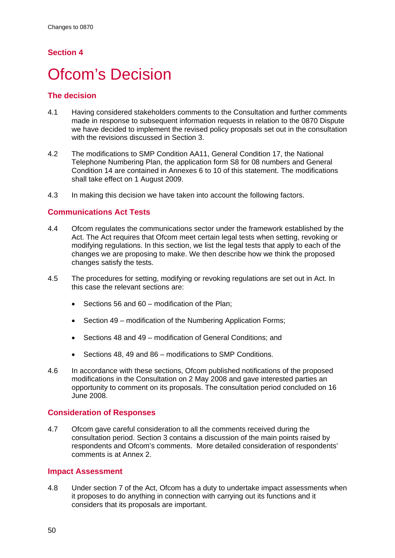# **Section 4**

# **Ofcom's Decision**

## **The decision**

- 4.1 Having considered stakeholders comments to the Consultation and further comments made in response to subsequent information requests in relation to the 0870 Dispute we have decided to implement the revised policy proposals set out in the consultation with the revisions discussed in Section 3.
- 4.2 The modifications to SMP Condition AA11, General Condition 17, the National Telephone Numbering Plan, the application form S8 for 08 numbers and General Condition 14 are contained in Annexes [6](#page-134-0) to [10](#page-157-0) of this statement. The modifications shall take effect on 1 August 2009.
- 4.3 In making this decision we have taken into account the following factors.

## **Communications Act Tests**

- 4.4 Ofcom regulates the communications sector under the framework established by the Act. The Act requires that Ofcom meet certain legal tests when setting, revoking or modifying regulations. In this section, we list the legal tests that apply to each of the changes we are proposing to make. We then describe how we think the proposed changes satisfy the tests.
- 4.5 The procedures for setting, modifying or revoking regulations are set out in Act. In this case the relevant sections are:
	- Sections 56 and 60 modification of the Plan;
	- Section 49 modification of the Numbering Application Forms;
	- Sections 48 and 49 modification of General Conditions; and
	- Sections 48, 49 and 86 modifications to SMP Conditions.
- 4.6 In accordance with these sections, Ofcom published notifications of the proposed modifications in the Consultation on 2 May 2008 and gave interested parties an opportunity to comment on its proposals. The consultation period concluded on 16 June 2008.

## **Consideration of Responses**

4.7 Ofcom gave careful consideration to all the comments received during the consultation period. Section 3 contains a discussion of the main points raised by respondents and Ofcom's comments. More detailed consideration of respondents' comments is at Annex 2.

## **Impact Assessment**

4.8 Under section 7 of the Act, Ofcom has a duty to undertake impact assessments when it proposes to do anything in connection with carrying out its functions and it considers that its proposals are important.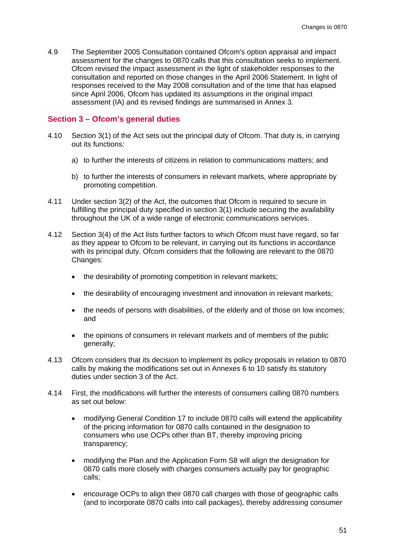4.9 The September 2005 Consultation contained Ofcom's option appraisal and impact assessment for the changes to 0870 calls that this consultation seeks to implement. Ofcom revised the impact assessment in the light of stakeholder responses to the consultation and reported on those changes in the April 2006 Statement. In light of responses received to the May 2008 consultation and of the time that has elapsed since April 2006, Ofcom has updated its assumptions in the original impact assessment (IA) and its revised findings are summarised in Annex 3.

### **Section 3 – Ofcom's general duties**

- 4.10 Section 3(1) of the Act sets out the principal duty of Ofcom. That duty is, in carrying out its functions:
	- a) to further the interests of citizens in relation to communications matters; and
	- b) to further the interests of consumers in relevant markets, where appropriate by promoting competition.
- 4.11 Under section 3(2) of the Act, the outcomes that Ofcom is required to secure in fulfilling the principal duty specified in section 3(1) include securing the availability throughout the UK of a wide range of electronic communications services.
- 4.12 Section 3(4) of the Act lists further factors to which Ofcom must have regard, so far as they appear to Ofcom to be relevant, in carrying out its functions in accordance with its principal duty. Ofcom considers that the following are relevant to the 0870 Changes:
	- the desirability of promoting competition in relevant markets;
	- the desirability of encouraging investment and innovation in relevant markets;
	- the needs of persons with disabilities, of the elderly and of those on low incomes; and
	- the opinions of consumers in relevant markets and of members of the public generally;
- 4.13 Ofcom considers that its decision to implement its policy proposals in relation to 0870 calls by making the modifications set out in Annexes 6 to 10 satisfy its statutory duties under section 3 of the Act.
- 4.14 First, the modifications will further the interests of consumers calling 0870 numbers as set out below:
	- modifying General Condition 17 to include 0870 calls will extend the applicability of the pricing information for 0870 calls contained in the designation to consumers who use OCPs other than BT, thereby improving pricing transparency;
	- modifying the Plan and the Application Form S8 will align the designation for 0870 calls more closely with charges consumers actually pay for geographic calls;
	- encourage OCPs to align their 0870 call charges with those of geographic calls (and to incorporate 0870 calls into call packages), thereby addressing consumer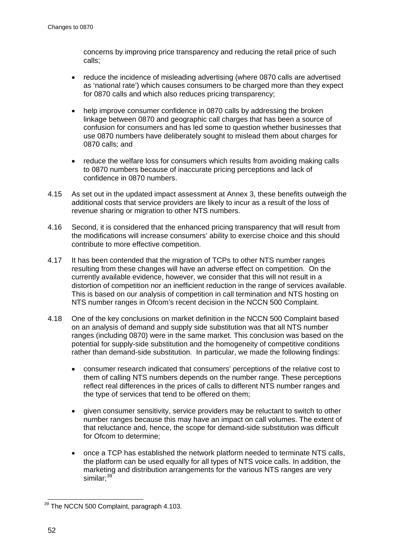concerns by improving price transparency and reducing the retail price of such calls;

- reduce the incidence of misleading advertising (where 0870 calls are advertised as 'national rate') which causes consumers to be charged more than they expect for 0870 calls and which also reduces pricing transparency;
- help improve consumer confidence in 0870 calls by addressing the broken linkage between 0870 and geographic call charges that has been a source of confusion for consumers and has led some to question whether businesses that use 0870 numbers have deliberately sought to mislead them about charges for 0870 calls; and
- reduce the welfare loss for consumers which results from avoiding making calls to 0870 numbers because of inaccurate pricing perceptions and lack of confidence in 0870 numbers.
- 4.15 As set out in the updated impact assessment at Annex 3, these benefits outweigh the additional costs that service providers are likely to incur as a result of the loss of revenue sharing or migration to other NTS numbers.
- 4.16 Second, it is considered that the enhanced pricing transparency that will result from the modifications will increase consumers' ability to exercise choice and this should contribute to more effective competition.
- 4.17 It has been contended that the migration of TCPs to other NTS number ranges resulting from these changes will have an adverse effect on competition. On the currently available evidence, however, we consider that this will not result in a distortion of competition nor an inefficient reduction in the range of services available. This is based on our analysis of competition in call termination and NTS hosting on NTS number ranges in Ofcom's recent decision in the NCCN 500 Complaint.
- 4.18 One of the key conclusions on market definition in the NCCN 500 Complaint based on an analysis of demand and supply side substitution was that all NTS number ranges (including 0870) were in the same market. This conclusion was based on the potential for supply-side substitution and the homogeneity of competitive conditions rather than demand-side substitution. In particular, we made the following findings:
	- consumer research indicated that consumers' perceptions of the relative cost to them of calling NTS numbers depends on the number range. These perceptions reflect real differences in the prices of calls to different NTS number ranges and the type of services that tend to be offered on them;
	- given consumer sensitivity, service providers may be reluctant to switch to other number ranges because this may have an impact on call volumes. The extent of that reluctance and, hence, the scope for demand-side substitution was difficult for Ofcom to determine;
	- once a TCP has established the network platform needed to terminate NTS calls, the platform can be used equally for all types of NTS voice calls. In addition, the marketing and distribution arrangements for the various NTS ranges are very similar; [39](#page-54-0)

<span id="page-54-0"></span>*<sup>39</sup>* The NCCN 500 Complaint, paragraph 4.103.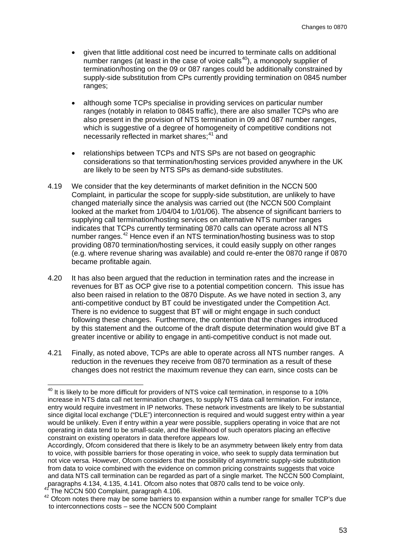- given that little additional cost need be incurred to terminate calls on additional number ranges (at least in the case of voice calls $40$ ), a monopoly supplier of termination/hosting on the 09 or 087 ranges could be additionally constrained by supply-side substitution from CPs currently providing termination on 0845 number ranges;
- although some TCPs specialise in providing services on particular number ranges (notably in relation to 0845 traffic), there are also smaller TCPs who are also present in the provision of NTS termination in 09 and 087 number ranges, which is suggestive of a degree of homogeneity of competitive conditions not necessarily reflected in market shares;<sup>[41](#page-55-1)</sup> and
- relationships between TCPs and NTS SPs are not based on geographic considerations so that termination/hosting services provided anywhere in the UK are likely to be seen by NTS SPs as demand-side substitutes.
- 4.19 We consider that the key determinants of market definition in the NCCN 500 Complaint*,* in particular the scope for supply-side substitution, are unlikely to have changed materially since the analysis was carried out (the NCCN 500 Complaint looked at the market from 1/04/04 to 1/01/06). The absence of significant barriers to supplying call termination/hosting services on alternative NTS number ranges indicates that TCPs currently terminating 0870 calls can operate across all NTS number ranges.<sup>[42](#page-55-2)</sup> Hence even if an NTS termination/hosting business was to stop providing 0870 termination/hosting services, it could easily supply on other ranges (e.g. where revenue sharing was available) and could re-enter the 0870 range if 0870 became profitable again.
- 4.20 It has also been argued that the reduction in termination rates and the increase in revenues for BT as OCP give rise to a potential competition concern. This issue has also been raised in relation to the 0870 Dispute. As we have noted in section 3, any anti-competitive conduct by BT could be investigated under the Competition Act. There is no evidence to suggest that BT will or might engage in such conduct following these changes. Furthermore, the contention that the changes introduced by this statement and the outcome of the draft dispute determination would give BT a greater incentive or ability to engage in anti-competitive conduct is not made out.
- 4.21 Finally, as noted above, TCPs are able to operate across all NTS number ranges. A reduction in the revenues they receive from 0870 termination as a result of these changes does not restrict the maximum revenue they can earn, since costs can be

<span id="page-55-0"></span> $40$  It is likely to be more difficult for providers of NTS voice call termination, in response to a 10% increase in NTS data call net termination charges, to supply NTS data call termination. For instance, entry would require investment in IP networks. These network investments are likely to be substantial since digital local exchange ("DLE") interconnection is required and would suggest entry within a year would be unlikely. Even if entry within a year were possible, suppliers operating in voice that are not operating in data tend to be small-scale, and the likelihood of such operators placing an effective constraint on existing operators in data therefore appears low.

Accordingly, Ofcom considered that there is likely to be an asymmetry between likely entry from data to voice, with possible barriers for those operating in voice, who seek to supply data termination but not vice versa. However, Ofcom considers that the possibility of asymmetric supply-side substitution from data to voice combined with the evidence on common pricing constraints suggests that voice and data NTS call termination can be regarded as part of a single market. The NCCN 500 Complaint,<br>paragraphs 4.134, 4.135, 4.141. Ofcom also notes that 0870 calls tend to be voice only.

<span id="page-55-2"></span><span id="page-55-1"></span> $41$  The NCCN 500 Complaint, paragraph 4.106.<br> $42$  Ofcom notes there may be some barriers to expansion within a number range for smaller TCP's due to interconnections costs – see the NCCN 500 Complaint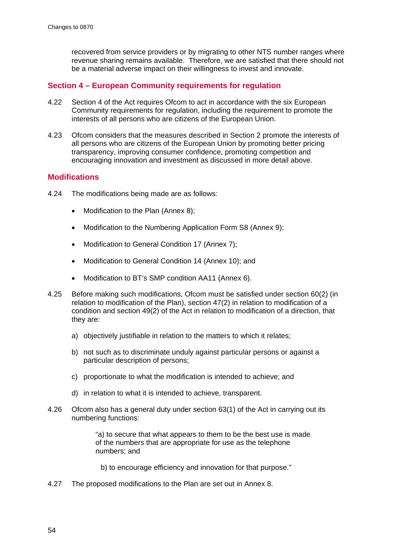recovered from service providers or by migrating to other NTS number ranges where revenue sharing remains available. Therefore, we are satisfied that there should not be a material adverse impact on their willingness to invest and innovate.

## **Section 4 – European Community requirements for regulation**

- 4.22 Section 4 of the Act requires Ofcom to act in accordance with the six European Community requirements for regulation, including the requirement to promote the interests of all persons who are citizens of the European Union.
- 4.23 Ofcom considers that the measures described in Section 2 promote the interests of all persons who are citizens of the European Union by promoting better pricing transparency, improving consumer confidence, promoting competition and encouraging innovation and investment as discussed in more detail above.

## **Modifications**

- 4.24 The modifications being made are as follows:
	- Modification to the Plan (Annex 8);
	- Modification to the Numbering Application Form S8 (Annex 9);
	- Modification to General Condition 17 (Annex 7);
	- Modification to General Condition 14 (Annex [10\)](#page-157-0); and
	- Modification to BT's SMP condition AA11 (Annex [6\)](#page-134-0).
- 4.25 Before making such modifications, Ofcom must be satisfied under section 60(2) (in relation to modification of the Plan), section 47(2) in relation to modification of a condition and section 49(2) of the Act in relation to modification of a direction, that they are:
	- a) objectively justifiable in relation to the matters to which it relates;
	- b) not such as to discriminate unduly against particular persons or against a particular description of persons;
	- c) proportionate to what the modification is intended to achieve; and
	- d) in relation to what it is intended to achieve, transparent.
- 4.26 Ofcom also has a general duty under section 63(1) of the Act in carrying out its numbering functions:

"a) to secure that what appears to them to be the best use is made of the numbers that are appropriate for use as the telephone numbers; and

b) to encourage efficiency and innovation for that purpose."

4.27 The proposed modifications to the Plan are set out in Annex [8.](#page-142-0)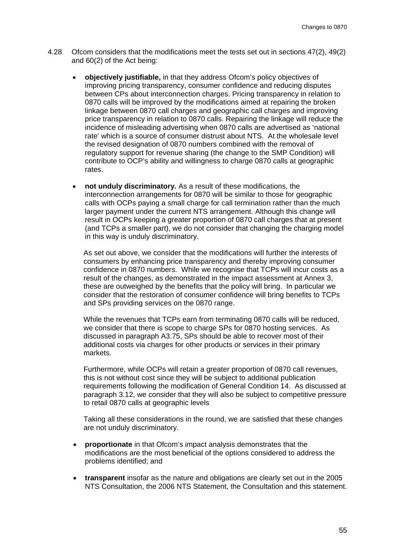- 4.28 Ofcom considers that the modifications meet the tests set out in sections 47(2), 49(2) and 60(2) of the Act being:
	- **objectively justifiable,** in that they address Ofcom's policy objectives of improving pricing transparency, consumer confidence and reducing disputes between CPs about interconnection charges. Pricing transparency in relation to 0870 calls will be improved by the modifications aimed at repairing the broken linkage between 0870 call charges and geographic call charges and improving price transparency in relation to 0870 calls. Repairing the linkage will reduce the incidence of misleading advertising when 0870 calls are advertised as 'national rate' which is a source of consumer distrust about NTS. At the wholesale level the revised designation of 0870 numbers combined with the removal of regulatory support for revenue sharing (the change to the SMP Condition) will contribute to OCP's ability and willingness to charge 0870 calls at geographic rates.
	- **not unduly discriminatory.** As a result of these modifications, the interconnection arrangements for 0870 will be similar to those for geographic calls with OCPs paying a small charge for call termination rather than the much larger payment under the current NTS arrangement. Although this change will result in OCPs keeping a greater proportion of 0870 call charges that at present (and TCPs a smaller part), we do not consider that changing the charging model in this way is unduly discriminatory.

As set out above, we consider that the modifications will further the interests of consumers by enhancing price transparency and thereby improving consumer confidence in 0870 numbers. While we recognise that TCPs will incur costs as a result of the changes, as demonstrated in the impact assessment at Annex 3, these are outweighed by the benefits that the policy will bring. In particular we consider that the restoration of consumer confidence will bring benefits to TCPs and SPs providing services on the 0870 range.

While the revenues that TCPs earn from terminating 0870 calls will be reduced, we consider that there is scope to charge SPs for 0870 hosting services. As discussed in paragraph [A3.75,](#page-111-0) SPs should be able to recover most of their additional costs via charges for other products or services in their primary markets.

Furthermore, while OCPs will retain a greater proportion of 0870 call revenues, this is not without cost since they will be subject to additional publication requirements following the modification of General Condition 14. As discussed at paragraph [3.12,](#page-21-0) we consider that they will also be subject to competitive pressure to retail 0870 calls at geographic levels

Taking all these considerations in the round, we are satisfied that these changes are not unduly discriminatory.

- **proportionate** in that Ofcom's impact analysis demonstrates that the modifications are the most beneficial of the options considered to address the problems identified; and
- **transparent** insofar as the nature and obligations are clearly set out in the 2005 NTS Consultation, the 2006 NTS Statement, the Consultation and this statement.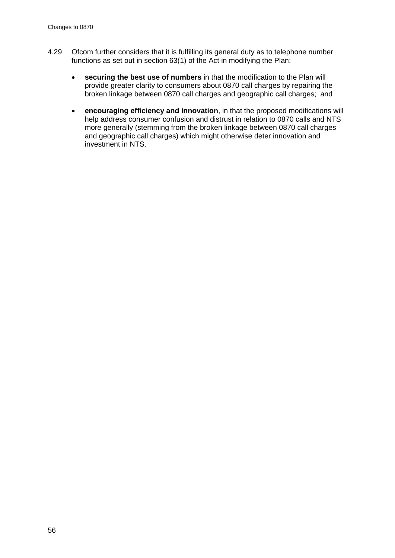- 4.29 Ofcom further considers that it is fulfilling its general duty as to telephone number functions as set out in section 63(1) of the Act in modifying the Plan:
	- **securing the best use of numbers** in that the modification to the Plan will provide greater clarity to consumers about 0870 call charges by repairing the broken linkage between 0870 call charges and geographic call charges; and
	- **encouraging efficiency and innovation**, in that the proposed modifications will help address consumer confusion and distrust in relation to 0870 calls and NTS more generally (stemming from the broken linkage between 0870 call charges and geographic call charges) which might otherwise deter innovation and investment in NTS.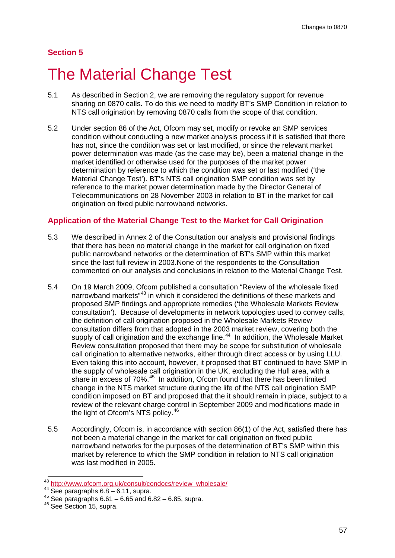# **Section 5**

# **The Material Change Test**

- 5.1 As described in Section 2, we are removing the regulatory support for revenue sharing on 0870 calls. To do this we need to modify BT's SMP Condition in relation to NTS call origination by removing 0870 calls from the scope of that condition.
- 5.2 Under section 86 of the Act, Ofcom may set, modify or revoke an SMP services condition without conducting a new market analysis process if it is satisfied that there has not, since the condition was set or last modified, or since the relevant market power determination was made (as the case may be), been a material change in the market identified or otherwise used for the purposes of the market power determination by reference to which the condition was set or last modified ('the Material Change Test'). BT's NTS call origination SMP condition was set by reference to the market power determination made by the Director General of Telecommunications on 28 November 2003 in relation to BT in the market for call origination on fixed public narrowband networks.

## **Application of the Material Change Test to the Market for Call Origination**

- 5.3 We described in Annex 2 of the Consultation our analysis and provisional findings that there has been no material change in the market for call origination on fixed public narrowband networks or the determination of BT's SMP within this market since the last full review in 2003.None of the respondents to the Consultation commented on our analysis and conclusions in relation to the Material Change Test.
- 5.4 On 19 March 2009, Ofcom published a consultation "Review of the wholesale fixed narrowband markets<sup>"[43](#page-59-0)</sup> in which it considered the definitions of these markets and proposed SMP findings and appropriate remedies ('the Wholesale Markets Review consultation'). Because of developments in network topologies used to convey calls, the definition of call origination proposed in the Wholesale Markets Review consultation differs from that adopted in the 2003 market review, covering both the supply of call origination and the exchange line.<sup>44</sup> In addition, the Wholesale Market Review consultation proposed that there may be scope for substitution of wholesale call origination to alternative networks, either through direct access or by using LLU. Even taking this into account, however, it proposed that BT continued to have SMP in the supply of wholesale call origination in the UK, excluding the Hull area, with a share in excess of 70%.<sup>[45](#page-59-2)</sup> In addition, Ofcom found that there has been limited change in the NTS market structure during the life of the NTS call origination SMP condition imposed on BT and proposed that the it should remain in place, subject to a review of the relevant charge control in September 2009 and modifications made in the light of Ofcom's NTS policy.<sup>[46](#page-59-3)</sup>
- 5.5 Accordingly, Ofcom is, in accordance with section 86(1) of the Act, satisfied there has not been a material change in the market for call origination on fixed public narrowband networks for the purposes of the determination of BT's SMP within this market by reference to which the SMP condition in relation to NTS call origination was last modified in 2005.

<span id="page-59-0"></span> $43 \frac{\text{http://www.ofcom.org.uk/consult/condocs/review_wholesale/}}{\text{See paragraphs } 6.8-6.11, supra.}$  $43 \frac{\text{http://www.ofcom.org.uk/consult/condocs/review_wholesale/}}{\text{See paragraphs } 6.8-6.11, supra.}$  $43 \frac{\text{http://www.ofcom.org.uk/consult/condocs/review_wholesale/}}{\text{See paragraphs } 6.8-6.11, supra.}$ 

<span id="page-59-3"></span><span id="page-59-2"></span><span id="page-59-1"></span> $45$  See paragraphs 6.61 – 6.65 and 6.82 – 6.85, supra.  $46$  See Section 15, supra.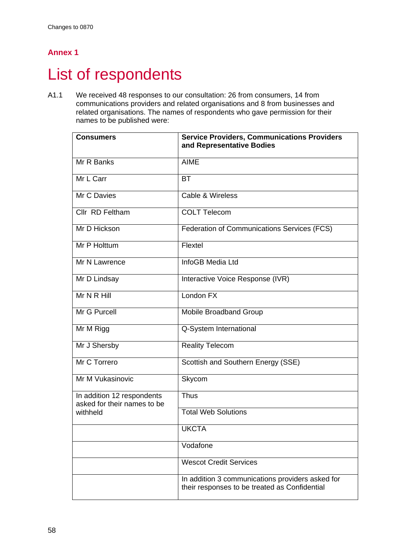# **Annex 1**

# List of respondents

A1.1 We received 48 responses to our consultation: 26 from consumers, 14 from communications providers and related organisations and 8 from businesses and related organisations. The names of respondents who gave permission for their names to be published were:

| <b>Consumers</b>                                          | <b>Service Providers, Communications Providers</b><br>and Representative Bodies                   |
|-----------------------------------------------------------|---------------------------------------------------------------------------------------------------|
| Mr R Banks                                                | <b>AIME</b>                                                                                       |
| Mr L Carr                                                 | <b>BT</b>                                                                                         |
| Mr C Davies                                               | Cable & Wireless                                                                                  |
| Cllr RD Feltham                                           | <b>COLT Telecom</b>                                                                               |
| Mr D Hickson                                              | Federation of Communications Services (FCS)                                                       |
| Mr P Holttum                                              | Flextel                                                                                           |
| Mr N Lawrence                                             | InfoGB Media Ltd                                                                                  |
| Mr D Lindsay                                              | Interactive Voice Response (IVR)                                                                  |
| Mr N R Hill                                               | London FX                                                                                         |
| Mr G Purcell                                              | <b>Mobile Broadband Group</b>                                                                     |
| Mr M Rigg                                                 | Q-System International                                                                            |
| Mr J Shersby                                              | <b>Reality Telecom</b>                                                                            |
| Mr C Torrero                                              | Scottish and Southern Energy (SSE)                                                                |
| Mr M Vukasinovic                                          | Skycom                                                                                            |
| In addition 12 respondents<br>asked for their names to be | <b>Thus</b>                                                                                       |
| withheld                                                  | <b>Total Web Solutions</b>                                                                        |
|                                                           | <b>UKCTA</b>                                                                                      |
|                                                           | Vodafone                                                                                          |
|                                                           | <b>Wescot Credit Services</b>                                                                     |
|                                                           | In addition 3 communications providers asked for<br>their responses to be treated as Confidential |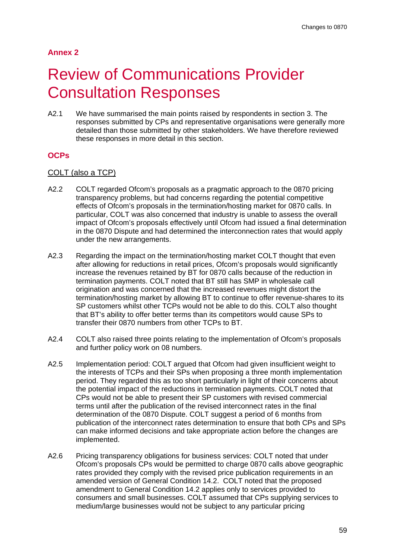# **Annex 2**

# **Review of Communications Provider** Consultation Responses

A2.1 We have summarised the main points raised by respondents in section 3. The responses submitted by CPs and representative organisations were generally more detailed than those submitted by other stakeholders. We have therefore reviewed these responses in more detail in this section.

## **OCPs**

## COLT (also a TCP)

- A2.2 COLT regarded Ofcom's proposals as a pragmatic approach to the 0870 pricing transparency problems, but had concerns regarding the potential competitive effects of Ofcom's proposals in the termination/hosting market for 0870 calls. In particular, COLT was also concerned that industry is unable to assess the overall impact of Ofcom's proposals effectively until Ofcom had issued a final determination in the 0870 Dispute and had determined the interconnection rates that would apply under the new arrangements.
- A2.3 Regarding the impact on the termination/hosting market COLT thought that even after allowing for reductions in retail prices, Ofcom's proposals would significantly increase the revenues retained by BT for 0870 calls because of the reduction in termination payments. COLT noted that BT still has SMP in wholesale call origination and was concerned that the increased revenues might distort the termination/hosting market by allowing BT to continue to offer revenue-shares to its SP customers whilst other TCPs would not be able to do this. COLT also thought that BT's ability to offer better terms than its competitors would cause SPs to transfer their 0870 numbers from other TCPs to BT.
- A2.4 COLT also raised three points relating to the implementation of Ofcom's proposals and further policy work on 08 numbers.
- A2.5 Implementation period: COLT argued that Ofcom had given insufficient weight to the interests of TCPs and their SPs when proposing a three month implementation period. They regarded this as too short particularly in light of their concerns about the potential impact of the reductions in termination payments. COLT noted that CPs would not be able to present their SP customers with revised commercial terms until after the publication of the revised interconnect rates in the final determination of the 0870 Dispute. COLT suggest a period of 6 months from publication of the interconnect rates determination to ensure that both CPs and SPs can make informed decisions and take appropriate action before the changes are implemented.
- A2.6 Pricing transparency obligations for business services: COLT noted that under Ofcom's proposals CPs would be permitted to charge 0870 calls above geographic rates provided they comply with the revised price publication requirements in an amended version of General Condition 14.2. COLT noted that the proposed amendment to General Condition 14.2 applies only to services provided to consumers and small businesses. COLT assumed that CPs supplying services to medium/large businesses would not be subject to any particular pricing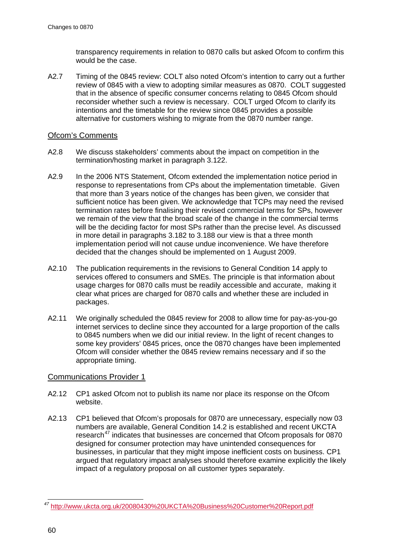transparency requirements in relation to 0870 calls but asked Ofcom to confirm this would be the case.

A2.7 Timing of the 0845 review: COLT also noted Ofcom's intention to carry out a further review of 0845 with a view to adopting similar measures as 0870. COLT suggested that in the absence of specific consumer concerns relating to 0845 Ofcom should reconsider whether such a review is necessary. COLT urged Ofcom to clarify its intentions and the timetable for the review since 0845 provides a possible alternative for customers wishing to migrate from the 0870 number range.

## Ofcom's Comments

- A2.8 We discuss stakeholders' comments about the impact on competition in the termination/hosting market in paragraph [3.122.](#page-39-0)
- A2.9 In the 2006 NTS Statement, Ofcom extended the implementation notice period in response to representations from CPs about the implementation timetable. Given that more than 3 years notice of the changes has been given, we consider that sufficient notice has been given. We acknowledge that TCPs may need the revised termination rates before finalising their revised commercial terms for SPs, however we remain of the view that the broad scale of the change in the commercial terms will be the deciding factor for most SPs rather than the precise level. As discussed in more detail in paragraphs [3.182](#page-50-1) to [3.188](#page-51-0) our view is that a three month implementation period will not cause undue inconvenience. We have therefore decided that the changes should be implemented on 1 August 2009.
- A2.10 The publication requirements in the revisions to General Condition 14 apply to services offered to consumers and SMEs. The principle is that information about usage charges for 0870 calls must be readily accessible and accurate, making it clear what prices are charged for 0870 calls and whether these are included in packages.
- A2.11 [We originally scheduled the 0845 review for 2008 to allow time for pay-as-you-go](#page-19-0)  [internet services to decline since they accounted for a large proportion of the calls](#page-19-0)  [to 0845 numbers when we did our initial review. In the light of recent changes to](#page-19-0)  [some key providers' 0845 prices, once the 0870 changes have been implemented](#page-19-0)  [Ofcom will consider whether the 0845 review remains necessary and if so the](#page-19-0)  [appropriate timing.](#page-19-0)

## Communications Provider 1

- A2.12 CP1 asked Ofcom not to publish its name nor place its response on the Ofcom website.
- A2.13 CP1 believed that Ofcom's proposals for 0870 are unnecessary, especially now 03 numbers are available, General Condition 14.2 is established and recent UKCTA research<sup>[47](#page-62-0)</sup> indicates that businesses are concerned that Ofcom proposals for 0870 designed for consumer protection may have unintended consequences for businesses, in particular that they might impose inefficient costs on business. CP1 argued that regulatory impact analyses should therefore examine explicitly the likely impact of a regulatory proposal on all customer types separately.

<span id="page-62-0"></span>*47* <http://www.ukcta.org.uk/20080430%20UKCTA%20Business%20Customer%20Report.pdf>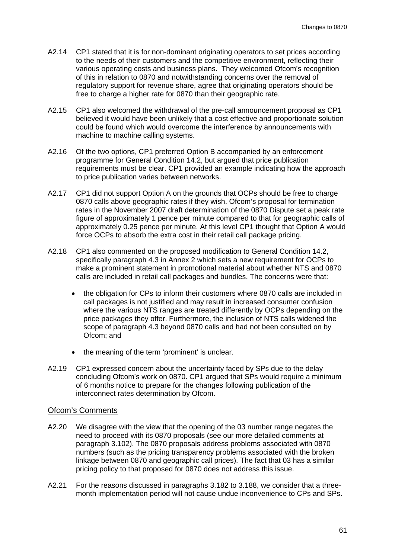- A2.14 CP1 stated that it is for non-dominant originating operators to set prices according to the needs of their customers and the competitive environment, reflecting their various operating costs and business plans. They welcomed Ofcom's recognition of this in relation to 0870 and notwithstanding concerns over the removal of regulatory support for revenue share, agree that originating operators should be free to charge a higher rate for 0870 than their geographic rate.
- A2.15 CP1 also welcomed the withdrawal of the pre-call announcement proposal as CP1 believed it would have been unlikely that a cost effective and proportionate solution could be found which would overcome the interference by announcements with machine to machine calling systems.
- A2.16 Of the two options, CP1 preferred Option B accompanied by an enforcement programme for General Condition 14.2, but argued that price publication requirements must be clear. CP1 provided an example indicating how the approach to price publication varies between networks.
- A2.17 CP1 did not support Option A on the grounds that OCPs should be free to charge 0870 calls above geographic rates if they wish. Ofcom's proposal for termination rates in the November 2007 draft determination of the 0870 Dispute set a peak rate figure of approximately 1 pence per minute compared to that for geographic calls of approximately 0.25 pence per minute. At this level CP1 thought that Option A would force OCPs to absorb the extra cost in their retail call package pricing.
- A2.18 CP1 also commented on the proposed modification to General Condition 14.2, specifically paragraph 4.3 in Annex 2 which sets a new requirement for OCPs to make a prominent statement in promotional material about whether NTS and 0870 calls are included in retail call packages and bundles. The concerns were that:
	- the obligation for CPs to inform their customers where 0870 calls are included in call packages is not justified and may result in increased consumer confusion where the various NTS ranges are treated differently by OCPs depending on the price packages they offer. Furthermore, the inclusion of NTS calls widened the scope of paragraph 4.3 beyond 0870 calls and had not been consulted on by Ofcom; and
	- the meaning of the term 'prominent' is unclear.
- A2.19 CP1 expressed concern about the uncertainty faced by SPs due to the delay concluding Ofcom's work on 0870. CP1 argued that SPs would require a minimum of 6 months notice to prepare for the changes following publication of the interconnect rates determination by Ofcom.

#### Ofcom's Comments

- A2.20 We disagree with the view that the opening of the 03 number range negates the need to proceed with its 0870 proposals (see our more detailed comments at paragraph [3.102\)](#page-36-1). The 0870 proposals address problems associated with 0870 numbers (such as the pricing transparency problems associated with the broken linkage between 0870 and geographic call prices). The fact that 03 has a similar pricing policy to that proposed for 0870 does not address this issue.
- A2.21 For the reasons discussed in paragraphs [3.182](#page-50-1) to [3.188,](#page-51-0) we consider that a threemonth implementation period will not cause undue inconvenience to CPs and SPs.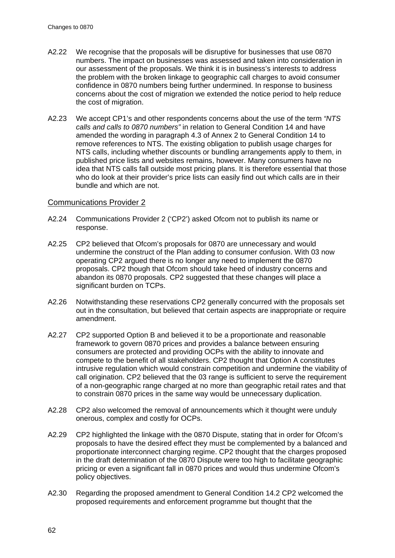- A2.22 We recognise that the proposals will be disruptive for businesses that use 0870 numbers. The impact on businesses was assessed and taken into consideration in our assessment of the proposals. We think it is in business's interests to address the problem with the broken linkage to geographic call charges to avoid consumer confidence in 0870 numbers being further undermined. In response to business concerns about the cost of migration we extended the notice period to help reduce the cost of migration.
- A2.23 We accept CP1's and other respondents concerns about the use of the term *"NTS calls and calls to 0870 numbers"* in relation to General Condition 14 and have amended the wording in paragraph 4.3 of Annex 2 to General Condition 14 to remove references to NTS. The existing obligation to publish usage charges for NTS calls, including whether discounts or bundling arrangements apply to them, in published price lists and websites remains, however. Many consumers have no idea that NTS calls fall outside most pricing plans. It is therefore essential that those who do look at their provider's price lists can easily find out which calls are in their bundle and which are not.

### Communications Provider 2

- A2.24 Communications Provider 2 ('CP2') asked Ofcom not to publish its name or response.
- A2.25 CP2 believed that Ofcom's proposals for 0870 are unnecessary and would undermine the construct of the Plan adding to consumer confusion. With 03 now operating CP2 argued there is no longer any need to implement the 0870 proposals. CP2 though that Ofcom should take heed of industry concerns and abandon its 0870 proposals. CP2 suggested that these changes will place a significant burden on TCPs.
- A2.26 Notwithstanding these reservations CP2 generally concurred with the proposals set out in the consultation, but believed that certain aspects are inappropriate or require amendment.
- A2.27 CP2 supported Option B and believed it to be a proportionate and reasonable framework to govern 0870 prices and provides a balance between ensuring consumers are protected and providing OCPs with the ability to innovate and compete to the benefit of all stakeholders. CP2 thought that Option A constitutes intrusive regulation which would constrain competition and undermine the viability of call origination. CP2 believed that the 03 range is sufficient to serve the requirement of a non-geographic range charged at no more than geographic retail rates and that to constrain 0870 prices in the same way would be unnecessary duplication.
- A2.28 CP2 also welcomed the removal of announcements which it thought were unduly onerous, complex and costly for OCPs.
- A2.29 CP2 highlighted the linkage with the 0870 Dispute, stating that in order for Ofcom's proposals to have the desired effect they must be complemented by a balanced and proportionate interconnect charging regime. CP2 thought that the charges proposed in the draft determination of the 0870 Dispute were too high to facilitate geographic pricing or even a significant fall in 0870 prices and would thus undermine Ofcom's policy objectives.
- A2.30 Regarding the proposed amendment to General Condition 14.2 CP2 welcomed the proposed requirements and enforcement programme but thought that the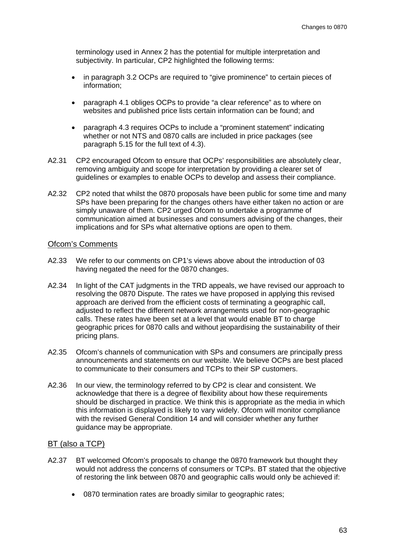terminology used in Annex 2 has the potential for multiple interpretation and subjectivity. In particular, CP2 highlighted the following terms:

- in paragraph 3.2 OCPs are required to "give prominence" to certain pieces of information;
- paragraph 4.1 obliges OCPs to provide "a clear reference" as to where on websites and published price lists certain information can be found; and
- paragraph 4.3 requires OCPs to include a "prominent statement" indicating whether or not NTS and 0870 calls are included in price packages (see paragraph 5.15 for the full text of 4.3).
- A2.31 CP2 encouraged Ofcom to ensure that OCPs' responsibilities are absolutely clear, removing ambiguity and scope for interpretation by providing a clearer set of guidelines or examples to enable OCPs to develop and assess their compliance.
- A2.32 CP2 noted that whilst the 0870 proposals have been public for some time and many SPs have been preparing for the changes others have either taken no action or are simply unaware of them. CP2 urged Ofcom to undertake a programme of communication aimed at businesses and consumers advising of the changes, their implications and for SPs what alternative options are open to them.

## Ofcom's Comments

- A2.33 We refer to our comments on CP1's views above about the introduction of 03 having negated the need for the 0870 changes.
- A2.34 In light of the CAT judgments in the TRD appeals, we have revised our approach to resolving the 0870 Dispute. The rates we have proposed in applying this revised approach are derived from the efficient costs of terminating a geographic call, adjusted to reflect the different network arrangements used for non-geographic calls. These rates have been set at a level that would enable BT to charge geographic prices for 0870 calls and without jeopardising the sustainability of their pricing plans.
- A2.35 Ofcom's channels of communication with SPs and consumers are principally press announcements and statements on our website. We believe OCPs are best placed to communicate to their consumers and TCPs to their SP customers.
- A2.36 In our view, the terminology referred to by CP2 is clear and consistent. We acknowledge that there is a degree of flexibility about how these requirements should be discharged in practice. We think this is appropriate as the media in which this information is displayed is likely to vary widely. Ofcom will monitor compliance with the revised General Condition 14 and will consider whether any further guidance may be appropriate.

## BT (also a TCP)

- A2.37 BT welcomed Ofcom's proposals to change the 0870 framework but thought they would not address the concerns of consumers or TCPs. BT stated that the objective of restoring the link between 0870 and geographic calls would only be achieved if:
	- 0870 termination rates are broadly similar to geographic rates;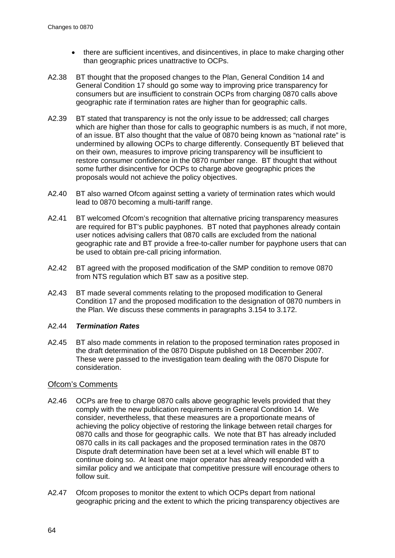- there are sufficient incentives, and disincentives, in place to make charging other than geographic prices unattractive to OCPs.
- A2.38 BT thought that the proposed changes to the Plan, General Condition 14 and General Condition 17 should go some way to improving price transparency for consumers but are insufficient to constrain OCPs from charging 0870 calls above geographic rate if termination rates are higher than for geographic calls.
- A2.39 BT stated that transparency is not the only issue to be addressed; call charges which are higher than those for calls to geographic numbers is as much, if not more, of an issue. BT also thought that the value of 0870 being known as "national rate" is undermined by allowing OCPs to charge differently. Consequently BT believed that on their own, measures to improve pricing transparency will be insufficient to restore consumer confidence in the 0870 number range. BT thought that without some further disincentive for OCPs to charge above geographic prices the proposals would not achieve the policy objectives.
- A2.40 BT also warned Ofcom against setting a variety of termination rates which would lead to 0870 becoming a multi-tariff range.
- A2.41 BT welcomed Ofcom's recognition that alternative pricing transparency measures are required for BT's public payphones. BT noted that payphones already contain user notices advising callers that 0870 calls are excluded from the national geographic rate and BT provide a free-to-caller number for payphone users that can be used to obtain pre-call pricing information.
- A2.42 BT agreed with the proposed modification of the SMP condition to remove 0870 from NTS regulation which BT saw as a positive step.
- A2.43 BT made several comments relating to the proposed modification to General Condition 17 and the proposed modification to the designation of 0870 numbers in the Plan. We discuss these comments in paragraphs [3.154](#page-46-1) to [3.172.](#page-49-2)

## A2.44 *Termination Rates*

A2.45 BT also made comments in relation to the proposed termination rates proposed in the draft determination of the 0870 Dispute published on 18 December 2007. These were passed to the investigation team dealing with the 0870 Dispute for consideration.

## Ofcom's Comments

- A2.46 OCPs are free to charge 0870 calls above geographic levels provided that they comply with the new publication requirements in General Condition 14. We consider, nevertheless, that these measures are a proportionate means of achieving the policy objective of restoring the linkage between retail charges for 0870 calls and those for geographic calls. We note that BT has already included 0870 calls in its call packages and the proposed termination rates in the 0870 Dispute draft determination have been set at a level which will enable BT to continue doing so. At least one major operator has already responded with a similar policy and we anticipate that competitive pressure will encourage others to follow suit.
- A2.47 Ofcom proposes to monitor the extent to which OCPs depart from national geographic pricing and the extent to which the pricing transparency objectives are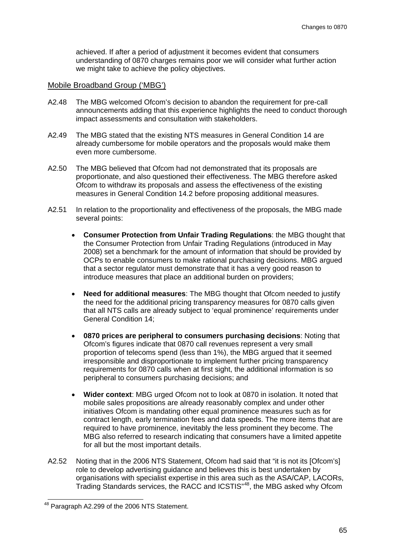achieved. If after a period of adjustment it becomes evident that consumers understanding of 0870 charges remains poor we will consider what further action we might take to achieve the policy objectives.

#### Mobile Broadband Group ('MBG')

- A2.48 The MBG welcomed Ofcom's decision to abandon the requirement for pre-call announcements adding that this experience highlights the need to conduct thorough impact assessments and consultation with stakeholders.
- A2.49 The MBG stated that the existing NTS measures in General Condition 14 are already cumbersome for mobile operators and the proposals would make them even more cumbersome.
- A2.50 The MBG believed that Ofcom had not demonstrated that its proposals are proportionate, and also questioned their effectiveness. The MBG therefore asked Ofcom to withdraw its proposals and assess the effectiveness of the existing measures in General Condition 14.2 before proposing additional measures.
- A2.51 In relation to the proportionality and effectiveness of the proposals, the MBG made several points:
	- **Consumer Protection from Unfair Trading Regulations**: the MBG thought that the Consumer Protection from Unfair Trading Regulations (introduced in May 2008) set a benchmark for the amount of information that should be provided by OCPs to enable consumers to make rational purchasing decisions. MBG argued that a sector regulator must demonstrate that it has a very good reason to introduce measures that place an additional burden on providers;
	- **Need for additional measures**: The MBG thought that Ofcom needed to justify the need for the additional pricing transparency measures for 0870 calls given that all NTS calls are already subject to 'equal prominence' requirements under General Condition 14;
	- **0870 prices are peripheral to consumers purchasing decisions**: Noting that Ofcom's figures indicate that 0870 call revenues represent a very small proportion of telecoms spend (less than 1%), the MBG argued that it seemed irresponsible and disproportionate to implement further pricing transparency requirements for 0870 calls when at first sight, the additional information is so peripheral to consumers purchasing decisions; and
	- **Wider context**: MBG urged Ofcom not to look at 0870 in isolation. It noted that mobile sales propositions are already reasonably complex and under other initiatives Ofcom is mandating other equal prominence measures such as for contract length, early termination fees and data speeds. The more items that are required to have prominence, inevitably the less prominent they become. The MBG also referred to research indicating that consumers have a limited appetite for all but the most important details.
- A2.52 Noting that in the 2006 NTS Statement, Ofcom had said that "it is not its [Ofcom's] role to develop advertising guidance and believes this is best undertaken by organisations with specialist expertise in this area such as the ASA/CAP, LACORs, Trading Standards services, the RACC and ICSTIS"<sup>[48](#page-67-0)</sup>, the MBG asked why Ofcom

<span id="page-67-0"></span> <sup>48</sup> Paragraph A2.299 of the 2006 NTS Statement.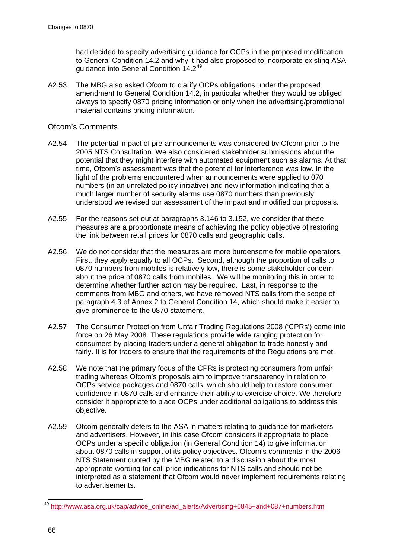had decided to specify advertising guidance for OCPs in the proposed modification to General Condition 14.2 and why it had also proposed to incorporate existing ASA guidance into General Condition 14.2<sup>[49](#page-68-0)</sup>.

A2.53 The MBG also asked Ofcom to clarify OCPs obligations under the proposed amendment to General Condition 14.2, in particular whether they would be obliged always to specify 0870 pricing information or only when the advertising/promotional material contains pricing information.

## Ofcom's Comments

- A2.54 The potential impact of pre-announcements was considered by Ofcom prior to the 2005 NTS Consultation. We also considered stakeholder submissions about the potential that they might interfere with automated equipment such as alarms. At that time, Ofcom's assessment was that the potential for interference was low. In the light of the problems encountered when announcements were applied to 070 numbers (in an unrelated policy initiative) and new information indicating that a much larger number of security alarms use 0870 numbers than previously understood we revised our assessment of the impact and modified our proposals.
- A2.55 For the reasons set out at paragraphs [3.146](#page-43-2) to [3.152,](#page-44-0) we consider that these measures are a proportionate means of achieving the policy objective of restoring the link between retail prices for 0870 calls and geographic calls.
- A2.56 We do not consider that the measures are more burdensome for mobile operators. First, they apply equally to all OCPs. Second, although the proportion of calls to 0870 numbers from mobiles is relatively low, there is some stakeholder concern about the price of 0870 calls from mobiles. We will be monitoring this in order to determine whether further action may be required. Last, in response to the comments from MBG and others, we have removed NTS calls from the scope of paragraph 4.3 of Annex 2 to General Condition 14, which should make it easier to give prominence to the 0870 statement.
- A2.57 The Consumer Protection from Unfair Trading Regulations 2008 ('CPRs') came into force on 26 May 2008. These regulations provide wide ranging protection for consumers by placing traders under a general obligation to trade honestly and fairly. It is for traders to ensure that the requirements of the Regulations are met.
- A2.58 We note that the primary focus of the CPRs is protecting consumers from unfair trading whereas Ofcom's proposals aim to improve transparency in relation to OCPs service packages and 0870 calls, which should help to restore consumer confidence in 0870 calls and enhance their ability to exercise choice. We therefore consider it appropriate to place OCPs under additional obligations to address this objective.
- A2.59 Ofcom generally defers to the ASA in matters relating to guidance for marketers and advertisers. However, in this case Ofcom considers it appropriate to place OCPs under a specific obligation (in General Condition 14) to give information about 0870 calls in support of its policy objectives. Ofcom's comments in the 2006 NTS Statement quoted by the MBG related to a discussion about the most appropriate wording for call price indications for NTS calls and should not be interpreted as a statement that Ofcom would never implement requirements relating to advertisements.

<span id="page-68-0"></span> <sup>49</sup> [http://www.asa.org.uk/cap/advice\\_online/ad\\_alerts/Advertising+0845+and+087+numbers.htm](http://www.asa.org.uk/cap/advice_online/ad_alerts/Advertising+0845+and+087+numbers.htm)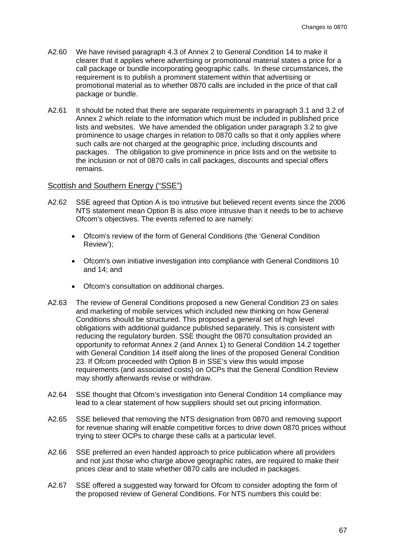- A2.60 We have revised paragraph 4.3 of Annex 2 to General Condition 14 to make it clearer that it applies where advertising or promotional material states a price for a call package or bundle incorporating geographic calls. In these circumstances, the requirement is to publish a prominent statement within that advertising or promotional material as to whether 0870 calls are included in the price of that call package or bundle.
- A2.61 It should be noted that there are separate requirements in paragraph 3.1 and 3.2 of Annex 2 which relate to the information which must be included in published price lists and websites. We have amended the obligation under paragraph 3.2 to give prominence to usage charges in relation to 0870 calls so that it only applies where such calls are not charged at the geographic price, including discounts and packages. The obligation to give prominence in price lists and on the website to the inclusion or not of 0870 calls in call packages, discounts and special offers remains.

## Scottish and Southern Energy ("SSE")

- A2.62 SSE agreed that Option A is too intrusive but believed recent events since the 2006 NTS statement mean Option B is also more intrusive than it needs to be to achieve Ofcom's objectives. The events referred to are namely:
	- Ofcom's review of the form of General Conditions (the 'General Condition Review');
	- Ofcom's own initiative investigation into compliance with General Conditions 10 and 14; and
	- Ofcom's consultation on additional charges.
- A2.63 The review of General Conditions proposed a new General Condition 23 on sales and marketing of mobile services which included new thinking on how General Conditions should be structured. This proposed a general set of high level obligations with additional guidance published separately. This is consistent with reducing the regulatory burden. SSE thought the 0870 consultation provided an opportunity to reformat Annex 2 (and Annex 1) to General Condition 14.2 together with General Condition 14 itself along the lines of the proposed General Condition 23. If Ofcom proceeded with Option B in SSE's view this would impose requirements (and associated costs) on OCPs that the General Condition Review may shortly afterwards revise or withdraw.
- A2.64 SSE thought that Ofcom's investigation into General Condition 14 compliance may lead to a clear statement of how suppliers should set out pricing information.
- A2.65 SSE believed that removing the NTS designation from 0870 and removing support for revenue sharing will enable competitive forces to drive down 0870 prices without trying to steer OCPs to charge these calls at a particular level.
- A2.66 SSE preferred an even handed approach to price publication where all providers and not just those who charge above geographic rates, are required to make their prices clear and to state whether 0870 calls are included in packages.
- A2.67 SSE offered a suggested way forward for Ofcom to consider adopting the form of the proposed review of General Conditions. For NTS numbers this could be: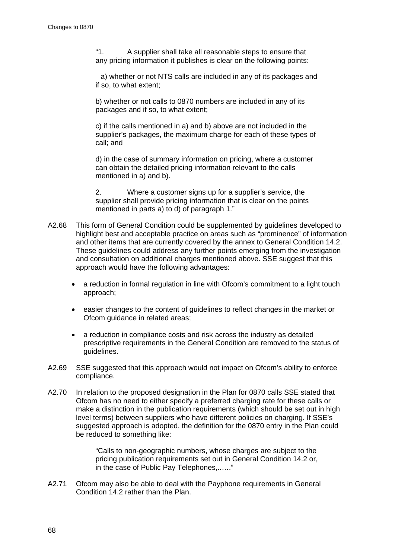"1. A supplier shall take all reasonable steps to ensure that any pricing information it publishes is clear on the following points:

a) whether or not NTS calls are included in any of its packages and if so, to what extent;

b) whether or not calls to 0870 numbers are included in any of its packages and if so, to what extent;

c) if the calls mentioned in a) and b) above are not included in the supplier's packages, the maximum charge for each of these types of call; and

d) in the case of summary information on pricing, where a customer can obtain the detailed pricing information relevant to the calls mentioned in a) and b).

2. Where a customer signs up for a supplier's service, the supplier shall provide pricing information that is clear on the points mentioned in parts a) to d) of paragraph 1."

- A2.68 This form of General Condition could be supplemented by guidelines developed to highlight best and acceptable practice on areas such as "prominence" of information and other items that are currently covered by the annex to General Condition 14.2. These guidelines could address any further points emerging from the investigation and consultation on additional charges mentioned above. SSE suggest that this approach would have the following advantages:
	- a reduction in formal regulation in line with Ofcom's commitment to a light touch approach;
	- easier changes to the content of guidelines to reflect changes in the market or Ofcom guidance in related areas;
	- a reduction in compliance costs and risk across the industry as detailed prescriptive requirements in the General Condition are removed to the status of guidelines.
- A2.69 SSE suggested that this approach would not impact on Ofcom's ability to enforce compliance.
- A2.70 In relation to the proposed designation in the Plan for 0870 calls SSE stated that Ofcom has no need to either specify a preferred charging rate for these calls or make a distinction in the publication requirements (which should be set out in high level terms) between suppliers who have different policies on charging. If SSE's suggested approach is adopted, the definition for the 0870 entry in the Plan could be reduced to something like:

"Calls to non-geographic numbers, whose charges are subject to the pricing publication requirements set out in General Condition 14.2 or, in the case of Public Pay Telephones,..…."

A2.71 Ofcom may also be able to deal with the Payphone requirements in General Condition 14.2 rather than the Plan.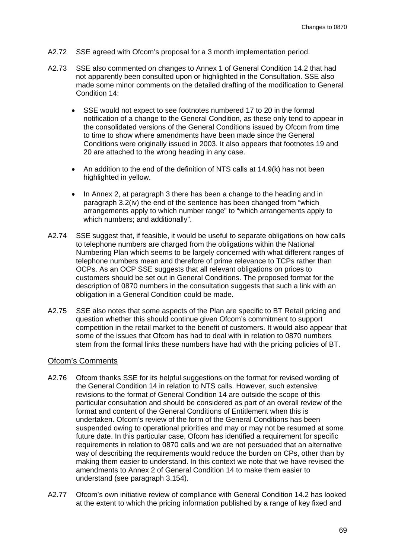- A2.72 SSE agreed with Ofcom's proposal for a 3 month implementation period.
- A2.73 SSE also commented on changes to Annex 1 of General Condition 14.2 that had not apparently been consulted upon or highlighted in the Consultation. SSE also made some minor comments on the detailed drafting of the modification to General Condition 14:
	- SSE would not expect to see footnotes numbered 17 to 20 in the formal notification of a change to the General Condition, as these only tend to appear in the consolidated versions of the General Conditions issued by Ofcom from time to time to show where amendments have been made since the General Conditions were originally issued in 2003. It also appears that footnotes 19 and 20 are attached to the wrong heading in any case.
	- An addition to the end of the definition of NTS calls at 14.9(k) has not been highlighted in yellow.
	- In Annex 2, at paragraph 3 there has been a change to the heading and in paragraph 3.2(iv) the end of the sentence has been changed from "which arrangements apply to which number range" to "which arrangements apply to which numbers; and additionally".
- A2.74 SSE suggest that, if feasible, it would be useful to separate obligations on how calls to telephone numbers are charged from the obligations within the National Numbering Plan which seems to be largely concerned with what different ranges of telephone numbers mean and therefore of prime relevance to TCPs rather than OCPs. As an OCP SSE suggests that all relevant obligations on prices to customers should be set out in General Conditions. The proposed format for the description of 0870 numbers in the consultation suggests that such a link with an obligation in a General Condition could be made.
- A2.75 SSE also notes that some aspects of the Plan are specific to BT Retail pricing and question whether this should continue given Ofcom's commitment to support competition in the retail market to the benefit of customers. It would also appear that some of the issues that Ofcom has had to deal with in relation to 0870 numbers stem from the formal links these numbers have had with the pricing policies of BT.

## Ofcom's Comments

- A2.76 Ofcom thanks SSE for its helpful suggestions on the format for revised wording of the General Condition 14 in relation to NTS calls. However, such extensive revisions to the format of General Condition 14 are outside the scope of this particular consultation and should be considered as part of an overall review of the format and content of the General Conditions of Entitlement when this is undertaken. Ofcom's review of the form of the General Conditions has been suspended owing to operational priorities and may or may not be resumed at some future date. In this particular case, Ofcom has identified a requirement for specific requirements in relation to 0870 calls and we are not persuaded that an alternative way of describing the requirements would reduce the burden on CPs, other than by making them easier to understand. In this context we note that we have revised the amendments to Annex 2 of General Condition 14 to make them easier to understand (see paragraph [3.154\)](#page-46-1).
- A2.77 Ofcom's own initiative review of compliance with General Condition 14.2 has looked at the extent to which the pricing information published by a range of key fixed and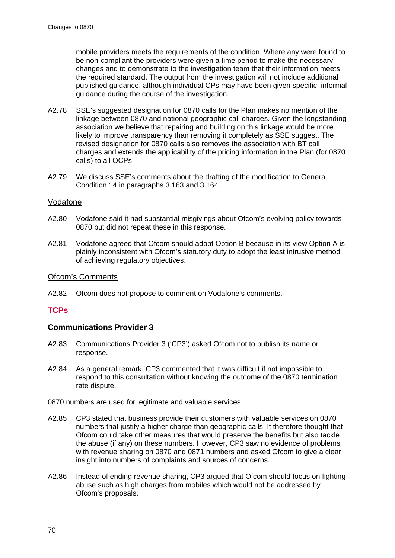mobile providers meets the requirements of the condition. Where any were found to be non-compliant the providers were given a time period to make the necessary changes and to demonstrate to the investigation team that their information meets the required standard. The output from the investigation will not include additional published guidance, although individual CPs may have been given specific, informal guidance during the course of the investigation.

- A2.78 SSE's suggested designation for 0870 calls for the Plan makes no mention of the linkage between 0870 and national geographic call charges. Given the longstanding association we believe that repairing and building on this linkage would be more likely to improve transparency than removing it completely as SSE suggest. The revised designation for 0870 calls also removes the association with BT call charges and extends the applicability of the pricing information in the Plan (for 0870 calls) to all OCPs.
- A2.79 We discuss SSE's comments about the drafting of the modification to General Condition 14 in paragraphs [3.163](#page-47-0) and [3.164.](#page-47-1)

# Vodafone

- A2.80 Vodafone said it had substantial misgivings about Ofcom's evolving policy towards 0870 but did not repeat these in this response.
- A2.81 Vodafone agreed that Ofcom should adopt Option B because in its view Option A is plainly inconsistent with Ofcom's statutory duty to adopt the least intrusive method of achieving regulatory objectives.

# Ofcom's Comments

A2.82 Ofcom does not propose to comment on Vodafone's comments.

# **TCPs**

# **Communications Provider 3**

- A2.83 Communications Provider 3 ('CP3') asked Ofcom not to publish its name or response.
- A2.84 As a general remark, CP3 commented that it was difficult if not impossible to respond to this consultation without knowing the outcome of the 0870 termination rate dispute.

0870 numbers are used for legitimate and valuable services

- A2.85 CP3 stated that business provide their customers with valuable services on 0870 numbers that justify a higher charge than geographic calls. It therefore thought that Ofcom could take other measures that would preserve the benefits but also tackle the abuse (if any) on these numbers. However, CP3 saw no evidence of problems with revenue sharing on 0870 and 0871 numbers and asked Ofcom to give a clear insight into numbers of complaints and sources of concerns.
- A2.86 Instead of ending revenue sharing, CP3 argued that Ofcom should focus on fighting abuse such as high charges from mobiles which would not be addressed by Ofcom's proposals.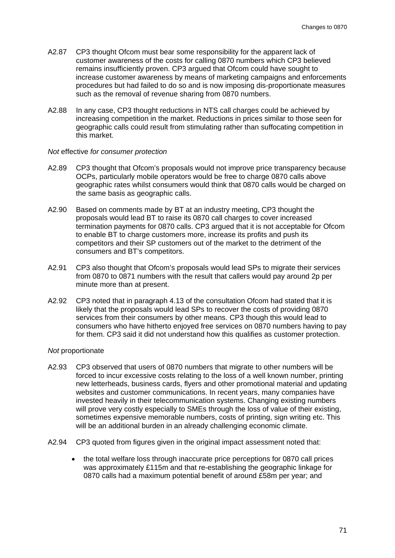- A2.87 CP3 thought Ofcom must bear some responsibility for the apparent lack of customer awareness of the costs for calling 0870 numbers which CP3 believed remains insufficiently proven. CP3 argued that Ofcom could have sought to increase customer awareness by means of marketing campaigns and enforcements procedures but had failed to do so and is now imposing dis-proportionate measures such as the removal of revenue sharing from 0870 numbers.
- A2.88 In any case, CP3 thought reductions in NTS call charges could be achieved by increasing competition in the market. Reductions in prices similar to those seen for geographic calls could result from stimulating rather than suffocating competition in this market.

#### *Not* effective *for consumer protection*

- A2.89 CP3 thought that Ofcom's proposals would not improve price transparency because OCPs, particularly mobile operators would be free to charge 0870 calls above geographic rates whilst consumers would think that 0870 calls would be charged on the same basis as geographic calls.
- A2.90 Based on comments made by BT at an industry meeting, CP3 thought the proposals would lead BT to raise its 0870 call charges to cover increased termination payments for 0870 calls. CP3 argued that it is not acceptable for Ofcom to enable BT to charge customers more, increase its profits and push its competitors and their SP customers out of the market to the detriment of the consumers and BT's competitors.
- A2.91 CP3 also thought that Ofcom's proposals would lead SPs to migrate their services from 0870 to 0871 numbers with the result that callers would pay around 2p per minute more than at present.
- A2.92 CP3 noted that in paragraph 4.13 of the consultation Ofcom had stated that it is likely that the proposals would lead SPs to recover the costs of providing 0870 services from their consumers by other means. CP3 though this would lead to consumers who have hitherto enjoyed free services on 0870 numbers having to pay for them. CP3 said it did not understand how this qualifies as customer protection.

#### *Not* proportionate

- A2.93 CP3 observed that users of 0870 numbers that migrate to other numbers will be forced to incur excessive costs relating to the loss of a well known number, printing new letterheads, business cards, flyers and other promotional material and updating websites and customer communications. In recent years, many companies have invested heavily in their telecommunication systems. Changing existing numbers will prove very costly especially to SMEs through the loss of value of their existing, sometimes expensive memorable numbers, costs of printing, sign writing etc. This will be an additional burden in an already challenging economic climate.
- A2.94 CP3 quoted from figures given in the original impact assessment noted that:
	- the total welfare loss through inaccurate price perceptions for 0870 call prices was approximately £115m and that re-establishing the geographic linkage for 0870 calls had a maximum potential benefit of around £58m per year; and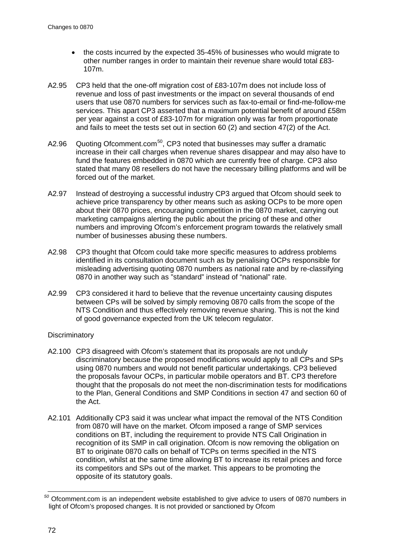- the costs incurred by the expected 35-45% of businesses who would migrate to other number ranges in order to maintain their revenue share would total £83- 107m.
- A2.95 CP3 held that the one-off migration cost of £83-107m does not include loss of revenue and loss of past investments or the impact on several thousands of end users that use 0870 numbers for services such as fax-to-email or find-me-follow-me services. This apart CP3 asserted that a maximum potential benefit of around £58m per year against a cost of £83-107m for migration only was far from proportionate and fails to meet the tests set out in section 60 (2) and section 47(2) of the Act.
- A2.96 Quoting Ofcomment.com<sup>[50](#page-74-0)</sup>, CP3 noted that businesses may suffer a dramatic increase in their call charges when revenue shares disappear and may also have to fund the features embedded in 0870 which are currently free of charge. CP3 also stated that many 08 resellers do not have the necessary billing platforms and will be forced out of the market.
- A2.97 Instead of destroying a successful industry CP3 argued that Ofcom should seek to achieve price transparency by other means such as asking OCPs to be more open about their 0870 prices, encouraging competition in the 0870 market, carrying out marketing campaigns alerting the public about the pricing of these and other numbers and improving Ofcom's enforcement program towards the relatively small number of businesses abusing these numbers.
- A2.98 CP3 thought that Ofcom could take more specific measures to address problems identified in its consultation document such as by penalising OCPs responsible for misleading advertising quoting 0870 numbers as national rate and by re-classifying 0870 in another way such as "standard" instead of "national" rate.
- A2.99 CP3 considered it hard to believe that the revenue uncertainty causing disputes between CPs will be solved by simply removing 0870 calls from the scope of the NTS Condition and thus effectively removing revenue sharing. This is not the kind of good governance expected from the UK telecom regulator.

# **Discriminatory**

- A2.100 CP3 disagreed with Ofcom's statement that its proposals are not unduly discriminatory because the proposed modifications would apply to all CPs and SPs using 0870 numbers and would not benefit particular undertakings. CP3 believed the proposals favour OCPs, in particular mobile operators and BT. CP3 therefore thought that the proposals do not meet the non-discrimination tests for modifications to the Plan, General Conditions and SMP Conditions in section 47 and section 60 of the Act.
- A2.101 Additionally CP3 said it was unclear what impact the removal of the NTS Condition from 0870 will have on the market. Ofcom imposed a range of SMP services conditions on BT, including the requirement to provide NTS Call Origination in recognition of its SMP in call origination. Ofcom is now removing the obligation on BT to originate 0870 calls on behalf of TCPs on terms specified in the NTS condition, whilst at the same time allowing BT to increase its retail prices and force its competitors and SPs out of the market. This appears to be promoting the opposite of its statutory goals.

<span id="page-74-0"></span>*<sup>50</sup>* Ofcomment.com is an independent website established to give advice to users of 0870 numbers in light of Ofcom's proposed changes. It is not provided or sanctioned by Ofcom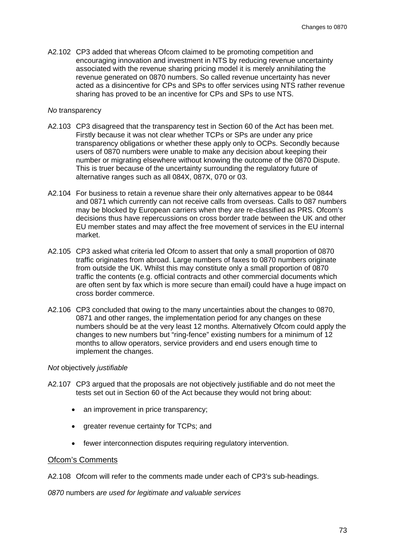A2.102 CP3 added that whereas Ofcom claimed to be promoting competition and encouraging innovation and investment in NTS by reducing revenue uncertainty associated with the revenue sharing pricing model it is merely annihilating the revenue generated on 0870 numbers. So called revenue uncertainty has never acted as a disincentive for CPs and SPs to offer services using NTS rather revenue sharing has proved to be an incentive for CPs and SPs to use NTS.

#### *No* transparency

- A2.103 CP3 disagreed that the transparency test in Section 60 of the Act has been met. Firstly because it was not clear whether TCPs or SPs are under any price transparency obligations or whether these apply only to OCPs. Secondly because users of 0870 numbers were unable to make any decision about keeping their number or migrating elsewhere without knowing the outcome of the 0870 Dispute. This is truer because of the uncertainty surrounding the regulatory future of alternative ranges such as all 084X, 087X, 070 or 03.
- A2.104 For business to retain a revenue share their only alternatives appear to be 0844 and 0871 which currently can not receive calls from overseas. Calls to 087 numbers may be blocked by European carriers when they are re-classified as PRS. Ofcom's decisions thus have repercussions on cross border trade between the UK and other EU member states and may affect the free movement of services in the EU internal market.
- A2.105 CP3 asked what criteria led Ofcom to assert that only a small proportion of 0870 traffic originates from abroad. Large numbers of faxes to 0870 numbers originate from outside the UK. Whilst this may constitute only a small proportion of 0870 traffic the contents (e.g. official contracts and other commercial documents which are often sent by fax which is more secure than email) could have a huge impact on cross border commerce.
- A2.106 CP3 concluded that owing to the many uncertainties about the changes to 0870, 0871 and other ranges, the implementation period for any changes on these numbers should be at the very least 12 months. Alternatively Ofcom could apply the changes to new numbers but "ring-fence" existing numbers for a minimum of 12 months to allow operators, service providers and end users enough time to implement the changes.

#### *Not* objectively *justifiable*

- A2.107 CP3 argued that the proposals are not objectively justifiable and do not meet the tests set out in Section 60 of the Act because they would not bring about:
	- an improvement in price transparency;
	- greater revenue certainty for TCPs; and
	- fewer interconnection disputes requiring regulatory intervention.

#### Ofcom's Comments

A2.108 Ofcom will refer to the comments made under each of CP3's sub-headings.

*0870* numbers *are used for legitimate and valuable services*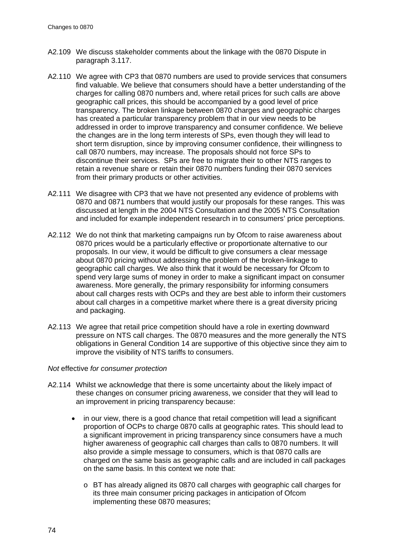- A2.109 We discuss stakeholder comments about the linkage with the 0870 Dispute in paragraph [3.117.](#page-39-0)
- A2.110 We agree with CP3 that 0870 numbers are used to provide services that consumers find valuable. We believe that consumers should have a better understanding of the charges for calling 0870 numbers and, where retail prices for such calls are above geographic call prices, this should be accompanied by a good level of price transparency. The broken linkage between 0870 charges and geographic charges has created a particular transparency problem that in our view needs to be addressed in order to improve transparency and consumer confidence. We believe the changes are in the long term interests of SPs, even though they will lead to short term disruption, since by improving consumer confidence, their willingness to call 0870 numbers, may increase. The proposals should not force SPs to discontinue their services. SPs are free to migrate their to other NTS ranges to retain a revenue share or retain their 0870 numbers funding their 0870 services from their primary products or other activities.
- A2.111 We disagree with CP3 that we have not presented any evidence of problems with 0870 and 0871 numbers that would justify our proposals for these ranges. This was discussed at length in the 2004 NTS Consultation and the 2005 NTS Consultation and included for example independent research in to consumers' price perceptions.
- <span id="page-76-0"></span>A2.112 We do not think that marketing campaigns run by Ofcom to raise awareness about 0870 prices would be a particularly effective or proportionate alternative to our proposals. In our view, it would be difficult to give consumers a clear message about 0870 pricing without addressing the problem of the broken-linkage to geographic call charges. We also think that it would be necessary for Ofcom to spend very large sums of money in order to make a significant impact on consumer awareness. More generally, the primary responsibility for informing consumers about call charges rests with OCPs and they are best able to inform their customers about call charges in a competitive market where there is a great diversity pricing and packaging.
- A2.113 We agree that retail price competition should have a role in exerting downward pressure on NTS call charges. The 0870 measures and the more generally the NTS obligations in General Condition 14 are supportive of this objective since they aim to improve the visibility of NTS tariffs to consumers.

#### *Not* effective *for consumer protection*

- A2.114 Whilst we acknowledge that there is some uncertainty about the likely impact of these changes on consumer pricing awareness, we consider that they will lead to an improvement in pricing transparency because:
	- in our view, there is a good chance that retail competition will lead a significant proportion of OCPs to charge 0870 calls at geographic rates. This should lead to a significant improvement in pricing transparency since consumers have a much higher awareness of geographic call charges than calls to 0870 numbers. It will also provide a simple message to consumers, which is that 0870 calls are charged on the same basis as geographic calls and are included in call packages on the same basis. In this context we note that:
		- o BT has already aligned its 0870 call charges with geographic call charges for its three main consumer pricing packages in anticipation of Ofcom implementing these 0870 measures;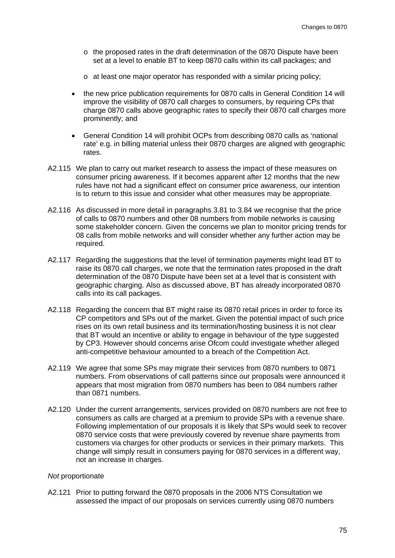- o the proposed rates in the draft determination of the 0870 Dispute have been set at a level to enable BT to keep 0870 calls within its call packages; and
- o at least one major operator has responded with a similar pricing policy;
- the new price publication requirements for 0870 calls in General Condition 14 will improve the visibility of 0870 call charges to consumers, by requiring CPs that charge 0870 calls above geographic rates to specify their 0870 call charges more prominently; and
- General Condition 14 will prohibit OCPs from describing 0870 calls as 'national rate' e.g. in billing material unless their 0870 charges are aligned with geographic rates.
- A2.115 We plan to carry out market research to assess the impact of these measures on consumer pricing awareness. If it becomes apparent after 12 months that the new rules have not had a significant effect on consumer price awareness, our intention is to return to this issue and consider what other measures may be appropriate.
- A2.116 As discussed in more detail in paragraphs [3.81](#page-33-0) to [3.84](#page-33-1) we recognise that the price of calls to 0870 numbers and other 08 numbers from mobile networks is causing some stakeholder concern. Given the concerns we plan to monitor pricing trends for 08 calls from mobile networks and will consider whether any further action may be required.
- A2.117 Regarding the suggestions that the level of termination payments might lead BT to raise its 0870 call charges, we note that the termination rates proposed in the draft determination of the 0870 Dispute have been set at a level that is consistent with geographic charging. Also as discussed above, BT has already incorporated 0870 calls into its call packages.
- A2.118 Regarding the concern that BT might raise its 0870 retail prices in order to force its CP competitors and SPs out of the market. Given the potential impact of such price rises on its own retail business and its termination/hosting business it is not clear that BT would an incentive or ability to engage in behaviour of the type suggested by CP3. However should concerns arise Ofcom could investigate whether alleged anti-competitive behaviour amounted to a breach of the Competition Act.
- A2.119 We agree that some SPs may migrate their services from 0870 numbers to 0871 numbers. From observations of call patterns since our proposals were announced it appears that most migration from 0870 numbers has been to 084 numbers rather than 0871 numbers.
- <span id="page-77-0"></span>A2.120 Under the current arrangements, services provided on 0870 numbers are not free to consumers as calls are charged at a premium to provide SPs with a revenue share. Following implementation of our proposals it is likely that SPs would seek to recover 0870 service costs that were previously covered by revenue share payments from customers via charges for other products or services in their primary markets. This change will simply result in consumers paying for 0870 services in a different way, not an increase in charges.

#### *Not* proportionate

A2.121 Prior to putting forward the 0870 proposals in the 2006 NTS Consultation we assessed the impact of our proposals on services currently using 0870 numbers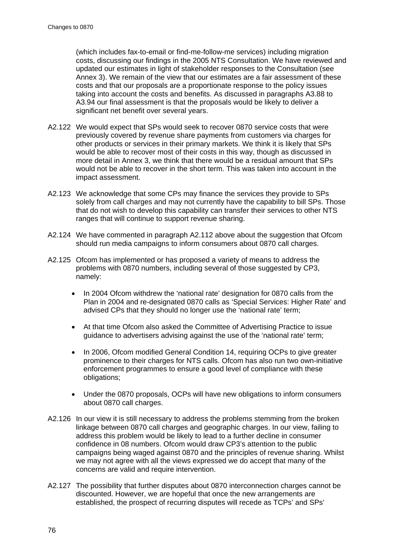(which includes fax-to-email or find-me-follow-me services) including migration costs, discussing our findings in the 2005 NTS Consultation. We have reviewed and updated our estimates in light of stakeholder responses to the Consultation (see Annex 3). We remain of the view that our estimates are a fair assessment of these costs and that our proposals are a proportionate response to the policy issues taking into account the costs and benefits. As discussed in paragraphs [A3.88](#page-113-0) to [A3.94](#page-114-0) our final assessment is that the proposals would be likely to deliver a significant net benefit over several years.

- A2.122 We would expect that SPs would seek to recover 0870 service costs that were previously covered by revenue share payments from customers via charges for other products or services in their primary markets. We think it is likely that SPs would be able to recover most of their costs in this way, though as discussed in more detail in Annex 3, we think that there would be a residual amount that SPs would not be able to recover in the short term. This was taken into account in the impact assessment.
- A2.123 We acknowledge that some CPs may finance the services they provide to SPs solely from call charges and may not currently have the capability to bill SPs. Those that do not wish to develop this capability can transfer their services to other NTS ranges that will continue to support revenue sharing.
- A2.124 We have commented in paragraph [A2.112](#page-76-0) above about the suggestion that Ofcom should run media campaigns to inform consumers about 0870 call charges.
- A2.125 Ofcom has implemented or has proposed a variety of means to address the problems with 0870 numbers, including several of those suggested by CP3, namely:
	- In 2004 Ofcom withdrew the 'national rate' designation for 0870 calls from the Plan in 2004 and re-designated 0870 calls as 'Special Services: Higher Rate' and advised CPs that they should no longer use the 'national rate' term;
	- At that time Ofcom also asked the Committee of Advertising Practice to issue guidance to advertisers advising against the use of the 'national rate' term;
	- In 2006, Ofcom modified General Condition 14, requiring OCPs to give greater prominence to their charges for NTS calls. Ofcom has also run two own-initiative enforcement programmes to ensure a good level of compliance with these obligations;
	- Under the 0870 proposals, OCPs will have new obligations to inform consumers about 0870 call charges.
- A2.126 In our view it is still necessary to address the problems stemming from the broken linkage between 0870 call charges and geographic charges. In our view, failing to address this problem would be likely to lead to a further decline in consumer confidence in 08 numbers. Ofcom would draw CP3's attention to the public campaigns being waged against 0870 and the principles of revenue sharing. Whilst we may not agree with all the views expressed we do accept that many of the concerns are valid and require intervention.
- A2.127 The possibility that further disputes about 0870 interconnection charges cannot be discounted. However, we are hopeful that once the new arrangements are established, the prospect of recurring disputes will recede as TCPs' and SPs'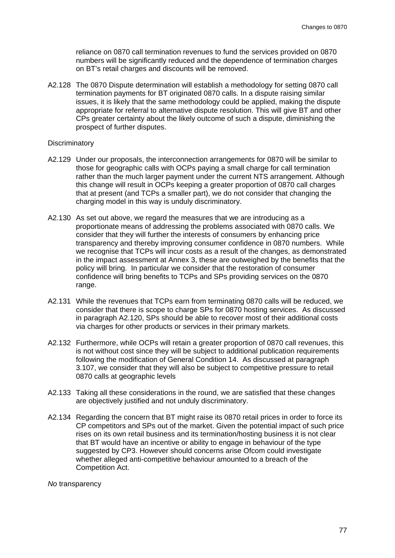reliance on 0870 call termination revenues to fund the services provided on 0870 numbers will be significantly reduced and the dependence of termination charges on BT's retail charges and discounts will be removed.

A2.128 The 0870 Dispute determination will establish a methodology for setting 0870 call termination payments for BT originated 0870 calls. In a dispute raising similar issues, it is likely that the same methodology could be applied, making the dispute appropriate for referral to alternative dispute resolution. This will give BT and other CPs greater certainty about the likely outcome of such a dispute, diminishing the prospect of further disputes.

#### **Discriminatory**

- A2.129 Under our proposals, the interconnection arrangements for 0870 will be similar to those for geographic calls with OCPs paying a small charge for call termination rather than the much larger payment under the current NTS arrangement. Although this change will result in OCPs keeping a greater proportion of 0870 call charges that at present (and TCPs a smaller part), we do not consider that changing the charging model in this way is unduly discriminatory.
- A2.130 As set out above, we regard the measures that we are introducing as a proportionate means of addressing the problems associated with 0870 calls. We consider that they will further the interests of consumers by enhancing price transparency and thereby improving consumer confidence in 0870 numbers. While we recognise that TCPs will incur costs as a result of the changes, as demonstrated in the impact assessment at Annex 3, these are outweighed by the benefits that the policy will bring. In particular we consider that the restoration of consumer confidence will bring benefits to TCPs and SPs providing services on the 0870 range.
- A2.131 While the revenues that TCPs earn from terminating 0870 calls will be reduced, we consider that there is scope to charge SPs for 0870 hosting services. As discussed in paragraph [A2.120,](#page-77-0) SPs should be able to recover most of their additional costs via charges for other products or services in their primary markets.
- A2.132 Furthermore, while OCPs will retain a greater proportion of 0870 call revenues, this is not without cost since they will be subject to additional publication requirements following the modification of General Condition 14. As discussed at paragraph [3.107,](#page-37-0) we consider that they will also be subject to competitive pressure to retail 0870 calls at geographic levels
- A2.133 Taking all these considerations in the round, we are satisfied that these changes are objectively justified and not unduly discriminatory.
- A2.134 Regarding the concern that BT might raise its 0870 retail prices in order to force its CP competitors and SPs out of the market. Given the potential impact of such price rises on its own retail business and its termination/hosting business it is not clear that BT would have an incentive or ability to engage in behaviour of the type suggested by CP3. However should concerns arise Ofcom could investigate whether alleged anti-competitive behaviour amounted to a breach of the Competition Act.

*No* transparency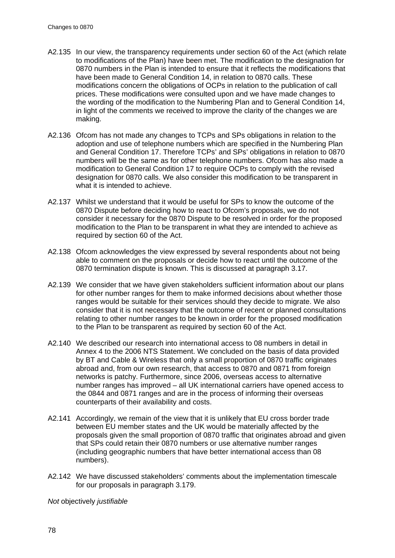- A2.135 In our view, the transparency requirements under section 60 of the Act (which relate to modifications of the Plan) have been met. The modification to the designation for 0870 numbers in the Plan is intended to ensure that it reflects the modifications that have been made to General Condition 14, in relation to 0870 calls. These modifications concern the obligations of OCPs in relation to the publication of call prices. These modifications were consulted upon and we have made changes to the wording of the modification to the Numbering Plan and to General Condition 14, in light of the comments we received to improve the clarity of the changes we are making.
- A2.136 Ofcom has not made any changes to TCPs and SPs obligations in relation to the adoption and use of telephone numbers which are specified in the Numbering Plan and General Condition 17. Therefore TCPs' and SPs' obligations in relation to 0870 numbers will be the same as for other telephone numbers. Ofcom has also made a modification to General Condition 17 to require OCPs to comply with the revised designation for 0870 calls. We also consider this modification to be transparent in what it is intended to achieve.
- A2.137 Whilst we understand that it would be useful for SPs to know the outcome of the 0870 Dispute before deciding how to react to Ofcom's proposals, we do not consider it necessary for the 0870 Dispute to be resolved in order for the proposed modification to the Plan to be transparent in what they are intended to achieve as required by section 60 of the Act.
- A2.138 Ofcom acknowledges the view expressed by several respondents about not being able to comment on the proposals or decide how to react until the outcome of the 0870 termination dispute is known. This is discussed at paragraph [3.17.](#page-22-0)
- A2.139 We consider that we have given stakeholders sufficient information about our plans for other number ranges for them to make informed decisions about whether those ranges would be suitable for their services should they decide to migrate. We also consider that it is not necessary that the outcome of recent or planned consultations relating to other number ranges to be known in order for the proposed modification to the Plan to be transparent as required by section 60 of the Act.
- A2.140 We described our research into international access to 08 numbers in detail in Annex 4 to the 2006 NTS Statement. We concluded on the basis of data provided by BT and Cable & Wireless that only a small proportion of 0870 traffic originates abroad and, from our own research, that access to 0870 and 0871 from foreign networks is patchy. Furthermore, since 2006, overseas access to alternative number ranges has improved – all UK international carriers have opened access to the 0844 and 0871 ranges and are in the process of informing their overseas counterparts of their availability and costs.
- A2.141 Accordingly, we remain of the view that it is unlikely that EU cross border trade between EU member states and the UK would be materially affected by the proposals given the small proportion of 0870 traffic that originates abroad and given that SPs could retain their 0870 numbers or use alternative number ranges (including geographic numbers that have better international access than 08 numbers).
- A2.142 We have discussed stakeholders' comments about the implementation timescale for our proposals in paragraph [3.179.](#page-50-0)

*Not* objectively *justifiable*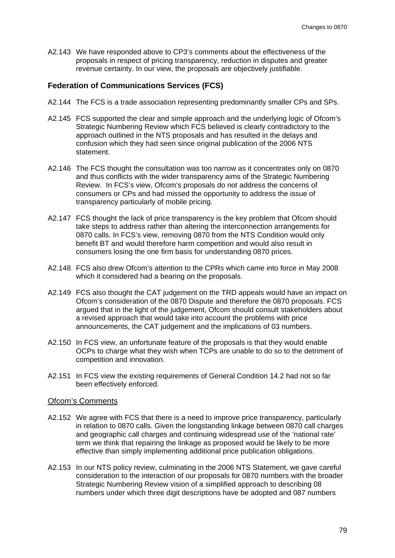A2.143 We have responded above to CP3's comments about the effectiveness of the proposals in respect of pricing transparency, reduction in disputes and greater revenue certainty. In our view, the proposals are objectively justifiable.

# **Federation of Communications Services (FCS)**

- A2.144 The FCS is a trade association representing predominantly smaller CPs and SPs.
- A2.145 FCS supported the clear and simple approach and the underlying logic of Ofcom's Strategic Numbering Review which FCS believed is clearly contradictory to the approach outlined in the NTS proposals and has resulted in the delays and confusion which they had seen since original publication of the 2006 NTS statement.
- A2.146 The FCS thought the consultation was too narrow as it concentrates only on 0870 and thus conflicts with the wider transparency aims of the Strategic Numbering Review. In FCS's view, Ofcom's proposals do not address the concerns of consumers or CPs and had missed the opportunity to address the issue of transparency particularly of mobile pricing.
- A2.147 FCS thought the lack of price transparency is the key problem that Ofcom should take steps to address rather than altering the interconnection arrangements for 0870 calls. In FCS's view, removing 0870 from the NTS Condition would only benefit BT and would therefore harm competition and would also result in consumers losing the one firm basis for understanding 0870 prices.
- A2.148 FCS also drew Ofcom's attention to the CPRs which came into force in May 2008 which it considered had a bearing on the proposals.
- A2.149 FCS also thought the CAT judgement on the TRD appeals would have an impact on Ofcom's consideration of the 0870 Dispute and therefore the 0870 proposals. FCS argued that in the light of the judgement, Ofcom should consult stakeholders about a revised approach that would take into account the problems with price announcements, the CAT judgement and the implications of 03 numbers.
- A2.150 In FCS view, an unfortunate feature of the proposals is that they would enable OCPs to charge what they wish when TCPs are unable to do so to the detriment of competition and innovation.
- A2.151 In FCS view the existing requirements of General Condition 14.2 had not so far been effectively enforced.

#### Ofcom's Comments

- A2.152 We agree with FCS that there is a need to improve price transparency, particularly in relation to 0870 calls. Given the longstanding linkage between 0870 call charges and geographic call charges and continuing widespread use of the 'national rate' term we think that repairing the linkage as proposed would be likely to be more effective than simply implementing additional price publication obligations.
- A2.153 In our NTS policy review, culminating in the 2006 NTS Statement, we gave careful consideration to the interaction of our proposals for 0870 numbers with the broader Strategic Numbering Review vision of a simplified approach to describing 08 numbers under which three digit descriptions have be adopted and 087 numbers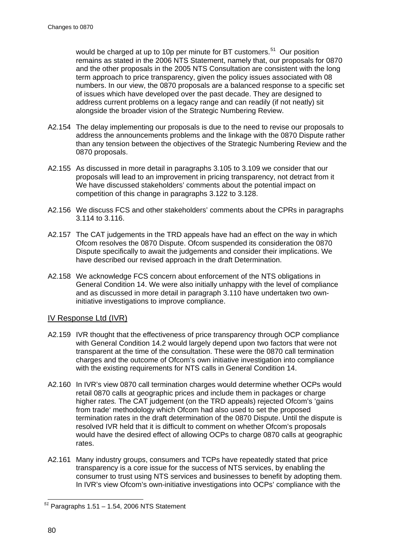would be charged at up to 10p per minute for BT customers.<sup>[51](#page-82-0)</sup> Our position remains as stated in the 2006 NTS Statement, namely that, our proposals for 0870 and the other proposals in the 2005 NTS Consultation are consistent with the long term approach to price transparency, given the policy issues associated with 08 numbers. In our view, the 0870 proposals are a balanced response to a specific set of issues which have developed over the past decade. They are designed to address current problems on a legacy range and can readily (if not neatly) sit alongside the broader vision of the Strategic Numbering Review.

- A2.154 The delay implementing our proposals is due to the need to revise our proposals to address the announcements problems and the linkage with the 0870 Dispute rather than any tension between the objectives of the Strategic Numbering Review and the 0870 proposals.
- A2.155 As discussed in more detail in paragraphs [3.105](#page-36-0) to [3.109](#page-37-1) we consider that our proposals will lead to an improvement in pricing transparency, not detract from it We have discussed stakeholders' comments about the potential impact on competition of this change in paragraphs [3.122](#page-39-1) to [3.128.](#page-40-0)
- A2.156 We discuss FCS and other stakeholders' comments about the CPRs in paragraphs [3.114](#page-38-0) to [3.116.](#page-38-1)
- A2.157 The CAT judgements in the TRD appeals have had an effect on the way in which Ofcom resolves the 0870 Dispute. Ofcom suspended its consideration the 0870 Dispute specifically to await the judgements and consider their implications. We have described our revised approach in the draft Determination.
- A2.158 We acknowledge FCS concern about enforcement of the NTS obligations in General Condition 14. We were also initially unhappy with the level of compliance and as discussed in more detail in paragraph [3.110](#page-38-2) have undertaken two owninitiative investigations to improve compliance.

# IV Response Ltd (IVR)

- A2.159 IVR thought that the effectiveness of price transparency through OCP compliance with General Condition 14.2 would largely depend upon two factors that were not transparent at the time of the consultation. These were the 0870 call termination charges and the outcome of Ofcom's own initiative investigation into compliance with the existing requirements for NTS calls in General Condition 14.
- A2.160 In IVR's view 0870 call termination charges would determine whether OCPs would retail 0870 calls at geographic prices and include them in packages or charge higher rat*es.* The CAT judgement (on the TRD appeals) rejected Ofcom's 'gains from trade' methodology which Ofcom had also used to set the proposed termination rates in the draft determination of the 0870 Dispute. Until the dispute is resolved IVR held that it is difficult to comment on whether Ofcom's proposals would have the desired effect of allowing OCPs to charge 0870 calls at geographic rates.
- A2.161 Many industry groups, consumers and TCPs have repeatedly stated that price transparency is a core issue for the success of NTS services, by enabling the consumer to trust using NTS services and businesses to benefit by adopting them. In IVR's view Ofcom's own-initiative investigations into OCPs' compliance with the

<span id="page-82-0"></span>*<sup>51</sup>* Paragraphs 1.51 – 1.54, 2006 NTS Statement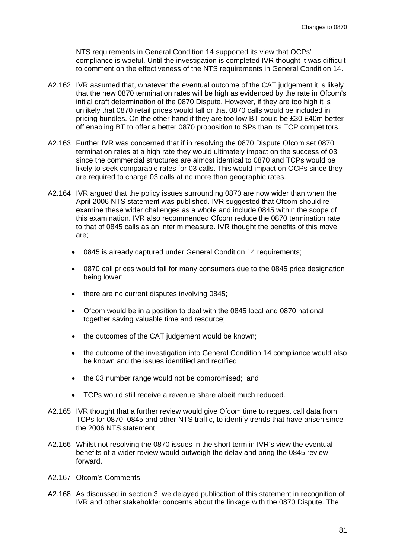NTS requirements in General Condition 14 supported its view that OCPs' compliance is woeful. Until the investigation is completed IVR thought it was difficult to comment on the effectiveness of the NTS requirements in General Condition 14.

- A2.162 IVR assumed that, whatever the eventual outcome of the CAT judgement it is likely that the new 0870 termination rates will be high as evidenced by the rate in Ofcom's initial draft determination of the 0870 Dispute. However, if they are too high it is unlikely that 0870 retail prices would fall or that 0870 calls would be included in pricing bundles. On the other hand if they are too low BT could be £30-£40m better off enabling BT to offer a better 0870 proposition to SPs than its TCP competitors.
- A2.163 Further IVR was concerned that if in resolving the 0870 Dispute Ofcom set 0870 termination rates at a high rate they would ultimately impact on the success of 03 since the commercial structures are almost identical to 0870 and TCPs would be likely to seek comparable rates for 03 calls. This would impact on OCPs since they are required to charge 03 calls at no more than geographic rates.
- A2.164 IVR argued that the policy issues surrounding 0870 are now wider than when the April 2006 NTS statement was published. IVR suggested that Ofcom should reexamine these wider challenges as a whole and include 0845 within the scope of this examination. IVR also recommended Ofcom reduce the 0870 termination rate to that of 0845 calls as an interim measure. IVR thought the benefits of this move are;
	- 0845 is already captured under General Condition 14 requirements;
	- 0870 call prices would fall for many consumers due to the 0845 price designation being lower;
	- there are no current disputes involving 0845;
	- Ofcom would be in a position to deal with the 0845 local and 0870 national together saving valuable time and resource;
	- the outcomes of the CAT judgement would be known;
	- the outcome of the investigation into General Condition 14 compliance would also be known and the issues identified and rectified;
	- the 03 number range would not be compromised; and
	- TCPs would still receive a revenue share albeit much reduced.
- A2.165 IVR thought that a further review would give Ofcom time to request call data from TCPs for 0870, 0845 and other NTS traffic, to identify trends that have arisen since the 2006 NTS statement.
- A2.166 Whilst not resolving the 0870 issues in the short term in IVR's view the eventual benefits of a wider review would outweigh the delay and bring the 0845 review forward.
- A2.167 Ofcom's Comments
- A2.168 As discussed in section 3, we delayed publication of this statement in recognition of IVR and other stakeholder concerns about the linkage with the 0870 Dispute. The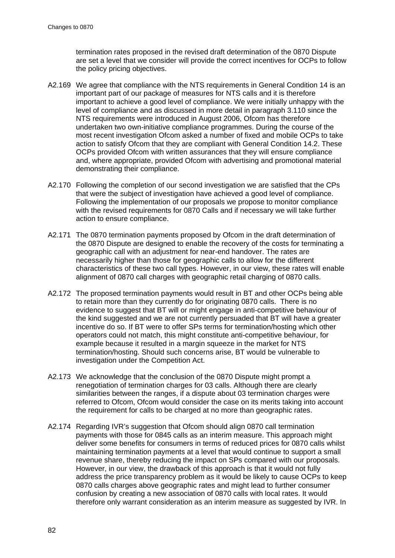termination rates proposed in the revised draft determination of the 0870 Dispute are set a level that we consider will provide the correct incentives for OCPs to follow the policy pricing objectives.

- A2.169 We agree that compliance with the NTS requirements in General Condition 14 is an important part of our package of measures for NTS calls and it is therefore important to achieve a good level of compliance. We were initially unhappy with the level of compliance and as discussed in more detail in paragraph [3.110](#page-38-2) since the NTS requirements were introduced in August 2006, Ofcom has therefore undertaken two own-initiative compliance programmes. During the course of the most recent investigation Ofcom asked a number of fixed and mobile OCPs to take action to satisfy Ofcom that they are compliant with General Condition 14.2. These OCPs provided Ofcom with written assurances that they will ensure compliance and, where appropriate, provided Ofcom with advertising and promotional material demonstrating their compliance.
- A2.170 Following the completion of our second investigation we are satisfied that the CPs that were the subject of investigation have achieved a good level of compliance. Following the implementation of our proposals we propose to monitor compliance with the revised requirements for 0870 Calls and if necessary we will take further action to ensure compliance.
- A2.171 The 0870 termination payments proposed by Ofcom in the draft determination of the 0870 Dispute are designed to enable the recovery of the costs for terminating a geographic call with an adjustment for near-end handover. The rates are necessarily higher than those for geographic calls to allow for the different characteristics of these two call types. However, in our view, these rates will enable alignment of 0870 call charges with geographic retail charging of 0870 calls.
- A2.172 The proposed termination payments would result in BT and other OCPs being able to retain more than they currently do for originating 0870 calls. There is no evidence to suggest that BT will or might engage in anti-competitive behaviour of the kind suggested and we are not currently persuaded that BT will have a greater incentive do so. If BT were to offer SPs terms for termination/hosting which other operators could not match, this might constitute anti-competitive behaviour, for example because it resulted in a margin squeeze in the market for NTS termination/hosting. Should such concerns arise, BT would be vulnerable to investigation under the Competition Act.
- A2.173 We acknowledge that the conclusion of the 0870 Dispute might prompt a renegotiation of termination charges for 03 calls. Although there are clearly similarities between the ranges, if a dispute about 03 termination charges were referred to Ofcom, Ofcom would consider the case on its merits taking into account the requirement for calls to be charged at no more than geographic rates.
- A2.174 Regarding IVR's suggestion that Ofcom should align 0870 call termination payments with those for 0845 calls as an interim measure. This approach might deliver some benefits for consumers in terms of reduced prices for 0870 calls whilst maintaining termination payments at a level that would continue to support a small revenue share, thereby reducing the impact on SPs compared with our proposals. However, in our view, the drawback of this approach is that it would not fully address the price transparency problem as it would be likely to cause OCPs to keep 0870 calls charges above geographic rates and might lead to further consumer confusion by creating a new association of 0870 calls with local rates. It would therefore only warrant consideration as an interim measure as suggested by IVR. In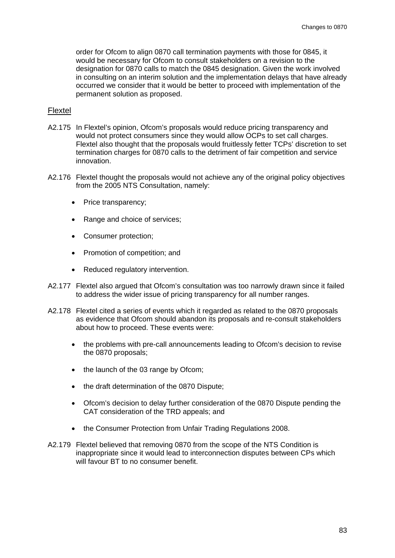order for Ofcom to align 0870 call termination payments with those for 0845, it would be necessary for Ofcom to consult stakeholders on a revision to the designation for 0870 calls to match the 0845 designation. Given the work involved in consulting on an interim solution and the implementation delays that have already occurred we consider that it would be better to proceed with implementation of the permanent solution as proposed.

#### Flextel

- A2.175 In Flextel's opinion, Ofcom's proposals would reduce pricing transparency and would not protect consumers since they would allow OCPs to set call charges. Flextel also thought that the proposals would fruitlessly fetter TCPs' discretion to set termination charges for 0870 calls to the detriment of fair competition and service innovation.
- A2.176 Flextel thought the proposals would not achieve any of the original policy objectives from the 2005 NTS Consultation, namely:
	- Price transparency;
	- Range and choice of services:
	- Consumer protection;
	- Promotion of competition; and
	- Reduced regulatory intervention.
- A2.177 Flextel also argued that Ofcom's consultation was too narrowly drawn since it failed to address the wider issue of pricing transparency for all number ranges.
- A2.178 Flextel cited a series of events which it regarded as related to the 0870 proposals as evidence that Ofcom should abandon its proposals and re-consult stakeholders about how to proceed. These events were:
	- the problems with pre-call announcements leading to Ofcom's decision to revise the 0870 proposals;
	- the launch of the 03 range by Ofcom;
	- the draft determination of the 0870 Dispute;
	- Ofcom's decision to delay further consideration of the 0870 Dispute pending the CAT consideration of the TRD appeals; and
	- the Consumer Protection from Unfair Trading Regulations 2008.
- A2.179 Flextel believed that removing 0870 from the scope of the NTS Condition is inappropriate since it would lead to interconnection disputes between CPs which will favour BT to no consumer benefit.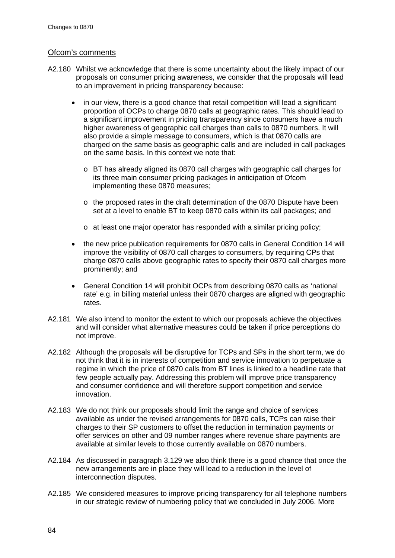# Ofcom's comments

- <span id="page-86-0"></span>A2.180 Whilst we acknowledge that there is some uncertainty about the likely impact of our proposals on consumer pricing awareness, we consider that the proposals will lead to an improvement in pricing transparency because:
	- in our view, there is a good chance that retail competition will lead a significant proportion of OCPs to charge 0870 calls at geographic rates. This should lead to a significant improvement in pricing transparency since consumers have a much higher awareness of geographic call charges than calls to 0870 numbers. It will also provide a simple message to consumers, which is that 0870 calls are charged on the same basis as geographic calls and are included in call packages on the same basis. In this context we note that:
		- o BT has already aligned its 0870 call charges with geographic call charges for its three main consumer pricing packages in anticipation of Ofcom implementing these 0870 measures;
		- o the proposed rates in the draft determination of the 0870 Dispute have been set at a level to enable BT to keep 0870 calls within its call packages; and
		- o at least one major operator has responded with a similar pricing policy;
	- the new price publication requirements for 0870 calls in General Condition 14 will improve the visibility of 0870 call charges to consumers, by requiring CPs that charge 0870 calls above geographic rates to specify their 0870 call charges more prominently; and
	- General Condition 14 will prohibit OCPs from describing 0870 calls as 'national rate' e.g. in billing material unless their 0870 charges are aligned with geographic rates.
- A2.181 We also intend to monitor the extent to which our proposals achieve the objectives and will consider what alternative measures could be taken if price perceptions do not improve.
- A2.182 Although the proposals will be disruptive for TCPs and SPs in the short term, we do not think that it is in interests of competition and service innovation to perpetuate a regime in which the price of 0870 calls from BT lines is linked to a headline rate that few people actually pay. Addressing this problem will improve price transparency and consumer confidence and will therefore support competition and service innovation.
- A2.183 We do not think our proposals should limit the range and choice of services available as under the revised arrangements for 0870 calls, TCPs can raise their charges to their SP customers to offset the reduction in termination payments or offer services on other and 09 number ranges where revenue share payments are available at similar levels to those currently available on 0870 numbers.
- A2.184 As discussed in paragraph [3.129](#page-40-1) we also think there is a good chance that once the new arrangements are in place they will lead to a reduction in the level of interconnection disputes.
- A2.185 We considered measures to improve pricing transparency for all telephone numbers in our strategic review of numbering policy that we concluded in July 2006. More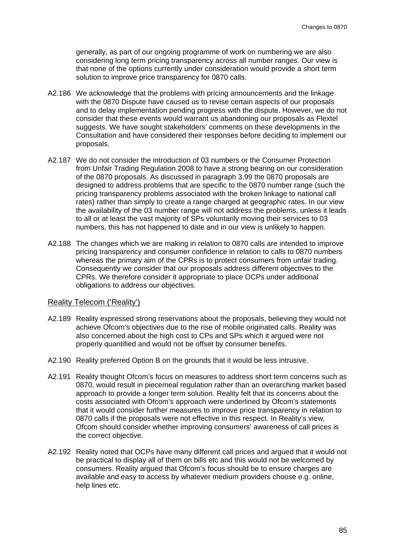generally, as part of our ongoing programme of work on numbering we are also considering long term pricing transparency across all number ranges. Our view is that none of the options currently under consideration would provide a short term solution to improve price transparency for 0870 calls.

- A2.186 We acknowledge that the problems with pricing announcements and the linkage with the 0870 Dispute have caused us to revise certain aspects of our proposals and to delay implementation pending progress with the dispute. However, we do not consider that these events would warrant us abandoning our proposals as Flextel suggests. We have sought stakeholders' comments on these developments in the Consultation and have considered their responses before deciding to implement our proposals.
- A2.187 We do not consider the introduction of 03 numbers or the Consumer Protection from Unfair Trading Regulation 2008 to have a strong bearing on our consideration of the 0870 proposals. As discussed in paragraph [3.99](#page-36-1) the 0870 proposals are designed to address problems that are specific to the 0870 number range (such the pricing transparency problems associated with the broken linkage to national call rates) rather than simply to create a range charged at geographic rates. In our view the availability of the 03 number range will not address the problems, unless it leads to all or at least the vast majority of SPs voluntarily moving their services to 03 numbers, this has not happened to date and in our view is unlikely to happen.
- A2.188 The changes which we are making in relation to 0870 calls are intended to improve pricing transparency and consumer confidence in relation to calls to 0870 numbers whereas the primary aim of the CPRs is to protect consumers from unfair trading. Consequently we consider that our proposals address different objectives to the CPRs. We therefore consider it appropriate to place OCPs under additional obligations to address our objectives.

### Reality Telecom ('Reality')

- A2.189 Reality expressed strong reservations about the proposals, believing they would not achieve Ofcom's objectives due to the rise of mobile originated calls. Reality was also concerned about the high cost to CPs and SPs which it argued were not properly quantified and would not be offset by consumer benefits.
- A2.190 Reality preferred Option B on the grounds that it would be less intrusive.
- A2.191 Reality thought Ofcom's focus on measures to address short term concerns such as 0870, would result in piecemeal regulation rather than an overarching market based approach to provide a longer term solution. Reality felt that its concerns about the costs associated with Ofcom's approach were underlined by Ofcom's statements that it would consider further measures to improve price transparency in relation to 0870 calls if the proposals were not effective in this respect. In Reality's view, Ofcom should consider whether improving consumers' awareness of call prices is the correct objective.
- A2.192 Reality noted that OCPs have many different call prices and argued that it would not be practical to display all of them on bills etc and this would not be welcomed by consumers. Reality argued that Ofcom's focus should be to ensure charges are available and easy to access by whatever medium providers choose e.g. online, help lines etc.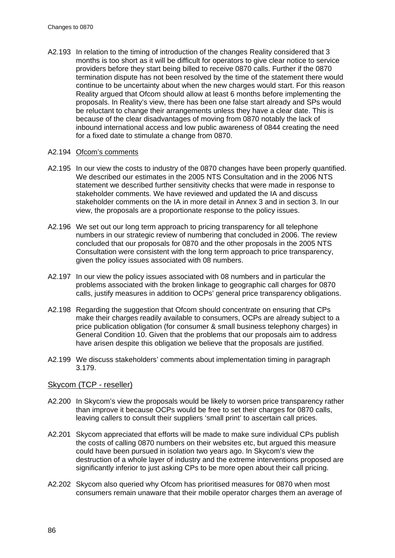A2.193 In relation to the timing of introduction of the changes Reality considered that 3 months is too short as it will be difficult for operators to give clear notice to service providers before they start being billed to receive 0870 calls. Further if the 0870 termination dispute has not been resolved by the time of the statement there would continue to be uncertainty about when the new charges would start. For this reason Reality argued that Ofcom should allow at least 6 months before implementing the proposals. In Reality's view, there has been one false start already and SPs would be reluctant to change their arrangements unless they have a clear date. This is because of the clear disadvantages of moving from 0870 notably the lack of inbound international access and low public awareness of 0844 creating the need for a fixed date to stimulate a change from 0870.

## A2.194 Ofcom's comments

- A2.195 In our view the costs to industry of the 0870 changes have been properly quantified. We described our estimates in the 2005 NTS Consultation and in the 2006 NTS statement we described further sensitivity checks that were made in response to stakeholder comments. We have reviewed and updated the IA and discuss stakeholder comments on the IA in more detail in Annex 3 and in section 3. In our view, the proposals are a proportionate response to the policy issues.
- A2.196 We set out our long term approach to pricing transparency for all telephone numbers in our strategic review of numbering that concluded in 2006. The review concluded that our proposals for 0870 and the other proposals in the 2005 NTS Consultation were consistent with the long term approach to price transparency, given the policy issues associated with 08 numbers.
- A2.197 In our view the policy issues associated with 08 numbers and in particular the problems associated with the broken linkage to geographic call charges for 0870 calls, justify measures in addition to OCPs' general price transparency obligations.
- A2.198 Regarding the suggestion that Ofcom should concentrate on ensuring that CPs make their charges readily available to consumers, OCPs are already subject to a price publication obligation (for consumer & small business telephony charges) in General Condition 10. Given that the problems that our proposals aim to address have arisen despite this obligation we believe that the proposals are justified.
- A2.199 We discuss stakeholders' comments about implementation timing in paragraph [3.179.](#page-50-0)

#### Skycom (TCP - reseller)

- A2.200 In Skycom's view the proposals would be likely to worsen price transparency rather than improve it because OCPs would be free to set their charges for 0870 calls, leaving callers to consult their suppliers 'small print' to ascertain call prices.
- A2.201 Skycom appreciated that efforts will be made to make sure individual CPs publish the costs of calling 0870 numbers on their websites etc, but argued this measure could have been pursued in isolation two years ago. In Skycom's view the destruction of a whole layer of industry and the extreme interventions proposed are significantly inferior to just asking CPs to be more open about their call pricing.
- A2.202 Skycom also queried why Ofcom has prioritised measures for 0870 when most consumers remain unaware that their mobile operator charges them an average of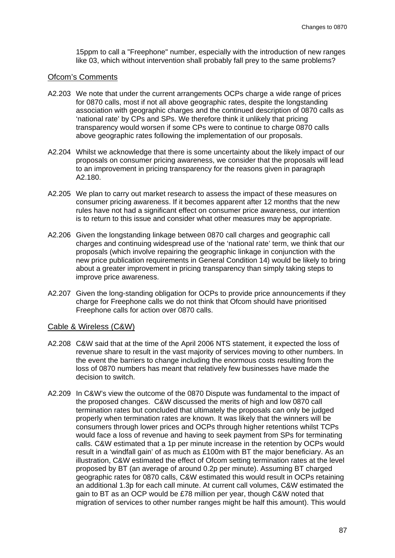15ppm to call a "Freephone" number, especially with the introduction of new ranges like 03, which without intervention shall probably fall prey to the same problems?

# Ofcom's Comments

- A2.203 We note that under the current arrangements OCPs charge a wide range of prices for 0870 calls, most if not all above geographic rates, despite the longstanding association with geographic charges and the continued description of 0870 calls as 'national rate' by CPs and SPs. We therefore think it unlikely that pricing transparency would worsen if some CPs were to continue to charge 0870 calls above geographic rates following the implementation of our proposals.
- A2.204 Whilst we acknowledge that there is some uncertainty about the likely impact of our proposals on consumer pricing awareness, we consider that the proposals will lead to an improvement in pricing transparency for the reasons given in paragraph [A2.180.](#page-86-0)
- A2.205 We plan to carry out market research to assess the impact of these measures on consumer pricing awareness. If it becomes apparent after 12 months that the new rules have not had a significant effect on consumer price awareness, our intention is to return to this issue and consider what other measures may be appropriate.
- A2.206 Given the longstanding linkage between 0870 call charges and geographic call charges and continuing widespread use of the 'national rate' term, we think that our proposals (which involve repairing the geographic linkage in conjunction with the new price publication requirements in General Condition 14) would be likely to bring about a greater improvement in pricing transparency than simply taking steps to improve price awareness.
- A2.207 Given the long-standing obligation for OCPs to provide price announcements if they charge for Freephone calls we do not think that Ofcom should have prioritised Freephone calls for action over 0870 calls.

#### Cable & Wireless (C&W)

- A2.208 C&W said that at the time of the April 2006 NTS statement, it expected the loss of revenue share to result in the vast majority of services moving to other numbers. In the event the barriers to change including the enormous costs resulting from the loss of 0870 numbers has meant that relatively few businesses have made the decision to switch.
- A2.209 In C&W's view the outcome of the 0870 Dispute was fundamental to the impact of the proposed changes. C&W discussed the merits of high and low 0870 call termination rates but concluded that ultimately the proposals can only be judged properly when termination rates are known. It was likely that the winners will be consumers through lower prices and OCPs through higher retentions whilst TCPs would face a loss of revenue and having to seek payment from SPs for terminating calls. C&W estimated that a 1p per minute increase in the retention by OCPs would result in a 'windfall gain' of as much as £100m with BT the major beneficiary. As an illustration, C&W estimated the effect of Ofcom setting termination rates at the level proposed by BT (an average of around 0.2p per minute). Assuming BT charged geographic rates for 0870 calls, C&W estimated this would result in OCPs retaining an additional 1.3p for each call minute. At current call volumes, C&W estimated the gain to BT as an OCP would be £78 million per year, though C&W noted that migration of services to other number ranges might be half this amount). This would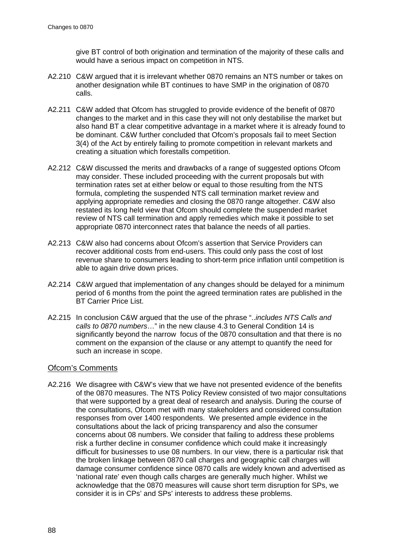give BT control of both origination and termination of the majority of these calls and would have a serious impact on competition in NTS.

- A2.210 C&W argued that it is irrelevant whether 0870 remains an NTS number or takes on another designation while BT continues to have SMP in the origination of 0870 calls.
- A2.211 C&W added that Ofcom has struggled to provide evidence of the benefit of 0870 changes to the market and in this case they will not only destabilise the market but also hand BT a clear competitive advantage in a market where it is already found to be dominant. C&W further concluded that Ofcom's proposals fail to meet Section 3(4) of the Act by entirely failing to promote competition in relevant markets and creating a situation which forestalls competition.
- A2.212 C&W discussed the merits and drawbacks of a range of suggested options Ofcom may consider. These included proceeding with the current proposals but with termination rates set at either below or equal to those resulting from the NTS formula, completing the suspended NTS call termination market review and applying appropriate remedies and closing the 0870 range altogether. C&W also restated its long held view that Ofcom should complete the suspended market review of NTS call termination and apply remedies which make it possible to set appropriate 0870 interconnect rates that balance the needs of all parties.
- A2.213 C&W also had concerns about Ofcom's assertion that Service Providers can recover additional costs from end-users. This could only pass the cost of lost revenue share to consumers leading to short-term price inflation until competition is able to again drive down prices.
- A2.214 C&W argued that implementation of any changes should be delayed for a minimum period of 6 months from the point the agreed termination rates are published in the BT Carrier Price List.
- A2.215 In conclusion C&W argued that the use of the phrase "..*includes NTS Calls and calls to 0870 numbers*…" in the new clause 4.3 to General Condition 14 is significantly beyond the narrow focus of the 0870 consultation and that there is no comment on the expansion of the clause or any attempt to quantify the need for such an increase in scope.

#### Ofcom's Comments

A2.216 We disagree with C&W's view that we have not presented evidence of the benefits of the 0870 measures. The NTS Policy Review consisted of two major consultations that were supported by a great deal of research and analysis. During the course of the consultations, Ofcom met with many stakeholders and considered consultation responses from over 1400 respondents. We presented ample evidence in the consultations about the lack of pricing transparency and also the consumer concerns about 08 numbers. We consider that failing to address these problems risk a further decline in consumer confidence which could make it increasingly difficult for businesses to use 08 numbers. In our view, there is a particular risk that the broken linkage between 0870 call charges and geographic call charges will damage consumer confidence since 0870 calls are widely known and advertised as 'national rate' even though calls charges are generally much higher. Whilst we acknowledge that the 0870 measures will cause short term disruption for SPs, we consider it is in CPs' and SPs' interests to address these problems.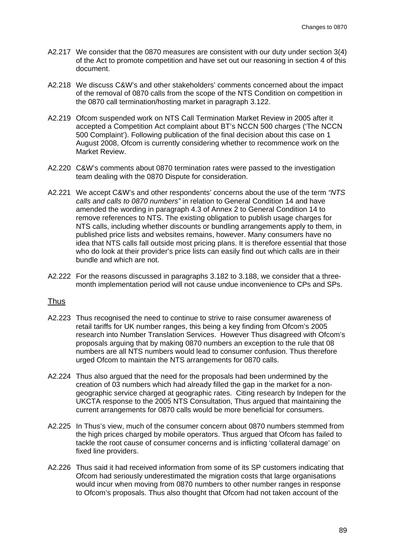- A2.217 We consider that the 0870 measures are consistent with our duty under section 3(4) of the Act to promote competition and have set out our reasoning in section 4 of this document.
- A2.218 We discuss C&W's and other stakeholders' comments concerned about the impact of the removal of 0870 calls from the scope of the NTS Condition on competition in the 0870 call termination/hosting market in paragraph [3.122.](#page-39-1)
- A2.219 [Ofcom suspended work on NTS Call Termination Market Review](#page-40-0) in 2005 after it [accepted a Competition Act complaint about BT's NCCN](#page-40-0) 500 charges ('The NCCN [500 Complaint'\). Following publication of the final decision about this case on](#page-40-0) 1 [August 2008, Ofcom is currently considering whether to recommence work on the](#page-40-0)  [Market Review.](#page-40-0)
- A2.220 C&W's comments about 0870 termination rates were passed to the investigation team dealing with the 0870 Dispute for consideration.
- A2.221 We accept C&W's and other respondents' concerns about the use of the term *"NTS calls and calls to 0870 numbers"* in relation to General Condition 14 and have amended the wording in paragraph 4.3 of Annex 2 to General Condition 14 to remove references to NTS. The existing obligation to publish usage charges for NTS calls, including whether discounts or bundling arrangements apply to them, in published price lists and websites remains, however. Many consumers have no idea that NTS calls fall outside most pricing plans. It is therefore essential that those who do look at their provider's price lists can easily find out which calls are in their bundle and which are not.
- A2.222 For the reasons discussed in paragraphs [3.182](#page-50-1) to [3.188,](#page-51-0) we consider that a threemonth implementation period will not cause undue inconvenience to CPs and SPs.

#### Thus

- A2.223 Thus recognised the need to continue to strive to raise consumer awareness of retail tariffs for UK number ranges, this being a key finding from Ofcom's 2005 research into Number Translation Services. However Thus disagreed with Ofcom's proposals arguing that by making 0870 numbers an exception to the rule that 08 numbers are all NTS numbers would lead to consumer confusion. Thus therefore urged Ofcom to maintain the NTS arrangements for 0870 calls.
- A2.224 Thus also argued that the need for the proposals had been undermined by the creation of 03 numbers which had already filled the gap in the market for a nongeographic service charged at geographic rates. Citing research by Indepen for the UKCTA response to the 2005 NTS Consultation, Thus argued that maintaining the current arrangements for 0870 calls would be more beneficial for consumers.
- A2.225 In Thus's view, much of the consumer concern about 0870 numbers stemmed from the high prices charged by mobile operators. Thus argued that Ofcom has failed to tackle the root cause of consumer concerns and is inflicting 'collateral damage' on fixed line providers.
- A2.226 Thus said it had received information from some of its SP customers indicating that Ofcom had seriously underestimated the migration costs that large organisations would incur when moving from 0870 numbers to other number ranges in response to Ofcom's proposals. Thus also thought that Ofcom had not taken account of the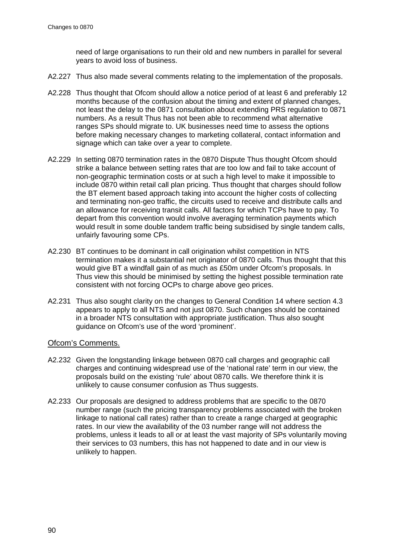need of large organisations to run their old and new numbers in parallel for several years to avoid loss of business.

- A2.227 Thus also made several comments relating to the implementation of the proposals.
- A2.228 Thus thought that Ofcom should allow a notice period of at least 6 and preferably 12 months because of the confusion about the timing and extent of planned changes, not least the delay to the 0871 consultation about extending PRS regulation to 0871 numbers. As a result Thus has not been able to recommend what alternative ranges SPs should migrate to. UK businesses need time to assess the options before making necessary changes to marketing collateral, contact information and signage which can take over a year to complete.
- A2.229 In setting 0870 termination rates in the 0870 Dispute Thus thought Ofcom should strike a balance between setting rates that are too low and fail to take account of non-geographic termination costs or at such a high level to make it impossible to include 0870 within retail call plan pricing. Thus thought that charges should follow the BT element based approach taking into account the higher costs of collecting and terminating non-geo traffic, the circuits used to receive and distribute calls and an allowance for receiving transit calls. All factors for which TCPs have to pay. To depart from this convention would involve averaging termination payments which would result in some double tandem traffic being subsidised by single tandem calls, unfairly favouring some CPs.
- A2.230 BT continues to be dominant in call origination whilst competition in NTS termination makes it a substantial net originator of 0870 calls. Thus thought that this would give BT a windfall gain of as much as £50m under Ofcom's proposals. In Thus view this should be minimised by setting the highest possible termination rate consistent with not forcing OCPs to charge above geo prices.
- A2.231 Thus also sought clarity on the changes to General Condition 14 where section 4.3 appears to apply to all NTS and not just 0870. Such changes should be contained in a broader NTS consultation with appropriate justification. Thus also sought guidance on Ofcom's use of the word 'prominent'.

# Ofcom's Comments.

- A2.232 Given the longstanding linkage between 0870 call charges and geographic call charges and continuing widespread use of the 'national rate' term in our view, the proposals build on the existing 'rule' about 0870 calls. We therefore think it is unlikely to cause consumer confusion as Thus suggests.
- A2.233 Our proposals are designed to address problems that are specific to the 0870 number range (such the pricing transparency problems associated with the broken linkage to national call rates) rather than to create a range charged at geographic rates. In our view the availability of the 03 number range will not address the problems, unless it leads to all or at least the vast majority of SPs voluntarily moving their services to 03 numbers, this has not happened to date and in our view is unlikely to happen.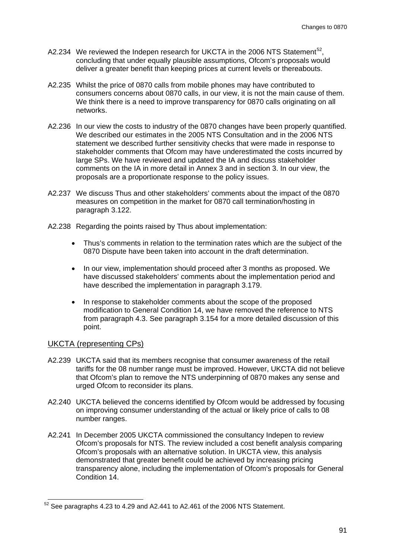- A2.234 We reviewed the Indepen research for UKCTA in the 2006 NTS Statement<sup>[52](#page-93-0)</sup>, concluding that under equally plausible assumptions, Ofcom's proposals would deliver a greater benefit than keeping prices at current levels or thereabouts.
- A2.235 Whilst the price of 0870 calls from mobile phones may have contributed to consumers concerns about 0870 calls, in our view, it is not the main cause of them. We think there is a need to improve transparency for 0870 calls originating on all networks.
- A2.236 In our view the costs to industry of the 0870 changes have been properly quantified. We described our estimates in the 2005 NTS Consultation and in the 2006 NTS statement we described further sensitivity checks that were made in response to stakeholder comments that Ofcom may have underestimated the costs incurred by large SPs. We have reviewed and updated the IA and discuss stakeholder comments on the IA in more detail in Annex 3 and in section 3. In our view, the proposals are a proportionate response to the policy issues.
- A2.237 We discuss Thus and other stakeholders' comments about the impact of the 0870 measures on competition in the market for 0870 call termination/hosting in paragraph [3.122.](#page-39-1)
- A2.238 Regarding the points raised by Thus about implementation:
	- Thus's comments in relation to the termination rates which are the subject of the 0870 Dispute have been taken into account in the draft determination.
	- In our view, implementation should proceed after 3 months as proposed. We have discussed stakeholders' comments about the implementation period and have described the implementation in paragraph [3.179.](#page-50-0)
	- In response to stakeholder comments about the scope of the proposed modification to General Condition 14, we have removed the reference to NTS from paragraph 4.3. See paragraph [3.154](#page-46-0) for a more detailed discussion of this point.

# UKCTA (representing CPs)

- A2.239 UKCTA said that its members recognise that consumer awareness of the retail tariffs for the 08 number range must be improved. However, UKCTA did not believe that Ofcom's plan to remove the NTS underpinning of 0870 makes any sense and urged Ofcom to reconsider its plans.
- A2.240 UKCTA believed the concerns identified by Ofcom would be addressed by focusing on improving consumer understanding of the actual or likely price of calls to 08 number ranges.
- A2.241 In December 2005 UKCTA commissioned the consultancy Indepen to review Ofcom's proposals for NTS. The review included a cost benefit analysis comparing Ofcom's proposals with an alternative solution. In UKCTA view, this analysis demonstrated that greater benefit could be achieved by increasing pricing transparency alone, including the implementation of Ofcom's proposals for General Condition 14.

<span id="page-93-0"></span> <sup>52</sup> See paragraphs 4.23 to 4.29 and A2.441 to A2.461 of the 2006 NTS Statement.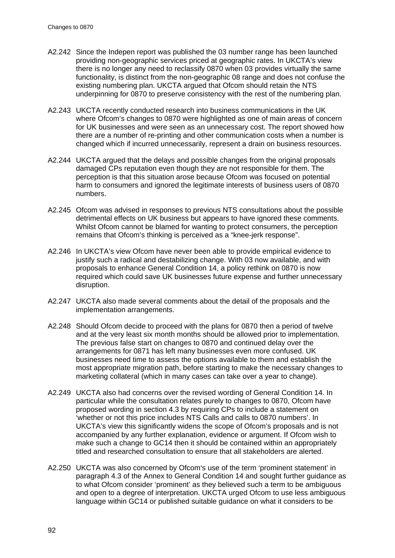- A2.242 Since the Indepen report was published the 03 number range has been launched providing non-geographic services priced at geographic rates. In UKCTA's view there is no longer any need to reclassify 0870 when 03 provides virtually the same functionality, is distinct from the non-geographic 08 range and does not confuse the existing numbering plan. UKCTA argued that Ofcom should retain the NTS underpinning for 0870 to preserve consistency with the rest of the numbering plan.
- A2.243 UKCTA recently conducted research into business communications in the UK where Ofcom's changes to 0870 were highlighted as one of main areas of concern for UK businesses and were seen as an unnecessary cost. The report showed how there are a number of re-printing and other communication costs when a number is changed which if incurred unnecessarily, represent a drain on business resources.
- A2.244 UKCTA argued that the delays and possible changes from the original proposals damaged CPs reputation even though they are not responsible for them. The perception is that this situation arose because Ofcom was focused on potential harm to consumers and ignored the legitimate interests of business users of 0870 numbers.
- A2.245 Ofcom was advised in responses to previous NTS consultations about the possible detrimental effects on UK business but appears to have ignored these comments. Whilst Ofcom cannot be blamed for wanting to protect consumers, the perception remains that Ofcom's thinking is perceived as a "knee-jerk response".
- A2.246 In UKCTA's view Ofcom have never been able to provide empirical evidence to justify such a radical and destabilizing change. With 03 now available, and with proposals to enhance General Condition 14, a policy rethink on 0870 is now required which could save UK businesses future expense and further unnecessary disruption.
- A2.247 UKCTA also made several comments about the detail of the proposals and the implementation arrangements.
- A2.248 Should Ofcom decide to proceed with the plans for 0870 then a period of twelve and at the very least six month months should be allowed prior to implementation. The previous false start on changes to 0870 and continued delay over the arrangements for 0871 has left many businesses even more confused. UK businesses need time to assess the options available to them and establish the most appropriate migration path, before starting to make the necessary changes to marketing collateral (which in many cases can take over a year to change).
- A2.249 UKCTA also had concerns over the revised wording of General Condition 14. In particular while the consultation relates purely to changes to 0870, Ofcom have proposed wording in section 4.3 by requiring CPs to include a statement on 'whether or not this price includes NTS Calls and calls to 0870 numbers'. In UKCTA's view this significantly widens the scope of Ofcom's proposals and is not accompanied by any further explanation, evidence or argument. If Ofcom wish to make such a change to GC14 then it should be contained within an appropriately titled and researched consultation to ensure that all stakeholders are alerted.
- A2.250 UKCTA was also concerned by Ofcom's use of the term 'prominent statement' in paragraph 4.3 of the Annex to General Condition 14 and sought further guidance as to what Ofcom consider 'prominent' as they believed such a term to be ambiguous and open to a degree of interpretation. UKCTA urged Ofcom to use less ambiguous language within GC14 or published suitable guidance on what it considers to be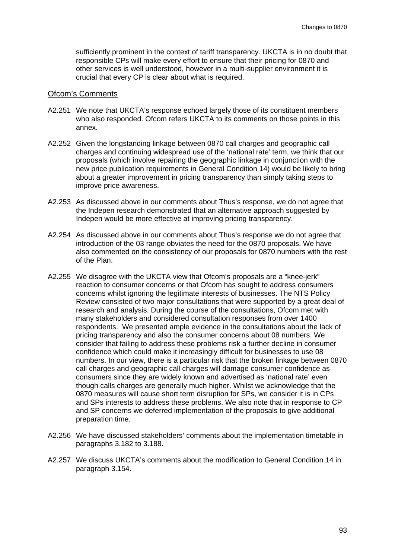sufficiently prominent in the context of tariff transparency. UKCTA is in no doubt that responsible CPs will make every effort to ensure that their pricing for 0870 and other services is well understood, however in a multi-supplier environment it is crucial that every CP is clear about what is required.

#### Ofcom's Comments

- A2.251 We note that UKCTA's response echoed largely those of its constituent members who also responded. Ofcom refers UKCTA to its comments on those points in this annex.
- A2.252 Given the longstanding linkage between 0870 call charges and geographic call charges and continuing widespread use of the 'national rate' term, we think that our proposals (which involve repairing the geographic linkage in conjunction with the new price publication requirements in General Condition 14) would be likely to bring about a greater improvement in pricing transparency than simply taking steps to improve price awareness.
- A2.253 As discussed above in our comments about Thus's response, we do not agree that the Indepen research demonstrated that an alternative approach suggested by Indepen would be more effective at improving pricing transparency.
- A2.254 As discussed above in our comments about Thus's response we do not agree that introduction of the 03 range obviates the need for the 0870 proposals. We have also commented on the consistency of our proposals for 0870 numbers with the rest of the Plan.
- A2.255 We disagree with the UKCTA view that Ofcom's proposals are a "knee-jerk" reaction to consumer concerns or that Ofcom has sought to address consumers concerns whilst ignoring the legitimate interests of businesses. The NTS Policy Review consisted of two major consultations that were supported by a great deal of research and analysis. During the course of the consultations, Ofcom met with many stakeholders and considered consultation responses from over 1400 respondents. We presented ample evidence in the consultations about the lack of pricing transparency and also the consumer concerns about 08 numbers. We consider that failing to address these problems risk a further decline in consumer confidence which could make it increasingly difficult for businesses to use 08 numbers. In our view, there is a particular risk that the broken linkage between 0870 call charges and geographic call charges will damage consumer confidence as consumers since they are widely known and advertised as 'national rate' even though calls charges are generally much higher. Whilst we acknowledge that the 0870 measures will cause short term disruption for SPs, we consider it is in CPs and SPs interests to address these problems. We also note that in response to CP and SP concerns we deferred implementation of the proposals to give additional preparation time.
- A2.256 We have discussed stakeholders' comments about the implementation timetable in paragraphs [3.182](#page-50-1) to [3.188.](#page-51-0)
- A2.257 We discuss UKCTA's comments about the modification to General Condition 14 in paragraph [3.154.](#page-46-0)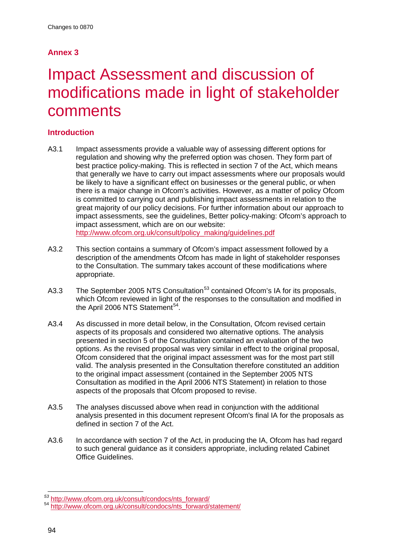# **Annex 3**

# **Impact Assessment and discussion of** modifications made in light of stakeholder comments

# **Introduction**

- A3.1 Impact assessments provide a valuable way of assessing different options for regulation and showing why the preferred option was chosen. They form part of best practice policy-making. This is reflected in section 7 of the Act, which means that generally we have to carry out impact assessments where our proposals would be likely to have a significant effect on businesses or the general public, or when there is a major change in Ofcom's activities. However, as a matter of policy Ofcom is committed to carrying out and publishing impact assessments in relation to the great majority of our policy decisions. For further information about our approach to impact assessments, see the guidelines, Better policy-making: Ofcom's approach to impact assessment, which are on our website: [http://www.ofcom.org.uk/consult/policy\\_making/guidelines.pdf](http://www.ofcom.org.uk/consult/policy_making/guidelines.pdf)
- A3.2 This section contains a summary of Ofcom's impact assessment followed by a description of the amendments Ofcom has made in light of stakeholder responses to the Consultation. The summary takes account of these modifications where appropriate.
- A3.3 The September 2005 NTS Consultation<sup>[53](#page-96-0)</sup> contained Ofcom's IA for its proposals, which Ofcom reviewed in light of the responses to the consultation and modified in the April 2006 NTS Statement $^{54}$  $^{54}$  $^{54}$ .
- A3.4 As discussed in more detail below, in the Consultation, Ofcom revised certain aspects of its proposals and considered two alternative options. The analysis presented in section 5 of the Consultation contained an evaluation of the two options. As the revised proposal was very similar in effect to the original proposal, Ofcom considered that the original impact assessment was for the most part still valid. The analysis presented in the Consultation therefore constituted an addition to the original impact assessment (contained in the September 2005 NTS Consultation as modified in the April 2006 NTS Statement) in relation to those aspects of the proposals that Ofcom proposed to revise.
- A3.5 The analyses discussed above when read in conjunction with the additional analysis presented in this document represent Ofcom's final IA for the proposals as defined in section 7 of the Act.
- A3.6 In accordance with section 7 of the Act, in producing the IA, Ofcom has had regard to such general guidance as it considers appropriate, including related Cabinet Office Guidelines.

<span id="page-96-1"></span><span id="page-96-0"></span>*<sup>53</sup>* [http://www.ofcom.org.uk/consult/condocs/nts\\_forward/](http://www.ofcom.org.uk/consult/condocs/nts_forward/) <sup>54</sup> [http://www.ofcom.org.uk/consult/condocs/nts\\_forward/statement/](http://www.ofcom.org.uk/consult/condocs/nts_forward/statement/)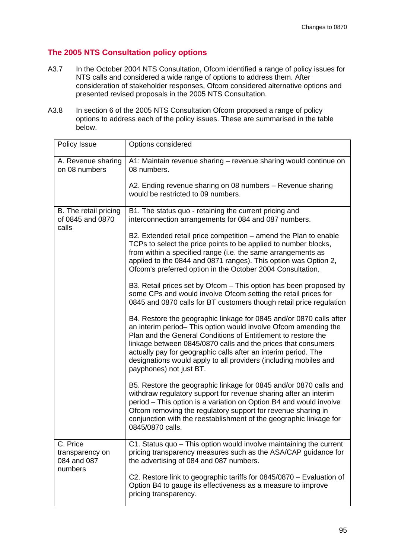# **The 2005 NTS Consultation policy options**

- A3.7 In the October 2004 NTS Consultation, Ofcom identified a range of policy issues for NTS calls and considered a wide range of options to address them. After consideration of stakeholder responses, Ofcom considered alternative options and presented revised proposals in the 2005 NTS Consultation.
- A3.8 In section 6 of the 2005 NTS Consultation Ofcom proposed a range of policy options to address each of the policy issues. These are summarised in the table below.

| Policy Issue                                          | Options considered                                                                                                                                                                                                                                                                                                                                                                                                                        |  |  |  |
|-------------------------------------------------------|-------------------------------------------------------------------------------------------------------------------------------------------------------------------------------------------------------------------------------------------------------------------------------------------------------------------------------------------------------------------------------------------------------------------------------------------|--|--|--|
| A. Revenue sharing<br>on 08 numbers                   | A1: Maintain revenue sharing - revenue sharing would continue on<br>08 numbers.                                                                                                                                                                                                                                                                                                                                                           |  |  |  |
|                                                       | A2. Ending revenue sharing on 08 numbers - Revenue sharing<br>would be restricted to 09 numbers.                                                                                                                                                                                                                                                                                                                                          |  |  |  |
| B. The retail pricing<br>of 0845 and 0870<br>calls    | B1. The status quo - retaining the current pricing and<br>interconnection arrangements for 084 and 087 numbers.                                                                                                                                                                                                                                                                                                                           |  |  |  |
|                                                       | B2. Extended retail price competition – amend the Plan to enable<br>TCPs to select the price points to be applied to number blocks,<br>from within a specified range (i.e. the same arrangements as<br>applied to the 0844 and 0871 ranges). This option was Option 2,<br>Ofcom's preferred option in the October 2004 Consultation.                                                                                                      |  |  |  |
|                                                       | B3. Retail prices set by Ofcom – This option has been proposed by<br>some CPs and would involve Ofcom setting the retail prices for<br>0845 and 0870 calls for BT customers though retail price regulation                                                                                                                                                                                                                                |  |  |  |
|                                                       | B4. Restore the geographic linkage for 0845 and/or 0870 calls after<br>an interim period– This option would involve Ofcom amending the<br>Plan and the General Conditions of Entitlement to restore the<br>linkage between 0845/0870 calls and the prices that consumers<br>actually pay for geographic calls after an interim period. The<br>designations would apply to all providers (including mobiles and<br>payphones) not just BT. |  |  |  |
|                                                       | B5. Restore the geographic linkage for 0845 and/or 0870 calls and<br>withdraw regulatory support for revenue sharing after an interim<br>period - This option is a variation on Option B4 and would involve<br>Ofcom removing the regulatory support for revenue sharing in<br>conjunction with the reestablishment of the geographic linkage for<br>0845/0870 calls.                                                                     |  |  |  |
| C. Price<br>transparency on<br>084 and 087<br>numbers | C1. Status quo - This option would involve maintaining the current<br>pricing transparency measures such as the ASA/CAP guidance for<br>the advertising of 084 and 087 numbers.                                                                                                                                                                                                                                                           |  |  |  |
|                                                       | C2. Restore link to geographic tariffs for 0845/0870 - Evaluation of<br>Option B4 to gauge its effectiveness as a measure to improve<br>pricing transparency.                                                                                                                                                                                                                                                                             |  |  |  |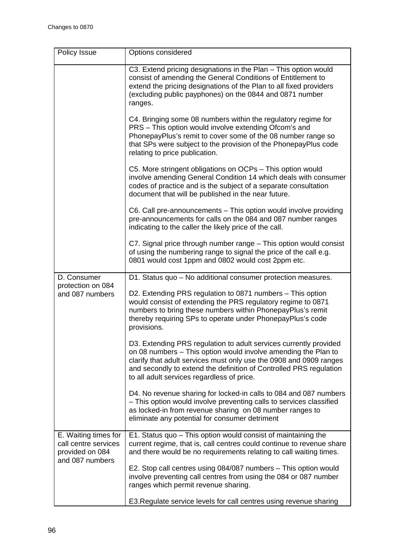| Policy Issue                                                                       | Options considered                                                                                                                                                                                                                                                                                                            |  |  |  |  |  |
|------------------------------------------------------------------------------------|-------------------------------------------------------------------------------------------------------------------------------------------------------------------------------------------------------------------------------------------------------------------------------------------------------------------------------|--|--|--|--|--|
|                                                                                    | C3. Extend pricing designations in the Plan - This option would<br>consist of amending the General Conditions of Entitlement to<br>extend the pricing designations of the Plan to all fixed providers<br>(excluding public payphones) on the 0844 and 0871 number<br>ranges.                                                  |  |  |  |  |  |
|                                                                                    | C4. Bringing some 08 numbers within the regulatory regime for<br>PRS - This option would involve extending Ofcom's and<br>PhonepayPlus's remit to cover some of the 08 number range so<br>that SPs were subject to the provision of the PhonepayPlus code<br>relating to price publication.                                   |  |  |  |  |  |
|                                                                                    | C5. More stringent obligations on OCPs - This option would<br>involve amending General Condition 14 which deals with consumer<br>codes of practice and is the subject of a separate consultation<br>document that will be published in the near future.                                                                       |  |  |  |  |  |
|                                                                                    | C6. Call pre-announcements – This option would involve providing<br>pre-announcements for calls on the 084 and 087 number ranges<br>indicating to the caller the likely price of the call.                                                                                                                                    |  |  |  |  |  |
|                                                                                    | C7. Signal price through number range - This option would consist<br>of using the numbering range to signal the price of the call e.g.<br>0801 would cost 1ppm and 0802 would cost 2ppm etc.                                                                                                                                  |  |  |  |  |  |
| D. Consumer                                                                        | D1. Status quo - No additional consumer protection measures.                                                                                                                                                                                                                                                                  |  |  |  |  |  |
| protection on 084<br>and 087 numbers                                               | D2. Extending PRS regulation to 0871 numbers - This option<br>would consist of extending the PRS regulatory regime to 0871<br>numbers to bring these numbers within PhonepayPlus's remit<br>thereby requiring SPs to operate under PhonepayPlus's code<br>provisions.                                                         |  |  |  |  |  |
|                                                                                    | D3. Extending PRS regulation to adult services currently provided<br>on 08 numbers - This option would involve amending the Plan to<br>clarify that adult services must only use the 0908 and 0909 ranges<br>and secondly to extend the definition of Controlled PRS regulation<br>to all adult services regardless of price. |  |  |  |  |  |
|                                                                                    | D4. No revenue sharing for locked-in calls to 084 and 087 numbers<br>- This option would involve preventing calls to services classified<br>as locked-in from revenue sharing on 08 number ranges to<br>eliminate any potential for consumer detriment                                                                        |  |  |  |  |  |
| E. Waiting times for<br>call centre services<br>provided on 084<br>and 087 numbers | E1. Status quo - This option would consist of maintaining the<br>current regime, that is, call centres could continue to revenue share<br>and there would be no requirements relating to call waiting times.                                                                                                                  |  |  |  |  |  |
|                                                                                    | E2. Stop call centres using 084/087 numbers - This option would<br>involve preventing call centres from using the 084 or 087 number<br>ranges which permit revenue sharing.                                                                                                                                                   |  |  |  |  |  |
|                                                                                    | E3. Regulate service levels for call centres using revenue sharing                                                                                                                                                                                                                                                            |  |  |  |  |  |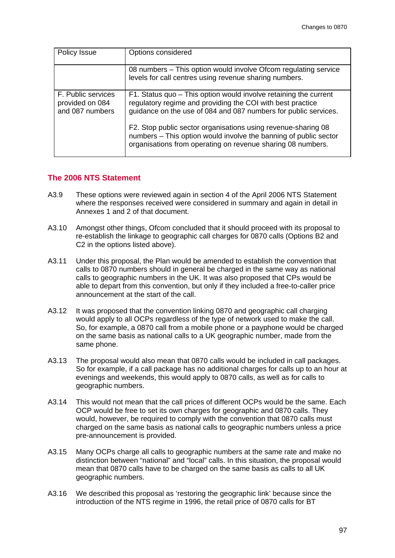| Policy Issue                                             | Options considered                                                                                                                                                                                |
|----------------------------------------------------------|---------------------------------------------------------------------------------------------------------------------------------------------------------------------------------------------------|
|                                                          | 08 numbers – This option would involve Ofcom regulating service<br>levels for call centres using revenue sharing numbers.                                                                         |
| F. Public services<br>provided on 084<br>and 087 numbers | F1. Status quo - This option would involve retaining the current<br>regulatory regime and providing the COI with best practice<br>guidance on the use of 084 and 087 numbers for public services. |
|                                                          | F2. Stop public sector organisations using revenue-sharing 08<br>numbers - This option would involve the banning of public sector<br>organisations from operating on revenue sharing 08 numbers.  |

## **The 2006 NTS Statement**

- A3.9 These options were reviewed again in section 4 of the April 2006 NTS Statement where the responses received were considered in summary and again in detail in Annexes 1 and 2 of that document.
- A3.10 Amongst other things, Ofcom concluded that it should proceed with its proposal to re-establish the linkage to geographic call charges for 0870 calls (Options B2 and C2 in the options listed above).
- A3.11 Under this proposal, the Plan would be amended to establish the convention that calls to 0870 numbers should in general be charged in the same way as national calls to geographic numbers in the UK. It was also proposed that CPs would be able to depart from this convention, but only if they included a free-to-caller price announcement at the start of the call.
- A3.12 It was proposed that the convention linking 0870 and geographic call charging would apply to all OCPs regardless of the type of network used to make the call. So, for example, a 0870 call from a mobile phone or a payphone would be charged on the same basis as national calls to a UK geographic number, made from the same phone.
- A3.13 The proposal would also mean that 0870 calls would be included in call packages. So for example, if a call package has no additional charges for calls up to an hour at evenings and weekends, this would apply to 0870 calls, as well as for calls to geographic numbers.
- A3.14 This would not mean that the call prices of different OCPs would be the same. Each OCP would be free to set its own charges for geographic and 0870 calls. They would, however, be required to comply with the convention that 0870 calls must charged on the same basis as national calls to geographic numbers unless a price pre-announcement is provided.
- A3.15 Many OCPs charge all calls to geographic numbers at the same rate and make no distinction between "national" and "local" calls. In this situation, the proposal would mean that 0870 calls have to be charged on the same basis as calls to all UK geographic numbers.
- A3.16 We described this proposal as 'restoring the geographic link' because since the introduction of the NTS regime in 1996, the retail price of 0870 calls for BT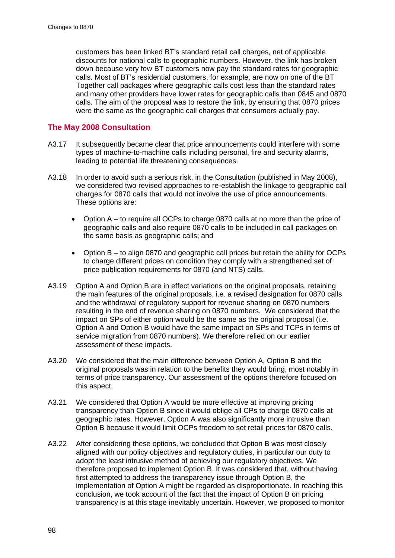customers has been linked BT's standard retail call charges, net of applicable discounts for national calls to geographic numbers. However, the link has broken down because very few BT customers now pay the standard rates for geographic calls. Most of BT's residential customers, for example, are now on one of the BT Together call packages where geographic calls cost less than the standard rates and many other providers have lower rates for geographic calls than 0845 and 0870 calls. The aim of the proposal was to restore the link, by ensuring that 0870 prices were the same as the geographic call charges that consumers actually pay.

# **The May 2008 Consultation**

- A3.17 It subsequently became clear that price announcements could interfere with some types of machine-to-machine calls including personal, fire and security alarms, leading to potential life threatening consequences.
- A3.18 In order to avoid such a serious risk, in the Consultation (published in May 2008), we considered two revised approaches to re-establish the linkage to geographic call charges for 0870 calls that would not involve the use of price announcements. These options are:
	- Option A to require all OCPs to charge 0870 calls at no more than the price of geographic calls and also require 0870 calls to be included in call packages on the same basis as geographic calls; and
	- Option B to align 0870 and geographic call prices but retain the ability for OCPs to charge different prices on condition they comply with a strengthened set of price publication requirements for 0870 (and NTS) calls.
- A3.19 Option A and Option B are in effect variations on the original proposals, retaining the main features of the original proposals, i.e. a revised designation for 0870 calls and the withdrawal of regulatory support for revenue sharing on 0870 numbers resulting in the end of revenue sharing on 0870 numbers. We considered that the impact on SPs of either option would be the same as the original proposal (i.e. Option A and Option B would have the same impact on SPs and TCPs in terms of service migration from 0870 numbers). We therefore relied on our earlier assessment of these impacts.
- A3.20 We considered that the main difference between Option A, Option B and the original proposals was in relation to the benefits they would bring, most notably in terms of price transparency. Our assessment of the options therefore focused on this aspect.
- A3.21 We considered that Option A would be more effective at improving pricing transparency than Option B since it would oblige all CPs to charge 0870 calls at geographic rates. However, Option A was also significantly more intrusive than Option B because it would limit OCPs freedom to set retail prices for 0870 calls.
- A3.22 After considering these options, we concluded that Option B was most closely aligned with our policy objectives and regulatory duties, in particular our duty to adopt the least intrusive method of achieving our regulatory objectives. We therefore proposed to implement Option B. It was considered that, without having first attempted to address the transparency issue through Option B, the implementation of Option A might be regarded as disproportionate. In reaching this conclusion, we took account of the fact that the impact of Option B on pricing transparency is at this stage inevitably uncertain. However, we proposed to monitor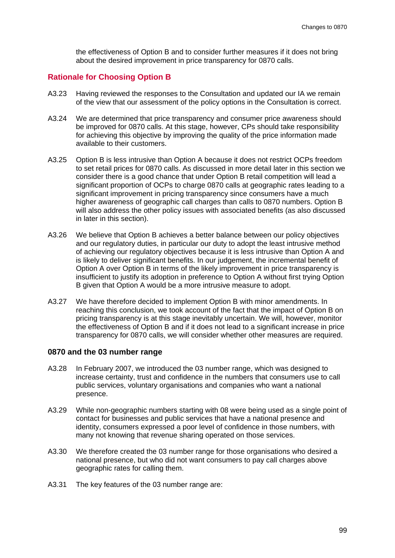the effectiveness of Option B and to consider further measures if it does not bring about the desired improvement in price transparency for 0870 calls.

# **Rationale for Choosing Option B**

- A3.23 Having reviewed the responses to the Consultation and updated our IA we remain of the view that our assessment of the policy options in the Consultation is correct.
- A3.24 We are determined that price transparency and consumer price awareness should be improved for 0870 calls. At this stage, however, CPs should take responsibility for achieving this objective by improving the quality of the price information made available to their customers.
- A3.25 Option B is less intrusive than Option A because it does not restrict OCPs freedom to set retail prices for 0870 calls. As discussed in more detail later in this section we consider there is a good chance that under Option B retail competition will lead a significant proportion of OCPs to charge 0870 calls at geographic rates leading to a significant improvement in pricing transparency since consumers have a much higher awareness of geographic call charges than calls to 0870 numbers. Option B will also address the other policy issues with associated benefits (as also discussed in later in this section).
- A3.26 We believe that Option B achieves a better balance between our policy objectives and our regulatory duties, in particular our duty to adopt the least intrusive method of achieving our regulatory objectives because it is less intrusive than Option A and is likely to deliver significant benefits. In our judgement, the incremental benefit of Option A over Option B in terms of the likely improvement in price transparency is insufficient to justify its adoption in preference to Option A without first trying Option B given that Option A would be a more intrusive measure to adopt.
- A3.27 We have therefore decided to implement Option B with minor amendments. In reaching this conclusion, we took account of the fact that the impact of Option B on pricing transparency is at this stage inevitably uncertain. We will, however, monitor the effectiveness of Option B and if it does not lead to a significant increase in price transparency for 0870 calls, we will consider whether other measures are required.

# **0870 and the 03 number range**

- A3.28 In February 2007, we introduced the 03 number range, which was designed to increase certainty, trust and confidence in the numbers that consumers use to call public services, voluntary organisations and companies who want a national presence.
- A3.29 While non-geographic numbers starting with 08 were being used as a single point of contact for businesses and public services that have a national presence and identity, consumers expressed a poor level of confidence in those numbers, with many not knowing that revenue sharing operated on those services.
- A3.30 We therefore created the 03 number range for those organisations who desired a national presence, but who did not want consumers to pay call charges above geographic rates for calling them.
- A3.31 The key features of the 03 number range are: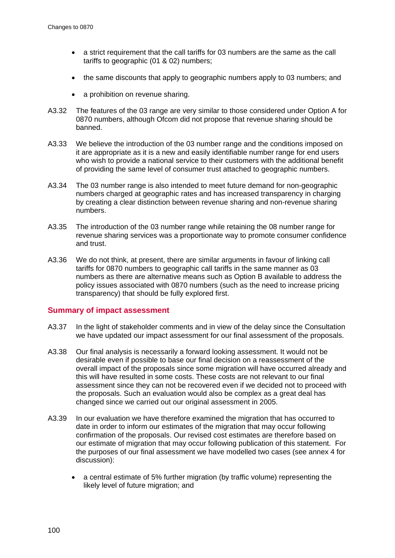- a strict requirement that the call tariffs for 03 numbers are the same as the call tariffs to geographic (01 & 02) numbers;
- the same discounts that apply to geographic numbers apply to 03 numbers; and
- a prohibition on revenue sharing.
- A3.32 The features of the 03 range are very similar to those considered under Option A for 0870 numbers, although Ofcom did not propose that revenue sharing should be banned.
- A3.33 We believe the introduction of the 03 number range and the conditions imposed on it are appropriate as it is a new and easily identifiable number range for end users who wish to provide a national service to their customers with the additional benefit of providing the same level of consumer trust attached to geographic numbers.
- A3.34 The 03 number range is also intended to meet future demand for non-geographic numbers charged at geographic rates and has increased transparency in charging by creating a clear distinction between revenue sharing and non-revenue sharing numbers.
- A3.35 The introduction of the 03 number range while retaining the 08 number range for revenue sharing services was a proportionate way to promote consumer confidence and trust.
- A3.36 We do not think, at present, there are similar arguments in favour of linking call tariffs for 0870 numbers to geographic call tariffs in the same manner as 03 numbers as there are alternative means such as Option B available to address the policy issues associated with 0870 numbers (such as the need to increase pricing transparency) that should be fully explored first.

# **Summary of impact assessment**

- A3.37 In the light of stakeholder comments and in view of the delay since the Consultation we have updated our impact assessment for our final assessment of the proposals.
- A3.38 Our final analysis is necessarily a forward looking assessment. It would not be desirable even if possible to base our final decision on a reassessment of the overall impact of the proposals since some migration will have occurred already and this will have resulted in some costs. These costs are not relevant to our final assessment since they can not be recovered even if we decided not to proceed with the proposals. Such an evaluation would also be complex as a great deal has changed since we carried out our original assessment in 2005.
- A3.39 In our evaluation we have therefore examined the migration that has occurred to date in order to inform our estimates of the migration that may occur following confirmation of the proposals. Our revised cost estimates are therefore based on our estimate of migration that may occur following publication of this statement. For the purposes of our final assessment we have modelled two cases (see annex 4 for discussion):
	- a central estimate of 5% further migration (by traffic volume) representing the likely level of future migration; and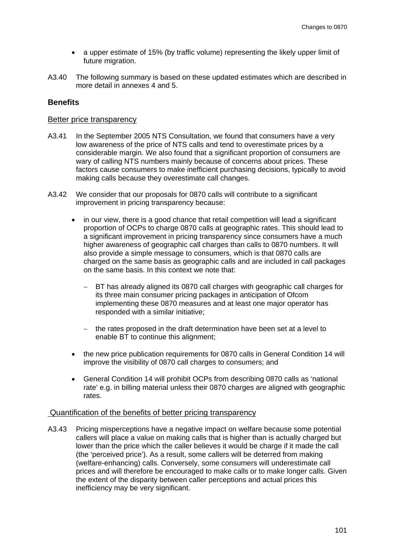- a upper estimate of 15% (by traffic volume) representing the likely upper limit of future migration.
- A3.40 The following summary is based on these updated estimates which are described in more detail in annexes 4 and 5.

# **Benefits**

#### Better price transparency

- A3.41 In the September 2005 NTS Consultation, we found that consumers have a very low awareness of the price of NTS calls and tend to overestimate prices by a considerable margin. We also found that a significant proportion of consumers are wary of calling NTS numbers mainly because of concerns about prices. These factors cause consumers to make inefficient purchasing decisions, typically to avoid making calls because they overestimate call changes.
- <span id="page-103-0"></span>A3.42 We consider that our proposals for 0870 calls will contribute to a significant improvement in pricing transparency because:
	- in our view, there is a good chance that retail competition will lead a significant proportion of OCPs to charge 0870 calls at geographic rates. This should lead to a significant improvement in pricing transparency since consumers have a much higher awareness of geographic call charges than calls to 0870 numbers. It will also provide a simple message to consumers, which is that 0870 calls are charged on the same basis as geographic calls and are included in call packages on the same basis. In this context we note that:
		- BT has already aligned its 0870 call charges with geographic call charges for its three main consumer pricing packages in anticipation of Ofcom implementing these 0870 measures and at least one major operator has responded with a similar initiative;
		- the rates proposed in the draft determination have been set at a level to enable BT to continue this alignment;
	- the new price publication requirements for 0870 calls in General Condition 14 will improve the visibility of 0870 call charges to consumers; and
	- General Condition 14 will prohibit OCPs from describing 0870 calls as 'national rate' e.g. in billing material unless their 0870 charges are aligned with geographic rates.

# Quantification of the benefits of better pricing transparency

A3.43 Pricing misperceptions have a negative impact on welfare because some potential callers will place a value on making calls that is higher than is actually charged but lower than the price which the caller believes it would be charge if it made the call (the 'perceived price'). As a result, some callers will be deterred from making (welfare-enhancing) calls. Conversely, some consumers will underestimate call prices and will therefore be encouraged to make calls or to make longer calls. Given the extent of the disparity between caller perceptions and actual prices this inefficiency may be very significant.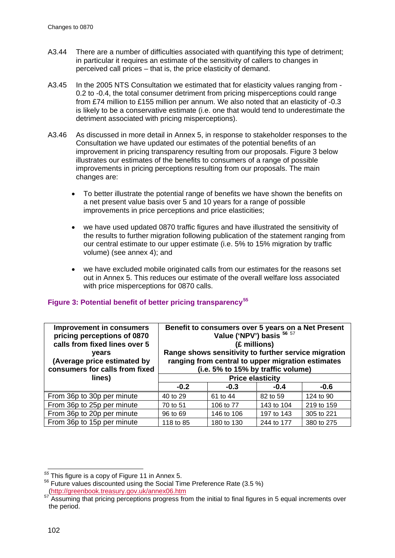- A3.44 There are a number of difficulties associated with quantifying this type of detriment; in particular it requires an estimate of the sensitivity of callers to changes in perceived call prices – that is, the price elasticity of demand.
- A3.45 In the 2005 NTS Consultation we estimated that for elasticity values ranging from 0.2 to -0.4, the total consumer detriment from pricing misperceptions could range from £74 million to £155 million per annum. We also noted that an elasticity of -0.3 is likely to be a conservative estimate (i.e. one that would tend to underestimate the detriment associated with pricing misperceptions).
- A3.46 As discussed in more detail in Annex 5, in response to stakeholder responses to the Consultation we have updated our estimates of the potential benefits of an improvement in pricing transparency resulting from our proposals. [Figure 3](#page-104-0) below illustrates our estimates of the benefits to consumers of a range of possible improvements in pricing perceptions resulting from our proposals. The main changes are:
	- To better illustrate the potential range of benefits we have shown the benefits on a net present value basis over 5 and 10 years for a range of possible improvements in price perceptions and price elasticities;
	- we have used updated 0870 traffic figures and have illustrated the sensitivity of the results to further migration following publication of the statement ranging from our central estimate to our upper estimate (i.e. 5% to 15% migration by traffic volume) (see annex 4); and
	- we have excluded mobile originated calls from our estimates for the reasons set out in Annex 5. This reduces our estimate of the overall welfare loss associated with price misperceptions for 0870 calls.

| <b>Improvement in consumers</b><br>pricing perceptions of 0870<br>calls from fixed lines over 5<br>years<br>(Average price estimated by<br>consumers for calls from fixed<br>lines) | Benefit to consumers over 5 years on a Net Present<br>Value ('NPV') basis $^{56}$ 57<br>(£ millions)<br>Range shows sensitivity to further service migration<br>ranging from central to upper migration estimates<br>(i.e. 5% to 15% by traffic volume)<br><b>Price elasticity</b> |            |            |            |
|-------------------------------------------------------------------------------------------------------------------------------------------------------------------------------------|------------------------------------------------------------------------------------------------------------------------------------------------------------------------------------------------------------------------------------------------------------------------------------|------------|------------|------------|
|                                                                                                                                                                                     | $-0.2$                                                                                                                                                                                                                                                                             | $-0.3$     | $-0.4$     | $-0.6$     |
| From 36p to 30p per minute                                                                                                                                                          | 40 to 29                                                                                                                                                                                                                                                                           | 61 to 44   | 82 to 59   | 124 to 90  |
| From 36p to 25p per minute                                                                                                                                                          | 70 to 51                                                                                                                                                                                                                                                                           | 106 to 77  | 143 to 104 | 219 to 159 |
| From 36p to 20p per minute                                                                                                                                                          | 96 to 69                                                                                                                                                                                                                                                                           | 146 to 106 | 197 to 143 | 305 to 221 |
| From 36p to 15p per minute                                                                                                                                                          | 118 to 85                                                                                                                                                                                                                                                                          | 180 to 130 | 244 to 177 | 380 to 275 |

# <span id="page-104-0"></span>**Figure 3: Potential benefit of better pricing transparency[55](#page-104-1)**

<span id="page-104-1"></span>*<sup>55</sup>* This figure is a copy of [Figure 11](#page-129-0) in Annex 5.

<span id="page-104-2"></span><sup>&</sup>lt;sup>56</sup> Future values discounted using the Social Time Preference Rate (3.5 %)<br>(http://greenbook.treasury.gov.uk/annex06.htm

<span id="page-104-3"></span> $57 \frac{\text{Im}\mu_{\text{H}}\text{J}}{\text{Assuming the}}$  hat pricing perceptions progress from the initial to final figures in 5 equal increments over the period.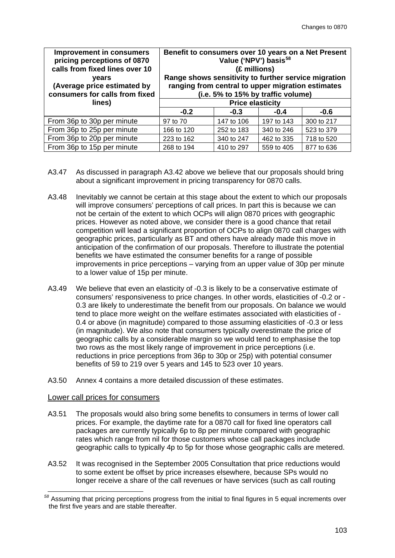| <b>Improvement in consumers</b><br>pricing perceptions of 0870<br>calls from fixed lines over 10<br><b>vears</b><br>(Average price estimated by<br>consumers for calls from fixed | Benefit to consumers over 10 years on a Net Present<br>Value ('NPV') basis <sup>58</sup><br>(£ millions)<br>Range shows sensitivity to further service migration<br>ranging from central to upper migration estimates<br>(i.e. 5% to 15% by traffic volume) |            |            |            |  |
|-----------------------------------------------------------------------------------------------------------------------------------------------------------------------------------|-------------------------------------------------------------------------------------------------------------------------------------------------------------------------------------------------------------------------------------------------------------|------------|------------|------------|--|
| lines)                                                                                                                                                                            | <b>Price elasticity</b>                                                                                                                                                                                                                                     |            |            |            |  |
|                                                                                                                                                                                   | $-0.2$                                                                                                                                                                                                                                                      | $-0.3$     | $-0.4$     | $-0.6$     |  |
| From 36p to 30p per minute                                                                                                                                                        | 97 to 70                                                                                                                                                                                                                                                    | 147 to 106 | 197 to 143 | 300 to 217 |  |
| From 36p to 25p per minute                                                                                                                                                        | 166 to 120                                                                                                                                                                                                                                                  | 252 to 183 | 340 to 246 | 523 to 379 |  |
| From 36p to 20p per minute                                                                                                                                                        | 223 to 162                                                                                                                                                                                                                                                  | 340 to 247 | 462 to 335 | 718 to 520 |  |
| From 36p to 15p per minute                                                                                                                                                        | 268 to 194                                                                                                                                                                                                                                                  | 410 to 297 | 559 to 405 | 877 to 636 |  |

- A3.47 As discussed in paragraph [A3.42](#page-103-0) above we believe that our proposals should bring about a significant improvement in pricing transparency for 0870 calls.
- A3.48 Inevitably we cannot be certain at this stage about the extent to which our proposals will improve consumers' perceptions of call prices. In part this is because we can not be certain of the extent to which OCPs will align 0870 prices with geographic prices. However as noted above, we consider there is a good chance that retail competition will lead a significant proportion of OCPs to align 0870 call charges with geographic prices, particularly as BT and others have already made this move in anticipation of the confirmation of our proposals. Therefore to illustrate the potential benefits we have estimated the consumer benefits for a range of possible improvements in price perceptions – varying from an upper value of 30p per minute to a lower value of 15p per minute.
- A3.49 We believe that even an elasticity of -0.3 is likely to be a conservative estimate of consumers' responsiveness to price changes. In other words, elasticities of -0.2 or - 0.3 are likely to underestimate the benefit from our proposals. On balance we would tend to place more weight on the welfare estimates associated with elasticities of - 0.4 or above (in magnitude) compared to those assuming elasticities of -0.3 or less (in magnitude). We also note that consumers typically overestimate the price of geographic calls by a considerable margin so we would tend to emphasise the top two rows as the most likely range of improvement in price perceptions (i.e. reductions in price perceptions from 36p to 30p or 25p) with potential consumer benefits of 59 to 219 over 5 years and 145 to 523 over 10 years.
- A3.50 Annex 4 contains a more detailed discussion of these estimates.

# Lower call prices for consumers

- <span id="page-105-1"></span>A3.51 The proposals would also bring some benefits to consumers in terms of lower call prices. For example, the daytime rate for a 0870 call for fixed line operators call packages are currently typically 6p to 8p per minute compared with geographic rates which range from nil for those customers whose call packages include geographic calls to typically 4p to 5p for those whose geographic calls are metered.
- A3.52 It was recognised in the September 2005 Consultation that price reductions would to some extent be offset by price increases elsewhere, because SPs would no longer receive a share of the call revenues or have services (such as call routing

<span id="page-105-0"></span>*<sup>58</sup>* Assuming that pricing perceptions progress from the initial to final figures in 5 equal increments over the first five years and are stable thereafter.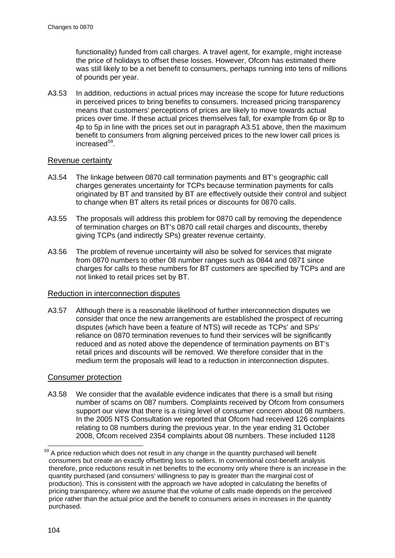functionality) funded from call charges. A travel agent, for example, might increase the price of holidays to offset these losses. However, Ofcom has estimated there was still likely to be a net benefit to consumers, perhaps running into tens of millions of pounds per year.

A3.53 In addition, reductions in actual prices may increase the scope for future reductions in perceived prices to bring benefits to consumers. Increased pricing transparency means that customers' perceptions of prices are likely to move towards actual prices over time. If these actual prices themselves fall, for example from 6p or 8p to 4p to 5p in line with the prices set out in paragraph [A3.51](#page-105-1) above, then the maximum benefit to consumers from aligning perceived prices to the new lower call prices is increased<sup>59</sup>.

# Revenue certainty

- A3.54 The linkage between 0870 call termination payments and BT's geographic call charges generates uncertainty for TCPs because termination payments for calls originated by BT and transited by BT are effectively outside their control and subject to change when BT alters its retail prices or discounts for 0870 calls.
- A3.55 The proposals will address this problem for 0870 call by removing the dependence of termination charges on BT's 0870 call retail charges and discounts, thereby giving TCPs (and indirectly SPs) greater revenue certainty.
- A3.56 The problem of revenue uncertainty will also be solved for services that migrate from 0870 numbers to other 08 number ranges such as 0844 and 0871 since charges for calls to these numbers for BT customers are specified by TCPs and are not linked to retail prices set by BT.

# Reduction in interconnection disputes

A3.57 Although there is a reasonable likelihood of further interconnection disputes we consider that once the new arrangements are established the prospect of recurring disputes (which have been a feature of NTS) will recede as TCPs' and SPs' reliance on 0870 termination revenues to fund their services will be significantly reduced and as noted above the dependence of termination payments on BT's retail prices and discounts will be removed. We therefore consider that in the medium term the proposals will lead to a reduction in interconnection disputes.

# Consumer protection

A3.58 We consider that the available evidence indicates that there is a small but rising number of scams on 087 numbers. Complaints received by Ofcom from consumers support our view that there is a rising level of consumer concern about 08 numbers. In the 2005 NTS Consultation we reported that Ofcom had received 126 complaints relating to 08 numbers during the previous year. In the year ending 31 October 2008, Ofcom received 2354 complaints about 08 numbers. These included 1128

<span id="page-106-0"></span>A price reduction which does not result in any change in the quantity purchased will benefit consumers but create an exactly offsetting loss to sellers. In conventional cost-benefit analysis therefore, price reductions result in net benefits to the economy only where there is an increase in the quantity purchased (and consumers' willingness to pay is greater than the marginal cost of production). This is consistent with the approach we have adopted in calculating the benefits of pricing transparency, where we assume that the volume of calls made depends on the perceived price rather than the actual price and the benefit to consumers arises in increases in the quantity purchased.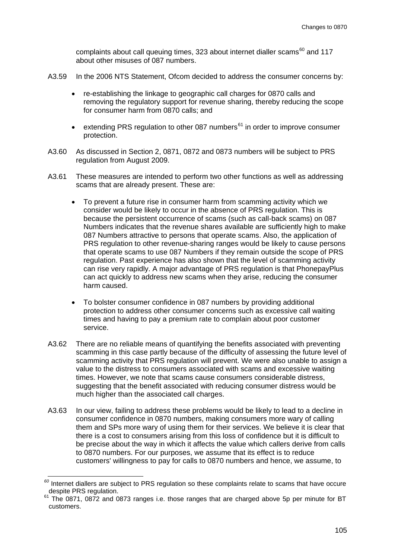complaints about call queuing times, 323 about internet dialler scams $^{60}$  $^{60}$  $^{60}$  and 117 about other misuses of 087 numbers.

- A3.59 In the 2006 NTS Statement, Ofcom decided to address the consumer concerns by:
	- re-establishing the linkage to geographic call charges for 0870 calls and removing the regulatory support for revenue sharing, thereby reducing the scope for consumer harm from 0870 calls; and
	- extending PRS regulation to other 087 numbers $61$  in order to improve consumer protection.
- A3.60 As discussed in Section 2, 0871, 0872 and 0873 numbers will be subject to PRS regulation from August 2009.
- A3.61 These measures are intended to perform two other functions as well as addressing scams that are already present. These are:
	- To prevent a future rise in consumer harm from scamming activity which we consider would be likely to occur in the absence of PRS regulation. This is because the persistent occurrence of scams (such as call-back scams) on 087 Numbers indicates that the revenue shares available are sufficiently high to make 087 Numbers attractive to persons that operate scams. Also, the application of PRS regulation to other revenue-sharing ranges would be likely to cause persons that operate scams to use 087 Numbers if they remain outside the scope of PRS regulation. Past experience has also shown that the level of scamming activity can rise very rapidly. A major advantage of PRS regulation is that PhonepayPlus can act quickly to address new scams when they arise, reducing the consumer harm caused.
	- To bolster consumer confidence in 087 numbers by providing additional protection to address other consumer concerns such as excessive call waiting times and having to pay a premium rate to complain about poor customer service.
- A3.62 There are no reliable means of quantifying the benefits associated with preventing scamming in this case partly because of the difficulty of assessing the future level of scamming activity that PRS regulation will prevent. We were also unable to assign a value to the distress to consumers associated with scams and excessive waiting times. However, we note that scams cause consumers considerable distress, suggesting that the benefit associated with reducing consumer distress would be much higher than the associated call charges.
- A3.63 In our view, failing to address these problems would be likely to lead to a decline in consumer confidence in 0870 numbers, making consumers more wary of calling them and SPs more wary of using them for their services. We believe it is clear that there is a cost to consumers arising from this loss of confidence but it is difficult to be precise about the way in which it affects the value which callers derive from calls to 0870 numbers. For our purposes, we assume that its effect is to reduce customers' willingness to pay for calls to 0870 numbers and hence, we assume, to

<span id="page-107-0"></span>*<sup>60</sup>* Internet diallers are subject to PRS regulation so these complaints relate to scams that have occure

<span id="page-107-1"></span>The 0871, 0872 and 0873 ranges i.e. those ranges that are charged above 5p per minute for BT customers.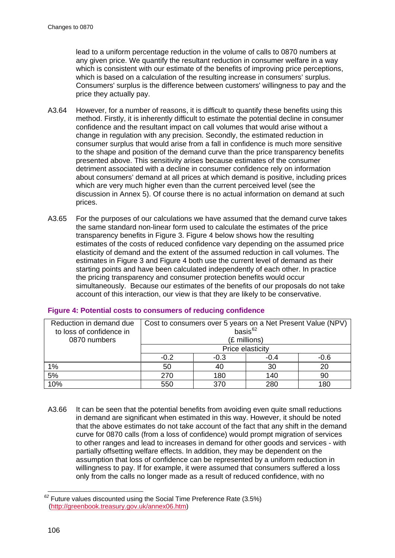lead to a uniform percentage reduction in the volume of calls to 0870 numbers at any given price. We quantify the resultant reduction in consumer welfare in a way which is consistent with our estimate of the benefits of improving price perceptions, which is based on a calculation of the resulting increase in consumers' surplus. Consumers' surplus is the difference between customers' willingness to pay and the price they actually pay.

- A3.64 However, for a number of reasons, it is difficult to quantify these benefits using this method. Firstly, it is inherently difficult to estimate the potential decline in consumer confidence and the resultant impact on call volumes that would arise without a change in regulation with any precision. Secondly, the estimated reduction in consumer surplus that would arise from a fall in confidence is much more sensitive to the shape and position of the demand curve than the price transparency benefits presented above. This sensitivity arises because estimates of the consumer detriment associated with a decline in consumer confidence rely on information about consumers' demand at all prices at which demand is positive, including prices which are very much higher even than the current perceived level (see the discussion in Annex 5). Of course there is no actual information on demand at such prices.
- A3.65 For the purposes of our calculations we have assumed that the demand curve takes the same standard non-linear form used to calculate the estimates of the price transparency benefits in [Figure 3.](#page-104-0) [Figure 4](#page-108-0) below shows how the resulting estimates of the costs of reduced confidence vary depending on the assumed price elasticity of demand and the extent of the assumed reduction in call volumes. The estimates in [Figure 3](#page-104-0) and [Figure 4](#page-108-0) both use the current level of demand as their starting points and have been calculated independently of each other. In practice the pricing transparency and consumer protection benefits would occur simultaneously. Because our estimates of the benefits of our proposals do not take account of this interaction, our view is that they are likely to be conservative.

| Reduction in demand due  | Cost to consumers over 5 years on a Net Present Value (NPV) |        |      |        |  |  |
|--------------------------|-------------------------------------------------------------|--------|------|--------|--|--|
| to loss of confidence in | basis $62$                                                  |        |      |        |  |  |
| 0870 numbers             | (£ millions)                                                |        |      |        |  |  |
|                          | Price elasticity                                            |        |      |        |  |  |
|                          | $-0.2$                                                      | $-0.3$ | -0.4 | $-0.6$ |  |  |
| 1%                       | 50                                                          | 40     | 30   | 20     |  |  |
| 5%                       | 270                                                         | 180    | 140  | 90     |  |  |
| 10%                      | 180<br>280<br>550<br>370                                    |        |      |        |  |  |

#### <span id="page-108-0"></span>**Figure 4: Potential costs to consumers of reducing confidence**

A3.66 It can be seen that the potential benefits from avoiding even quite small reductions in demand are significant when estimated in this way. However, it should be noted that the above estimates do not take account of the fact that any shift in the demand curve for 0870 calls (from a loss of confidence) would prompt migration of services to other ranges and lead to increases in demand for other goods and services - with partially offsetting welfare effects. In addition, they may be dependent on the assumption that loss of confidence can be represented by a uniform reduction in willingness to pay. If for example, it were assumed that consumers suffered a loss only from the calls no longer made as a result of reduced confidence, with no

<span id="page-108-1"></span>*<sup>62</sup>* Future values discounted using the Social Time Preference Rate (3.5%) [\(http://greenbook.treasury.gov.uk/annex06.htm\)](http://greenbook.treasury.gov.uk/annex06.htm)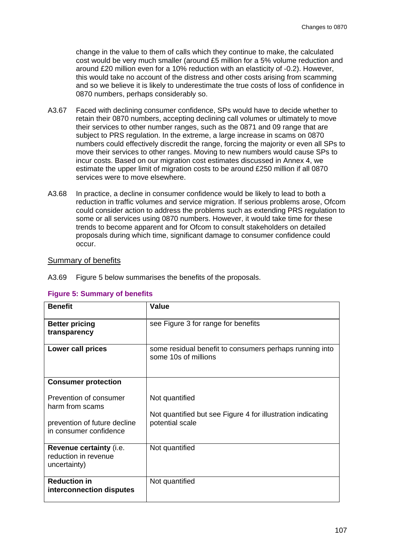change in the value to them of calls which they continue to make, the calculated cost would be very much smaller (around £5 million for a 5% volume reduction and around £20 million even for a 10% reduction with an elasticity of -0.2). However, this would take no account of the distress and other costs arising from scamming and so we believe it is likely to underestimate the true costs of loss of confidence in 0870 numbers, perhaps considerably so.

- A3.67 Faced with declining consumer confidence, SPs would have to decide whether to retain their 0870 numbers, accepting declining call volumes or ultimately to move their services to other number ranges, such as the 0871 and 09 range that are subject to PRS regulation. In the extreme, a large increase in scams on 0870 numbers could effectively discredit the range, forcing the majority or even all SPs to move their services to other ranges. Moving to new numbers would cause SPs to incur costs. Based on our migration cost estimates discussed in Annex 4, we estimate the upper limit of migration costs to be around £250 million if all 0870 services were to move elsewhere.
- <span id="page-109-1"></span>A3.68 In practice, a decline in consumer confidence would be likely to lead to both a reduction in traffic volumes and service migration. If serious problems arose, Ofcom could consider action to address the problems such as extending PRS regulation to some or all services using 0870 numbers. However, it would take time for these trends to become apparent and for Ofcom to consult stakeholders on detailed proposals during which time, significant damage to consumer confidence could occur.

#### Summary of benefits

A3.69 [Figure 5](#page-109-0) below summarises the benefits of the proposals.

| <b>Benefit</b>                                                  | Value                                                                           |
|-----------------------------------------------------------------|---------------------------------------------------------------------------------|
| <b>Better pricing</b><br>transparency                           | see Figure 3 for range for benefits                                             |
| Lower call prices                                               | some residual benefit to consumers perhaps running into<br>some 10s of millions |
| <b>Consumer protection</b>                                      |                                                                                 |
| Prevention of consumer<br>harm from scams                       | Not quantified<br>Not quantified but see Figure 4 for illustration indicating   |
| prevention of future decline<br>in consumer confidence          | potential scale                                                                 |
| Revenue certainty (i.e.<br>reduction in revenue<br>uncertainty) | Not quantified                                                                  |
| <b>Reduction in</b><br>interconnection disputes                 | Not quantified                                                                  |

#### <span id="page-109-0"></span>**Figure 5: Summary of benefits**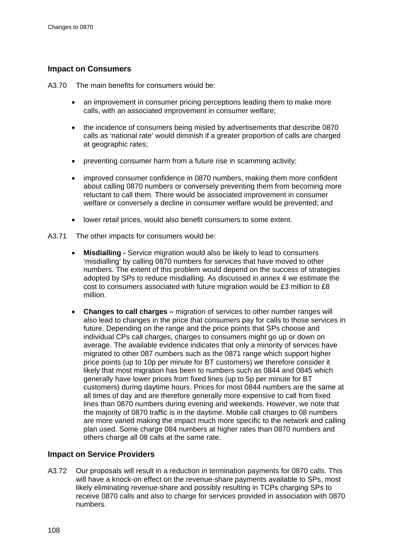## **Impact on Consumers**

A3.70 The main benefits for consumers would be:

- an improvement in consumer pricing perceptions leading them to make more calls, with an associated improvement in consumer welfare;
- the incidence of consumers being misled by advertisements that describe 0870 calls as 'national rate' would diminish if a greater proportion of calls are charged at geographic rates;
- preventing consumer harm from a future rise in scamming activity;
- improved consumer confidence in 0870 numbers, making them more confident about calling 0870 numbers or conversely preventing them from becoming more reluctant to call them. There would be associated improvement in consumer welfare or conversely a decline in consumer welfare would be prevented; and
- lower retail prices, would also benefit consumers to some extent.
- A3.71 The other impacts for consumers would be:
	- **Misdialling -** Service migration would also be likely to lead to consumers 'misdialling' by calling 0870 numbers for services that have moved to other numbers. The extent of this problem would depend on the success of strategies adopted by SPs to reduce misdialling. As discussed in annex 4 we estimate the cost to consumers associated with future migration would be £3 million to £8 million.
	- **Changes to call charges –** migration of services to other number ranges will also lead to changes in the price that consumers pay for calls to those services in future. Depending on the range and the price points that SPs choose and individual CPs call charges, charges to consumers might go up or down on average. The available evidence indicates that only a minority of services have migrated to other 087 numbers such as the 0871 range which support higher price points (up to 10p per minute for BT customers) we therefore consider it likely that most migration has been to numbers such as 0844 and 0845 which generally have lower prices from fixed lines (up to 5p per minute for BT customers) during daytime hours. Prices for most 0844 numbers are the same at all times of day and are therefore generally more expensive to call from fixed lines than 0870 numbers during evening and weekends. However, we note that the majority of 0870 traffic is in the daytime. Mobile call charges to 08 numbers are more varied making the impact much more specific to the network and calling plan used. Some charge 084 numbers at higher rates than 0870 numbers and others charge all 08 calls at the same rate.

#### **Impact on Service Providers**

A3.72 Our proposals will result in a reduction in termination payments for 0870 calls. This will have a knock-on effect on the revenue-share payments available to SPs, most likely eliminating revenue-share and possibly resulting in TCPs charging SPs to receive 0870 calls and also to charge for services provided in association with 0870 numbers.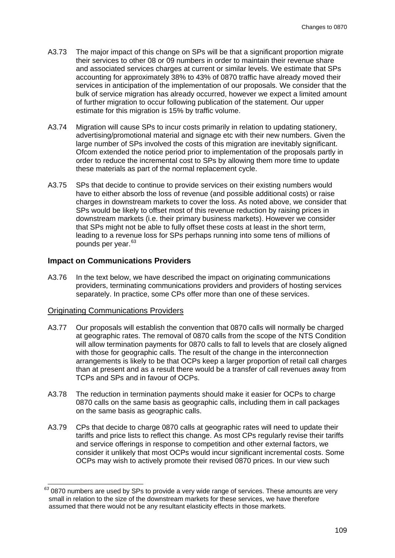- A3.73 The major impact of this change on SPs will be that a significant proportion migrate their services to other 08 or 09 numbers in order to maintain their revenue share and associated services charges at current or similar levels. We estimate that SPs accounting for approximately 38% to 43% of 0870 traffic have already moved their services in anticipation of the implementation of our proposals. We consider that the bulk of service migration has already occurred, however we expect a limited amount of further migration to occur following publication of the statement. Our upper estimate for this migration is 15% by traffic volume.
- A3.74 Migration will cause SPs to incur costs primarily in relation to updating stationery, advertising/promotional material and signage etc with their new numbers. Given the large number of SPs involved the costs of this migration are inevitably significant. Ofcom extended the notice period prior to implementation of the proposals partly in order to reduce the incremental cost to SPs by allowing them more time to update these materials as part of the normal replacement cycle.
- A3.75 SPs that decide to continue to provide services on their existing numbers would have to either absorb the loss of revenue (and possible additional costs) or raise charges in downstream markets to cover the loss. As noted above, we consider that SPs would be likely to offset most of this revenue reduction by raising prices in downstream markets (i.e. their primary business markets). However we consider that SPs might not be able to fully offset these costs at least in the short term, leading to a revenue loss for SPs perhaps running into some tens of millions of pounds per year.<sup>[63](#page-111-0)</sup>

#### **Impact on Communications Providers**

A3.76 In the text below, we have described the impact on originating communications providers, terminating communications providers and providers of hosting services separately. In practice, some CPs offer more than one of these services.

#### Originating Communications Providers

- A3.77 Our proposals will establish the convention that 0870 calls will normally be charged at geographic rates. The removal of 0870 calls from the scope of the NTS Condition will allow termination payments for 0870 calls to fall to levels that are closely aligned with those for geographic calls. The result of the change in the interconnection arrangements is likely to be that OCPs keep a larger proportion of retail call charges than at present and as a result there would be a transfer of call revenues away from TCPs and SPs and in favour of OCPs.
- A3.78 The reduction in termination payments should make it easier for OCPs to charge 0870 calls on the same basis as geographic calls, including them in call packages on the same basis as geographic calls.
- A3.79 CPs that decide to charge 0870 calls at geographic rates will need to update their tariffs and price lists to reflect this change. As most CPs regularly revise their tariffs and service offerings in response to competition and other external factors, we consider it unlikely that most OCPs would incur significant incremental costs. Some OCPs may wish to actively promote their revised 0870 prices. In our view such

<span id="page-111-0"></span>*<sup>63</sup>* 0870 numbers are used by SPs to provide a very wide range of services. These amounts are very small in relation to the size of the downstream markets for these services, we have therefore assumed that there would not be any resultant elasticity effects in those markets.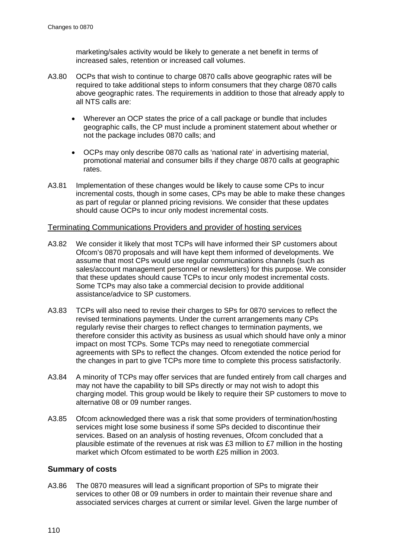marketing/sales activity would be likely to generate a net benefit in terms of increased sales, retention or increased call volumes.

- A3.80 OCPs that wish to continue to charge 0870 calls above geographic rates will be required to take additional steps to inform consumers that they charge 0870 calls above geographic rates. The requirements in addition to those that already apply to all NTS calls are:
	- Wherever an OCP states the price of a call package or bundle that includes geographic calls, the CP must include a prominent statement about whether or not the package includes 0870 calls; and
	- OCPs may only describe 0870 calls as 'national rate' in advertising material, promotional material and consumer bills if they charge 0870 calls at geographic rates.
- A3.81 Implementation of these changes would be likely to cause some CPs to incur incremental costs, though in some cases, CPs may be able to make these changes as part of regular or planned pricing revisions. We consider that these updates should cause OCPs to incur only modest incremental costs.

#### Terminating Communications Providers and provider of hosting services

- A3.82 We consider it likely that most TCPs will have informed their SP customers about Ofcom's 0870 proposals and will have kept them informed of developments. We assume that most CPs would use regular communications channels (such as sales/account management personnel or newsletters) for this purpose. We consider that these updates should cause TCPs to incur only modest incremental costs. Some TCPs may also take a commercial decision to provide additional assistance/advice to SP customers.
- A3.83 TCPs will also need to revise their charges to SPs for 0870 services to reflect the revised terminations payments. Under the current arrangements many CPs regularly revise their charges to reflect changes to termination payments, we therefore consider this activity as business as usual which should have only a minor impact on most TCPs. Some TCPs may need to renegotiate commercial agreements with SPs to reflect the changes. Ofcom extended the notice period for the changes in part to give TCPs more time to complete this process satisfactorily.
- A3.84 A minority of TCPs may offer services that are funded entirely from call charges and may not have the capability to bill SPs directly or may not wish to adopt this charging model. This group would be likely to require their SP customers to move to alternative 08 or 09 number ranges.
- A3.85 Ofcom acknowledged there was a risk that some providers of termination/hosting services might lose some business if some SPs decided to discontinue their services. Based on an analysis of hosting revenues, Ofcom concluded that a plausible estimate of the revenues at risk was £3 million to £7 million in the hosting market which Ofcom estimated to be worth £25 million in 2003.

#### **Summary of costs**

A3.86 The 0870 measures will lead a significant proportion of SPs to migrate their services to other 08 or 09 numbers in order to maintain their revenue share and associated services charges at current or similar level. Given the large number of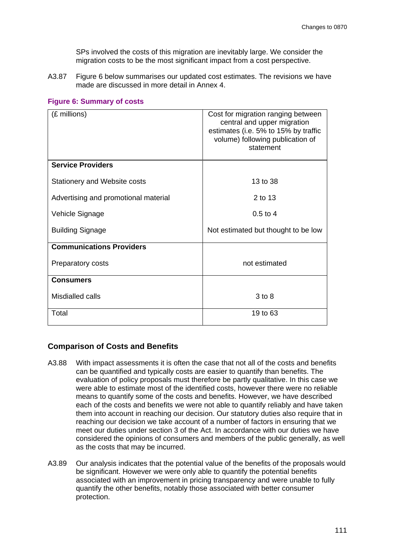SPs involved the costs of this migration are inevitably large. We consider the migration costs to be the most significant impact from a cost perspective.

A3.87 [Figure 6](#page-113-0) below summarises our updated cost estimates. The revisions we have made are discussed in more detail in Annex 4.

| (£ millions)                         | Cost for migration ranging between<br>central and upper migration<br>estimates (i.e. 5% to 15% by traffic<br>volume) following publication of<br>statement |  |  |
|--------------------------------------|------------------------------------------------------------------------------------------------------------------------------------------------------------|--|--|
| <b>Service Providers</b>             |                                                                                                                                                            |  |  |
| Stationery and Website costs         | 13 to 38                                                                                                                                                   |  |  |
| Advertising and promotional material | 2 to 13                                                                                                                                                    |  |  |
| Vehicle Signage                      | $0.5 \text{ to } 4$                                                                                                                                        |  |  |
| <b>Building Signage</b>              | Not estimated but thought to be low                                                                                                                        |  |  |
| <b>Communications Providers</b>      |                                                                                                                                                            |  |  |
| Preparatory costs                    | not estimated                                                                                                                                              |  |  |
| <b>Consumers</b>                     |                                                                                                                                                            |  |  |
| Misdialled calls                     | $3$ to $8$                                                                                                                                                 |  |  |
| Total                                | 19 to 63                                                                                                                                                   |  |  |

#### <span id="page-113-0"></span>**Figure 6: Summary of costs**

#### **Comparison of Costs and Benefits**

- A3.88 With impact assessments it is often the case that not all of the costs and benefits can be quantified and typically costs are easier to quantify than benefits. The evaluation of policy proposals must therefore be partly qualitative. In this case we were able to estimate most of the identified costs, however there were no reliable means to quantify some of the costs and benefits. However, we have described each of the costs and benefits we were not able to quantify reliably and have taken them into account in reaching our decision. Our statutory duties also require that in reaching our decision we take account of a number of factors in ensuring that we meet our duties under section 3 of the Act. In accordance with our duties we have considered the opinions of consumers and members of the public generally, as well as the costs that may be incurred.
- A3.89 Our analysis indicates that the potential value of the benefits of the proposals would be significant. However we were only able to quantify the potential benefits associated with an improvement in pricing transparency and were unable to fully quantify the other benefits, notably those associated with better consumer protection.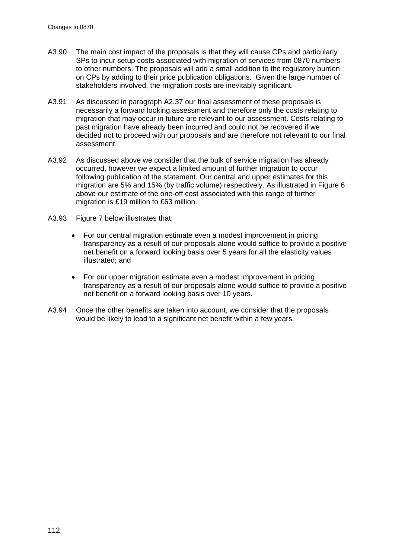- A3.90 The main cost impact of the proposals is that they will cause CPs and particularly SPs to incur setup costs associated with migration of services from 0870 numbers to other numbers. The proposals will add a small addition to the regulatory burden on CPs by adding to their price publication obligations. Given the large number of stakeholders involved, the migration costs are inevitably significant.
- A3.91 As discussed in paragraph [A2.37](#page-65-0) our final assessment of these proposals is necessarily a forward looking assessment and therefore only the costs relating to migration that may occur in future are relevant to our assessment. Costs relating to past migration have already been incurred and could not be recovered if we decided not to proceed with our proposals and are therefore not relevant to our final assessment.
- A3.92 As discussed above we consider that the bulk of service migration has already occurred, however we expect a limited amount of further migration to occur following publication of the statement. Our central and upper estimates for this migration are 5% and 15% (by traffic volume) respectively. As illustrated in [Figure 6](#page-113-0) above our estimate of the one-off cost associated with this range of further migration is £19 million to £63 million.
- A3.93 [Figure 7](#page-115-0) below illustrates that:
	- For our central migration estimate even a modest improvement in pricing transparency as a result of our proposals alone would suffice to provide a positive net benefit on a forward looking basis over 5 years for all the elasticity values illustrated; and
	- For our upper migration estimate even a modest improvement in pricing transparency as a result of our proposals alone would suffice to provide a positive net benefit on a forward looking basis over 10 years.
- A3.94 Once the other benefits are taken into account, we consider that the proposals would be likely to lead to a significant net benefit within a few years.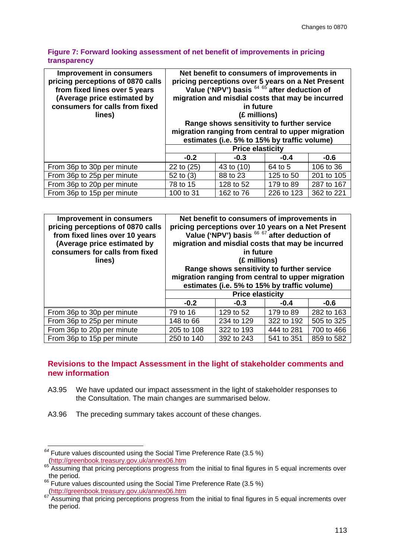#### <span id="page-115-0"></span>**Figure 7: Forward looking assessment of net benefit of improvements in pricing transparency**

| <b>Improvement in consumers</b><br>pricing perceptions of 0870 calls<br>from fixed lines over 5 years<br>(Average price estimated by<br>consumers for calls from fixed<br>lines) | Net benefit to consumers of improvements in<br>pricing perceptions over 5 years on a Net Present<br>Value ('NPV') basis <sup>64 65</sup> after deduction of<br>migration and misdial costs that may be incurred<br>in future<br>(£ millions)<br>Range shows sensitivity to further service<br>migration ranging from central to upper migration<br>estimates (i.e. 5% to 15% by traffic volume) |            |            |            |
|----------------------------------------------------------------------------------------------------------------------------------------------------------------------------------|-------------------------------------------------------------------------------------------------------------------------------------------------------------------------------------------------------------------------------------------------------------------------------------------------------------------------------------------------------------------------------------------------|------------|------------|------------|
|                                                                                                                                                                                  | <b>Price elasticity</b>                                                                                                                                                                                                                                                                                                                                                                         |            |            |            |
|                                                                                                                                                                                  | $-0.2$                                                                                                                                                                                                                                                                                                                                                                                          | $-0.3$     | $-0.4$     | $-0.6$     |
| From 36p to 30p per minute                                                                                                                                                       | 22 to (25)                                                                                                                                                                                                                                                                                                                                                                                      | 43 to (10) | 64 to 5    | 106 to 36  |
| From 36p to 25p per minute                                                                                                                                                       | 52 to $(3)$                                                                                                                                                                                                                                                                                                                                                                                     | 88 to 23   | 125 to 50  | 201 to 105 |
| From 36p to 20p per minute                                                                                                                                                       | 78 to 15                                                                                                                                                                                                                                                                                                                                                                                        | 128 to 52  | 179 to 89  | 287 to 167 |
| From 36p to 15p per minute                                                                                                                                                       | 100 to 31                                                                                                                                                                                                                                                                                                                                                                                       | 162 to 76  | 226 to 123 | 362 to 221 |

| <b>Improvement in consumers</b><br>pricing perceptions of 0870 calls<br>from fixed lines over 10 years<br>(Average price estimated by<br>consumers for calls from fixed<br>lines) | Net benefit to consumers of improvements in<br>pricing perceptions over 10 years on a Net Present<br>Value ('NPV') basis 66 67 after deduction of<br>migration and misdial costs that may be incurred<br>in future<br>(£ millions)<br>Range shows sensitivity to further service<br>migration ranging from central to upper migration<br>estimates (i.e. 5% to 15% by traffic volume) |            |            |            |
|-----------------------------------------------------------------------------------------------------------------------------------------------------------------------------------|---------------------------------------------------------------------------------------------------------------------------------------------------------------------------------------------------------------------------------------------------------------------------------------------------------------------------------------------------------------------------------------|------------|------------|------------|
|                                                                                                                                                                                   | <b>Price elasticity</b>                                                                                                                                                                                                                                                                                                                                                               |            |            |            |
|                                                                                                                                                                                   | $-0.2$                                                                                                                                                                                                                                                                                                                                                                                | $-0.3$     | $-0.4$     | $-0.6$     |
| From 36p to 30p per minute                                                                                                                                                        | 79 to 16                                                                                                                                                                                                                                                                                                                                                                              | 129 to 52  | 179 to 89  | 282 to 163 |
| From 36p to 25p per minute                                                                                                                                                        | 148 to 66                                                                                                                                                                                                                                                                                                                                                                             | 234 to 129 | 322 to 192 | 505 to 325 |
| From 36p to 20p per minute                                                                                                                                                        | 205 to 108                                                                                                                                                                                                                                                                                                                                                                            | 322 to 193 | 444 to 281 | 700 to 466 |
| From 36p to 15p per minute                                                                                                                                                        | 250 to 140                                                                                                                                                                                                                                                                                                                                                                            | 392 to 243 | 541 to 351 | 859 to 582 |

## **Revisions to the Impact Assessment in the light of stakeholder comments and new information**

- A3.95 We have updated our impact assessment in the light of stakeholder responses to the Consultation. The main changes are summarised below.
- A3.96 The preceding summary takes account of these changes.

<span id="page-115-1"></span><sup>&</sup>lt;sup>64</sup> Future values discounted using the Social Time Preference Rate (3.5 %)<br>(http://greenbook.treasury.gov.uk/annex06.htm

<span id="page-115-2"></span><sup>65</sup> Assuming that pricing perceptions progress from the initial to final figures in 5 equal increments over the period.<br><sup>66</sup> Future values discounted using the Social Time Preference Rate (3.5 %)

<span id="page-115-4"></span><span id="page-115-3"></span><sup>67</sup> http://greenbook.treasury.gov.uk/annex06.htm<br>
<sup>67</sup> Assuming that pricing perceptions progress from the initial to final figures in 5 equal increments over the period.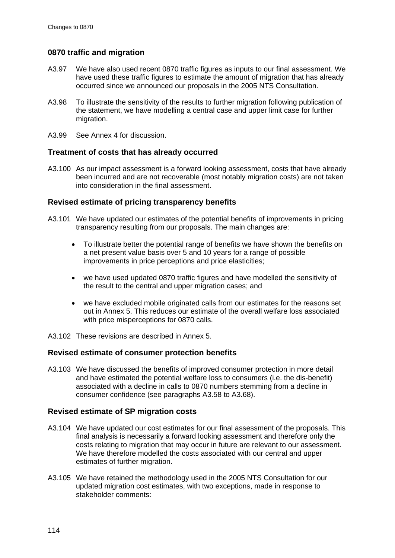### **0870 traffic and migration**

- A3.97 We have also used recent 0870 traffic figures as inputs to our final assessment. We have used these traffic figures to estimate the amount of migration that has already occurred since we announced our proposals in the 2005 NTS Consultation.
- A3.98 To illustrate the sensitivity of the results to further migration following publication of the statement, we have modelling a central case and upper limit case for further migration.
- A3.99 See Annex 4 for discussion.

#### **Treatment of costs that has already occurred**

A3.100 As our impact assessment is a forward looking assessment, costs that have already been incurred and are not recoverable (most notably migration costs) are not taken into consideration in the final assessment.

### **Revised estimate of pricing transparency benefits**

- A3.101 We have updated our estimates of the potential benefits of improvements in pricing transparency resulting from our proposals. The main changes are:
	- To illustrate better the potential range of benefits we have shown the benefits on a net present value basis over 5 and 10 years for a range of possible improvements in price perceptions and price elasticities;
	- we have used updated 0870 traffic figures and have modelled the sensitivity of the result to the central and upper migration cases; and
	- we have excluded mobile originated calls from our estimates for the reasons set out in Annex 5. This reduces our estimate of the overall welfare loss associated with price misperceptions for 0870 calls.
- A3.102 These revisions are described in Annex 5.

#### **Revised estimate of consumer protection benefits**

A3.103 We have discussed the benefits of improved consumer protection in more detail and have estimated the potential welfare loss to consumers (i.e. the dis-benefit) associated with a decline in calls to 0870 numbers stemming from a decline in consumer confidence (see paragraphs [A3.58](#page-106-0) to [A3.68\)](#page-109-1).

#### **Revised estimate of SP migration costs**

- A3.104 We have updated our cost estimates for our final assessment of the proposals. This final analysis is necessarily a forward looking assessment and therefore only the costs relating to migration that may occur in future are relevant to our assessment. We have therefore modelled the costs associated with our central and upper estimates of further migration.
- A3.105 We have retained the methodology used in the 2005 NTS Consultation for our updated migration cost estimates, with two exceptions, made in response to stakeholder comments: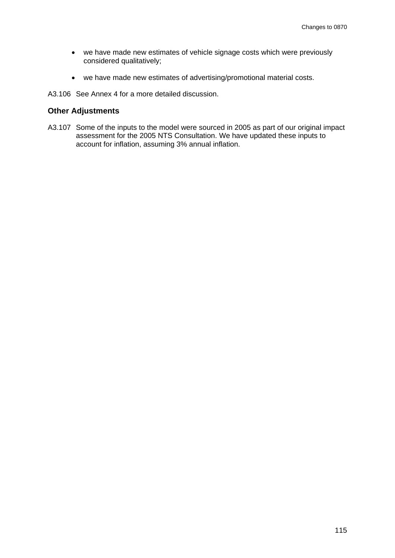- we have made new estimates of vehicle signage costs which were previously considered qualitatively;
- we have made new estimates of advertising/promotional material costs.
- A3.106 See Annex 4 for a more detailed discussion.

#### **Other Adjustments**

A3.107 Some of the inputs to the model were sourced in 2005 as part of our original impact assessment for the 2005 NTS Consultation. We have updated these inputs to account for inflation, assuming 3% annual inflation.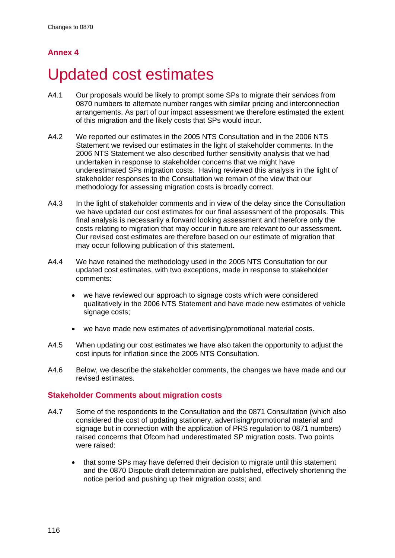# **Annex 4**

# Updated cost estimates

- A4.1 Our proposals would be likely to prompt some SPs to migrate their services from 0870 numbers to alternate number ranges with similar pricing and interconnection arrangements. As part of our impact assessment we therefore estimated the extent of this migration and the likely costs that SPs would incur.
- A4.2 We reported our estimates in the 2005 NTS Consultation and in the 2006 NTS Statement we revised our estimates in the light of stakeholder comments. In the 2006 NTS Statement we also described further sensitivity analysis that we had undertaken in response to stakeholder concerns that we might have underestimated SPs migration costs. Having reviewed this analysis in the light of stakeholder responses to the Consultation we remain of the view that our methodology for assessing migration costs is broadly correct.
- A4.3 In the light of stakeholder comments and in view of the delay since the Consultation we have updated our cost estimates for our final assessment of the proposals. This final analysis is necessarily a forward looking assessment and therefore only the costs relating to migration that may occur in future are relevant to our assessment. Our revised cost estimates are therefore based on our estimate of migration that may occur following publication of this statement.
- A4.4 We have retained the methodology used in the 2005 NTS Consultation for our updated cost estimates, with two exceptions, made in response to stakeholder comments:
	- we have reviewed our approach to signage costs which were considered qualitatively in the 2006 NTS Statement and have made new estimates of vehicle signage costs;
	- we have made new estimates of advertising/promotional material costs.
- A4.5 When updating our cost estimates we have also taken the opportunity to adjust the cost inputs for inflation since the 2005 NTS Consultation.
- A4.6 Below, we describe the stakeholder comments, the changes we have made and our revised estimates.

## **Stakeholder Comments about migration costs**

- A4.7 Some of the respondents to the Consultation and the 0871 Consultation (which also considered the cost of updating stationery, advertising/promotional material and signage but in connection with the application of PRS regulation to 0871 numbers) raised concerns that Ofcom had underestimated SP migration costs. Two points were raised:
	- that some SPs may have deferred their decision to migrate until this statement and the 0870 Dispute draft determination are published, effectively shortening the notice period and pushing up their migration costs; and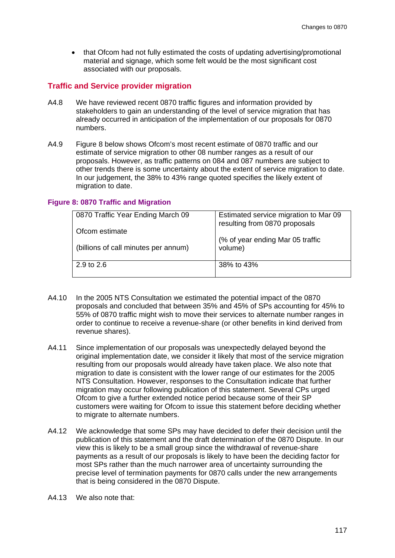• that Ofcom had not fully estimated the costs of updating advertising/promotional material and signage, which some felt would be the most significant cost associated with our proposals.

#### **Traffic and Service provider migration**

- A4.8 We have reviewed recent 0870 traffic figures and information provided by stakeholders to gain an understanding of the level of service migration that has already occurred in anticipation of the implementation of our proposals for 0870 numbers.
- A4.9 [Figure 8](#page-119-0) below shows Ofcom's most recent estimate of 0870 traffic and our estimate of service migration to other 08 number ranges as a result of our proposals. However, as traffic patterns on 084 and 087 numbers are subject to other trends there is some uncertainty about the extent of service migration to date. In our judgement, the 38% to 43% range quoted specifies the likely extent of migration to date.

#### <span id="page-119-0"></span>**Figure 8: 0870 Traffic and Migration**

| 0870 Traffic Year Ending March 09    | Estimated service migration to Mar 09<br>resulting from 0870 proposals |
|--------------------------------------|------------------------------------------------------------------------|
| Ofcom estimate                       | (% of year ending Mar 05 traffic                                       |
| (billions of call minutes per annum) | volume)                                                                |
| $2.9 \text{ to } 2.6$                | 38% to 43%                                                             |

- A4.10 In the 2005 NTS Consultation we estimated the potential impact of the 0870 proposals and concluded that between 35% and 45% of SPs accounting for 45% to 55% of 0870 traffic might wish to move their services to alternate number ranges in order to continue to receive a revenue-share (or other benefits in kind derived from revenue shares).
- A4.11 Since implementation of our proposals was unexpectedly delayed beyond the original implementation date, we consider it likely that most of the service migration resulting from our proposals would already have taken place. We also note that migration to date is consistent with the lower range of our estimates for the 2005 NTS Consultation. However, responses to the Consultation indicate that further migration may occur following publication of this statement. Several CPs urged Ofcom to give a further extended notice period because some of their SP customers were waiting for Ofcom to issue this statement before deciding whether to migrate to alternate numbers.
- A4.12 We acknowledge that some SPs may have decided to defer their decision until the publication of this statement and the draft determination of the 0870 Dispute. In our view this is likely to be a small group since the withdrawal of revenue-share payments as a result of our proposals is likely to have been the deciding factor for most SPs rather than the much narrower area of uncertainty surrounding the precise level of termination payments for 0870 calls under the new arrangements that is being considered in the 0870 Dispute.
- A4.13 We also note that: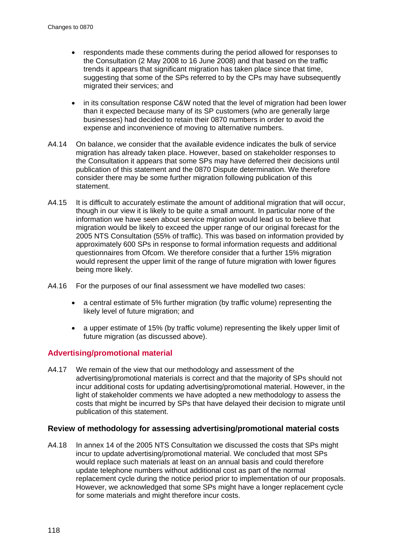- respondents made these comments during the period allowed for responses to the Consultation (2 May 2008 to 16 June 2008) and that based on the traffic trends it appears that significant migration has taken place since that time, suggesting that some of the SPs referred to by the CPs may have subsequently migrated their services; and
- in its consultation response C&W noted that the level of migration had been lower than it expected because many of its SP customers (who are generally large businesses) had decided to retain their 0870 numbers in order to avoid the expense and inconvenience of moving to alternative numbers.
- A4.14 On balance, we consider that the available evidence indicates the bulk of service migration has already taken place. However, based on stakeholder responses to the Consultation it appears that some SPs may have deferred their decisions until publication of this statement and the 0870 Dispute determination. We therefore consider there may be some further migration following publication of this statement.
- A4.15 It is difficult to accurately estimate the amount of additional migration that will occur, though in our view it is likely to be quite a small amount. In particular none of the information we have seen about service migration would lead us to believe that migration would be likely to exceed the upper range of our original forecast for the 2005 NTS Consultation (55% of traffic). This was based on information provided by approximately 600 SPs in response to formal information requests and additional questionnaires from Ofcom. We therefore consider that a further 15% migration would represent the upper limit of the range of future migration with lower figures being more likely.
- A4.16 For the purposes of our final assessment we have modelled two cases:
	- a central estimate of 5% further migration (by traffic volume) representing the likely level of future migration; and
	- a upper estimate of 15% (by traffic volume) representing the likely upper limit of future migration (as discussed above).

#### **Advertising/promotional material**

A4.17 We remain of the view that our methodology and assessment of the advertising/promotional materials is correct and that the majority of SPs should not incur additional costs for updating advertising/promotional material. However, in the light of stakeholder comments we have adopted a new methodology to assess the costs that might be incurred by SPs that have delayed their decision to migrate until publication of this statement.

### **Review of methodology for assessing advertising/promotional material costs**

A4.18 In annex 14 of the 2005 NTS Consultation we discussed the costs that SPs might incur to update advertising/promotional material. We concluded that most SPs would replace such materials at least on an annual basis and could therefore update telephone numbers without additional cost as part of the normal replacement cycle during the notice period prior to implementation of our proposals. However, we acknowledged that some SPs might have a longer replacement cycle for some materials and might therefore incur costs.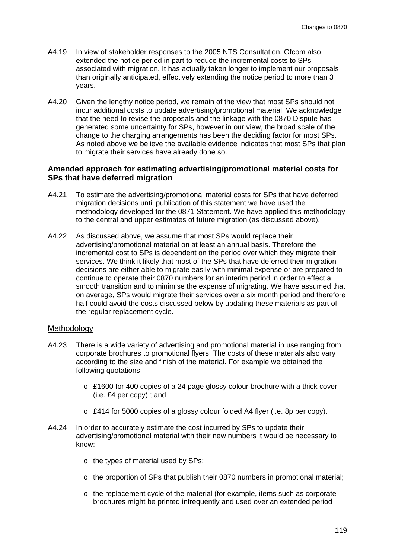- A4.19 In view of stakeholder responses to the 2005 NTS Consultation, Ofcom also extended the notice period in part to reduce the incremental costs to SPs associated with migration. It has actually taken longer to implement our proposals than originally anticipated, effectively extending the notice period to more than 3 years.
- A4.20 Given the lengthy notice period, we remain of the view that most SPs should not incur additional costs to update advertising/promotional material. We acknowledge that the need to revise the proposals and the linkage with the 0870 Dispute has generated some uncertainty for SPs, however in our view, the broad scale of the change to the charging arrangements has been the deciding factor for most SPs. As noted above we believe the available evidence indicates that most SPs that plan to migrate their services have already done so.

#### **Amended approach for estimating advertising/promotional material costs for SPs that have deferred migration**

- A4.21 To estimate the advertising/promotional material costs for SPs that have deferred migration decisions until publication of this statement we have used the methodology developed for the 0871 Statement. We have applied this methodology to the central and upper estimates of future migration (as discussed above).
- A4.22 As discussed above, we assume that most SPs would replace their advertising/promotional material on at least an annual basis. Therefore the incremental cost to SPs is dependent on the period over which they migrate their services. We think it likely that most of the SPs that have deferred their migration decisions are either able to migrate easily with minimal expense or are prepared to continue to operate their 0870 numbers for an interim period in order to effect a smooth transition and to minimise the expense of migrating. We have assumed that on average, SPs would migrate their services over a six month period and therefore half could avoid the costs discussed below by updating these materials as part of the regular replacement cycle.

#### Methodology

- A4.23 There is a wide variety of advertising and promotional material in use ranging from corporate brochures to promotional flyers. The costs of these materials also vary according to the size and finish of the material. For example we obtained the following quotations:
	- $\circ$  £1600 for 400 copies of a 24 page glossy colour brochure with a thick cover (i.e. £4 per copy) ; and
	- o £414 for 5000 copies of a glossy colour folded A4 flyer (i.e. 8p per copy).
- A4.24 In order to accurately estimate the cost incurred by SPs to update their advertising/promotional material with their new numbers it would be necessary to know:
	- o the types of material used by SPs;
	- $\circ$  the proportion of SPs that publish their 0870 numbers in promotional material;
	- o the replacement cycle of the material (for example, items such as corporate brochures might be printed infrequently and used over an extended period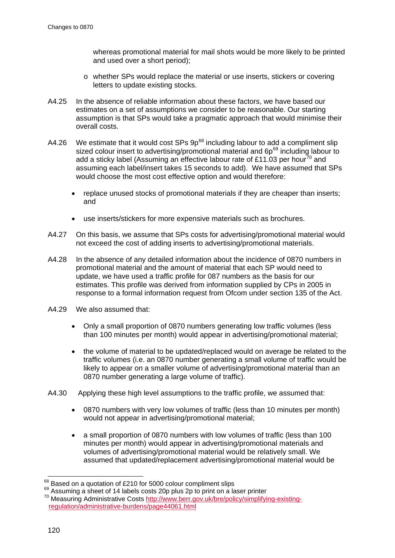whereas promotional material for mail shots would be more likely to be printed and used over a short period);

- o whether SPs would replace the material or use inserts, stickers or covering letters to update existing stocks.
- A4.25 In the absence of reliable information about these factors, we have based our estimates on a set of assumptions we consider to be reasonable. Our starting assumption is that SPs would take a pragmatic approach that would minimise their overall costs.
- A4.26 We estimate that it would cost SPs  $9p^{68}$  $9p^{68}$  $9p^{68}$  including labour to add a compliment slip sized colour insert to advertising/promotional material and  $6p^{69}$  $6p^{69}$  $6p^{69}$  including labour to add a sticky label (Assuming an effective labour rate of £11.03 per hour<sup>[70](#page-122-2)</sup> and assuming each label/insert takes 15 seconds to add). We have assumed that SPs would choose the most cost effective option and would therefore:
	- replace unused stocks of promotional materials if they are cheaper than inserts; and
	- use inserts/stickers for more expensive materials such as brochures.
- A4.27 On this basis, we assume that SPs costs for advertising/promotional material would not exceed the cost of adding inserts to advertising/promotional materials.
- <span id="page-122-3"></span>A4.28 In the absence of any detailed information about the incidence of 0870 numbers in promotional material and the amount of material that each SP would need to update, we have used a traffic profile for 087 numbers as the basis for our estimates. This profile was derived from information supplied by CPs in 2005 in response to a formal information request from Ofcom under section 135 of the Act.
- A4.29 We also assumed that:
	- Only a small proportion of 0870 numbers generating low traffic volumes (less than 100 minutes per month) would appear in advertising/promotional material;
	- the volume of material to be updated/replaced would on average be related to the traffic volumes (i.e. an 0870 number generating a small volume of traffic would be likely to appear on a smaller volume of advertising/promotional material than an 0870 number generating a large volume of traffic).
- A4.30 Applying these high level assumptions to the traffic profile, we assumed that:
	- 0870 numbers with very low volumes of traffic (less than 10 minutes per month) would not appear in advertising/promotional material;
	- a small proportion of 0870 numbers with low volumes of traffic (less than 100 minutes per month) would appear in advertising/promotional materials and volumes of advertising/promotional material would be relatively small. We assumed that updated/replacement advertising/promotional material would be

<span id="page-122-2"></span><span id="page-122-1"></span>

<span id="page-122-0"></span><sup>&</sup>lt;sup>68</sup> Based on a quotation of £210 for 5000 colour compliment slips<br><sup>69</sup> Assuming a sheet of 14 labels costs 20p plus 2p to print on a laser printer<br><sup>70</sup> Measuring Administrative Costs http://www.berr.gov.uk/bre/policy/sim [regulation/administrative-burdens/page44061.html](http://www.berr.gov.uk/bre/policy/simplifying-existing-regulation/administrative-burdens/page44061.html)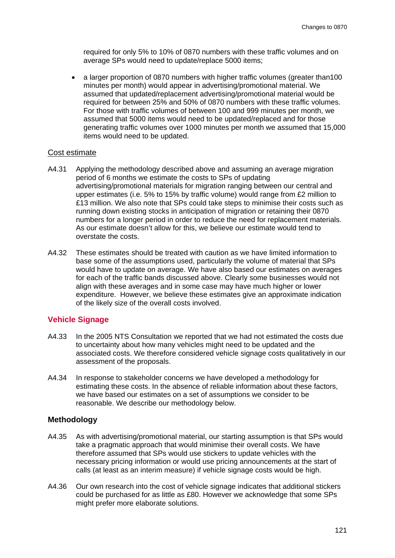required for only 5% to 10% of 0870 numbers with these traffic volumes and on average SPs would need to update/replace 5000 items;

• a larger proportion of 0870 numbers with higher traffic volumes (greater than100 minutes per month) would appear in advertising/promotional material. We assumed that updated/replacement advertising/promotional material would be required for between 25% and 50% of 0870 numbers with these traffic volumes. For those with traffic volumes of between 100 and 999 minutes per month, we assumed that 5000 items would need to be updated/replaced and for those generating traffic volumes over 1000 minutes per month we assumed that 15,000 items would need to be updated.

#### Cost estimate

- A4.31 Applying the methodology described above and assuming an average migration period of 6 months we estimate the costs to SPs of updating advertising/promotional materials for migration ranging between our central and upper estimates (i.e. 5% to 15% by traffic volume) would range from £2 million to £13 million. We also note that SPs could take steps to minimise their costs such as running down existing stocks in anticipation of migration or retaining their 0870 numbers for a longer period in order to reduce the need for replacement materials. As our estimate doesn't allow for this, we believe our estimate would tend to overstate the costs.
- A4.32 These estimates should be treated with caution as we have limited information to base some of the assumptions used, particularly the volume of material that SPs would have to update on average. We have also based our estimates on averages for each of the traffic bands discussed above. Clearly some businesses would not align with these averages and in some case may have much higher or lower expenditure. However, we believe these estimates give an approximate indication of the likely size of the overall costs involved.

#### **Vehicle Signage**

- A4.33 In the 2005 NTS Consultation we reported that we had not estimated the costs due to uncertainty about how many vehicles might need to be updated and the associated costs. We therefore considered vehicle signage costs qualitatively in our assessment of the proposals.
- A4.34 In response to stakeholder concerns we have developed a methodology for estimating these costs. In the absence of reliable information about these factors, we have based our estimates on a set of assumptions we consider to be reasonable. We describe our methodology below.

### **Methodology**

- A4.35 As with advertising/promotional material, our starting assumption is that SPs would take a pragmatic approach that would minimise their overall costs. We have therefore assumed that SPs would use stickers to update vehicles with the necessary pricing information or would use pricing announcements at the start of calls (at least as an interim measure) if vehicle signage costs would be high.
- A4.36 Our own research into the cost of vehicle signage indicates that additional stickers could be purchased for as little as £80. However we acknowledge that some SPs might prefer more elaborate solutions.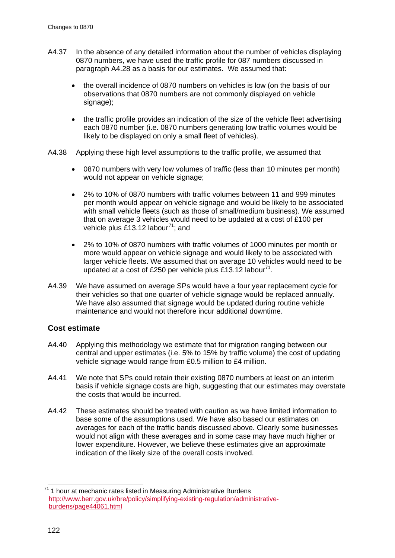- A4.37 In the absence of any detailed information about the number of vehicles displaying 0870 numbers, we have used the traffic profile for 087 numbers discussed in paragraph [A4.28](#page-122-3) as a basis for our estimates. We assumed that:
	- the overall incidence of 0870 numbers on vehicles is low (on the basis of our observations that 0870 numbers are not commonly displayed on vehicle signage);
	- the traffic profile provides an indication of the size of the vehicle fleet advertising each 0870 number (i.e. 0870 numbers generating low traffic volumes would be likely to be displayed on only a small fleet of vehicles).
- A4.38 Applying these high level assumptions to the traffic profile, we assumed that
	- 0870 numbers with very low volumes of traffic (less than 10 minutes per month) would not appear on vehicle signage;
	- 2% to 10% of 0870 numbers with traffic volumes between 11 and 999 minutes per month would appear on vehicle signage and would be likely to be associated with small vehicle fleets (such as those of small/medium business). We assumed that on average 3 vehicles would need to be updated at a cost of £100 per vehicle plus £13.12 labour<sup>[71](#page-124-1)</sup>; and
	- 2% to 10% of 0870 numbers with traffic volumes of 1000 minutes per month or more would appear on vehicle signage and would likely to be associated with larger vehicle fleets. We assumed that on average 10 vehicles would need to be updated at a cost of £250 per vehicle plus £13.12 labour<sup>71</sup>.
- <span id="page-124-0"></span>A4.39 We have assumed on average SPs would have a four year replacement cycle for their vehicles so that one quarter of vehicle signage would be replaced annually. We have also assumed that signage would be updated during routine vehicle maintenance and would not therefore incur additional downtime.

#### **Cost estimate**

- A4.40 Applying this methodology we estimate that for migration ranging between our central and upper estimates (i.e. 5% to 15% by traffic volume) the cost of updating vehicle signage would range from £0.5 million to £4 million.
- A4.41 We note that SPs could retain their existing 0870 numbers at least on an interim basis if vehicle signage costs are high, suggesting that our estimates may overstate the costs that would be incurred.
- A4.42 These estimates should be treated with caution as we have limited information to base some of the assumptions used. We have also based our estimates on averages for each of the traffic bands discussed above. Clearly some businesses would not align with these averages and in some case may have much higher or lower expenditure. However, we believe these estimates give an approximate indication of the likely size of the overall costs involved.

<span id="page-124-1"></span> $71$  1 hour at mechanic rates listed in Measuring Administrative Burdens [http://www.berr.gov.uk/bre/policy/simplifying-existing-regulation/administrative](http://www.berr.gov.uk/bre/policy/simplifying-existing-regulation/administrative-burdens/page44061.html)[burdens/page44061.html](http://www.berr.gov.uk/bre/policy/simplifying-existing-regulation/administrative-burdens/page44061.html)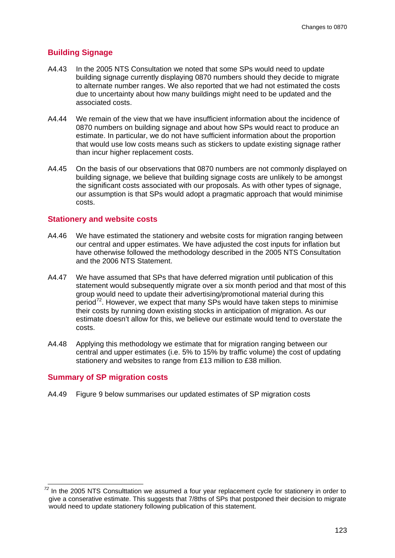### **Building Signage**

- A4.43 In the 2005 NTS Consultation we noted that some SPs would need to update building signage currently displaying 0870 numbers should they decide to migrate to alternate number ranges. We also reported that we had not estimated the costs due to uncertainty about how many buildings might need to be updated and the associated costs.
- A4.44 We remain of the view that we have insufficient information about the incidence of 0870 numbers on building signage and about how SPs would react to produce an estimate. In particular, we do not have sufficient information about the proportion that would use low costs means such as stickers to update existing signage rather than incur higher replacement costs.
- A4.45 On the basis of our observations that 0870 numbers are not commonly displayed on building signage, we believe that building signage costs are unlikely to be amongst the significant costs associated with our proposals. As with other types of signage, our assumption is that SPs would adopt a pragmatic approach that would minimise costs.

#### **Stationery and website costs**

- A4.46 We have estimated the stationery and website costs for migration ranging between our central and upper estimates. We have adjusted the cost inputs for inflation but have otherwise followed the methodology described in the 2005 NTS Consultation and the 2006 NTS Statement.
- A4.47 We have assumed that SPs that have deferred migration until publication of this statement would subsequently migrate over a six month period and that most of this group would need to update their advertising/promotional material during this period<sup>[72](#page-125-0)</sup>. However, we expect that many SPs would have taken steps to minimise their costs by running down existing stocks in anticipation of migration. As our estimate doesn't allow for this, we believe our estimate would tend to overstate the costs.
- A4.48 Applying this methodology we estimate that for migration ranging between our central and upper estimates (i.e. 5% to 15% by traffic volume) the cost of updating stationery and websites to range from £13 million to £38 million.

#### **Summary of SP migration costs**

A4.49 [Figure 9](#page-126-0) below summarises our updated estimates of SP migration costs

<span id="page-125-0"></span>*<sup>72</sup>* In the 2005 NTS Consulttation we assumed a four year replacement cycle for stationery in order to give a conserative estimate. This suggests that 7/8ths of SPs that postponed their decision to migrate would need to update stationery following publication of this statement.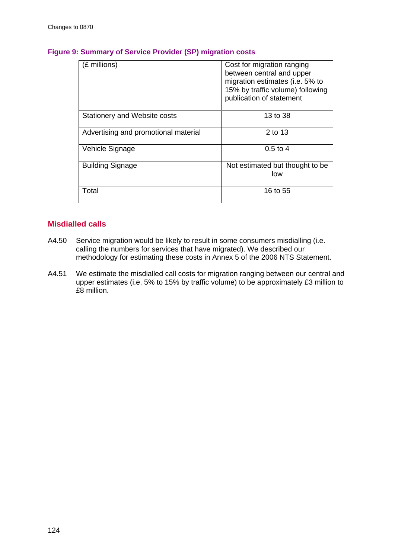| (£ millions)                         | Cost for migration ranging<br>between central and upper<br>migration estimates (i.e. 5% to<br>15% by traffic volume) following<br>publication of statement |
|--------------------------------------|------------------------------------------------------------------------------------------------------------------------------------------------------------|
| Stationery and Website costs         | 13 to 38                                                                                                                                                   |
| Advertising and promotional material | 2 to 13                                                                                                                                                    |
| Vehicle Signage                      | $0.5 \text{ to } 4$                                                                                                                                        |
| <b>Building Signage</b>              | Not estimated but thought to be<br>low                                                                                                                     |
| Total                                | 16 to 55                                                                                                                                                   |

## <span id="page-126-0"></span>**Figure 9: Summary of Service Provider (SP) migration costs**

## **Misdialled calls**

- A4.50 Service migration would be likely to result in some consumers misdialling (i.e. calling the numbers for services that have migrated). We described our methodology for estimating these costs in Annex 5 of the 2006 NTS Statement.
- A4.51 We estimate the misdialled call costs for migration ranging between our central and upper estimates (i.e. 5% to 15% by traffic volume) to be approximately £3 million to £8 million.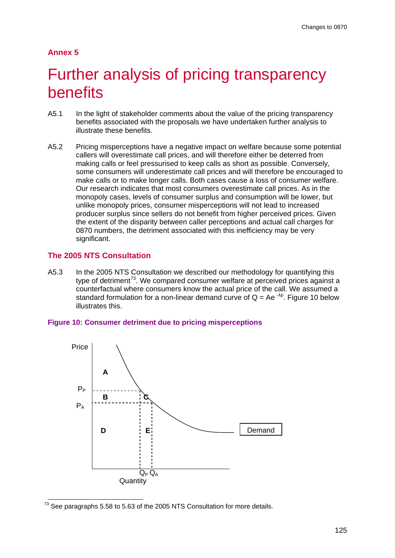#### **Annex 5**

# Further analysis of pricing transparency benefits

- A5.1 In the light of stakeholder comments about the value of the pricing transparency benefits associated with the proposals we have undertaken further analysis to illustrate these benefits.
- A5.2 Pricing misperceptions have a negative impact on welfare because some potential callers will overestimate call prices, and will therefore either be deterred from making calls or feel pressurised to keep calls as short as possible. Conversely, some consumers will underestimate call prices and will therefore be encouraged to make calls or to make longer calls. Both cases cause a loss of consumer welfare. Our research indicates that most consumers overestimate call prices. As in the monopoly cases, levels of consumer surplus and consumption will be lower, but unlike monopoly prices, consumer misperceptions will not lead to increased producer surplus since sellers do not benefit from higher perceived prices. Given the extent of the disparity between caller perceptions and actual call charges for 0870 numbers, the detriment associated with this inefficiency may be very significant.

#### **The 2005 NTS Consultation**

A5.3 In the 2005 NTS Consultation we described our methodology for quantifying this type of detriment<sup>[73](#page-127-1)</sup>. We compared consumer welfare at perceived prices against a standardformulation for a non-linear demand curve of  $Q = Ae^{-\lambda p}$ . Figure 10 below counterfactual where consumers know the actual price of the call. We assumed a illustrates this.

<span id="page-127-0"></span>



<span id="page-127-1"></span> $73$  See paragraphs 5.58 to 5.63 of the 2005 NTS Consultation for more details.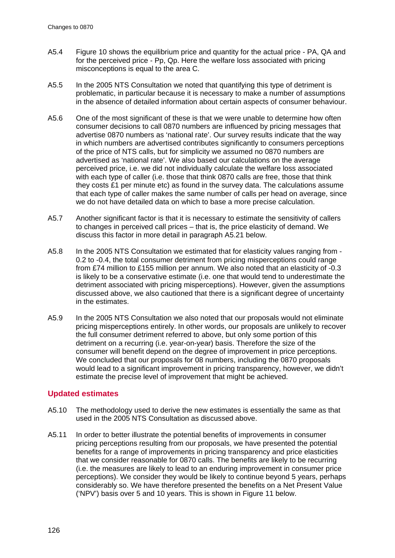- A5.4 [Figure 10](#page-127-0) shows the equilibrium price and quantity for the actual price PA, QA and for the perceived price - Pp, Qp. Here the welfare loss associated with pricing misconceptions is equal to the area C.
- A5.5 In the 2005 NTS Consultation we noted that quantifying this type of detriment is problematic, in particular because it is necessary to make a number of assumptions in the absence of detailed information about certain aspects of consumer behaviour.
- A5.6 One of the most significant of these is that we were unable to determine how often consumer decisions to call 0870 numbers are influenced by pricing messages that advertise 0870 numbers as 'national rate'. Our survey results indicate that the way in which numbers are advertised contributes significantly to consumers perceptions of the price of NTS calls, but for simplicity we assumed no 0870 numbers are advertised as 'national rate'. We also based our calculations on the average perceived price, i.e. we did not individually calculate the welfare loss associated with each type of caller (i.e. those that think 0870 calls are free, those that think they costs £1 per minute etc) as found in the survey data. The calculations assume that each type of caller makes the same number of calls per head on average, since we do not have detailed data on which to base a more precise calculation.
- A5.7 Another significant factor is that it is necessary to estimate the sensitivity of callers to changes in perceived call prices – that is, the price elasticity of demand. We discuss this factor in more detail in paragraph [A5.21](#page-131-0) below.
- A5.8 In the 2005 NTS Consultation we estimated that for elasticity values ranging from 0.2 to -0.4, the total consumer detriment from pricing misperceptions could range from £74 million to £155 million per annum. We also noted that an elasticity of -0.3 is likely to be a conservative estimate (i.e. one that would tend to underestimate the detriment associated with pricing misperceptions). However, given the assumptions discussed above, we also cautioned that there is a significant degree of uncertainty in the estimates.
- A5.9 In the 2005 NTS Consultation we also noted that our proposals would not eliminate pricing misperceptions entirely. In other words, our proposals are unlikely to recover the full consumer detriment referred to above, but only some portion of this detriment on a recurring (i.e. year-on-year) basis. Therefore the size of the consumer will benefit depend on the degree of improvement in price perceptions. We concluded that our proposals for 08 numbers, including the 0870 proposals would lead to a significant improvement in pricing transparency, however, we didn't estimate the precise level of improvement that might be achieved.

## **Updated estimates**

- A5.10 The methodology used to derive the new estimates is essentially the same as that used in the 2005 NTS Consultation as discussed above.
- A5.11 In order to better illustrate the potential benefits of improvements in consumer pricing perceptions resulting from our proposals, we have presented the potential benefits for a range of improvements in pricing transparency and price elasticities that we consider reasonable for 0870 calls. The benefits are likely to be recurring (i.e. the measures are likely to lead to an enduring improvement in consumer price perceptions). We consider they would be likely to continue beyond 5 years, perhaps considerably so. We have therefore presented the benefits on a Net Present Value ('NPV') basis over 5 and 10 years. This is shown in [Figure 11](#page-129-0) below.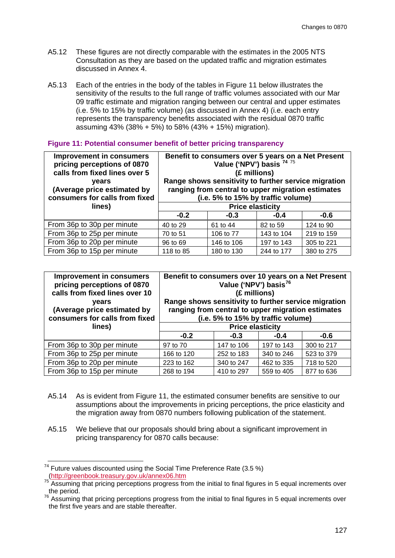- A5.12 These figures are not directly comparable with the estimates in the 2005 NTS Consultation as they are based on the updated traffic and migration estimates discussed in Annex 4.
- A5.13 Each of the entries in the body of the tables in [Figure 11](#page-129-0) below illustrates the sensitivity of the results to the full range of traffic volumes associated with our Mar 09 traffic estimate and migration ranging between our central and upper estimates (i.e. 5% to 15% by traffic volume) (as discussed in Annex 4) (i.e. each entry represents the transparency benefits associated with the residual 0870 traffic assuming 43% (38% + 5%) to 58% (43% + 15%) migration).

#### <span id="page-129-0"></span>**Figure 11: Potential consumer benefit of better pricing transparency**

| <b>Improvement in consumers</b><br>pricing perceptions of 0870<br>calls from fixed lines over 5<br>vears<br>(Average price estimated by<br>consumers for calls from fixed | Benefit to consumers over 5 years on a Net Present<br>Value ('NPV') basis 74 75<br>(£ millions)<br>Range shows sensitivity to further service migration<br>ranging from central to upper migration estimates<br>(i.e. 5% to 15% by traffic volume) |            |            |            |
|---------------------------------------------------------------------------------------------------------------------------------------------------------------------------|----------------------------------------------------------------------------------------------------------------------------------------------------------------------------------------------------------------------------------------------------|------------|------------|------------|
| lines)                                                                                                                                                                    | <b>Price elasticity</b>                                                                                                                                                                                                                            |            |            |            |
|                                                                                                                                                                           | $-0.2$                                                                                                                                                                                                                                             | $-0.3$     | $-0.4$     | $-0.6$     |
| From 36p to 30p per minute                                                                                                                                                | 40 to 29                                                                                                                                                                                                                                           | 61 to 44   | 82 to 59   | 124 to 90  |
| From 36p to 25p per minute                                                                                                                                                | 70 to 51                                                                                                                                                                                                                                           | 106 to 77  | 143 to 104 | 219 to 159 |
| From 36p to 20p per minute                                                                                                                                                | 96 to 69                                                                                                                                                                                                                                           | 146 to 106 | 197 to 143 | 305 to 221 |
| From 36p to 15p per minute                                                                                                                                                | 118 to 85                                                                                                                                                                                                                                          | 180 to 130 | 244 to 177 | 380 to 275 |

| <b>Improvement in consumers</b><br>pricing perceptions of 0870<br>calls from fixed lines over 10<br><b>vears</b><br>(Average price estimated by<br>consumers for calls from fixed<br>lines) | Benefit to consumers over 10 years on a Net Present<br>Value ('NPV') basis <sup>76</sup><br>(£ millions)<br>Range shows sensitivity to further service migration<br>ranging from central to upper migration estimates<br>(i.e. 5% to 15% by traffic volume)<br><b>Price elasticity</b> |            |            |            |
|---------------------------------------------------------------------------------------------------------------------------------------------------------------------------------------------|----------------------------------------------------------------------------------------------------------------------------------------------------------------------------------------------------------------------------------------------------------------------------------------|------------|------------|------------|
|                                                                                                                                                                                             | $-0.2$                                                                                                                                                                                                                                                                                 | $-0.3$     | $-0.4$     | $-0.6$     |
| From 36p to 30p per minute                                                                                                                                                                  | 97 to 70                                                                                                                                                                                                                                                                               | 147 to 106 | 197 to 143 | 300 to 217 |
| From 36p to 25p per minute                                                                                                                                                                  | 166 to 120                                                                                                                                                                                                                                                                             | 252 to 183 | 340 to 246 | 523 to 379 |
| From 36p to 20p per minute                                                                                                                                                                  | 223 to 162                                                                                                                                                                                                                                                                             | 340 to 247 | 462 to 335 | 718 to 520 |
| From 36p to 15p per minute                                                                                                                                                                  | 268 to 194                                                                                                                                                                                                                                                                             | 410 to 297 | 559 to 405 | 877 to 636 |

- A5.14 As is evident from [Figure 11,](#page-129-0) the estimated consumer benefits are sensitive to our assumptions about the improvements in pricing perceptions, the price elasticity and the migration away from 0870 numbers following publication of the statement.
- A5.15 We believe that our proposals should bring about a significant improvement in pricing transparency for 0870 calls because:

<span id="page-129-1"></span><sup>&</sup>lt;sup>74</sup> Future values discounted using the Social Time Preference Rate (3.5 %)<br>  $\frac{(http://greenbook.treasury.gov.uk/annex06.htm}{75}$ 

<span id="page-129-2"></span> $\frac{1}{6}$  Assuming that pricing perceptions progress from the initial to final figures in 5 equal increments over the period.

<span id="page-129-3"></span>The period.<br><sup>76</sup> Assuming that pricing perceptions progress from the initial to final figures in 5 equal increments over the first five years and are stable thereafter.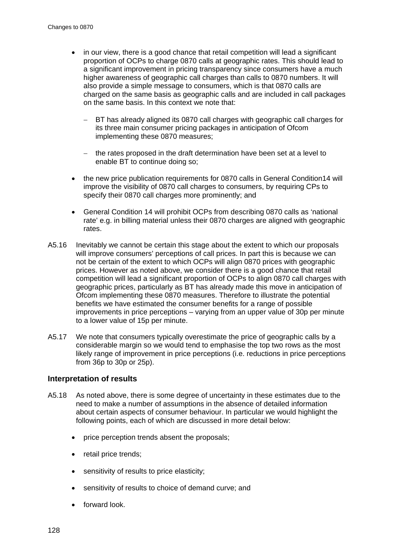- in our view, there is a good chance that retail competition will lead a significant proportion of OCPs to charge 0870 calls at geographic rates. This should lead to a significant improvement in pricing transparency since consumers have a much higher awareness of geographic call charges than calls to 0870 numbers. It will also provide a simple message to consumers, which is that 0870 calls are charged on the same basis as geographic calls and are included in call packages on the same basis. In this context we note that:
	- BT has already aligned its 0870 call charges with geographic call charges for its three main consumer pricing packages in anticipation of Ofcom implementing these 0870 measures;
	- − the rates proposed in the draft determination have been set at a level to enable BT to continue doing so;
- the new price publication requirements for 0870 calls in General Condition14 will improve the visibility of 0870 call charges to consumers, by requiring CPs to specify their 0870 call charges more prominently; and
- General Condition 14 will prohibit OCPs from describing 0870 calls as 'national rate' e.g. in billing material unless their 0870 charges are aligned with geographic rates.
- A5.16 Inevitably we cannot be certain this stage about the extent to which our proposals will improve consumers' perceptions of call prices. In part this is because we can not be certain of the extent to which OCPs will align 0870 prices with geographic prices. However as noted above, we consider there is a good chance that retail competition will lead a significant proportion of OCPs to align 0870 call charges with geographic prices, particularly as BT has already made this move in anticipation of Ofcom implementing these 0870 measures. Therefore to illustrate the potential benefits we have estimated the consumer benefits for a range of possible improvements in price perceptions – varying from an upper value of 30p per minute to a lower value of 15p per minute.
- A5.17 We note that consumers typically overestimate the price of geographic calls by a considerable margin so we would tend to emphasise the top two rows as the most likely range of improvement in price perceptions (i.e. reductions in price perceptions from 36p to 30p or 25p).

#### **Interpretation of results**

- A5.18 As noted above, there is some degree of uncertainty in these estimates due to the need to make a number of assumptions in the absence of detailed information about certain aspects of consumer behaviour. In particular we would highlight the following points, each of which are discussed in more detail below:
	- price perception trends absent the proposals;
	- retail price trends:
	- sensitivity of results to price elasticity;
	- sensitivity of results to choice of demand curve; and
	- forward look.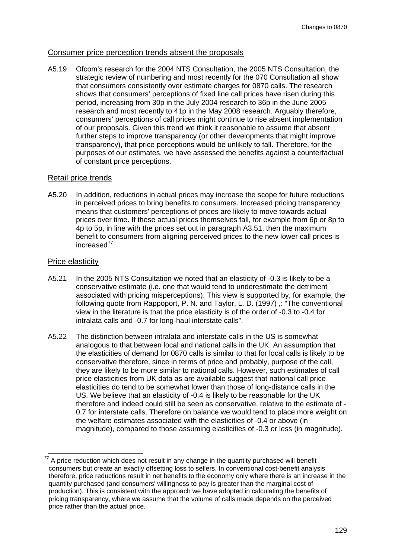#### Consumer price perception trends absent the proposals

A5.19 Ofcom's research for the 2004 NTS Consultation, the 2005 NTS Consultation, the strategic review of numbering and most recently for the 070 Consultation all show that consumers consistently over estimate charges for 0870 calls. The research shows that consumers' perceptions of fixed line call prices have risen during this period, increasing from 30p in the July 2004 research to 36p in the June 2005 research and most recently to 41p in the May 2008 research. Arguably therefore, consumers' perceptions of call prices might continue to rise absent implementation of our proposals. Given this trend we think it reasonable to assume that absent further steps to improve transparency (or other developments that might improve transparency), that price perceptions would be unlikely to fall. Therefore, for the purposes of our estimates, we have assessed the benefits against a counterfactual of constant price perceptions.

### Retail price trends

A5.20 In addition, reductions in actual prices may increase the scope for future reductions in perceived prices to bring benefits to consumers. Increased pricing transparency means that customers' perceptions of prices are likely to move towards actual prices over time. If these actual prices themselves fall, for example from 6p or 8p to 4p to 5p, in line with the prices set out in paragraph [A3.51,](#page-105-0) then the maximum benefit to consumers from aligning perceived prices to the new lower call prices is increased[77.](#page-131-1)

### Price elasticity

- <span id="page-131-0"></span>A5.21 In the 2005 NTS Consultation we noted that an elasticity of -0.3 is likely to be a conservative estimate (i.e. one that would tend to underestimate the detriment associated with pricing misperceptions). This view is supported by, for example, the following quote from Rappoport, P. N. and Taylor, L. D. (1997) ,: "The conventional view in the literature is that the price elasticity is of the order of -0.3 to -0.4 for intralata calls and -0.7 for long-haul interstate calls".
- A5.22 The distinction between intralata and interstate calls in the US is somewhat analogous to that between local and national calls in the UK. An assumption that the elasticities of demand for 0870 calls is similar to that for local calls is likely to be conservative therefore, since in terms of price and probably, purpose of the call, they are likely to be more similar to national calls. However, such estimates of call price elasticities from UK data as are available suggest that national call price elasticities do tend to be somewhat lower than those of long-distance calls in the US. We believe that an elasticity of -0.4 is likely to be reasonable for the UK therefore and indeed could still be seen as conservative, relative to the estimate of - 0.7 for interstate calls. Therefore on balance we would tend to place more weight on the welfare estimates associated with the elasticities of -0.4 or above (in magnitude), compared to those assuming elasticities of -0.3 or less (in magnitude).

<span id="page-131-1"></span>*<sup>77</sup>* A price reduction which does not result in any change in the quantity purchased will benefit consumers but create an exactly offsetting loss to sellers. In conventional cost-benefit analysis therefore, price reductions result in net benefits to the economy only where there is an increase in the quantity purchased (and consumers' willingness to pay is greater than the marginal cost of production). This is consistent with the approach we have adopted in calculating the benefits of pricing transparency, where we assume that the volume of calls made depends on the perceived price rather than the actual price.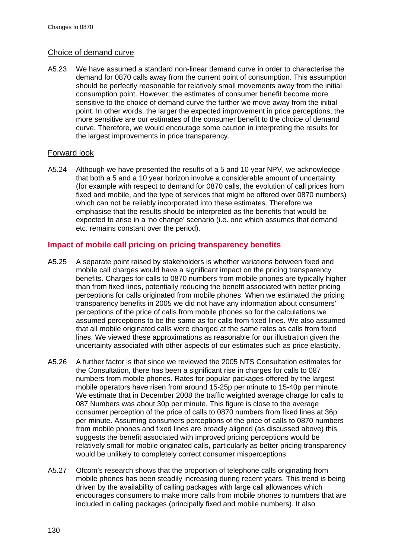#### Choice of demand curve

A5.23 We have assumed a standard non-linear demand curve in order to characterise the demand for 0870 calls away from the current point of consumption. This assumption should be perfectly reasonable for relatively small movements away from the initial consumption point. However, the estimates of consumer benefit become more sensitive to the choice of demand curve the further we move away from the initial point. In other words, the larger the expected improvement in price perceptions, the more sensitive are our estimates of the consumer benefit to the choice of demand curve. Therefore, we would encourage some caution in interpreting the results for the largest improvements in price transparency.

#### Forward look

A5.24 Although we have presented the results of a 5 and 10 year NPV, we acknowledge that both a 5 and a 10 year horizon involve a considerable amount of uncertainty (for example with respect to demand for 0870 calls, the evolution of call prices from fixed and mobile, and the type of services that might be offered over 0870 numbers) which can not be reliably incorporated into these estimates. Therefore we emphasise that the results should be interpreted as the benefits that would be expected to arise in a 'no change' scenario (i.e. one which assumes that demand etc. remains constant over the period).

### **Impact of mobile call pricing on pricing transparency benefits**

- A5.25 A separate point raised by stakeholders is whether variations between fixed and mobile call charges would have a significant impact on the pricing transparency benefits. Charges for calls to 0870 numbers from mobile phones are typically higher than from fixed lines, potentially reducing the benefit associated with better pricing perceptions for calls originated from mobile phones. When we estimated the pricing transparency benefits in 2005 we did not have any information about consumers' perceptions of the price of calls from mobile phones so for the calculations we assumed perceptions to be the same as for calls from fixed lines. We also assumed that all mobile originated calls were charged at the same rates as calls from fixed lines. We viewed these approximations as reasonable for our illustration given the uncertainty associated with other aspects of our estimates such as price elasticity.
- A5.26 A further factor is that since we reviewed the 2005 NTS Consultation estimates for the Consultation, there has been a significant rise in charges for calls to 087 numbers from mobile phones. Rates for popular packages offered by the largest mobile operators have risen from around 15-25p per minute to 15-40p per minute. We estimate that in December 2008 the traffic weighted average charge for calls to 087 Numbers was about 30p per minute. This figure is close to the average consumer perception of the price of calls to 0870 numbers from fixed lines at 36p per minute. Assuming consumers perceptions of the price of calls to 0870 numbers from mobile phones and fixed lines are broadly aligned (as discussed above) this suggests the benefit associated with improved pricing perceptions would be relatively small for mobile originated calls, particularly as better pricing transparency would be unlikely to completely correct consumer misperceptions.
- A5.27 Ofcom's research shows that the proportion of telephone calls originating from mobile phones has been steadily increasing during recent years. This trend is being driven by the availability of calling packages with large call allowances which encourages consumers to make more calls from mobile phones to numbers that are included in calling packages (principally fixed and mobile numbers). It also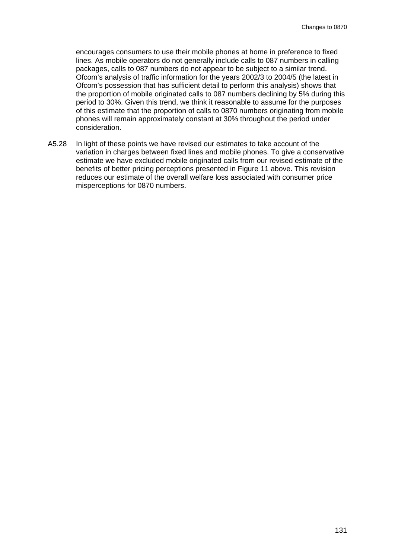encourages consumers to use their mobile phones at home in preference to fixed lines. As mobile operators do not generally include calls to 087 numbers in calling packages, calls to 087 numbers do not appear to be subject to a similar trend. Ofcom's analysis of traffic information for the years 2002/3 to 2004/5 (the latest in Ofcom's possession that has sufficient detail to perform this analysis) shows that the proportion of mobile originated calls to 087 numbers declining by 5% during this period to 30%. Given this trend, we think it reasonable to assume for the purposes of this estimate that the proportion of calls to 0870 numbers originating from mobile phones will remain approximately constant at 30% throughout the period under consideration.

A5.28 In light of these points we have revised our estimates to take account of the variation in charges between fixed lines and mobile phones. To give a conservative estimate we have excluded mobile originated calls from our revised estimate of the benefits of better pricing perceptions presented in [Figure 11](#page-129-0) above. This revision reduces our estimate of the overall welfare loss associated with consumer price misperceptions for 0870 numbers.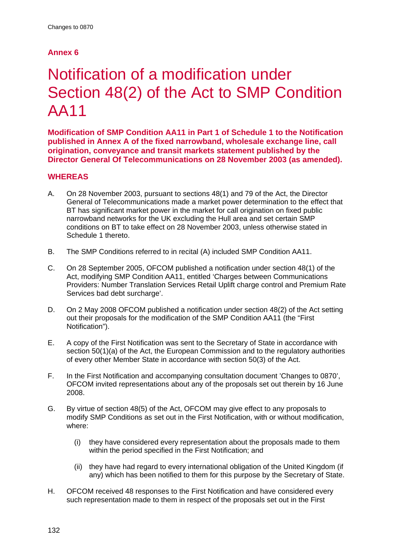## **Annex 6**

# Notification of a modification under Section 48(2) of the Act to SMP Condition AA11

**Modification of SMP Condition AA11 in Part 1 of Schedule 1 to the Notification published in Annex A of the fixed narrowband, wholesale exchange line, call origination, conveyance and transit markets statement published by the Director General Of Telecommunications on 28 November 2003 (as amended).**

## **WHEREAS**

- A. On 28 November 2003, pursuant to sections 48(1) and 79 of the Act, the Director General of Telecommunications made a market power determination to the effect that BT has significant market power in the market for call origination on fixed public narrowband networks for the UK excluding the Hull area and set certain SMP conditions on BT to take effect on 28 November 2003, unless otherwise stated in Schedule 1 thereto.
- B. The SMP Conditions referred to in recital (A) included SMP Condition AA11.
- C. On 28 September 2005, OFCOM published a notification under section 48(1) of the Act, modifying SMP Condition AA11, entitled 'Charges between Communications Providers: Number Translation Services Retail Uplift charge control and Premium Rate Services bad debt surcharge'.
- D. On 2 May 2008 OFCOM published a notification under section 48(2) of the Act setting out their proposals for the modification of the SMP Condition AA11 (the "First Notification").
- E. A copy of the First Notification was sent to the Secretary of State in accordance with section 50(1)(a) of the Act, the European Commission and to the regulatory authorities of every other Member State in accordance with section 50(3) of the Act.
- F. In the First Notification and accompanying consultation document 'Changes to 0870', OFCOM invited representations about any of the proposals set out therein by 16 June 2008.
- G. By virtue of section 48(5) of the Act, OFCOM may give effect to any proposals to modify SMP Conditions as set out in the First Notification, with or without modification, where:
	- (i) they have considered every representation about the proposals made to them within the period specified in the First Notification; and
	- (ii) they have had regard to every international obligation of the United Kingdom (if any) which has been notified to them for this purpose by the Secretary of State.
- H. OFCOM received 48 responses to the First Notification and have considered every such representation made to them in respect of the proposals set out in the First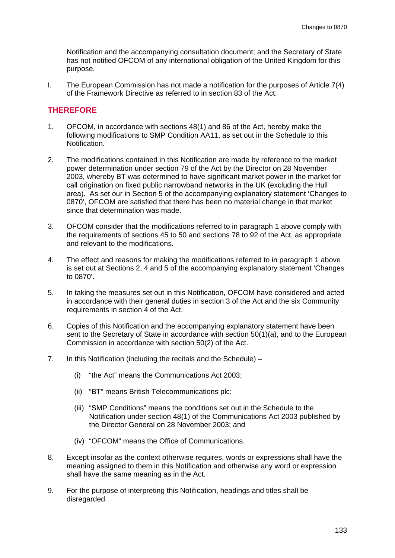Notification and the accompanying consultation document; and the Secretary of State has not notified OFCOM of any international obligation of the United Kingdom for this purpose.

I. The European Commission has not made a notification for the purposes of Article 7(4) of the Framework Directive as referred to in section 83 of the Act.

#### **THEREFORE**

- 1. OFCOM, in accordance with sections 48(1) and 86 of the Act, hereby make the following modifications to SMP Condition AA11, as set out in the Schedule to this Notification.
- 2. The modifications contained in this Notification are made by reference to the market power determination under section 79 of the Act by the Director on 28 November 2003, whereby BT was determined to have significant market power in the market for call origination on fixed public narrowband networks in the UK (excluding the Hull area). As set our in Section 5 of the accompanying explanatory statement 'Changes to 0870', OFCOM are satisfied that there has been no material change in that market since that determination was made.
- 3. OFCOM consider that the modifications referred to in paragraph 1 above comply with the requirements of sections 45 to 50 and sections 78 to 92 of the Act, as appropriate and relevant to the modifications.
- 4. The effect and reasons for making the modifications referred to in paragraph 1 above is set out at Sections 2, 4 and 5 of the accompanying explanatory statement 'Changes to 0870'.
- 5. In taking the measures set out in this Notification, OFCOM have considered and acted in accordance with their general duties in section 3 of the Act and the six Community requirements in section 4 of the Act.
- 6. Copies of this Notification and the accompanying explanatory statement have been sent to the Secretary of State in accordance with section 50(1)(a), and to the European Commission in accordance with section 50(2) of the Act.
- 7. In this Notification (including the recitals and the Schedule)
	- (i) "the Act" means the Communications Act 2003;
	- (ii) "BT" means British Telecommunications plc;
	- (iii) "SMP Conditions" means the conditions set out in the Schedule to the Notification under section 48(1) of the Communications Act 2003 published by the Director General on 28 November 2003; and
	- (iv) "OFCOM" means the Office of Communications.
- 8. Except insofar as the context otherwise requires, words or expressions shall have the meaning assigned to them in this Notification and otherwise any word or expression shall have the same meaning as in the Act.
- 9. For the purpose of interpreting this Notification, headings and titles shall be disregarded.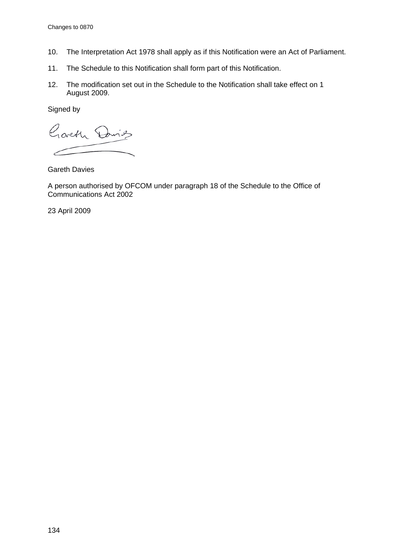- 10. The Interpretation Act 1978 shall apply as if this Notification were an Act of Parliament.
- 11. The Schedule to this Notification shall form part of this Notification.
- 12. The modification set out in the Schedule to the Notification shall take effect on 1 August 2009.

Signed by

Garth Davids  $\overline{\phantom{0}}$ 

Gareth Davies

A person authorised by OFCOM under paragraph 18 of the Schedule to the Office of Communications Act 2002

23 April 2009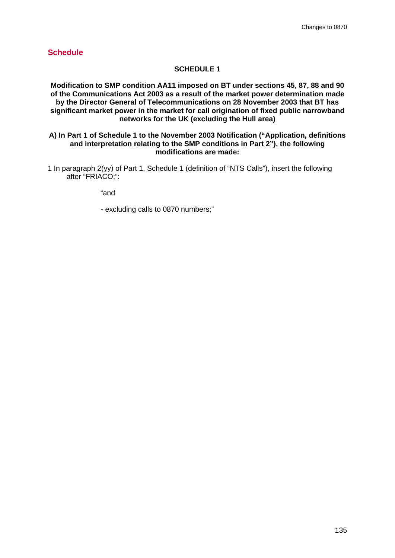## **Schedule**

### **SCHEDULE 1**

**Modification to SMP condition AA11 imposed on BT under sections 45, 87, 88 and 90 of the Communications Act 2003 as a result of the market power determination made by the Director General of Telecommunications on 28 November 2003 that BT has significant market power in the market for call origination of fixed public narrowband networks for the UK (excluding the Hull area)** 

#### **A) In Part 1 of Schedule 1 to the November 2003 Notification ("Application, definitions and interpretation relating to the SMP conditions in Part 2"), the following modifications are made:**

1 In paragraph 2(yy) of Part 1, Schedule 1 (definition of "NTS Calls"), insert the following after "FRIACO;":

"and

- excluding calls to 0870 numbers;"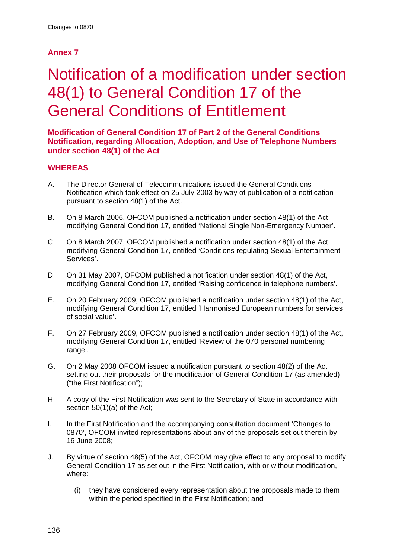# **Annex 7**

# Notification of a modification under section 48(1) to General Condition 17 of the General Conditions of Entitlement

**Modification of General Condition 17 of Part 2 of the General Conditions Notification, regarding Allocation, Adoption, and Use of Telephone Numbers under section 48(1) of the Act** 

## **WHEREAS**

- A. The Director General of Telecommunications issued the General Conditions Notification which took effect on 25 July 2003 by way of publication of a notification pursuant to section 48(1) of the Act.
- B. On 8 March 2006, OFCOM published a notification under section 48(1) of the Act, modifying General Condition 17, entitled 'National Single Non-Emergency Number'.
- C. On 8 March 2007, OFCOM published a notification under section 48(1) of the Act, modifying General Condition 17, entitled 'Conditions regulating Sexual Entertainment Services'.
- D. On 31 May 2007, OFCOM published a notification under section 48(1) of the Act, modifying General Condition 17, entitled 'Raising confidence in telephone numbers'.
- E. On 20 February 2009, OFCOM published a notification under section 48(1) of the Act, modifying General Condition 17, entitled 'Harmonised European numbers for services of social value'.
- F. On 27 February 2009, OFCOM published a notification under section 48(1) of the Act, modifying General Condition 17, entitled 'Review of the 070 personal numbering range'.
- G. On 2 May 2008 OFCOM issued a notification pursuant to section 48(2) of the Act setting out their proposals for the modification of General Condition 17 (as amended) ("the First Notification");
- H. A copy of the First Notification was sent to the Secretary of State in accordance with section 50(1)(a) of the Act;
- I. In the First Notification and the accompanying consultation document 'Changes to 0870', OFCOM invited representations about any of the proposals set out therein by 16 June 2008;
- J. By virtue of section 48(5) of the Act, OFCOM may give effect to any proposal to modify General Condition 17 as set out in the First Notification, with or without modification, where:
	- (i) they have considered every representation about the proposals made to them within the period specified in the First Notification; and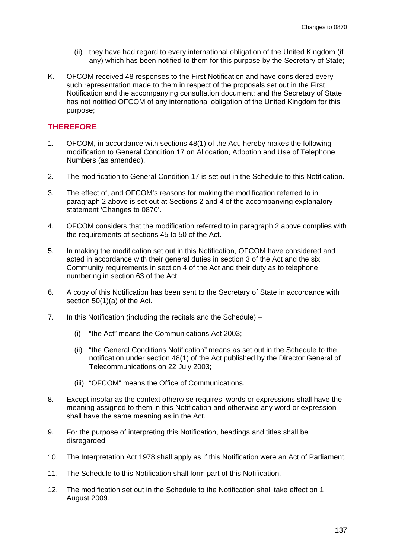- (ii) they have had regard to every international obligation of the United Kingdom (if any) which has been notified to them for this purpose by the Secretary of State;
- K. OFCOM received 48 responses to the First Notification and have considered every such representation made to them in respect of the proposals set out in the First Notification and the accompanying consultation document; and the Secretary of State has not notified OFCOM of any international obligation of the United Kingdom for this purpose;

#### **THEREFORE**

- 1. OFCOM, in accordance with sections 48(1) of the Act, hereby makes the following modification to General Condition 17 on Allocation, Adoption and Use of Telephone Numbers (as amended).
- 2. The modification to General Condition 17 is set out in the Schedule to this Notification.
- 3. The effect of, and OFCOM's reasons for making the modification referred to in paragraph 2 above is set out at Sections 2 and 4 of the accompanying explanatory statement 'Changes to 0870'.
- 4. OFCOM considers that the modification referred to in paragraph 2 above complies with the requirements of sections 45 to 50 of the Act.
- 5. In making the modification set out in this Notification, OFCOM have considered and acted in accordance with their general duties in section 3 of the Act and the six Community requirements in section 4 of the Act and their duty as to telephone numbering in section 63 of the Act.
- 6. A copy of this Notification has been sent to the Secretary of State in accordance with section 50(1)(a) of the Act.
- 7. In this Notification (including the recitals and the Schedule)
	- (i) "the Act" means the Communications Act 2003;
	- (ii) "the General Conditions Notification" means as set out in the Schedule to the notification under section 48(1) of the Act published by the Director General of Telecommunications on 22 July 2003;
	- (iii) "OFCOM" means the Office of Communications.
- 8. Except insofar as the context otherwise requires, words or expressions shall have the meaning assigned to them in this Notification and otherwise any word or expression shall have the same meaning as in the Act.
- 9. For the purpose of interpreting this Notification, headings and titles shall be disregarded.
- 10. The Interpretation Act 1978 shall apply as if this Notification were an Act of Parliament.
- 11. The Schedule to this Notification shall form part of this Notification.
- 12. The modification set out in the Schedule to the Notification shall take effect on 1 August 2009.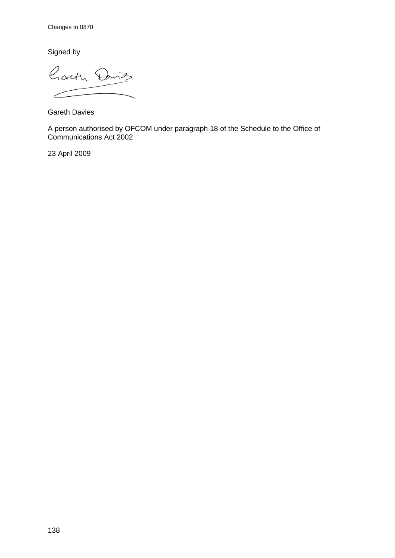Signed by

Goveth Davids  $\epsilon$ 

Gareth Davies

A person authorised by OFCOM under paragraph 18 of the Schedule to the Office of Communications Act 2002

23 April 2009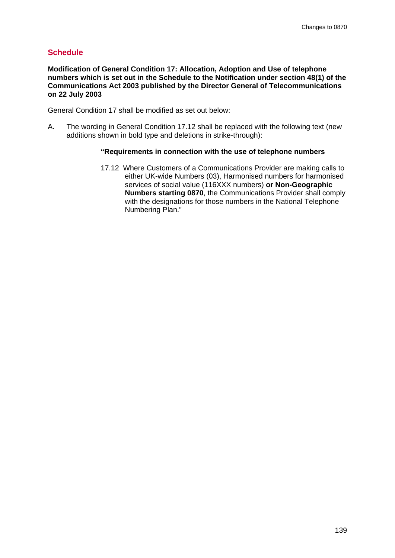## **Schedule**

**Modification of General Condition 17: Allocation, Adoption and Use of telephone numbers which is set out in the Schedule to the Notification under section 48(1) of the Communications Act 2003 published by the Director General of Telecommunications on 22 July 2003**

General Condition 17 shall be modified as set out below:

A. The wording in General Condition 17.12 shall be replaced with the following text (new additions shown in bold type and deletions in strike-through):

#### **"Requirements in connection with the use of telephone numbers**

17.12 Where Customers of a Communications Provider are making calls to either UK-wide Numbers (03), Harmonised numbers for harmonised services of social value (116XXX numbers) **or Non-Geographic Numbers starting 0870**, the Communications Provider shall comply with the designations for those numbers in the National Telephone Numbering Plan."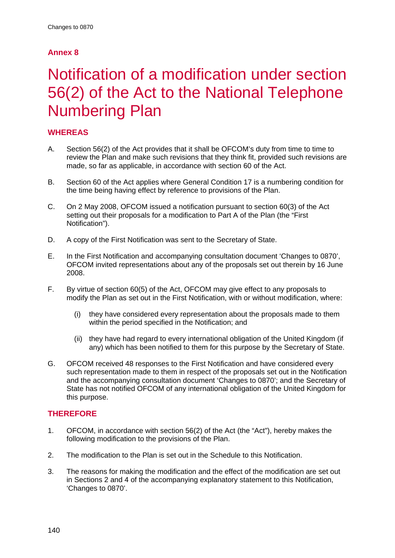## **Annex 8**

# Notification of a modification under section 56(2) of the Act to the National Telephone Numbering Plan

## **WHEREAS**

- A. Section 56(2) of the Act provides that it shall be OFCOM's duty from time to time to review the Plan and make such revisions that they think fit, provided such revisions are made, so far as applicable, in accordance with section 60 of the Act.
- B. Section 60 of the Act applies where General Condition 17 is a numbering condition for the time being having effect by reference to provisions of the Plan.
- C. On 2 May 2008, OFCOM issued a notification pursuant to section 60(3) of the Act setting out their proposals for a modification to Part A of the Plan (the "First Notification").
- D. A copy of the First Notification was sent to the Secretary of State.
- E. In the First Notification and accompanying consultation document 'Changes to 0870', OFCOM invited representations about any of the proposals set out therein by 16 June 2008.
- F. By virtue of section 60(5) of the Act, OFCOM may give effect to any proposals to modify the Plan as set out in the First Notification, with or without modification, where:
	- (i) they have considered every representation about the proposals made to them within the period specified in the Notification; and
	- (ii) they have had regard to every international obligation of the United Kingdom (if any) which has been notified to them for this purpose by the Secretary of State.
- G. OFCOM received 48 responses to the First Notification and have considered every such representation made to them in respect of the proposals set out in the Notification and the accompanying consultation document 'Changes to 0870'; and the Secretary of State has not notified OFCOM of any international obligation of the United Kingdom for this purpose.

## **THEREFORE**

- 1. OFCOM, in accordance with section 56(2) of the Act (the "Act"), hereby makes the following modification to the provisions of the Plan.
- 2. The modification to the Plan is set out in the Schedule to this Notification.
- 3. The reasons for making the modification and the effect of the modification are set out in Sections 2 and 4 of the accompanying explanatory statement to this Notification, 'Changes to 0870'.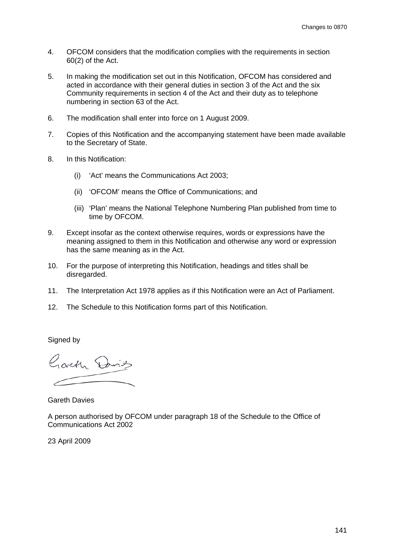- 4. OFCOM considers that the modification complies with the requirements in section 60(2) of the Act.
- 5. In making the modification set out in this Notification, OFCOM has considered and acted in accordance with their general duties in section 3 of the Act and the six Community requirements in section 4 of the Act and their duty as to telephone numbering in section 63 of the Act.
- 6. The modification shall enter into force on 1 August 2009.
- 7. Copies of this Notification and the accompanying statement have been made available to the Secretary of State.
- 8. In this Notification:
	- (i) 'Act' means the Communications Act 2003;
	- (ii) 'OFCOM' means the Office of Communications; and
	- (iii) 'Plan' means the National Telephone Numbering Plan published from time to time by OFCOM.
- 9. Except insofar as the context otherwise requires, words or expressions have the meaning assigned to them in this Notification and otherwise any word or expression has the same meaning as in the Act.
- 10. For the purpose of interpreting this Notification, headings and titles shall be disregarded.
- 11. The Interpretation Act 1978 applies as if this Notification were an Act of Parliament.
- 12. The Schedule to this Notification forms part of this Notification.

Signed by

Gorth Dring

Gareth Davies

A person authorised by OFCOM under paragraph 18 of the Schedule to the Office of Communications Act 2002

23 April 2009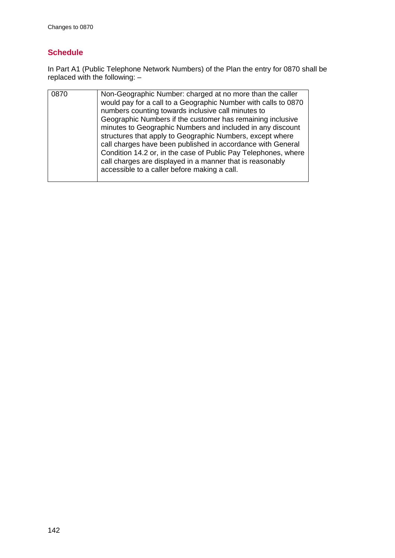#### **Schedule**

In Part A1 (Public Telephone Network Numbers) of the Plan the entry for 0870 shall be replaced with the following: –

| 0870 | Non-Geographic Number: charged at no more than the caller<br>would pay for a call to a Geographic Number with calls to 0870<br>numbers counting towards inclusive call minutes to<br>Geographic Numbers if the customer has remaining inclusive<br>minutes to Geographic Numbers and included in any discount<br>structures that apply to Geographic Numbers, except where<br>call charges have been published in accordance with General<br>Condition 14.2 or, in the case of Public Pay Telephones, where<br>call charges are displayed in a manner that is reasonably<br>accessible to a caller before making a call. |
|------|--------------------------------------------------------------------------------------------------------------------------------------------------------------------------------------------------------------------------------------------------------------------------------------------------------------------------------------------------------------------------------------------------------------------------------------------------------------------------------------------------------------------------------------------------------------------------------------------------------------------------|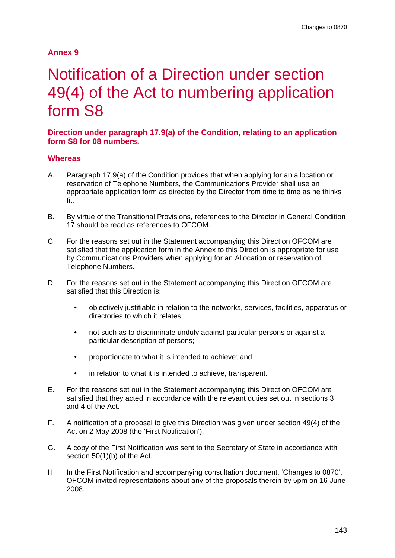#### **Annex 9**

## Notification of a Direction under section 49(4) of the Act to numbering application form S8

**Direction under paragraph 17.9(a) of the Condition, relating to an application form S8 for 08 numbers.**

#### **Whereas**

- A. Paragraph 17.9(a) of the Condition provides that when applying for an allocation or reservation of Telephone Numbers, the Communications Provider shall use an appropriate application form as directed by the Director from time to time as he thinks fit.
- B. By virtue of the Transitional Provisions, references to the Director in General Condition 17 should be read as references to OFCOM.
- C. For the reasons set out in the Statement accompanying this Direction OFCOM are satisfied that the application form in the Annex to this Direction is appropriate for use by Communications Providers when applying for an Allocation or reservation of Telephone Numbers.
- D. For the reasons set out in the Statement accompanying this Direction OFCOM are satisfied that this Direction is:
	- objectively justifiable in relation to the networks, services, facilities, apparatus or directories to which it relates;
	- not such as to discriminate unduly against particular persons or against a particular description of persons;
	- proportionate to what it is intended to achieve; and
	- in relation to what it is intended to achieve, transparent.
- E. For the reasons set out in the Statement accompanying this Direction OFCOM are satisfied that they acted in accordance with the relevant duties set out in sections 3 and 4 of the Act.
- F. A notification of a proposal to give this Direction was given under section 49(4) of the Act on 2 May 2008 (the 'First Notification').
- G. A copy of the First Notification was sent to the Secretary of State in accordance with section 50(1)(b) of the Act.
- H. In the First Notification and accompanying consultation document, 'Changes to 0870', OFCOM invited representations about any of the proposals therein by 5pm on 16 June 2008.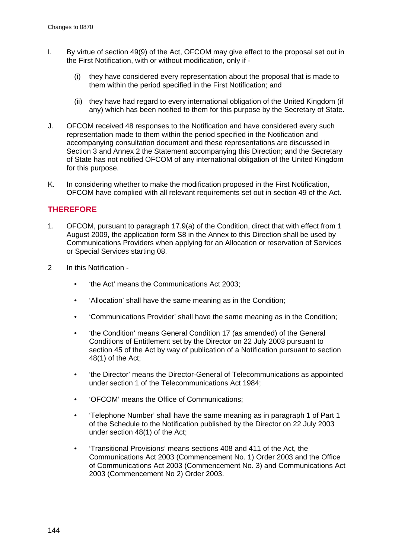- I. By virtue of section 49(9) of the Act, OFCOM may give effect to the proposal set out in the First Notification, with or without modification, only if -
	- (i) they have considered every representation about the proposal that is made to them within the period specified in the First Notification; and
	- (ii) they have had regard to every international obligation of the United Kingdom (if any) which has been notified to them for this purpose by the Secretary of State.
- J. OFCOM received 48 responses to the Notification and have considered every such representation made to them within the period specified in the Notification and accompanying consultation document and these representations are discussed in Section 3 and Annex 2 the Statement accompanying this Direction; and the Secretary of State has not notified OFCOM of any international obligation of the United Kingdom for this purpose.
- K. In considering whether to make the modification proposed in the First Notification, OFCOM have complied with all relevant requirements set out in section 49 of the Act.

#### **THEREFORE**

- 1. OFCOM, pursuant to paragraph 17.9(a) of the Condition, direct that with effect from 1 August 2009, the application form S8 in the Annex to this Direction shall be used by Communications Providers when applying for an Allocation or reservation of Services or Special Services starting 08.
- 2 In this Notification
	- 'the Act' means the Communications Act 2003;
	- 'Allocation' shall have the same meaning as in the Condition;
	- 'Communications Provider' shall have the same meaning as in the Condition;
	- 'the Condition' means General Condition 17 (as amended) of the General Conditions of Entitlement set by the Director on 22 July 2003 pursuant to section 45 of the Act by way of publication of a Notification pursuant to section 48(1) of the Act;
	- 'the Director' means the Director-General of Telecommunications as appointed under section 1 of the Telecommunications Act 1984;
	- 'OFCOM' means the Office of Communications;
	- 'Telephone Number' shall have the same meaning as in paragraph 1 of Part 1 of the Schedule to the Notification published by the Director on 22 July 2003 under section 48(1) of the Act;
	- 'Transitional Provisions' means sections 408 and 411 of the Act, the Communications Act 2003 (Commencement No. 1) Order 2003 and the Office of Communications Act 2003 (Commencement No. 3) and Communications Act 2003 (Commencement No 2) Order 2003.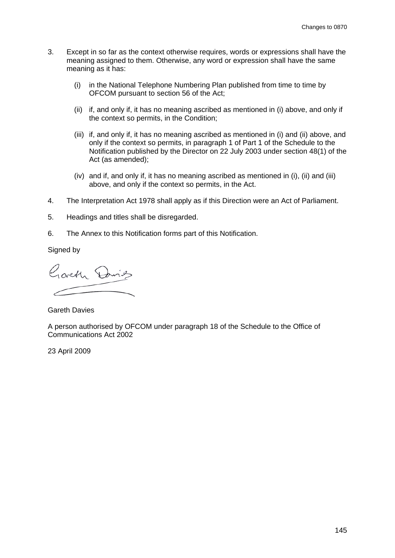- 3. Except in so far as the context otherwise requires, words or expressions shall have the meaning assigned to them. Otherwise, any word or expression shall have the same meaning as it has:
	- (i) in the National Telephone Numbering Plan published from time to time by OFCOM pursuant to section 56 of the Act;
	- (ii) if, and only if, it has no meaning ascribed as mentioned in (i) above, and only if the context so permits, in the Condition;
	- (iii) if, and only if, it has no meaning ascribed as mentioned in (i) and (ii) above, and only if the context so permits, in paragraph 1 of Part 1 of the Schedule to the Notification published by the Director on 22 July 2003 under section 48(1) of the Act (as amended);
	- (iv) and if, and only if, it has no meaning ascribed as mentioned in (i), (ii) and (iii) above, and only if the context so permits, in the Act.
- 4. The Interpretation Act 1978 shall apply as if this Direction were an Act of Parliament.
- 5. Headings and titles shall be disregarded.
- 6. The Annex to this Notification forms part of this Notification.

Signed by

Goveth Davids

Gareth Davies

A person authorised by OFCOM under paragraph 18 of the Schedule to the Office of Communications Act 2002

23 April 2009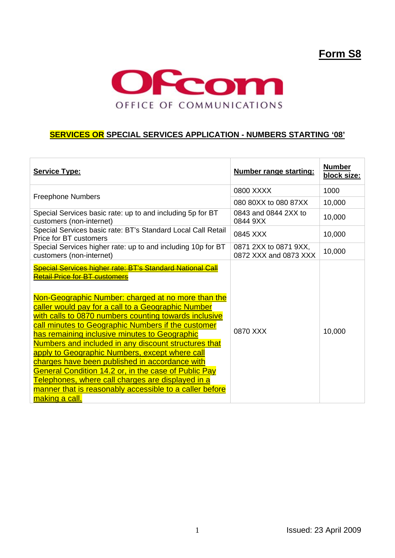## **Form S8**



#### **SERVICES OR SPECIAL SERVICES APPLICATION - NUMBERS STARTING '08'**

| <b>Service Type:</b>                                                                                                                                                                                                                                                                                                                                                                                                                                                                                                                                                                                                                                                                                                                                         | <b>Number range starting:</b>                  | <b>Number</b><br>block size: |
|--------------------------------------------------------------------------------------------------------------------------------------------------------------------------------------------------------------------------------------------------------------------------------------------------------------------------------------------------------------------------------------------------------------------------------------------------------------------------------------------------------------------------------------------------------------------------------------------------------------------------------------------------------------------------------------------------------------------------------------------------------------|------------------------------------------------|------------------------------|
| <b>Freephone Numbers</b>                                                                                                                                                                                                                                                                                                                                                                                                                                                                                                                                                                                                                                                                                                                                     | 0800 XXXX                                      | 1000                         |
|                                                                                                                                                                                                                                                                                                                                                                                                                                                                                                                                                                                                                                                                                                                                                              | 080 80XX to 080 87XX                           | 10,000                       |
| Special Services basic rate: up to and including 5p for BT<br>customers (non-internet)                                                                                                                                                                                                                                                                                                                                                                                                                                                                                                                                                                                                                                                                       | 0843 and 0844 2XX to<br>0844 9XX               | 10,000                       |
| Special Services basic rate: BT's Standard Local Call Retail<br>Price for BT customers                                                                                                                                                                                                                                                                                                                                                                                                                                                                                                                                                                                                                                                                       | 0845 XXX                                       | 10,000                       |
| Special Services higher rate: up to and including 10p for BT<br>customers (non-internet)                                                                                                                                                                                                                                                                                                                                                                                                                                                                                                                                                                                                                                                                     | 0871 2XX to 0871 9XX,<br>0872 XXX and 0873 XXX | 10,000                       |
| Special Services higher rate: BT's Standard National Call<br><del>Retail Price for BT customers</del><br>Non-Geographic Number: charged at no more than the<br>caller would pay for a call to a Geographic Number<br>with calls to 0870 numbers counting towards inclusive<br>call minutes to Geographic Numbers if the customer<br>has remaining inclusive minutes to Geographic<br>Numbers and included in any discount structures that<br>apply to Geographic Numbers, except where call<br>charges have been published in accordance with<br><b>General Condition 14.2 or, in the case of Public Pay</b><br><u>Telephones, where call charges are displayed in a</u><br>manner that is reasonably accessible to a caller before<br><u>making a call.</u> | 0870 XXX                                       | 10,000                       |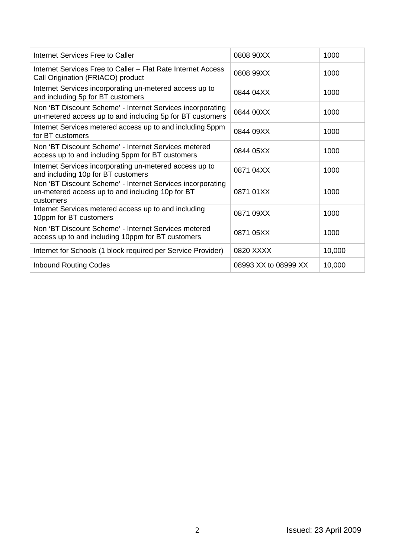| Internet Services Free to Caller                                                                                            | 0808 90XX            | 1000   |
|-----------------------------------------------------------------------------------------------------------------------------|----------------------|--------|
| Internet Services Free to Caller - Flat Rate Internet Access<br>Call Origination (FRIACO) product                           | 0808 99XX            | 1000   |
| Internet Services incorporating un-metered access up to<br>and including 5p for BT customers                                | 0844 04XX            | 1000   |
| Non 'BT Discount Scheme' - Internet Services incorporating<br>un-metered access up to and including 5p for BT customers     | 0844 00XX            | 1000   |
| Internet Services metered access up to and including 5ppm<br>for BT customers                                               | 0844 09XX            | 1000   |
| Non 'BT Discount Scheme' - Internet Services metered<br>access up to and including 5ppm for BT customers                    | 0844 05XX            | 1000   |
| Internet Services incorporating un-metered access up to<br>and including 10p for BT customers                               | 0871 04XX            | 1000   |
| Non 'BT Discount Scheme' - Internet Services incorporating<br>un-metered access up to and including 10p for BT<br>customers | 0871 01 X X          | 1000   |
| Internet Services metered access up to and including<br>10ppm for BT customers                                              | 0871 09XX            | 1000   |
| Non 'BT Discount Scheme' - Internet Services metered<br>access up to and including 10ppm for BT customers                   | 0871 05XX            | 1000   |
| Internet for Schools (1 block required per Service Provider)                                                                | 0820 XXXX            | 10,000 |
| <b>Inbound Routing Codes</b>                                                                                                | 08993 XX to 08999 XX | 10,000 |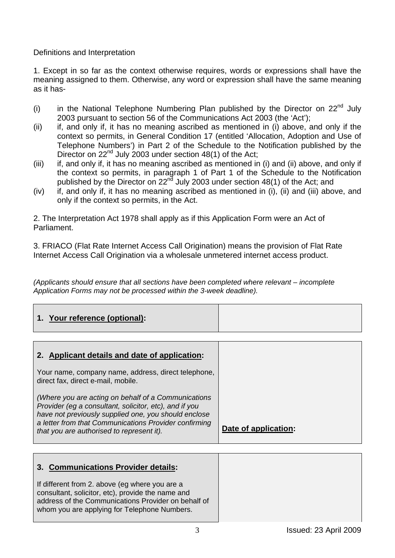Definitions and Interpretation

1. Except in so far as the context otherwise requires, words or expressions shall have the meaning assigned to them. Otherwise, any word or expression shall have the same meaning as it has-

- (i) in the National Telephone Numbering Plan published by the Director on  $22<sup>nd</sup>$  July 2003 pursuant to section 56 of the Communications Act 2003 (the 'Act');
- (ii) if, and only if, it has no meaning ascribed as mentioned in (i) above, and only if the context so permits, in General Condition 17 (entitled 'Allocation, Adoption and Use of Telephone Numbers') in Part 2 of the Schedule to the Notification published by the Director on  $22^{nd}$  July 2003 under section 48(1) of the Act;
- (iii) if, and only if, it has no meaning ascribed as mentioned in (i) and (ii) above, and only if the context so permits, in paragraph 1 of Part 1 of the Schedule to the Notification published by the Director on  $22<sup>nd</sup>$  July 2003 under section 48(1) of the Act; and
- (iv) if, and only if, it has no meaning ascribed as mentioned in (i), (ii) and (iii) above, and only if the context so permits, in the Act.

2. The Interpretation Act 1978 shall apply as if this Application Form were an Act of Parliament.

3. FRIACO (Flat Rate Internet Access Call Origination) means the provision of Flat Rate Internet Access Call Origination via a wholesale unmetered internet access product.

*(Applicants should ensure that all sections have been completed where relevant – incomplete Application Forms may not be processed within the 3-week deadline).*

# **1. Your reference (optional):**

| 2. Applicant details and date of application:                                                                                                                                                                                                                               |                      |
|-----------------------------------------------------------------------------------------------------------------------------------------------------------------------------------------------------------------------------------------------------------------------------|----------------------|
| Your name, company name, address, direct telephone,<br>direct fax, direct e-mail, mobile.                                                                                                                                                                                   |                      |
| (Where you are acting on behalf of a Communications<br>Provider (eg a consultant, solicitor, etc), and if you<br>have not previously supplied one, you should enclose<br>a letter from that Communications Provider confirming<br>that you are authorised to represent it). | Date of application: |

| 3. Communications Provider details:                                                                                                                                                                        |
|------------------------------------------------------------------------------------------------------------------------------------------------------------------------------------------------------------|
| If different from 2. above (eg where you are a<br>consultant, solicitor, etc), provide the name and<br>address of the Communications Provider on behalf of<br>whom you are applying for Telephone Numbers. |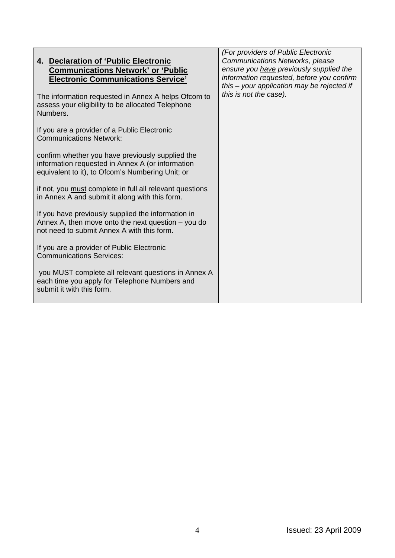| 4. Declaration of 'Public Electronic<br><b>Communications Network' or 'Public</b>                                                                        | (For providers of Public Electronic<br>Communications Networks, please<br>ensure you have previously supplied the |
|----------------------------------------------------------------------------------------------------------------------------------------------------------|-------------------------------------------------------------------------------------------------------------------|
| <b>Electronic Communications Service'</b>                                                                                                                | information requested, before you confirm<br>this – your application may be rejected if                           |
| The information requested in Annex A helps Ofcom to<br>assess your eligibility to be allocated Telephone<br>Numbers.                                     | this is not the case).                                                                                            |
| If you are a provider of a Public Electronic<br><b>Communications Network:</b>                                                                           |                                                                                                                   |
| confirm whether you have previously supplied the<br>information requested in Annex A (or information<br>equivalent to it), to Ofcom's Numbering Unit; or |                                                                                                                   |
| if not, you must complete in full all relevant questions<br>in Annex A and submit it along with this form.                                               |                                                                                                                   |
| If you have previously supplied the information in<br>Annex A, then move onto the next question $-$ you do<br>not need to submit Annex A with this form. |                                                                                                                   |
| If you are a provider of Public Electronic<br><b>Communications Services:</b>                                                                            |                                                                                                                   |
| you MUST complete all relevant questions in Annex A<br>each time you apply for Telephone Numbers and<br>submit it with this form.                        |                                                                                                                   |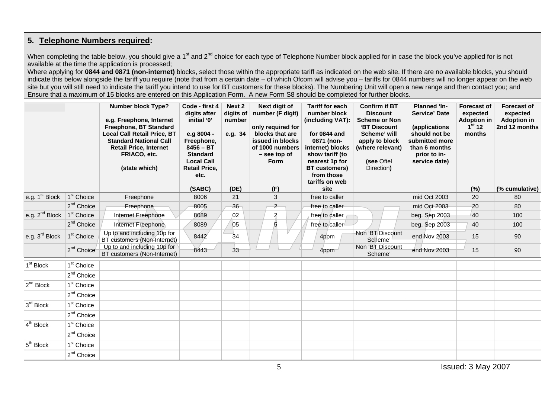#### **5. Telephone Numbers required:**

When completing the table below, you should give a 1<sup>st</sup> and 2<sup>nd</sup> choice for each type of Telephone Number block applied for in case the block you've applied for is not available at the time the application is processed;

Where applying for **0844 and 0871 (non-internet)** blocks, select those within the appropriate tariff as indicated on the web site. If there are no available blocks, you should indicate this below alongside the tariff you require (note that from a certain date – of which Ofcom will advise you – tariffs for 0844 numbers will no longer appear on the web site but you will still need to indicate the tariff you intend to use for BT customers for these blocks). The Numbering Unit will open a new range and then contact you; and Ensure that a maximum of 15 blocks are entered on this Application Form. A new Form S8 should be completed for further blocks.

|                                     |                        | <b>Number block Type?</b><br>e.g. Freephone, Internet<br>Freephone, BT Standard<br><b>Local Call Retail Price, BT</b><br><b>Standard National Call</b><br><b>Retail Price, Internet</b><br>FRIACO, etc.<br>(state which) | Code - first 4<br>digits after<br>initial '0'<br>e.g 8004 -<br>Freephone,<br>$8456 - BT$<br><b>Standard</b><br><b>Local Call</b><br><b>Retail Price,</b><br>etc. | Next 2<br>digits of<br>number<br>e.g. 34 | Next digit of<br>number (F digit)<br>only required for<br>blocks that are<br>issued in blocks<br>of 1000 numbers<br>$-$ see top of<br>Form | <b>Tariff for each</b><br>number block<br>(including VAT):<br>for 0844 and<br>0871 (non-<br>internet) blocks<br>show tariff (to<br>nearest 1p for<br><b>BT</b> customers)<br>from those<br>tariffs on web | <b>Confirm if BT</b><br><b>Discount</b><br><b>Scheme or Non</b><br>'BT Discount<br>Scheme' will<br>apply to block<br>(where relevant)<br>(see Oftel<br>Direction) | <b>Planned 'In-</b><br><b>Service' Date</b><br>(applications<br>should not be<br>submitted more<br>than 6 months<br>prior to in-<br>service date) | <b>Forecast of</b><br>expected<br><b>Adoption in</b><br>1 <sup>st</sup> 12<br>months | <b>Forecast of</b><br>expected<br><b>Adoption in</b><br>2nd 12 months |
|-------------------------------------|------------------------|--------------------------------------------------------------------------------------------------------------------------------------------------------------------------------------------------------------------------|------------------------------------------------------------------------------------------------------------------------------------------------------------------|------------------------------------------|--------------------------------------------------------------------------------------------------------------------------------------------|-----------------------------------------------------------------------------------------------------------------------------------------------------------------------------------------------------------|-------------------------------------------------------------------------------------------------------------------------------------------------------------------|---------------------------------------------------------------------------------------------------------------------------------------------------|--------------------------------------------------------------------------------------|-----------------------------------------------------------------------|
|                                     |                        |                                                                                                                                                                                                                          | (SABC)                                                                                                                                                           | (DE)                                     | (F)                                                                                                                                        | site                                                                                                                                                                                                      |                                                                                                                                                                   |                                                                                                                                                   | (%)                                                                                  | (% cumulative)                                                        |
| e.g. 1 <sup>st</sup> Block          | 1 <sup>st</sup> Choice | Freephone                                                                                                                                                                                                                | 8006                                                                                                                                                             | 21                                       | 3                                                                                                                                          | free to caller                                                                                                                                                                                            |                                                                                                                                                                   | mid Oct 2003                                                                                                                                      | 20                                                                                   | 80                                                                    |
|                                     | 2 <sup>nd</sup> Choice | Freephone                                                                                                                                                                                                                | 8005                                                                                                                                                             | 36                                       | $\overline{c}$                                                                                                                             | free to caller                                                                                                                                                                                            |                                                                                                                                                                   | mid Oct 2003                                                                                                                                      | 20                                                                                   | 80                                                                    |
| e.g. $2^{nd}$ Block $1^{st}$ Choice |                        | Internet Freephone                                                                                                                                                                                                       | 8089                                                                                                                                                             | 02                                       | $\overline{a}$                                                                                                                             | free to caller                                                                                                                                                                                            |                                                                                                                                                                   | beg. Sep 2003                                                                                                                                     | 40                                                                                   | 100                                                                   |
|                                     | 2 <sup>nd</sup> Choice | Internet Freephone                                                                                                                                                                                                       | 8089                                                                                                                                                             | 05                                       | 5                                                                                                                                          | free to caller                                                                                                                                                                                            |                                                                                                                                                                   | beg. Sep 2003                                                                                                                                     | 40                                                                                   | 100                                                                   |
| e.g. 3 <sup>rd</sup> Block          | 1 <sup>st</sup> Choice | Up to and including 10p for<br>BT customers (Non-Internet)                                                                                                                                                               | 8442                                                                                                                                                             | 34                                       |                                                                                                                                            | 4ppm                                                                                                                                                                                                      | Non 'BT Discount<br>Scheme'                                                                                                                                       | end Nov 2003                                                                                                                                      | 15                                                                                   | 90                                                                    |
|                                     | $2^{nd}$ Choice        | Up to and including 10p for<br>BT customers (Non-Internet)                                                                                                                                                               | 8443                                                                                                                                                             | 33                                       |                                                                                                                                            | 4ppm                                                                                                                                                                                                      | Non 'BT Discount<br>Scheme'                                                                                                                                       | end Nov 2003                                                                                                                                      | 15                                                                                   | 90                                                                    |
| 1 <sup>st</sup> Block               | 1 <sup>st</sup> Choice |                                                                                                                                                                                                                          |                                                                                                                                                                  |                                          |                                                                                                                                            |                                                                                                                                                                                                           |                                                                                                                                                                   |                                                                                                                                                   |                                                                                      |                                                                       |
|                                     | 2 <sup>nd</sup> Choice |                                                                                                                                                                                                                          |                                                                                                                                                                  |                                          |                                                                                                                                            |                                                                                                                                                                                                           |                                                                                                                                                                   |                                                                                                                                                   |                                                                                      |                                                                       |
| 2 <sup>nd</sup> Block               | 1 <sup>st</sup> Choice |                                                                                                                                                                                                                          |                                                                                                                                                                  |                                          |                                                                                                                                            |                                                                                                                                                                                                           |                                                                                                                                                                   |                                                                                                                                                   |                                                                                      |                                                                       |
|                                     | $2nd$ Choice           |                                                                                                                                                                                                                          |                                                                                                                                                                  |                                          |                                                                                                                                            |                                                                                                                                                                                                           |                                                                                                                                                                   |                                                                                                                                                   |                                                                                      |                                                                       |
| $3^{\text{rd}}$ Block               | 1 <sup>st</sup> Choice |                                                                                                                                                                                                                          |                                                                                                                                                                  |                                          |                                                                                                                                            |                                                                                                                                                                                                           |                                                                                                                                                                   |                                                                                                                                                   |                                                                                      |                                                                       |
|                                     | $2^{nd}$ Choice        |                                                                                                                                                                                                                          |                                                                                                                                                                  |                                          |                                                                                                                                            |                                                                                                                                                                                                           |                                                                                                                                                                   |                                                                                                                                                   |                                                                                      |                                                                       |
| $4^{\text{th}}$ Block               | 1 <sup>st</sup> Choice |                                                                                                                                                                                                                          |                                                                                                                                                                  |                                          |                                                                                                                                            |                                                                                                                                                                                                           |                                                                                                                                                                   |                                                                                                                                                   |                                                                                      |                                                                       |
|                                     | 2 <sup>nd</sup> Choice |                                                                                                                                                                                                                          |                                                                                                                                                                  |                                          |                                                                                                                                            |                                                                                                                                                                                                           |                                                                                                                                                                   |                                                                                                                                                   |                                                                                      |                                                                       |
| $5th$ Block                         | 1 <sup>st</sup> Choice |                                                                                                                                                                                                                          |                                                                                                                                                                  |                                          |                                                                                                                                            |                                                                                                                                                                                                           |                                                                                                                                                                   |                                                                                                                                                   |                                                                                      |                                                                       |
|                                     | $2nd$ Choice           |                                                                                                                                                                                                                          |                                                                                                                                                                  |                                          |                                                                                                                                            |                                                                                                                                                                                                           |                                                                                                                                                                   |                                                                                                                                                   |                                                                                      |                                                                       |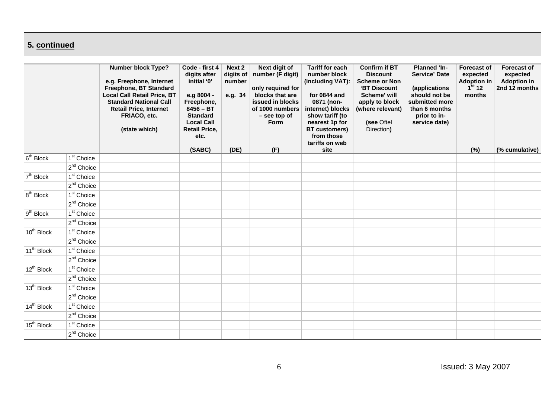### **5. continued**

|                        |                        | <b>Number block Type?</b><br>e.g. Freephone, Internet<br>Freephone, BT Standard<br><b>Local Call Retail Price, BT</b><br><b>Standard National Call</b><br><b>Retail Price, Internet</b><br>FRIACO, etc.<br>(state which) | Code - first 4<br>digits after<br>initial '0'<br>e.g 8004 -<br>Freephone,<br>$8456 - BT$<br><b>Standard</b><br><b>Local Call</b><br><b>Retail Price,</b><br>etc. | Next 2<br>digits of<br>number<br>e.g. 34 | <b>Next digit of</b><br>number (F digit)<br>only required for<br>blocks that are<br>issued in blocks<br>of 1000 numbers<br>- see top of<br><b>Form</b> | <b>Tariff for each</b><br>number block<br>(including VAT):<br>for 0844 and<br>0871 (non-<br>internet) blocks<br>show tariff (to<br>nearest 1p for<br><b>BT</b> customers)<br>from those<br>tariffs on web | <b>Confirm if BT</b><br><b>Discount</b><br><b>Scheme or Non</b><br>'BT Discount<br>Scheme' will<br>apply to block<br>(where relevant)<br>(see Oftel<br>Direction) | <b>Planned 'In-</b><br><b>Service' Date</b><br>(applications<br>should not be<br>submitted more<br>than 6 months<br>prior to in-<br>service date) | <b>Forecast of</b><br>expected<br>Adoption in $1^{st}$ 12<br>months | <b>Forecast of</b><br>expected<br><b>Adoption in</b><br>2nd 12 months |
|------------------------|------------------------|--------------------------------------------------------------------------------------------------------------------------------------------------------------------------------------------------------------------------|------------------------------------------------------------------------------------------------------------------------------------------------------------------|------------------------------------------|--------------------------------------------------------------------------------------------------------------------------------------------------------|-----------------------------------------------------------------------------------------------------------------------------------------------------------------------------------------------------------|-------------------------------------------------------------------------------------------------------------------------------------------------------------------|---------------------------------------------------------------------------------------------------------------------------------------------------|---------------------------------------------------------------------|-----------------------------------------------------------------------|
|                        |                        |                                                                                                                                                                                                                          | (SABC)                                                                                                                                                           | (DE)                                     | (F)                                                                                                                                                    | site                                                                                                                                                                                                      |                                                                                                                                                                   |                                                                                                                                                   | (%)                                                                 | (% cumulative)                                                        |
| $6th$ Block            | 1 <sup>st</sup> Choice |                                                                                                                                                                                                                          |                                                                                                                                                                  |                                          |                                                                                                                                                        |                                                                                                                                                                                                           |                                                                                                                                                                   |                                                                                                                                                   |                                                                     |                                                                       |
|                        | 2 <sup>nd</sup> Choice |                                                                                                                                                                                                                          |                                                                                                                                                                  |                                          |                                                                                                                                                        |                                                                                                                                                                                                           |                                                                                                                                                                   |                                                                                                                                                   |                                                                     |                                                                       |
| 7 <sup>th</sup> Block  | 1 <sup>st</sup> Choice |                                                                                                                                                                                                                          |                                                                                                                                                                  |                                          |                                                                                                                                                        |                                                                                                                                                                                                           |                                                                                                                                                                   |                                                                                                                                                   |                                                                     |                                                                       |
|                        | $2^{nd}$ Choice        |                                                                                                                                                                                                                          |                                                                                                                                                                  |                                          |                                                                                                                                                        |                                                                                                                                                                                                           |                                                                                                                                                                   |                                                                                                                                                   |                                                                     |                                                                       |
| $8th$ Block            | 1 <sup>st</sup> Choice |                                                                                                                                                                                                                          |                                                                                                                                                                  |                                          |                                                                                                                                                        |                                                                                                                                                                                                           |                                                                                                                                                                   |                                                                                                                                                   |                                                                     |                                                                       |
|                        | $2^{nd}$ Choice        |                                                                                                                                                                                                                          |                                                                                                                                                                  |                                          |                                                                                                                                                        |                                                                                                                                                                                                           |                                                                                                                                                                   |                                                                                                                                                   |                                                                     |                                                                       |
| $9th$ Block            | $1st$ Choice           |                                                                                                                                                                                                                          |                                                                                                                                                                  |                                          |                                                                                                                                                        |                                                                                                                                                                                                           |                                                                                                                                                                   |                                                                                                                                                   |                                                                     |                                                                       |
|                        | $2^{nd}$ Choice        |                                                                                                                                                                                                                          |                                                                                                                                                                  |                                          |                                                                                                                                                        |                                                                                                                                                                                                           |                                                                                                                                                                   |                                                                                                                                                   |                                                                     |                                                                       |
| $10^{th}$ Block        | 1 <sup>st</sup> Choice |                                                                                                                                                                                                                          |                                                                                                                                                                  |                                          |                                                                                                                                                        |                                                                                                                                                                                                           |                                                                                                                                                                   |                                                                                                                                                   |                                                                     |                                                                       |
|                        | $2nd$ Choice           |                                                                                                                                                                                                                          |                                                                                                                                                                  |                                          |                                                                                                                                                        |                                                                                                                                                                                                           |                                                                                                                                                                   |                                                                                                                                                   |                                                                     |                                                                       |
| 11 <sup>th</sup> Block | 1 <sup>st</sup> Choice |                                                                                                                                                                                                                          |                                                                                                                                                                  |                                          |                                                                                                                                                        |                                                                                                                                                                                                           |                                                                                                                                                                   |                                                                                                                                                   |                                                                     |                                                                       |
|                        | $2^{nd}$ Choice        |                                                                                                                                                                                                                          |                                                                                                                                                                  |                                          |                                                                                                                                                        |                                                                                                                                                                                                           |                                                                                                                                                                   |                                                                                                                                                   |                                                                     |                                                                       |
| 12 <sup>th</sup> Block | $1st$ Choice           |                                                                                                                                                                                                                          |                                                                                                                                                                  |                                          |                                                                                                                                                        |                                                                                                                                                                                                           |                                                                                                                                                                   |                                                                                                                                                   |                                                                     |                                                                       |
|                        | 2 <sup>nd</sup> Choice |                                                                                                                                                                                                                          |                                                                                                                                                                  |                                          |                                                                                                                                                        |                                                                                                                                                                                                           |                                                                                                                                                                   |                                                                                                                                                   |                                                                     |                                                                       |
| 13 <sup>th</sup> Block | 1 <sup>st</sup> Choice |                                                                                                                                                                                                                          |                                                                                                                                                                  |                                          |                                                                                                                                                        |                                                                                                                                                                                                           |                                                                                                                                                                   |                                                                                                                                                   |                                                                     |                                                                       |
|                        | $2^{nd}$ Choice        |                                                                                                                                                                                                                          |                                                                                                                                                                  |                                          |                                                                                                                                                        |                                                                                                                                                                                                           |                                                                                                                                                                   |                                                                                                                                                   |                                                                     |                                                                       |
| 14 <sup>th</sup> Block | 1 <sup>st</sup> Choice |                                                                                                                                                                                                                          |                                                                                                                                                                  |                                          |                                                                                                                                                        |                                                                                                                                                                                                           |                                                                                                                                                                   |                                                                                                                                                   |                                                                     |                                                                       |
|                        | 2 <sup>nd</sup> Choice |                                                                                                                                                                                                                          |                                                                                                                                                                  |                                          |                                                                                                                                                        |                                                                                                                                                                                                           |                                                                                                                                                                   |                                                                                                                                                   |                                                                     |                                                                       |
| $15^{\text{th}}$ Block | 1 <sup>st</sup> Choice |                                                                                                                                                                                                                          |                                                                                                                                                                  |                                          |                                                                                                                                                        |                                                                                                                                                                                                           |                                                                                                                                                                   |                                                                                                                                                   |                                                                     |                                                                       |
|                        | 2 <sup>nd</sup> Choice |                                                                                                                                                                                                                          |                                                                                                                                                                  |                                          |                                                                                                                                                        |                                                                                                                                                                                                           |                                                                                                                                                                   |                                                                                                                                                   |                                                                     |                                                                       |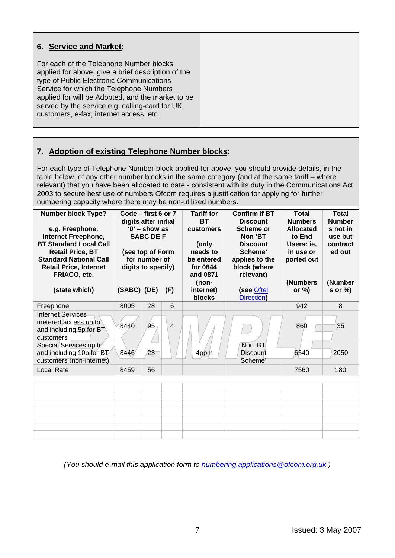| 6. Service and Market:                                                                                                                                                                                                                                                                                                                 |
|----------------------------------------------------------------------------------------------------------------------------------------------------------------------------------------------------------------------------------------------------------------------------------------------------------------------------------------|
| For each of the Telephone Number blocks<br>applied for above, give a brief description of the<br>type of Public Electronic Communications<br>Service for which the Telephone Numbers<br>applied for will be Adopted, and the market to be<br>served by the service e.g. calling-card for UK<br>customers, e-fax, internet access, etc. |

#### **7. Adoption of existing Telephone Number blocks**:

For each type of Telephone Number block applied for above, you should provide details, in the table below, of any other number blocks in the same category (and at the same tariff – where relevant) that you have been allocated to date - consistent with its duty in the Communications Act 2003 to secure best use of numbers Ofcom requires a justification for applying for further numbering capacity where there may be non-utilised numbers.

| <b>Number block Type?</b><br>e.g. Freephone,<br>Internet Freephone,<br><b>BT Standard Local Call</b><br><b>Retail Price, BT</b><br><b>Standard National Call</b><br><b>Retail Price, Internet</b><br>FRIACO, etc. | Code – first 6 or 7<br>digits after initial<br>$'0'$ – show as<br><b>SABC DE F</b><br>(see top of Form<br>for number of<br>digits to specify) |    | <b>Tariff for</b><br><b>BT</b><br>customers<br>(only<br>needs to<br>be entered<br>for 0844<br>and 0871<br>(non- | <b>Confirm if BT</b><br><b>Discount</b><br>Scheme or<br>Non 'BT<br><b>Discount</b><br>Scheme'<br>applies to the<br>block (where<br>relevant) | <b>Total</b><br><b>Numbers</b><br><b>Allocated</b><br>to End<br>Users: ie,<br>in use or<br>ported out<br>(Numbers | <b>Total</b><br><b>Number</b><br>s not in<br>use but<br>contract<br>ed out<br>(Number |          |
|-------------------------------------------------------------------------------------------------------------------------------------------------------------------------------------------------------------------|-----------------------------------------------------------------------------------------------------------------------------------------------|----|-----------------------------------------------------------------------------------------------------------------|----------------------------------------------------------------------------------------------------------------------------------------------|-------------------------------------------------------------------------------------------------------------------|---------------------------------------------------------------------------------------|----------|
| (state which)                                                                                                                                                                                                     | (SABC) (DE)                                                                                                                                   |    | (F)                                                                                                             | internet)<br>blocks                                                                                                                          | (see Oftel<br>Direction)                                                                                          | or $\%$ )                                                                             | s or $%$ |
| Freephone                                                                                                                                                                                                         | 8005                                                                                                                                          | 28 | 6                                                                                                               |                                                                                                                                              |                                                                                                                   | 942                                                                                   | 8        |
| <b>Internet Services</b><br>metered access up to<br>and including 5p for $BT$<br>customers                                                                                                                        | 8440                                                                                                                                          | 95 | $\overline{4}$                                                                                                  |                                                                                                                                              |                                                                                                                   | 860                                                                                   | 35       |
| Special Services up to<br>and including 10p for BT<br>customers (non-internet)                                                                                                                                    | 8446                                                                                                                                          | 23 |                                                                                                                 | 4ppm                                                                                                                                         | Non 'BT<br><b>Discount</b><br>Scheme'                                                                             | 6540                                                                                  | 2050     |
| <b>Local Rate</b>                                                                                                                                                                                                 | 8459                                                                                                                                          | 56 |                                                                                                                 |                                                                                                                                              |                                                                                                                   | 7560                                                                                  | 180      |
|                                                                                                                                                                                                                   |                                                                                                                                               |    |                                                                                                                 |                                                                                                                                              |                                                                                                                   |                                                                                       |          |
|                                                                                                                                                                                                                   |                                                                                                                                               |    |                                                                                                                 |                                                                                                                                              |                                                                                                                   |                                                                                       |          |
|                                                                                                                                                                                                                   |                                                                                                                                               |    |                                                                                                                 |                                                                                                                                              |                                                                                                                   |                                                                                       |          |
|                                                                                                                                                                                                                   |                                                                                                                                               |    |                                                                                                                 |                                                                                                                                              |                                                                                                                   |                                                                                       |          |
|                                                                                                                                                                                                                   |                                                                                                                                               |    |                                                                                                                 |                                                                                                                                              |                                                                                                                   |                                                                                       |          |
|                                                                                                                                                                                                                   |                                                                                                                                               |    |                                                                                                                 |                                                                                                                                              |                                                                                                                   |                                                                                       |          |
|                                                                                                                                                                                                                   |                                                                                                                                               |    |                                                                                                                 |                                                                                                                                              |                                                                                                                   |                                                                                       |          |

*(You should e-mail this application form to [numbering.applications@ofcom.org.uk](mailto:numbering.applications@ofcom.org.uk) )*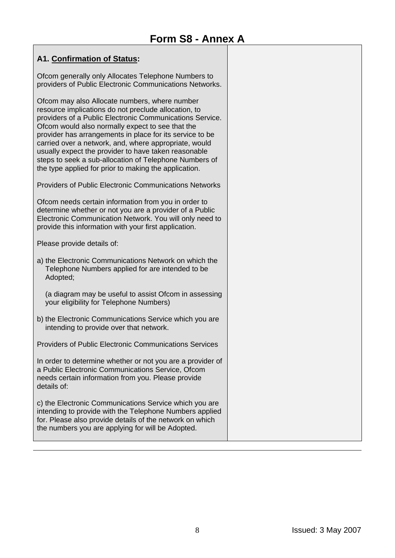#### **A1. Confirmation of Status:**

Ofcom generally only Allocates Telephone Numbers to providers of Public Electronic Communications Networks.

Ofcom may also Allocate numbers, where number resource implications do not preclude allocation, to providers of a Public Electronic Communications Service. Ofcom would also normally expect to see that the provider has arrangements in place for its service to be carried over a network, and, where appropriate, would usually expect the provider to have taken reasonable steps to seek a sub-allocation of Telephone Numbers of the type applied for prior to making the application.

Providers of Public Electronic Communications Networks

Ofcom needs certain information from you in order to determine whether or not you are a provider of a Public Electronic Communication Network. You will only need to provide this information with your first application.

Please provide details of:

a) the Electronic Communications Network on which the Telephone Numbers applied for are intended to be Adopted;

(a diagram may be useful to assist Ofcom in assessing your eligibility for Telephone Numbers)

b) the Electronic Communications Service which you are intending to provide over that network.

Providers of Public Electronic Communications Services

In order to determine whether or not you are a provider of a Public Electronic Communications Service, Ofcom needs certain information from you. Please provide details of:

c) the Electronic Communications Service which you are intending to provide with the Telephone Numbers applied for. Please also provide details of the network on which the numbers you are applying for will be Adopted.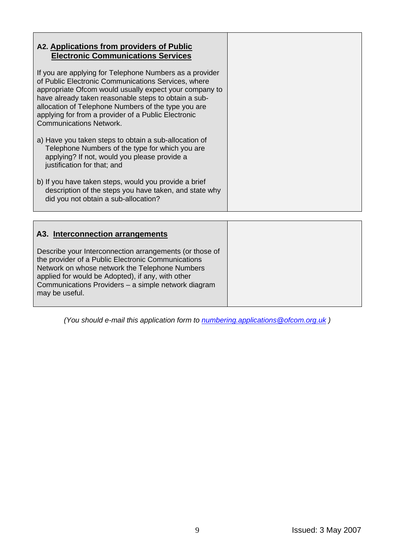| A2. Applications from providers of Public<br><b>Electronic Communications Services</b>                                                                                                                                                                                                                                                                                           |
|----------------------------------------------------------------------------------------------------------------------------------------------------------------------------------------------------------------------------------------------------------------------------------------------------------------------------------------------------------------------------------|
| If you are applying for Telephone Numbers as a provider<br>of Public Electronic Communications Services, where<br>appropriate Ofcom would usually expect your company to<br>have already taken reasonable steps to obtain a sub-<br>allocation of Telephone Numbers of the type you are<br>applying for from a provider of a Public Electronic<br><b>Communications Network.</b> |
| a) Have you taken steps to obtain a sub-allocation of<br>Telephone Numbers of the type for which you are<br>applying? If not, would you please provide a<br>justification for that; and                                                                                                                                                                                          |
| b) If you have taken steps, would you provide a brief<br>description of the steps you have taken, and state why<br>did you not obtain a sub-allocation?                                                                                                                                                                                                                          |

| A3. Interconnection arrangements                                                                                                                                                                                                                                                              |  |
|-----------------------------------------------------------------------------------------------------------------------------------------------------------------------------------------------------------------------------------------------------------------------------------------------|--|
| Describe your Interconnection arrangements (or those of<br>the provider of a Public Electronic Communications<br>Network on whose network the Telephone Numbers<br>applied for would be Adopted), if any, with other<br>Communications Providers - a simple network diagram<br>may be useful. |  |

*(You should e-mail this application form to [numbering.applications@ofcom.org.uk](mailto:numbering.applications@ofcom.org.uk) )*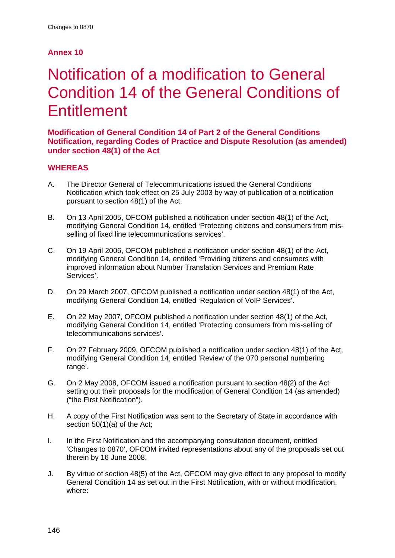#### **Annex 10**

# Notification of a modification to General Condition 14 of the General Conditions of **Entitlement**

**Modification of General Condition 14 of Part 2 of the General Conditions Notification, regarding Codes of Practice and Dispute Resolution (as amended) under section 48(1) of the Act** 

#### **WHEREAS**

- A. The Director General of Telecommunications issued the General Conditions Notification which took effect on 25 July 2003 by way of publication of a notification pursuant to section 48(1) of the Act.
- B. On 13 April 2005, OFCOM published a notification under section 48(1) of the Act, modifying General Condition 14, entitled 'Protecting citizens and consumers from misselling of fixed line telecommunications services'.
- C. On 19 April 2006, OFCOM published a notification under section 48(1) of the Act, modifying General Condition 14, entitled 'Providing citizens and consumers with improved information about Number Translation Services and Premium Rate Services'.
- D. On 29 March 2007, OFCOM published a notification under section 48(1) of the Act, modifying General Condition 14, entitled 'Regulation of VoIP Services'.
- E. On 22 May 2007, OFCOM published a notification under section 48(1) of the Act, modifying General Condition 14, entitled 'Protecting consumers from mis-selling of telecommunications services'.
- F. On 27 February 2009, OFCOM published a notification under section 48(1) of the Act, modifying General Condition 14, entitled 'Review of the 070 personal numbering range'.
- G. On 2 May 2008, OFCOM issued a notification pursuant to section 48(2) of the Act setting out their proposals for the modification of General Condition 14 (as amended) ("the First Notification").
- H. A copy of the First Notification was sent to the Secretary of State in accordance with section 50(1)(a) of the Act:
- I. In the First Notification and the accompanying consultation document, entitled 'Changes to 0870', OFCOM invited representations about any of the proposals set out therein by 16 June 2008.
- J. By virtue of section 48(5) of the Act, OFCOM may give effect to any proposal to modify General Condition 14 as set out in the First Notification, with or without modification, where: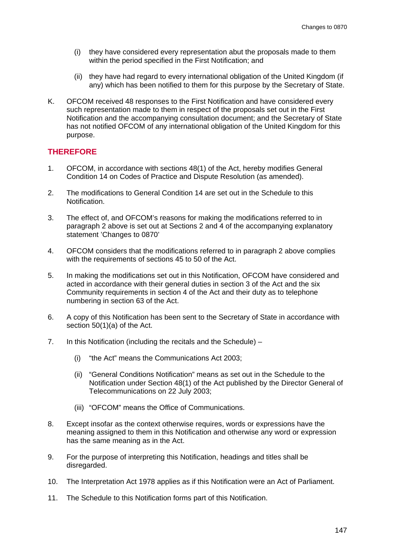- (i) they have considered every representation abut the proposals made to them within the period specified in the First Notification; and
- (ii) they have had regard to every international obligation of the United Kingdom (if any) which has been notified to them for this purpose by the Secretary of State.
- K. OFCOM received 48 responses to the First Notification and have considered every such representation made to them in respect of the proposals set out in the First Notification and the accompanying consultation document; and the Secretary of State has not notified OFCOM of any international obligation of the United Kingdom for this purpose.

#### **THEREFORE**

- 1. OFCOM, in accordance with sections 48(1) of the Act, hereby modifies General Condition 14 on Codes of Practice and Dispute Resolution (as amended).
- 2. The modifications to General Condition 14 are set out in the Schedule to this Notification.
- 3. The effect of, and OFCOM's reasons for making the modifications referred to in paragraph 2 above is set out at Sections 2 and 4 of the accompanying explanatory statement 'Changes to 0870'
- 4. OFCOM considers that the modifications referred to in paragraph 2 above complies with the requirements of sections 45 to 50 of the Act.
- 5. In making the modifications set out in this Notification, OFCOM have considered and acted in accordance with their general duties in section 3 of the Act and the six Community requirements in section 4 of the Act and their duty as to telephone numbering in section 63 of the Act.
- 6. A copy of this Notification has been sent to the Secretary of State in accordance with section 50(1)(a) of the Act.
- 7. In this Notification (including the recitals and the Schedule)
	- (i) "the Act" means the Communications Act 2003;
	- (ii) "General Conditions Notification" means as set out in the Schedule to the Notification under Section 48(1) of the Act published by the Director General of Telecommunications on 22 July 2003;
	- (iii) "OFCOM" means the Office of Communications.
- 8. Except insofar as the context otherwise requires, words or expressions have the meaning assigned to them in this Notification and otherwise any word or expression has the same meaning as in the Act.
- 9. For the purpose of interpreting this Notification, headings and titles shall be disregarded.
- 10. The Interpretation Act 1978 applies as if this Notification were an Act of Parliament.
- 11. The Schedule to this Notification forms part of this Notification.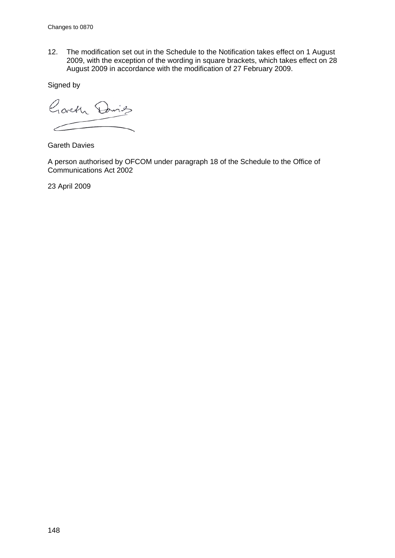12. The modification set out in the Schedule to the Notification takes effect on 1 August 2009, with the exception of the wording in square brackets, which takes effect on 28 August 2009 in accordance with the modification of 27 February 2009.

Signed by

Goveth Davids

Gareth Davies

A person authorised by OFCOM under paragraph 18 of the Schedule to the Office of Communications Act 2002

23 April 2009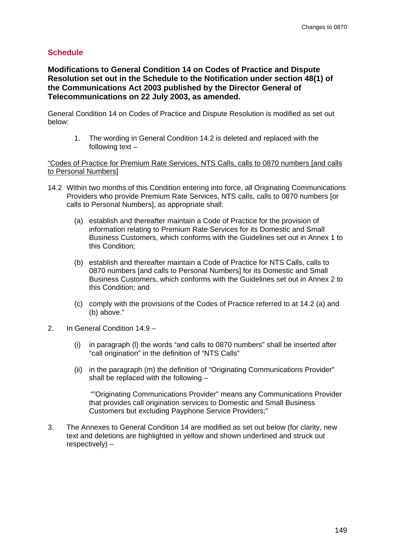#### **Schedule**

**Modifications to General Condition 14 on Codes of Practice and Dispute Resolution set out in the Schedule to the Notification under section 48(1) of the Communications Act 2003 published by the Director General of Telecommunications on 22 July 2003, as amended.**

General Condition 14 on Codes of Practice and Dispute Resolution is modified as set out below:

1. The wording in General Condition 14.2 is deleted and replaced with the following text –

"Codes of Practice for Premium Rate Services, NTS Calls, calls to 0870 numbers [and calls to Personal Numbers]

- 14.2 Within two months of this Condition entering into force, all Originating Communications Providers who provide Premium Rate Services, NTS calls, calls to 0870 numbers [or calls to Personal Numbers], as appropriate shall:
	- (a) establish and thereafter maintain a Code of Practice for the provision of information relating to Premium Rate Services for its Domestic and Small Business Customers, which conforms with the Guidelines set out in Annex 1 to this Condition;
	- (b) establish and thereafter maintain a Code of Practice for NTS Calls, calls to 0870 numbers [and calls to Personal Numbers] for its Domestic and Small Business Customers, which conforms with the Guidelines set out in Annex 2 to this Condition; and
	- (c) comply with the provisions of the Codes of Practice referred to at 14.2 (a) and (b) above."
- 2. In General Condition 14.9
	- (i) in paragraph (l) the words "and calls to 0870 numbers" shall be inserted after "call origination" in the definition of "NTS Calls"
	- (ii) in the paragraph (m) the definition of "Originating Communications Provider" shall be replaced with the following –

 ""Originating Communications Provider" means any Communications Provider that provides call origination services to Domestic and Small Business Customers but excluding Payphone Service Providers;"

3. The Annexes to General Condition 14 are modified as set out below (for clarity, new text and deletions are highlighted in yellow and shown underlined and struck out respectively) –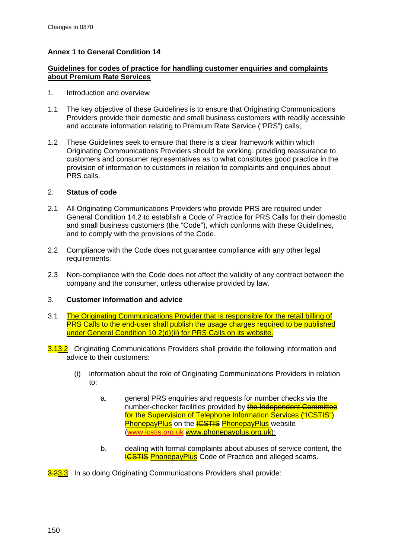#### **Annex 1 to General Condition 14**

#### **Guidelines for codes of practice for handling customer enquiries and complaints about Premium Rate Services**

- 1. Introduction and overview
- 1.1 The key objective of these Guidelines is to ensure that Originating Communications Providers provide their domestic and small business customers with readily accessible and accurate information relating to Premium Rate Service ("PRS") calls;
- 1.2 These Guidelines seek to ensure that there is a clear framework within which Originating Communications Providers should be working, providing reassurance to customers and consumer representatives as to what constitutes good practice in the provision of information to customers in relation to complaints and enquiries about PRS calls.

#### 2. **Status of code**

- 2.1 All Originating Communications Providers who provide PRS are required under General Condition 14.2 to establish a Code of Practice for PRS Calls for their domestic and small business customers (the "Code"), which conforms with these Guidelines, and to comply with the provisions of the Code.
- 2.2 Compliance with the Code does not guarantee compliance with any other legal requirements.
- 2.3 Non-compliance with the Code does not affect the validity of any contract between the company and the consumer, unless otherwise provided by law.

#### 3. **Customer information and advice**

- 3.1 The Originating Communications Provider that is responsible for the retail billing of PRS Calls to the end-user shall publish the usage charges required to be published under General Condition 10.2(d)(ii) for PRS Calls on its website.
- **3.13.2** Originating Communications Providers shall provide the following information and advice to their customers:
	- (i) information about the role of Originating Communications Providers in relation to:
		- a. general PRS enquiries and requests for number checks via the number-checker facilities provided by **the Independent Committee** for the Supervision of Telephone Information Services ("ICSTIS") PhonepayPlus on the **ICSTIS** PhonepayPlus website [\(www.icstis.org.uk](http://www.icstis.org.uk/) www.phonepayplus.org.uk);
		- b. dealing with formal complaints about abuses of service content, the **ICSTIS PhonepayPlus** Code of Practice and alleged scams.

<mark>3.2<u>3.3</u> In so doing Originating Communications Providers shall provide:</mark>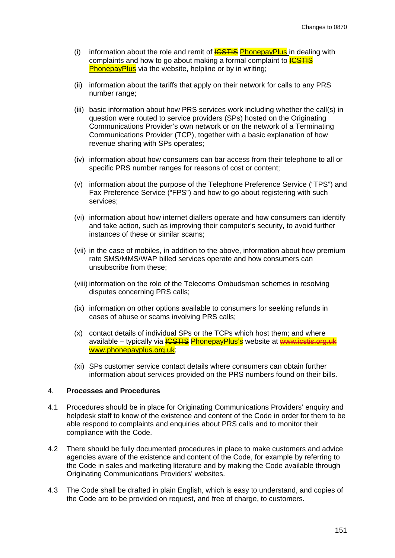- (i) information about the role and remit of  $\frac{\text{ICSTIS}}{\text{PhoneyPlus}}$  in dealing with complaints and how to go about making a formal complaint to **ICSTIS** PhonepayPlus via the website, helpline or by in writing;
- (ii) information about the tariffs that apply on their network for calls to any PRS number range;
- (iii) basic information about how PRS services work including whether the call(s) in question were routed to service providers (SPs) hosted on the Originating Communications Provider's own network or on the network of a Terminating Communications Provider (TCP), together with a basic explanation of how revenue sharing with SPs operates;
- (iv) information about how consumers can bar access from their telephone to all or specific PRS number ranges for reasons of cost or content;
- (v) information about the purpose of the Telephone Preference Service ("TPS") and Fax Preference Service ("FPS") and how to go about registering with such services;
- (vi) information about how internet diallers operate and how consumers can identify and take action, such as improving their computer's security, to avoid further instances of these or similar scams;
- (vii) in the case of mobiles, in addition to the above, information about how premium rate SMS/MMS/WAP billed services operate and how consumers can unsubscribe from these;
- (viii) information on the role of the Telecoms Ombudsman schemes in resolving disputes concerning PRS calls;
- (ix) information on other options available to consumers for seeking refunds in cases of abuse or scams involving PRS calls;
- (x) contact details of individual SPs or the TCPs which host them; and where available – typically via **ICSTIS PhonepayPlus's** website at **www.jcstis.org.uk** www.phonepayplus.org.uk ;
- (xi) SPs customer service contact details where consumers can obtain further information about services provided on the PRS numbers found on their bills.

#### 4. **Processes and Procedures**

- 4.1 Procedures should be in place for Originating Communications Providers' enquiry and helpdesk staff to know of the existence and content of the Code in order for them to be able respond to complaints and enquiries about PRS calls and to monitor their compliance with the Code.
- 4.2 There should be fully documented procedures in place to make customers and advice agencies aware of the existence and content of the Code, for example by referring to the Code in sales and marketing literature and by making the Code available through Originating Communications Providers' websites.
- 4.3 The Code shall be drafted in plain English, which is easy to understand, and copies of the Code are to be provided on request, and free of charge, to customers.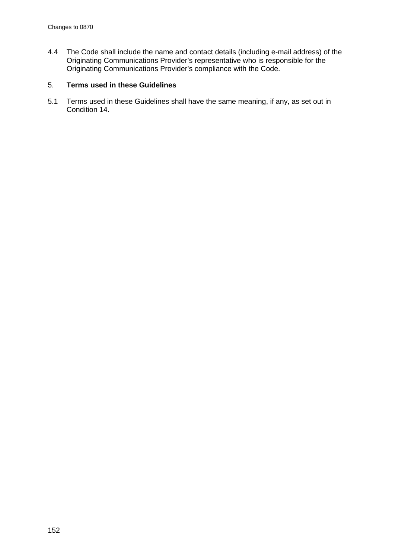4.4 The Code shall include the name and contact details (including e-mail address) of the Originating Communications Provider's representative who is responsible for the Originating Communications Provider's compliance with the Code.

#### 5. **Terms used in these Guidelines**

5.1 Terms used in these Guidelines shall have the same meaning, if any, as set out in Condition 14.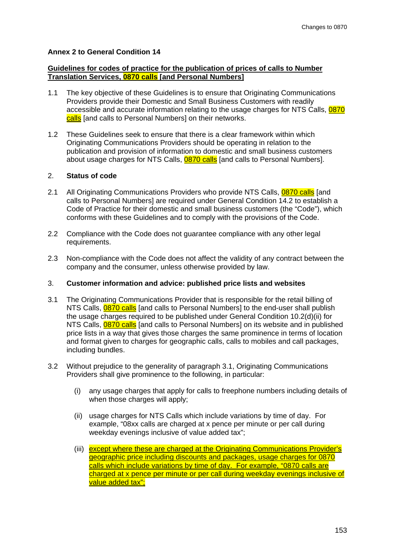#### **Annex 2 to General Condition 14**

#### **Guidelines for codes of practice for the publication of prices of calls to Number Translation Services, 0870 calls [and Personal Numbers]**

- 1.1 The key objective of these Guidelines is to ensure that Originating Communications Providers provide their Domestic and Small Business Customers with readily accessible and accurate information relating to the usage charges for NTS Calls, <mark>0870</mark> <u>calls</u> [and calls to Personal Numbers] on their networks.
- 1.2 These Guidelines seek to ensure that there is a clear framework within which Originating Communications Providers should be operating in relation to the publication and provision of information to domestic and small business customers about usage charges for NTS Calls, <mark>0870 calls</mark> [and calls to Personal Numbers].

#### 2. **Status of code**

- 2.1 All Originating Communications Providers who provide NTS Calls, <mark>0870 calls</mark> [and calls to Personal Numbers] are required under General Condition 14.2 to establish a Code of Practice for their domestic and small business customers (the "Code"), which conforms with these Guidelines and to comply with the provisions of the Code.
- 2.2 Compliance with the Code does not guarantee compliance with any other legal requirements.
- 2.3 Non-compliance with the Code does not affect the validity of any contract between the company and the consumer, unless otherwise provided by law.

#### 3. **Customer information and advice: published price lists and websites**

- 3.1 The Originating Communications Provider that is responsible for the retail billing of NTS Calls, **0870 calls** [and calls to Personal Numbers] to the end-user shall publish the usage charges required to be published under General Condition 10.2(d)(ii) for NTS Calls, <mark>0870 calls</mark> [and calls to Personal Numbers] on its website and in published price lists in a way that gives those charges the same prominence in terms of location and format given to charges for geographic calls, calls to mobiles and call packages, including bundles.
- 3.2 Without prejudice to the generality of paragraph 3.1, Originating Communications Providers shall give prominence to the following, in particular:
	- (i) any usage charges that apply for calls to freephone numbers including details of when those charges will apply;
	- (ii) usage charges for NTS Calls which include variations by time of day. For example, "08xx calls are charged at x pence per minute or per call during weekday evenings inclusive of value added tax";
	- (iii) except where these are charged at the Originating Communications Provider's geographic price including discounts and packages, usage charges for 0870 calls which include variations by time of day. For example, "0870 calls are charged at x pence per minute or per call during weekday evenings inclusive of value added tax";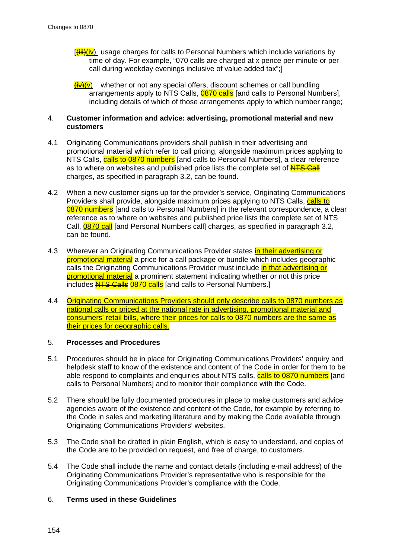- $[\frac{\mu}{\mu}](v)$  usage charges for calls to Personal Numbers which include variations by time of day. For example, "070 calls are charged at x pence per minute or per call during weekday evenings inclusive of value added tax";]
- $\frac{\partial u}{\partial v}(\mathbf{v})$  whether or not any special offers, discount schemes or call bundling arrangements apply to NTS Calls, **0870 calls** [and calls to Personal Numbers], including details of which of those arrangements apply to which number range;

#### 4. **Customer information and advice: advertising, promotional material and new customers**

- 4.1 Originating Communications providers shall publish in their advertising and promotional material which refer to call pricing, alongside maximum prices applying to NTS Calls, <mark>calls to 0870 numbers</mark> [and calls to Personal Numbers], a clear reference as to where on websites and published price lists the complete set of **NTS Call** charges, as specified in paragraph 3.2, can be found.
- 4.2 When a new customer signs up for the provider's service, Originating Communications Providers shall provide, alongside maximum prices applying to NTS Calls, *calls to* 0870 numbers [and calls to Personal Numbers] in the relevant correspondence, a clear reference as to where on websites and published price lists the complete set of NTS Call, <mark>0870 call</mark> [and Personal Numbers call] charges, as specified in paragraph 3.2, can be found.
- 4.3 Wherever an Originating Communications Provider states in their advertising or promotional material a price for a call package or bundle which includes geographic calls the Originating Communications Provider must include in that advertising or promotional material a prominent statement indicating whether or not this price includes NTS Calls 0870 calls [and calls to Personal Numbers.]
- 4.4 Originating Communications Providers should only describe calls to 0870 numbers as national calls or priced at the national rate in advertising, promotional material and consumers' retail bills, where their prices for calls to 0870 numbers are the same as their prices for geographic calls.

#### 5. **Processes and Procedures**

- 5.1 Procedures should be in place for Originating Communications Providers' enquiry and helpdesk staff to know of the existence and content of the Code in order for them to be able respond to complaints and enquiries about NTS calls, <mark>calls to 0870 numbers</mark> [and calls to Personal Numbers] and to monitor their compliance with the Code.
- 5.2 There should be fully documented procedures in place to make customers and advice agencies aware of the existence and content of the Code, for example by referring to the Code in sales and marketing literature and by making the Code available through Originating Communications Providers' websites.
- 5.3 The Code shall be drafted in plain English, which is easy to understand, and copies of the Code are to be provided on request, and free of charge, to customers.
- 5.4 The Code shall include the name and contact details (including e-mail address) of the Originating Communications Provider's representative who is responsible for the Originating Communications Provider's compliance with the Code.

#### 6. **Terms used in these Guidelines**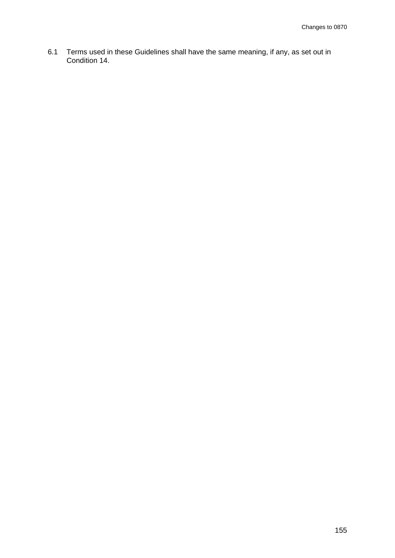6.1 Terms used in these Guidelines shall have the same meaning, if any, as set out in Condition 14.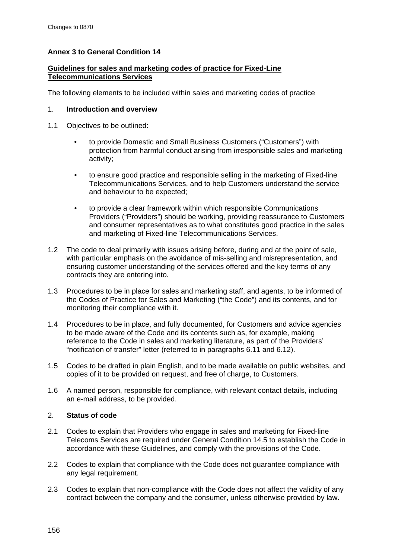#### **Annex 3 to General Condition 14**

#### **Guidelines for sales and marketing codes of practice for Fixed-Line Telecommunications Services**

The following elements to be included within sales and marketing codes of practice

#### 1. **Introduction and overview**

- 1.1 Objectives to be outlined:
	- to provide Domestic and Small Business Customers ("Customers") with protection from harmful conduct arising from irresponsible sales and marketing activity;
	- to ensure good practice and responsible selling in the marketing of Fixed-line Telecommunications Services, and to help Customers understand the service and behaviour to be expected;
	- to provide a clear framework within which responsible Communications Providers ("Providers") should be working, providing reassurance to Customers and consumer representatives as to what constitutes good practice in the sales and marketing of Fixed-line Telecommunications Services.
- 1.2 The code to deal primarily with issues arising before, during and at the point of sale, with particular emphasis on the avoidance of mis-selling and misrepresentation, and ensuring customer understanding of the services offered and the key terms of any contracts they are entering into.
- 1.3 Procedures to be in place for sales and marketing staff, and agents, to be informed of the Codes of Practice for Sales and Marketing ("the Code") and its contents, and for monitoring their compliance with it.
- 1.4 Procedures to be in place, and fully documented, for Customers and advice agencies to be made aware of the Code and its contents such as, for example, making reference to the Code in sales and marketing literature, as part of the Providers' "notification of transfer" letter (referred to in paragraphs 6.11 and 6.12).
- 1.5 Codes to be drafted in plain English, and to be made available on public websites, and copies of it to be provided on request, and free of charge, to Customers.
- 1.6 A named person, responsible for compliance, with relevant contact details, including an e-mail address, to be provided.

#### 2. **Status of code**

- 2.1 Codes to explain that Providers who engage in sales and marketing for Fixed-line Telecoms Services are required under General Condition 14.5 to establish the Code in accordance with these Guidelines, and comply with the provisions of the Code.
- 2.2 Codes to explain that compliance with the Code does not guarantee compliance with any legal requirement.
- 2.3 Codes to explain that non-compliance with the Code does not affect the validity of any contract between the company and the consumer, unless otherwise provided by law.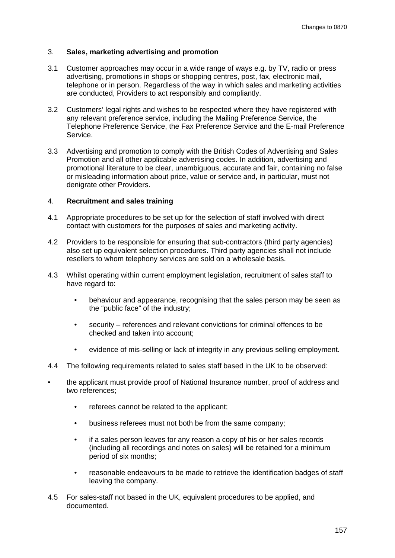#### 3. **Sales, marketing advertising and promotion**

- 3.1 Customer approaches may occur in a wide range of ways e.g. by TV, radio or press advertising, promotions in shops or shopping centres, post, fax, electronic mail, telephone or in person. Regardless of the way in which sales and marketing activities are conducted, Providers to act responsibly and compliantly.
- 3.2 Customers' legal rights and wishes to be respected where they have registered with any relevant preference service, including the Mailing Preference Service, the Telephone Preference Service, the Fax Preference Service and the E-mail Preference Service.
- 3.3 Advertising and promotion to comply with the British Codes of Advertising and Sales Promotion and all other applicable advertising codes. In addition, advertising and promotional literature to be clear, unambiguous, accurate and fair, containing no false or misleading information about price, value or service and, in particular, must not denigrate other Providers.

#### 4. **Recruitment and sales training**

- 4.1 Appropriate procedures to be set up for the selection of staff involved with direct contact with customers for the purposes of sales and marketing activity.
- 4.2 Providers to be responsible for ensuring that sub-contractors (third party agencies) also set up equivalent selection procedures. Third party agencies shall not include resellers to whom telephony services are sold on a wholesale basis.
- 4.3 Whilst operating within current employment legislation, recruitment of sales staff to have regard to:
	- behaviour and appearance, recognising that the sales person may be seen as the "public face" of the industry;
	- security references and relevant convictions for criminal offences to be checked and taken into account;
	- evidence of mis-selling or lack of integrity in any previous selling employment.
- 4.4 The following requirements related to sales staff based in the UK to be observed:
- the applicant must provide proof of National Insurance number, proof of address and two references;
	- referees cannot be related to the applicant;
	- business referees must not both be from the same company;
	- if a sales person leaves for any reason a copy of his or her sales records (including all recordings and notes on sales) will be retained for a minimum period of six months;
	- reasonable endeavours to be made to retrieve the identification badges of staff leaving the company.
- 4.5 For sales-staff not based in the UK, equivalent procedures to be applied, and documented.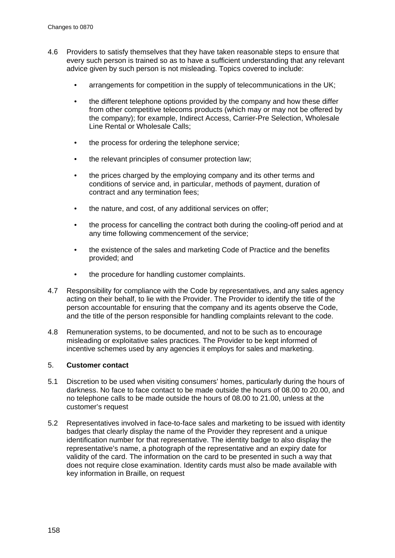- 4.6 Providers to satisfy themselves that they have taken reasonable steps to ensure that every such person is trained so as to have a sufficient understanding that any relevant advice given by such person is not misleading. Topics covered to include:
	- arrangements for competition in the supply of telecommunications in the UK;
	- the different telephone options provided by the company and how these differ from other competitive telecoms products (which may or may not be offered by the company); for example, Indirect Access, Carrier-Pre Selection, Wholesale Line Rental or Wholesale Calls;
	- the process for ordering the telephone service;
	- the relevant principles of consumer protection law:
	- the prices charged by the employing company and its other terms and conditions of service and, in particular, methods of payment, duration of contract and any termination fees;
	- the nature, and cost, of any additional services on offer;
	- the process for cancelling the contract both during the cooling-off period and at any time following commencement of the service;
	- the existence of the sales and marketing Code of Practice and the benefits provided; and
	- the procedure for handling customer complaints.
- 4.7 Responsibility for compliance with the Code by representatives, and any sales agency acting on their behalf, to lie with the Provider. The Provider to identify the title of the person accountable for ensuring that the company and its agents observe the Code, and the title of the person responsible for handling complaints relevant to the code.
- 4.8 Remuneration systems, to be documented, and not to be such as to encourage misleading or exploitative sales practices. The Provider to be kept informed of incentive schemes used by any agencies it employs for sales and marketing.

#### 5. **Customer contact**

- 5.1 Discretion to be used when visiting consumers' homes, particularly during the hours of darkness. No face to face contact to be made outside the hours of 08.00 to 20.00, and no telephone calls to be made outside the hours of 08.00 to 21.00, unless at the customer's request
- 5.2 Representatives involved in face-to-face sales and marketing to be issued with identity badges that clearly display the name of the Provider they represent and a unique identification number for that representative. The identity badge to also display the representative's name, a photograph of the representative and an expiry date for validity of the card. The information on the card to be presented in such a way that does not require close examination. Identity cards must also be made available with key information in Braille, on request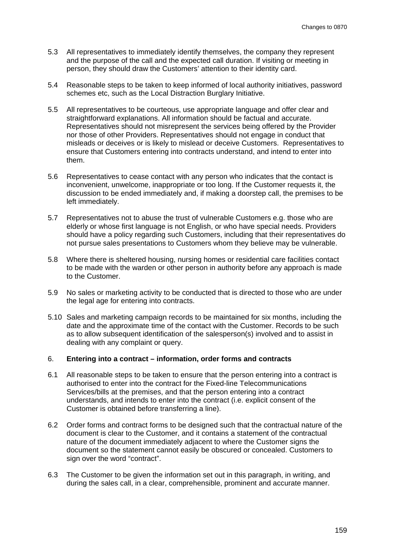- 5.3 All representatives to immediately identify themselves, the company they represent and the purpose of the call and the expected call duration. If visiting or meeting in person, they should draw the Customers' attention to their identity card.
- 5.4 Reasonable steps to be taken to keep informed of local authority initiatives, password schemes etc, such as the Local Distraction Burglary Initiative.
- 5.5 All representatives to be courteous, use appropriate language and offer clear and straightforward explanations. All information should be factual and accurate. Representatives should not misrepresent the services being offered by the Provider nor those of other Providers. Representatives should not engage in conduct that misleads or deceives or is likely to mislead or deceive Customers. Representatives to ensure that Customers entering into contracts understand, and intend to enter into them.
- 5.6 Representatives to cease contact with any person who indicates that the contact is inconvenient, unwelcome, inappropriate or too long. If the Customer requests it, the discussion to be ended immediately and, if making a doorstep call, the premises to be left immediately.
- 5.7 Representatives not to abuse the trust of vulnerable Customers e.g. those who are elderly or whose first language is not English, or who have special needs. Providers should have a policy regarding such Customers, including that their representatives do not pursue sales presentations to Customers whom they believe may be vulnerable.
- 5.8 Where there is sheltered housing, nursing homes or residential care facilities contact to be made with the warden or other person in authority before any approach is made to the Customer.
- 5.9 No sales or marketing activity to be conducted that is directed to those who are under the legal age for entering into contracts.
- 5.10 Sales and marketing campaign records to be maintained for six months, including the date and the approximate time of the contact with the Customer. Records to be such as to allow subsequent identification of the salesperson(s) involved and to assist in dealing with any complaint or query.

#### 6. **Entering into a contract – information, order forms and contracts**

- 6.1 All reasonable steps to be taken to ensure that the person entering into a contract is authorised to enter into the contract for the Fixed-line Telecommunications Services/bills at the premises, and that the person entering into a contract understands, and intends to enter into the contract (i.e. explicit consent of the Customer is obtained before transferring a line).
- 6.2 Order forms and contract forms to be designed such that the contractual nature of the document is clear to the Customer, and it contains a statement of the contractual nature of the document immediately adjacent to where the Customer signs the document so the statement cannot easily be obscured or concealed. Customers to sign over the word "contract".
- 6.3 The Customer to be given the information set out in this paragraph, in writing, and during the sales call, in a clear, comprehensible, prominent and accurate manner.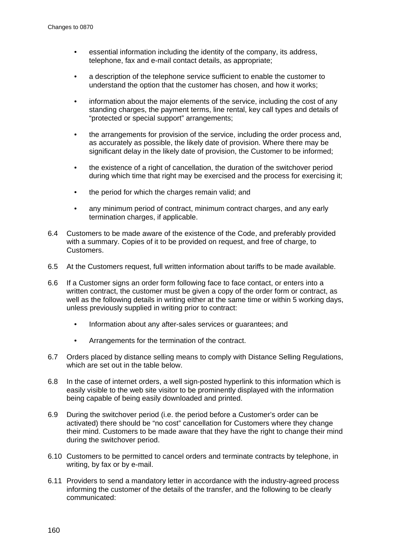- essential information including the identity of the company, its address, telephone, fax and e-mail contact details, as appropriate;
- a description of the telephone service sufficient to enable the customer to understand the option that the customer has chosen, and how it works;
- information about the major elements of the service, including the cost of any standing charges, the payment terms, line rental, key call types and details of "protected or special support" arrangements;
- the arrangements for provision of the service, including the order process and, as accurately as possible, the likely date of provision. Where there may be significant delay in the likely date of provision, the Customer to be informed;
- the existence of a right of cancellation, the duration of the switchover period during which time that right may be exercised and the process for exercising it;
- the period for which the charges remain valid; and
- any minimum period of contract, minimum contract charges, and any early termination charges, if applicable.
- 6.4 Customers to be made aware of the existence of the Code, and preferably provided with a summary. Copies of it to be provided on request, and free of charge, to Customers.
- 6.5 At the Customers request, full written information about tariffs to be made available.
- 6.6 If a Customer signs an order form following face to face contact, or enters into a written contract, the customer must be given a copy of the order form or contract, as well as the following details in writing either at the same time or within 5 working days, unless previously supplied in writing prior to contract:
	- Information about any after-sales services or guarantees; and
	- Arrangements for the termination of the contract.
- 6.7 Orders placed by distance selling means to comply with Distance Selling Regulations, which are set out in the table below.
- 6.8 In the case of internet orders, a well sign-posted hyperlink to this information which is easily visible to the web site visitor to be prominently displayed with the information being capable of being easily downloaded and printed.
- 6.9 During the switchover period (i.e. the period before a Customer's order can be activated) there should be "no cost" cancellation for Customers where they change their mind. Customers to be made aware that they have the right to change their mind during the switchover period.
- 6.10 Customers to be permitted to cancel orders and terminate contracts by telephone, in writing, by fax or by e-mail.
- 6.11 Providers to send a mandatory letter in accordance with the industry-agreed process informing the customer of the details of the transfer, and the following to be clearly communicated: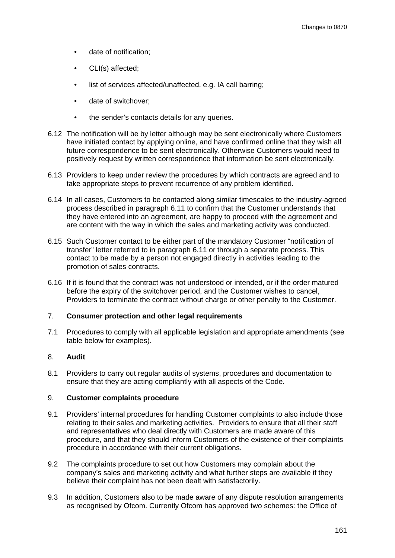- date of notification;
- CLI(s) affected;
- list of services affected/unaffected, e.g. IA call barring:
- date of switchover;
- the sender's contacts details for any queries.
- 6.12 The notification will be by letter although may be sent electronically where Customers have initiated contact by applying online, and have confirmed online that they wish all future correspondence to be sent electronically. Otherwise Customers would need to positively request by written correspondence that information be sent electronically.
- 6.13 Providers to keep under review the procedures by which contracts are agreed and to take appropriate steps to prevent recurrence of any problem identified.
- 6.14 In all cases, Customers to be contacted along similar timescales to the industry-agreed process described in paragraph 6.11 to confirm that the Customer understands that they have entered into an agreement, are happy to proceed with the agreement and are content with the way in which the sales and marketing activity was conducted.
- 6.15 Such Customer contact to be either part of the mandatory Customer "notification of transfer" letter referred to in paragraph 6.11 or through a separate process. This contact to be made by a person not engaged directly in activities leading to the promotion of sales contracts.
- 6.16 If it is found that the contract was not understood or intended, or if the order matured before the expiry of the switchover period, and the Customer wishes to cancel, Providers to terminate the contract without charge or other penalty to the Customer.

#### 7. **Consumer protection and other legal requirements**

7.1 Procedures to comply with all applicable legislation and appropriate amendments (see table below for examples).

#### 8. **Audit**

8.1 Providers to carry out regular audits of systems, procedures and documentation to ensure that they are acting compliantly with all aspects of the Code.

#### 9. **Customer complaints procedure**

- 9.1 Providers' internal procedures for handling Customer complaints to also include those relating to their sales and marketing activities. Providers to ensure that all their staff and representatives who deal directly with Customers are made aware of this procedure, and that they should inform Customers of the existence of their complaints procedure in accordance with their current obligations.
- 9.2 The complaints procedure to set out how Customers may complain about the company's sales and marketing activity and what further steps are available if they believe their complaint has not been dealt with satisfactorily.
- 9.3 In addition, Customers also to be made aware of any dispute resolution arrangements as recognised by Ofcom. Currently Ofcom has approved two schemes: the Office of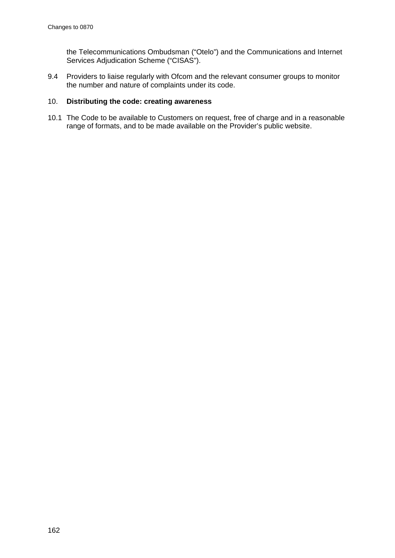the Telecommunications Ombudsman ("Otelo") and the Communications and Internet Services Adjudication Scheme ("CISAS").

9.4 Providers to liaise regularly with Ofcom and the relevant consumer groups to monitor the number and nature of complaints under its code.

#### 10. **Distributing the code: creating awareness**

10.1 The Code to be available to Customers on request, free of charge and in a reasonable range of formats, and to be made available on the Provider's public website.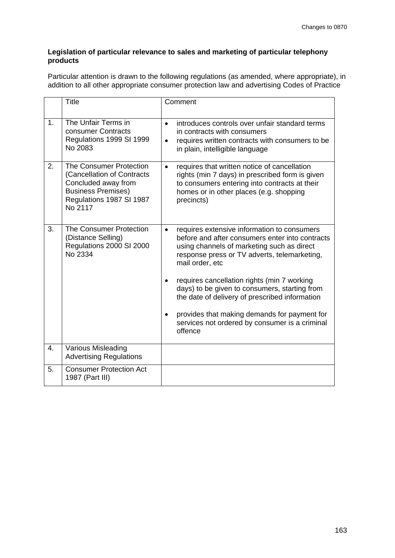#### **Legislation of particular relevance to sales and marketing of particular telephony products**

Particular attention is drawn to the following regulations (as amended, where appropriate), in addition to all other appropriate consumer protection law and advertising Codes of Practice

|                | Title                                                                                                                                            | Comment                                                                                                                                                                                                                      |
|----------------|--------------------------------------------------------------------------------------------------------------------------------------------------|------------------------------------------------------------------------------------------------------------------------------------------------------------------------------------------------------------------------------|
| 1 <sub>1</sub> | The Unfair Terms in<br>consumer Contracts<br>Regulations 1999 SI 1999<br>No 2083                                                                 | introduces controls over unfair standard terms<br>$\bullet$<br>in contracts with consumers<br>requires written contracts with consumers to be<br>$\bullet$<br>in plain, intelligible language                                |
| 2.             | The Consumer Protection<br>(Cancellation of Contracts<br>Concluded away from<br><b>Business Premises)</b><br>Regulations 1987 SI 1987<br>No 2117 | requires that written notice of cancellation<br>$\bullet$<br>rights (min 7 days) in prescribed form is given<br>to consumers entering into contracts at their<br>homes or in other places (e.g. shopping<br>precincts)       |
| 3.             | <b>The Consumer Protection</b><br>(Distance Selling)<br>Regulations 2000 SI 2000<br>No 2334                                                      | requires extensive information to consumers<br>$\bullet$<br>before and after consumers enter into contracts<br>using channels of marketing such as direct<br>response press or TV adverts, telemarketing,<br>mail order, etc |
|                |                                                                                                                                                  | requires cancellation rights (min 7 working<br>days) to be given to consumers, starting from<br>the date of delivery of prescribed information                                                                               |
|                |                                                                                                                                                  | provides that making demands for payment for<br>services not ordered by consumer is a criminal<br>offence                                                                                                                    |
| 4.             | Various Misleading<br><b>Advertising Regulations</b>                                                                                             |                                                                                                                                                                                                                              |
| 5.             | <b>Consumer Protection Act</b><br>1987 (Part III)                                                                                                |                                                                                                                                                                                                                              |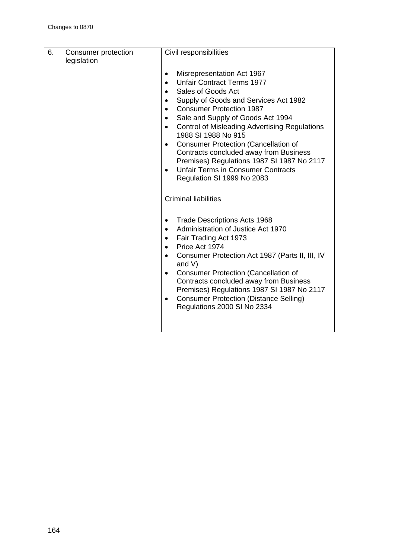| 6. | Consumer protection<br>legislation | Civil responsibilities                                                                                                                                                                                                                                                                                                                                                                                                                                                                                                                                                                                  |
|----|------------------------------------|---------------------------------------------------------------------------------------------------------------------------------------------------------------------------------------------------------------------------------------------------------------------------------------------------------------------------------------------------------------------------------------------------------------------------------------------------------------------------------------------------------------------------------------------------------------------------------------------------------|
|    |                                    | Misrepresentation Act 1967<br>$\bullet$<br><b>Unfair Contract Terms 1977</b><br>Sales of Goods Act<br>Supply of Goods and Services Act 1982<br>$\bullet$<br><b>Consumer Protection 1987</b><br>$\bullet$<br>Sale and Supply of Goods Act 1994<br><b>Control of Misleading Advertising Regulations</b><br>$\bullet$<br>1988 SI 1988 No 915<br><b>Consumer Protection (Cancellation of</b><br>$\bullet$<br>Contracts concluded away from Business<br>Premises) Regulations 1987 SI 1987 No 2117<br><b>Unfair Terms in Consumer Contracts</b><br>Regulation SI 1999 No 2083<br><b>Criminal liabilities</b> |
|    |                                    |                                                                                                                                                                                                                                                                                                                                                                                                                                                                                                                                                                                                         |
|    |                                    | <b>Trade Descriptions Acts 1968</b><br>$\bullet$<br>Administration of Justice Act 1970<br>Fair Trading Act 1973<br>$\bullet$<br>Price Act 1974<br>Consumer Protection Act 1987 (Parts II, III, IV<br>and $V$ )<br><b>Consumer Protection (Cancellation of</b><br>$\bullet$<br>Contracts concluded away from Business<br>Premises) Regulations 1987 SI 1987 No 2117<br><b>Consumer Protection (Distance Selling)</b><br>Regulations 2000 SI No 2334                                                                                                                                                      |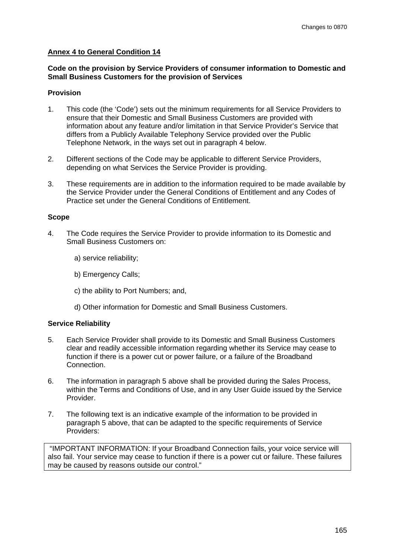#### **Annex 4 to General Condition 14**

#### **Code on the provision by Service Providers of consumer information to Domestic and Small Business Customers for the provision of Services**

#### **Provision**

- 1. This code (the 'Code') sets out the minimum requirements for all Service Providers to ensure that their Domestic and Small Business Customers are provided with information about any feature and/or limitation in that Service Provider's Service that differs from a Publicly Available Telephony Service provided over the Public Telephone Network, in the ways set out in paragraph 4 below.
- 2. Different sections of the Code may be applicable to different Service Providers, depending on what Services the Service Provider is providing.
- 3. These requirements are in addition to the information required to be made available by the Service Provider under the General Conditions of Entitlement and any Codes of Practice set under the General Conditions of Entitlement.

#### **Scope**

- 4. The Code requires the Service Provider to provide information to its Domestic and Small Business Customers on:
	- a) service reliability;
	- b) Emergency Calls;
	- c) the ability to Port Numbers; and,
	- d) Other information for Domestic and Small Business Customers.

#### **Service Reliability**

- 5. Each Service Provider shall provide to its Domestic and Small Business Customers clear and readily accessible information regarding whether its Service may cease to function if there is a power cut or power failure, or a failure of the Broadband Connection.
- 6. The information in paragraph 5 above shall be provided during the Sales Process, within the Terms and Conditions of Use, and in any User Guide issued by the Service Provider.
- 7. The following text is an indicative example of the information to be provided in paragraph 5 above, that can be adapted to the specific requirements of Service Providers:

"IMPORTANT INFORMATION: If your Broadband Connection fails, your voice service will also fail. Your service may cease to function if there is a power cut or failure. These failures may be caused by reasons outside our control."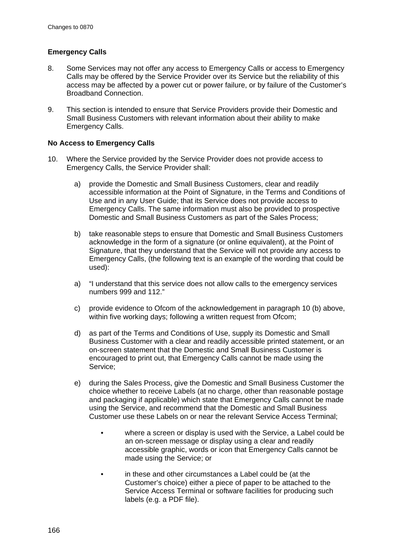#### **Emergency Calls**

- 8. Some Services may not offer any access to Emergency Calls or access to Emergency Calls may be offered by the Service Provider over its Service but the reliability of this access may be affected by a power cut or power failure, or by failure of the Customer's Broadband Connection.
- 9. This section is intended to ensure that Service Providers provide their Domestic and Small Business Customers with relevant information about their ability to make Emergency Calls.

#### **No Access to Emergency Calls**

- 10. Where the Service provided by the Service Provider does not provide access to Emergency Calls, the Service Provider shall:
	- a) provide the Domestic and Small Business Customers, clear and readily accessible information at the Point of Signature, in the Terms and Conditions of Use and in any User Guide; that its Service does not provide access to Emergency Calls. The same information must also be provided to prospective Domestic and Small Business Customers as part of the Sales Process;
	- b) take reasonable steps to ensure that Domestic and Small Business Customers acknowledge in the form of a signature (or online equivalent), at the Point of Signature, that they understand that the Service will not provide any access to Emergency Calls, (the following text is an example of the wording that could be used):
	- a) "I understand that this service does not allow calls to the emergency services numbers 999 and 112."
	- c) provide evidence to Ofcom of the acknowledgement in paragraph 10 (b) above, within five working days; following a written request from Ofcom;
	- d) as part of the Terms and Conditions of Use, supply its Domestic and Small Business Customer with a clear and readily accessible printed statement, or an on-screen statement that the Domestic and Small Business Customer is encouraged to print out, that Emergency Calls cannot be made using the Service;
	- e) during the Sales Process, give the Domestic and Small Business Customer the choice whether to receive Labels (at no charge, other than reasonable postage and packaging if applicable) which state that Emergency Calls cannot be made using the Service, and recommend that the Domestic and Small Business Customer use these Labels on or near the relevant Service Access Terminal;
		- where a screen or display is used with the Service, a Label could be an on-screen message or display using a clear and readily accessible graphic, words or icon that Emergency Calls cannot be made using the Service; or
		- in these and other circumstances a Label could be (at the Customer's choice) either a piece of paper to be attached to the Service Access Terminal or software facilities for producing such labels (e.g. a PDF file).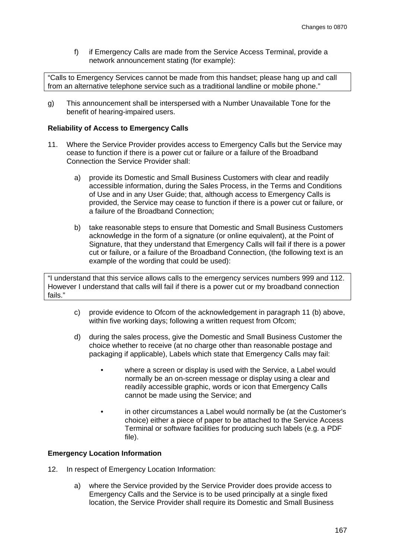f) if Emergency Calls are made from the Service Access Terminal, provide a network announcement stating (for example):

"Calls to Emergency Services cannot be made from this handset; please hang up and call from an alternative telephone service such as a traditional landline or mobile phone."

g) This announcement shall be interspersed with a Number Unavailable Tone for the benefit of hearing-impaired users.

#### **Reliability of Access to Emergency Calls**

- 11. Where the Service Provider provides access to Emergency Calls but the Service may cease to function if there is a power cut or failure or a failure of the Broadband Connection the Service Provider shall:
	- a) provide its Domestic and Small Business Customers with clear and readily accessible information, during the Sales Process, in the Terms and Conditions of Use and in any User Guide; that, although access to Emergency Calls is provided, the Service may cease to function if there is a power cut or failure, or a failure of the Broadband Connection;
	- b) take reasonable steps to ensure that Domestic and Small Business Customers acknowledge in the form of a signature (or online equivalent), at the Point of Signature, that they understand that Emergency Calls will fail if there is a power cut or failure, or a failure of the Broadband Connection, (the following text is an example of the wording that could be used):

"I understand that this service allows calls to the emergency services numbers 999 and 112. However I understand that calls will fail if there is a power cut or my broadband connection fails."

- c) provide evidence to Ofcom of the acknowledgement in paragraph 11 (b) above, within five working days; following a written request from Ofcom;
- d) during the sales process, give the Domestic and Small Business Customer the choice whether to receive (at no charge other than reasonable postage and packaging if applicable), Labels which state that Emergency Calls may fail:
	- where a screen or display is used with the Service, a Label would normally be an on-screen message or display using a clear and readily accessible graphic, words or icon that Emergency Calls cannot be made using the Service; and
	- in other circumstances a Label would normally be (at the Customer's choice) either a piece of paper to be attached to the Service Access Terminal or software facilities for producing such labels (e.g. a PDF file).

#### **Emergency Location Information**

- 12. In respect of Emergency Location Information:
	- a) where the Service provided by the Service Provider does provide access to Emergency Calls and the Service is to be used principally at a single fixed location, the Service Provider shall require its Domestic and Small Business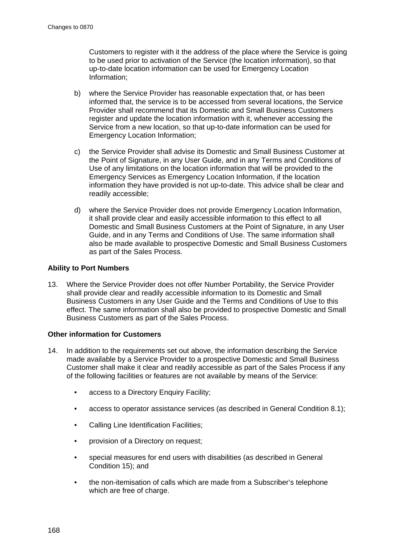Customers to register with it the address of the place where the Service is going to be used prior to activation of the Service (the location information), so that up-to-date location information can be used for Emergency Location Information;

- b) where the Service Provider has reasonable expectation that, or has been informed that, the service is to be accessed from several locations, the Service Provider shall recommend that its Domestic and Small Business Customers register and update the location information with it, whenever accessing the Service from a new location, so that up-to-date information can be used for Emergency Location Information;
- c) the Service Provider shall advise its Domestic and Small Business Customer at the Point of Signature, in any User Guide, and in any Terms and Conditions of Use of any limitations on the location information that will be provided to the Emergency Services as Emergency Location Information, if the location information they have provided is not up-to-date. This advice shall be clear and readily accessible;
- d) where the Service Provider does not provide Emergency Location Information, it shall provide clear and easily accessible information to this effect to all Domestic and Small Business Customers at the Point of Signature, in any User Guide, and in any Terms and Conditions of Use. The same information shall also be made available to prospective Domestic and Small Business Customers as part of the Sales Process.

#### **Ability to Port Numbers**

13. Where the Service Provider does not offer Number Portability, the Service Provider shall provide clear and readily accessible information to its Domestic and Small Business Customers in any User Guide and the Terms and Conditions of Use to this effect. The same information shall also be provided to prospective Domestic and Small Business Customers as part of the Sales Process.

#### **Other information for Customers**

- 14. In addition to the requirements set out above, the information describing the Service made available by a Service Provider to a prospective Domestic and Small Business Customer shall make it clear and readily accessible as part of the Sales Process if any of the following facilities or features are not available by means of the Service:
	- access to a Directory Enquiry Facility:
	- access to operator assistance services (as described in General Condition 8.1);
	- Calling Line Identification Facilities;
	- provision of a Directory on request;
	- special measures for end users with disabilities (as described in General Condition 15); and
	- the non-itemisation of calls which are made from a Subscriber's telephone which are free of charge.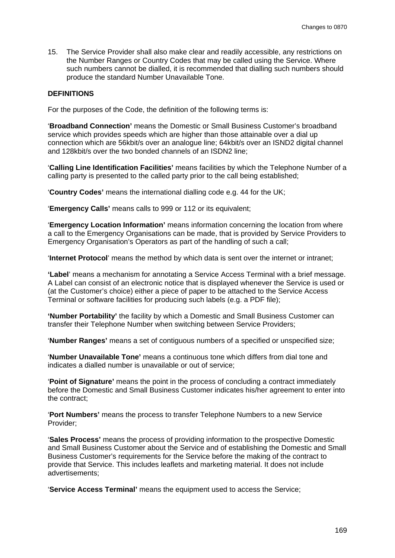15. The Service Provider shall also make clear and readily accessible, any restrictions on the Number Ranges or Country Codes that may be called using the Service. Where such numbers cannot be dialled, it is recommended that dialling such numbers should produce the standard Number Unavailable Tone.

## **DEFINITIONS**

For the purposes of the Code, the definition of the following terms is:

'**Broadband Connection'** means the Domestic or Small Business Customer's broadband service which provides speeds which are higher than those attainable over a dial up connection which are 56kbit/s over an analogue line; 64kbit/s over an ISND2 digital channel and 128kbit/s over the two bonded channels of an ISDN2 line;

'**Calling Line Identification Facilities'** means facilities by which the Telephone Number of a calling party is presented to the called party prior to the call being established;

'**Country Codes'** means the international dialling code e.g. 44 for the UK;

'**Emergency Calls'** means calls to 999 or 112 or its equivalent;

'**Emergency Location Information'** means information concerning the location from where a call to the Emergency Organisations can be made, that is provided by Service Providers to Emergency Organisation's Operators as part of the handling of such a call;

'**Internet Protocol**' means the method by which data is sent over the internet or intranet;

**'Label**' means a mechanism for annotating a Service Access Terminal with a brief message. A Label can consist of an electronic notice that is displayed whenever the Service is used or (at the Customer's choice) either a piece of paper to be attached to the Service Access Terminal or software facilities for producing such labels (e.g. a PDF file);

**'Number Portability'** the facility by which a Domestic and Small Business Customer can transfer their Telephone Number when switching between Service Providers;

'**Number Ranges'** means a set of contiguous numbers of a specified or unspecified size;

'**Number Unavailable Tone'** means a continuous tone which differs from dial tone and indicates a dialled number is unavailable or out of service;

'**Point of Signature'** means the point in the process of concluding a contract immediately before the Domestic and Small Business Customer indicates his/her agreement to enter into the contract;

'**Port Numbers'** means the process to transfer Telephone Numbers to a new Service Provider;

'**Sales Process'** means the process of providing information to the prospective Domestic and Small Business Customer about the Service and of establishing the Domestic and Small Business Customer's requirements for the Service before the making of the contract to provide that Service. This includes leaflets and marketing material. It does not include advertisements;

'**Service Access Terminal'** means the equipment used to access the Service;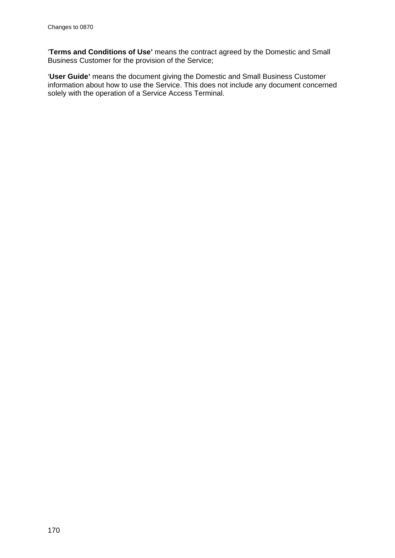'**Terms and Conditions of Use'** means the contract agreed by the Domestic and Small Business Customer for the provision of the Service;

'**User Guide'** means the document giving the Domestic and Small Business Customer information about how to use the Service. This does not include any document concerned solely with the operation of a Service Access Terminal.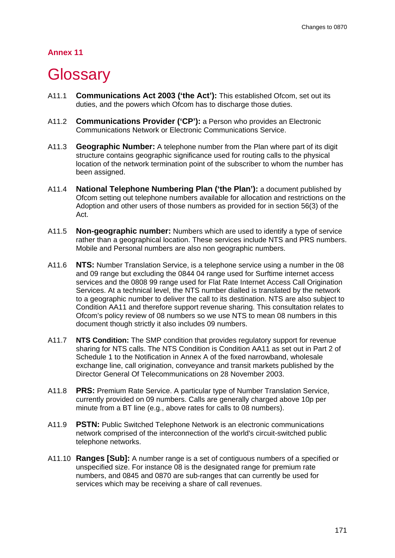## **Annex 11**

## **Glossary**

- A11.1 **Communications Act 2003 ('the Act'):** This established Ofcom, set out its duties, and the powers which Ofcom has to discharge those duties.
- A11.2 **Communications Provider ('CP'):** a Person who provides an Electronic Communications Network or Electronic Communications Service.
- A11.3 **Geographic Number:** A telephone number from the Plan where part of its digit structure contains geographic significance used for routing calls to the physical location of the network termination point of the subscriber to whom the number has been assigned.
- A11.4 **National Telephone Numbering Plan ('the Plan'):** a document published by Ofcom setting out telephone numbers available for allocation and restrictions on the Adoption and other users of those numbers as provided for in section 56(3) of the Act.
- A11.5 **Non-geographic number:** Numbers which are used to identify a type of service rather than a geographical location. These services include NTS and PRS numbers. Mobile and Personal numbers are also non geographic numbers.
- A11.6 **NTS:** Number Translation Service, is a telephone service using a number in the 08 and 09 range but excluding the 0844 04 range used for Surftime internet access services and the 0808 99 range used for Flat Rate Internet Access Call Origination Services. At a technical level, the NTS number dialled is translated by the network to a geographic number to deliver the call to its destination. NTS are also subject to Condition AA11 and therefore support revenue sharing. This consultation relates to Ofcom's policy review of 08 numbers so we use NTS to mean 08 numbers in this document though strictly it also includes 09 numbers.
- A11.7 **NTS Condition:** The SMP condition that provides regulatory support for revenue sharing for NTS calls. The NTS Condition is Condition AA11 as set out in Part 2 of Schedule 1 to the Notification in Annex A of the fixed narrowband, wholesale exchange line, call origination, conveyance and transit markets published by the Director General Of Telecommunications on 28 November 2003.
- A11.8 **PRS:** Premium Rate Service. A particular type of Number Translation Service, currently provided on 09 numbers. Calls are generally charged above 10p per minute from a BT line (e.g., above rates for calls to 08 numbers).
- A11.9 **PSTN:** Public Switched Telephone Network is an electronic communications network comprised of the interconnection of the world's circuit-switched public telephone networks.
- A11.10 **Ranges [Sub]:** A number range is a set of contiguous numbers of a specified or unspecified size. For instance 08 is the designated range for premium rate numbers, and 0845 and 0870 are sub-ranges that can currently be used for services which may be receiving a share of call revenues.